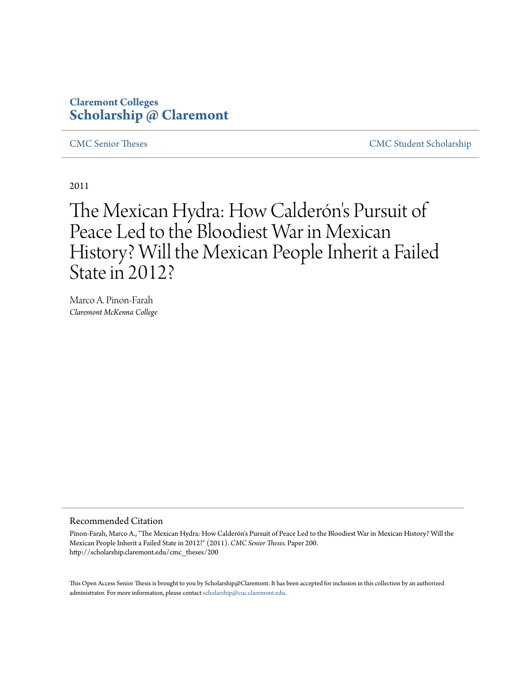# **Claremont Colleges [Scholarship @ Claremont](http://scholarship.claremont.edu)**

[CMC Senior Theses](http://scholarship.claremont.edu/cmc_theses) [CMC Student Scholarship](http://scholarship.claremont.edu/cmc_student)

2011

# The Mexican Hydra: How Calderón's Pursuit of Peace Led to the Bloodiest War in Mexican History? Will the Mexican People Inherit a Failed State in 2012?

Marco A. Pinon-Farah *Claremont McKenna College*

# Recommended Citation

Pinon-Farah, Marco A., "The Mexican Hydra: How Calderón's Pursuit of Peace Led to the Bloodiest War in Mexican History? Will the Mexican People Inherit a Failed State in 2012?" (2011). *CMC Senior Theses.* Paper 200. http://scholarship.claremont.edu/cmc\_theses/200

This Open Access Senior Thesis is brought to you by Scholarship@Claremont. It has been accepted for inclusion in this collection by an authorized administrator. For more information, please contact [scholarship@cuc.claremont.edu.](mailto:scholarship@cuc.claremont.edu)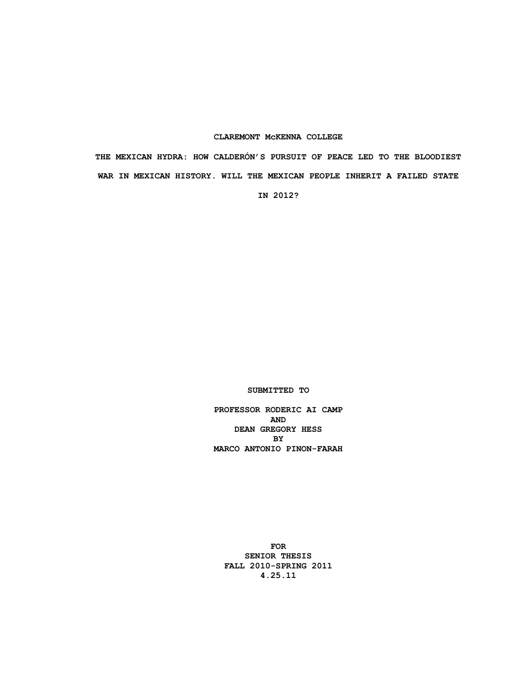### **CLAREMONT McKENNA COLLEGE**

**THE MEXICAN HYDRA: HOW CALDERÓN'S PURSUIT OF PEACE LED TO THE BLOODIEST WAR IN MEXICAN HISTORY. WILL THE MEXICAN PEOPLE INHERIT A FAILED STATE** 

**IN 2012?**

#### **SUBMITTED TO**

**PROFESSOR RODERIC AI CAMP AND DEAN GREGORY HESS BY MARCO ANTONIO PINON-FARAH**

**FOR SENIOR THESIS FALL 2010-SPRING 2011 4.25.11**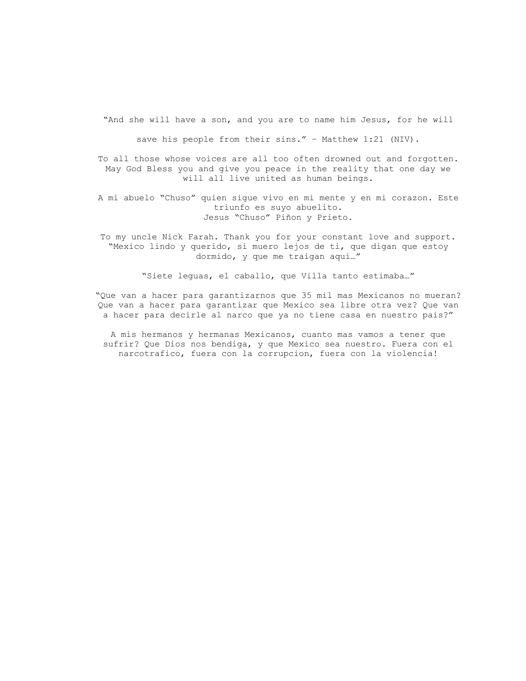"And she will have a son, and you are to name him Jesus, for he will

save his people from their sins." – Matthew 1:21 (NIV).

To all those whose voices are all too often drowned out and forgotten. May God Bless you and give you peace in the reality that one day we will all live united as human beings.

A mi abuelo "Chuso" quien sigue vivo en mi mente y en mi corazon. Este triunfo es suyo abuelito. Jesus "Chuso" Piñon y Prieto.

To my uncle Nick Farah. Thank you for your constant love and support. "Mexico lindo y querido, si muero lejos de ti, que digan que estoy dormido, y que me traigan aqui…"

"Siete leguas, el caballo, que Villa tanto estimaba…"

"Que van a hacer para garantizarnos que 35 mil mas Mexicanos no mueran? Que van a hacer para garantizar que Mexico sea libre otra vez? Que van a hacer para decirle al narco que ya no tiene casa en nuestro pais?"

A mis hermanos y hermanas Mexicanos, cuanto mas vamos a tener que sufrir? Que Dios nos bendiga, y que Mexico sea nuestro. Fuera con el narcotrafico, fuera con la corrupcion, fuera con la violencia!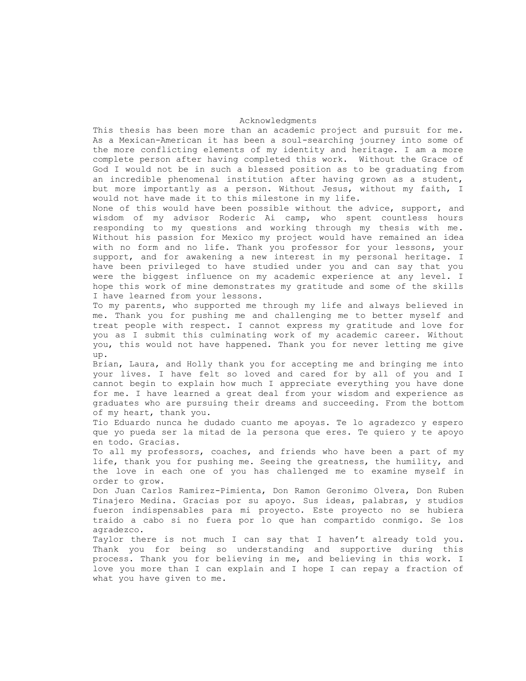#### Acknowledgments

This thesis has been more than an academic project and pursuit for me. As a Mexican-American it has been a soul-searching journey into some of the more conflicting elements of my identity and heritage. I am a more complete person after having completed this work. Without the Grace of God I would not be in such a blessed position as to be graduating from an incredible phenomenal institution after having grown as a student, but more importantly as a person. Without Jesus, without my faith, I would not have made it to this milestone in my life.

None of this would have been possible without the advice, support, and wisdom of my advisor Roderic Ai camp, who spent countless hours responding to my questions and working through my thesis with me. Without his passion for Mexico my project would have remained an idea with no form and no life. Thank you professor for your lessons, your support, and for awakening a new interest in my personal heritage. I have been privileged to have studied under you and can say that you were the biggest influence on my academic experience at any level. I hope this work of mine demonstrates my gratitude and some of the skills I have learned from your lessons.

To my parents, who supported me through my life and always believed in me. Thank you for pushing me and challenging me to better myself and treat people with respect. I cannot express my gratitude and love for you as I submit this culminating work of my academic career. Without you, this would not have happened. Thank you for never letting me give up.

Brian, Laura, and Holly thank you for accepting me and bringing me into your lives. I have felt so loved and cared for by all of you and I cannot begin to explain how much I appreciate everything you have done for me. I have learned a great deal from your wisdom and experience as graduates who are pursuing their dreams and succeeding. From the bottom of my heart, thank you.

Tio Eduardo nunca he dudado cuanto me apoyas. Te lo agradezco y espero que yo pueda ser la mitad de la persona que eres. Te quiero y te apoyo en todo. Gracias.

To all my professors, coaches, and friends who have been a part of my life, thank you for pushing me. Seeing the greatness, the humility, and the love in each one of you has challenged me to examine myself in order to grow.

Don Juan Carlos Ramirez-Pimienta, Don Ramon Geronimo Olvera, Don Ruben Tinajero Medina. Gracias por su apoyo. Sus ideas, palabras, y studios fueron indispensables para mi proyecto. Este proyecto no se hubiera traido a cabo si no fuera por lo que han compartido conmigo. Se los agradezco.

Taylor there is not much I can say that I haven"t already told you. Thank you for being so understanding and supportive during this process. Thank you for believing in me, and believing in this work. I love you more than I can explain and I hope I can repay a fraction of what you have given to me.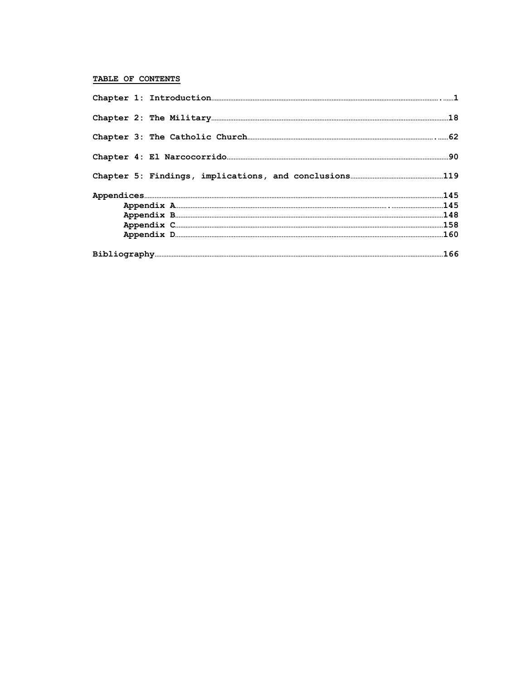## **TABLE OF CONTENTS**

| Appendices<br>2145 Appendix A Manuscript (1987)<br>2148 Appendix B Manuscript (1988) |  |
|--------------------------------------------------------------------------------------|--|
|                                                                                      |  |
|                                                                                      |  |
|                                                                                      |  |
|                                                                                      |  |
|                                                                                      |  |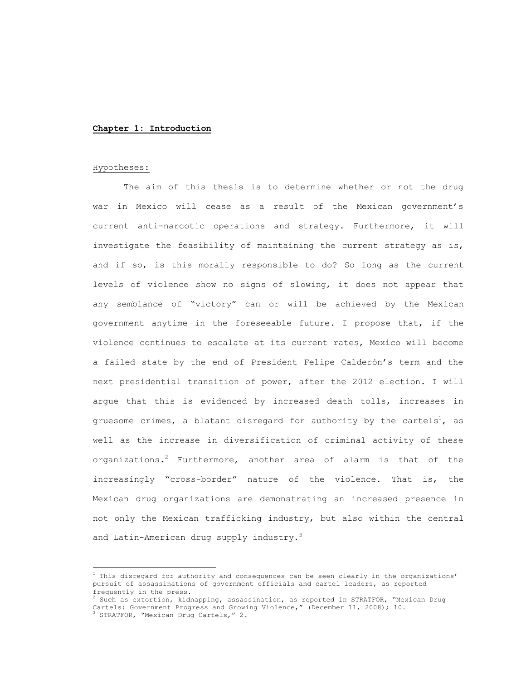#### **Chapter 1: Introduction**

#### Hypotheses:

 $\overline{a}$ 

The aim of this thesis is to determine whether or not the drug war in Mexico will cease as a result of the Mexican government's current anti-narcotic operations and strategy. Furthermore, it will investigate the feasibility of maintaining the current strategy as is, and if so, is this morally responsible to do? So long as the current levels of violence show no signs of slowing, it does not appear that any semblance of "victory" can or will be achieved by the Mexican government anytime in the foreseeable future. I propose that, if the violence continues to escalate at its current rates, Mexico will become a failed state by the end of President Felipe Calderón"s term and the next presidential transition of power, after the 2012 election. I will argue that this is evidenced by increased death tolls, increases in gruesome crimes, a blatant disregard for authority by the cartels<sup>1</sup>, as well as the increase in diversification of criminal activity of these organizations.<sup>2</sup> Furthermore, another area of alarm is that of the increasingly "cross-border" nature of the violence. That is, the Mexican drug organizations are demonstrating an increased presence in not only the Mexican trafficking industry, but also within the central and Latin-American drug supply industry.<sup>3</sup>

<sup>&</sup>lt;sup>1</sup> This disregard for authority and consequences can be seen clearly in the organizations' pursuit of assassinations of government officials and cartel leaders, as reported frequently in the press.

Such as extortion, kidnapping, assassination, as reported in STRATFOR, "Mexican Drug Cartels: Government Progress and Growing Violence," (December 11, 2008); 10.<br><sup>3</sup> SERAEROR, WARRIAAN PRUG GATELA " 2 STRATFOR, "Mexican Drug Cartels," 2.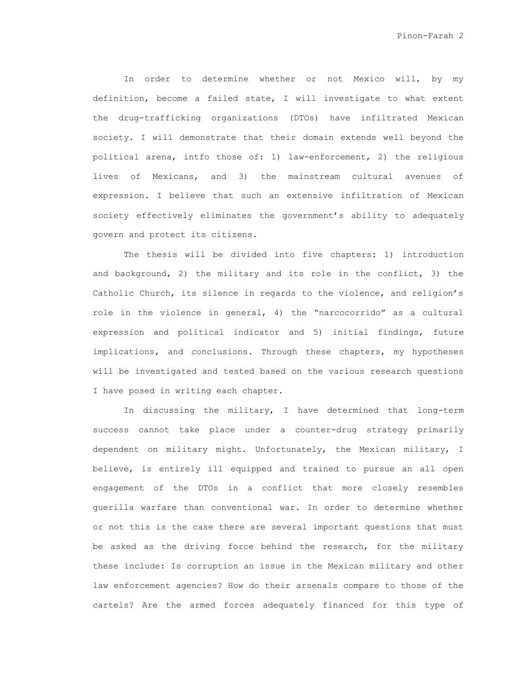In order to determine whether or not Mexico will, by my definition, become a failed state, I will investigate to what extent the drug-trafficking organizations (DTOs) have infiltrated Mexican society. I will demonstrate that their domain extends well beyond the political arena, intfo those of: 1) law-enforcement, 2) the religious lives of Mexicans, and 3) the mainstream cultural avenues of expression. I believe that such an extensive infiltration of Mexican society effectively eliminates the government's ability to adequately govern and protect its citizens.

The thesis will be divided into five chapters: 1) introduction and background, 2) the military and its role in the conflict, 3) the Catholic Church, its silence in regards to the violence, and religion"s role in the violence in general, 4) the "narcocorrido" as a cultural expression and political indicator and 5) initial findings, future implications, and conclusions. Through these chapters, my hypotheses will be investigated and tested based on the various research questions I have posed in writing each chapter.

In discussing the military, I have determined that long-term success cannot take place under a counter-drug strategy primarily dependent on military might. Unfortunately, the Mexican military, I believe, is entirely ill equipped and trained to pursue an all open engagement of the DTOs in a conflict that more closely resembles guerilla warfare than conventional war. In order to determine whether or not this is the case there are several important questions that must be asked as the driving force behind the research, for the military these include: Is corruption an issue in the Mexican military and other law enforcement agencies? How do their arsenals compare to those of the cartels? Are the armed forces adequately financed for this type of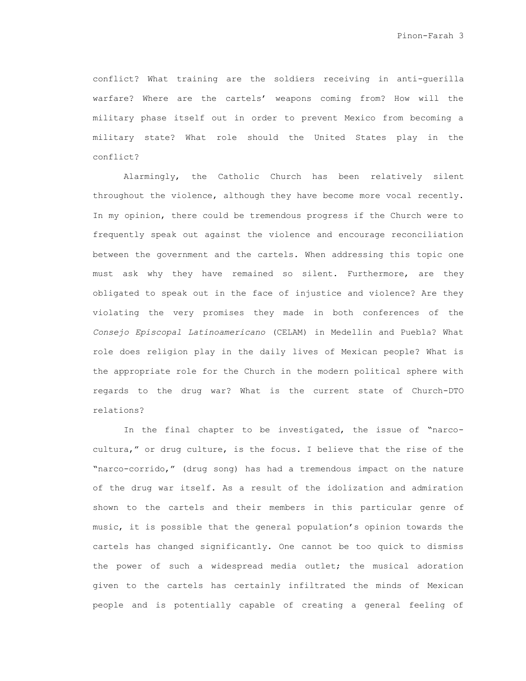conflict? What training are the soldiers receiving in anti-guerilla warfare? Where are the cartels" weapons coming from? How will the military phase itself out in order to prevent Mexico from becoming a military state? What role should the United States play in the conflict?

Alarmingly, the Catholic Church has been relatively silent throughout the violence, although they have become more vocal recently. In my opinion, there could be tremendous progress if the Church were to frequently speak out against the violence and encourage reconciliation between the government and the cartels. When addressing this topic one must ask why they have remained so silent. Furthermore, are they obligated to speak out in the face of injustice and violence? Are they violating the very promises they made in both conferences of the *Consejo Episcopal Latinoamericano* (CELAM) in Medellin and Puebla? What role does religion play in the daily lives of Mexican people? What is the appropriate role for the Church in the modern political sphere with regards to the drug war? What is the current state of Church-DTO relations?

In the final chapter to be investigated, the issue of "narcocultura," or drug culture, is the focus. I believe that the rise of the "narco-corrido," (drug song) has had a tremendous impact on the nature of the drug war itself. As a result of the idolization and admiration shown to the cartels and their members in this particular genre of music, it is possible that the general population"s opinion towards the cartels has changed significantly. One cannot be too quick to dismiss the power of such a widespread media outlet; the musical adoration given to the cartels has certainly infiltrated the minds of Mexican people and is potentially capable of creating a general feeling of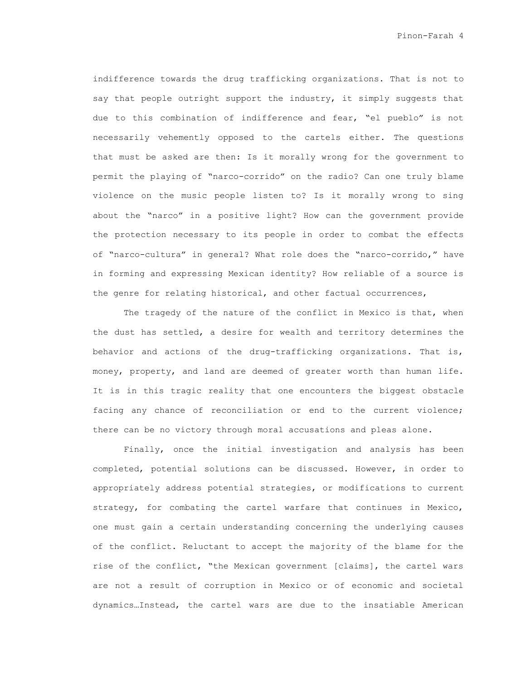indifference towards the drug trafficking organizations. That is not to say that people outright support the industry, it simply suggests that due to this combination of indifference and fear, "el pueblo" is not necessarily vehemently opposed to the cartels either. The questions that must be asked are then: Is it morally wrong for the government to permit the playing of "narco-corrido" on the radio? Can one truly blame violence on the music people listen to? Is it morally wrong to sing about the "narco" in a positive light? How can the government provide the protection necessary to its people in order to combat the effects of "narco-cultura" in general? What role does the "narco-corrido," have in forming and expressing Mexican identity? How reliable of a source is the genre for relating historical, and other factual occurrences,

The tragedy of the nature of the conflict in Mexico is that, when the dust has settled, a desire for wealth and territory determines the behavior and actions of the drug-trafficking organizations. That is, money, property, and land are deemed of greater worth than human life. It is in this tragic reality that one encounters the biggest obstacle facing any chance of reconciliation or end to the current violence; there can be no victory through moral accusations and pleas alone.

Finally, once the initial investigation and analysis has been completed, potential solutions can be discussed. However, in order to appropriately address potential strategies, or modifications to current strategy, for combating the cartel warfare that continues in Mexico, one must gain a certain understanding concerning the underlying causes of the conflict. Reluctant to accept the majority of the blame for the rise of the conflict, "the Mexican government [claims], the cartel wars are not a result of corruption in Mexico or of economic and societal dynamics…Instead, the cartel wars are due to the insatiable American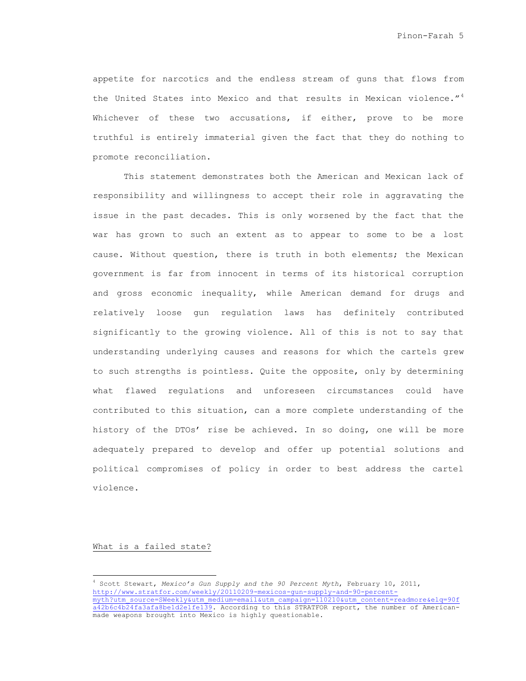appetite for narcotics and the endless stream of guns that flows from the United States into Mexico and that results in Mexican violence."<sup>4</sup> Whichever of these two accusations, if either, prove to be more truthful is entirely immaterial given the fact that they do nothing to promote reconciliation.

This statement demonstrates both the American and Mexican lack of responsibility and willingness to accept their role in aggravating the issue in the past decades. This is only worsened by the fact that the war has grown to such an extent as to appear to some to be a lost cause. Without question, there is truth in both elements; the Mexican government is far from innocent in terms of its historical corruption and gross economic inequality, while American demand for drugs and relatively loose gun regulation laws has definitely contributed significantly to the growing violence. All of this is not to say that understanding underlying causes and reasons for which the cartels grew to such strengths is pointless. Quite the opposite, only by determining what flawed regulations and unforeseen circumstances could have contributed to this situation, can a more complete understanding of the history of the DTOs' rise be achieved. In so doing, one will be more adequately prepared to develop and offer up potential solutions and political compromises of policy in order to best address the cartel violence.

#### What is a failed state?

<sup>4</sup> Scott Stewart, *Mexico's Gun Supply and the 90 Percent Myth*, February 10, 2011, [http://www.stratfor.com/weekly/20110209-mexicos-gun-supply-and-90-percent](http://www.stratfor.com/weekly/20110209-mexicos-gun-supply-and-90-percent-myth?utm_source=SWeekly&utm_medium=email&utm_campaign=110210&utm_content=readmore&elq=90fa42b6c4b24fa3afa8be1d2e1fe139)[myth?utm\\_source=SWeekly&utm\\_medium=email&utm\\_campaign=110210&utm\\_content=readmore&elq=90f](http://www.stratfor.com/weekly/20110209-mexicos-gun-supply-and-90-percent-myth?utm_source=SWeekly&utm_medium=email&utm_campaign=110210&utm_content=readmore&elq=90fa42b6c4b24fa3afa8be1d2e1fe139) [a42b6c4b24fa3afa8be1d2e1fe139.](http://www.stratfor.com/weekly/20110209-mexicos-gun-supply-and-90-percent-myth?utm_source=SWeekly&utm_medium=email&utm_campaign=110210&utm_content=readmore&elq=90fa42b6c4b24fa3afa8be1d2e1fe139) According to this STRATFOR report, the number of Americanmade weapons brought into Mexico is highly questionable.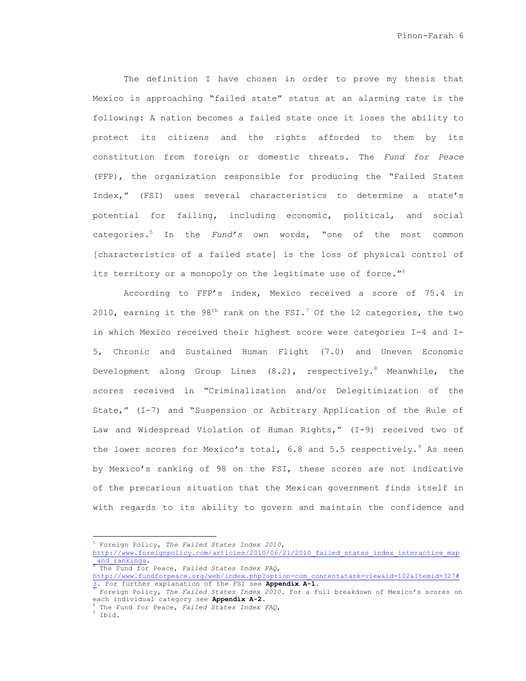The definition I have chosen in order to prove my thesis that Mexico is approaching "failed state" status at an alarming rate is the following: A nation becomes a failed state once it loses the ability to protect its citizens and the rights afforded to them by its constitution from foreign or domestic threats. The *Fund for Peace* (FFP), the organization responsible for producing the "Failed States Index," (FSI) uses several characteristics to determine a state"s potential for failing, including economic, political, and social categories. <sup>5</sup> In the *Fund's* own words, "one of the most common [characteristics of a failed state] is the loss of physical control of its territory or a monopoly on the legitimate use of force."<sup>6</sup>

According to FFP"s index, Mexico received a score of 75.4 in 2010, earning it the 98<sup>th</sup> rank on the FSI.<sup>7</sup> Of the 12 categories, the two in which Mexico received their highest score were categories I-4 and I-5, Chronic and Sustained Human Flight (7.0) and Uneven Economic Development along Group Lines  $(8.2)$ , respectively.<sup>8</sup> Meanwhile, the scores received in "Criminalization and/or Delegitimization of the State," (I-7) and "Suspension or Arbitrary Application of the Rule of Law and Widespread Violation of Human Rights," (I-9) received two of the lower scores for Mexico's total,  $6.8$  and  $5.5$  respectively. As seen by Mexico"s ranking of 98 on the FSI, these scores are not indicative of the precarious situation that the Mexican government finds itself in with regards to its ability to govern and maintain the confidence and

6 The Fund for Peace, *Failed States Index FAQ*,

<sup>5</sup> Foreign Policy, *The Failed States Index 2010*,

http://www.foreignpolicy.com/articles/2010/06/21/2010 failed states index interactive map and rankings.

[http://www.fundforpeace.org/web/index.php?option=com\\_content&task=view&id=102&Itemid=327#](http://www.fundforpeace.org/web/index.php?option=com_content&task=view&id=102&Itemid=327#3) [3.](http://www.fundforpeace.org/web/index.php?option=com_content&task=view&id=102&Itemid=327#3) For further explanation of the FSI see **Appendix A-1.** 7 Foreign Policy, *The Failed States Index 2010*. For a full breakdown of Mexico"s scores on

each individual category see **Appendix A-2.** 8 The Fund for Peace, *Failed States Index FAQ*,

<sup>9</sup> Ibid.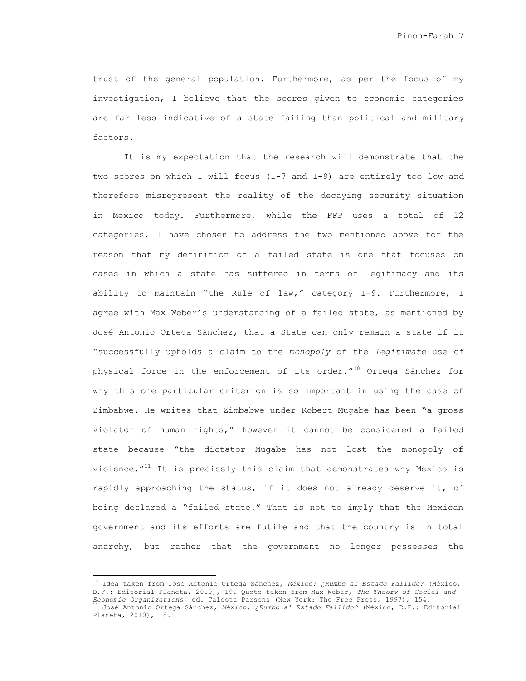trust of the general population. Furthermore, as per the focus of my investigation, I believe that the scores given to economic categories are far less indicative of a state failing than political and military factors.

It is my expectation that the research will demonstrate that the two scores on which I will focus (I-7 and I-9) are entirely too low and therefore misrepresent the reality of the decaying security situation in Mexico today. Furthermore, while the FFP uses a total of 12 categories, I have chosen to address the two mentioned above for the reason that my definition of a failed state is one that focuses on cases in which a state has suffered in terms of legitimacy and its ability to maintain "the Rule of law," category I-9. Furthermore, I agree with Max Weber's understanding of a failed state, as mentioned by José Antonio Ortega Sánchez, that a State can only remain a state if it "successfully upholds a claim to the *monopoly* of the *legitimate* use of physical force in the enforcement of its order."<sup>10</sup> Ortega Sánchez for why this one particular criterion is so important in using the case of Zimbabwe. He writes that Zimbabwe under Robert Mugabe has been "a gross violator of human rights," however it cannot be considered a failed state because "the dictator Mugabe has not lost the monopoly of violence. $''^{11}$  It is precisely this claim that demonstrates why Mexico is rapidly approaching the status, if it does not already deserve it, of being declared a "failed state." That is not to imply that the Mexican government and its efforts are futile and that the country is in total anarchy, but rather that the government no longer possesses the

<sup>10</sup> Idea taken from José Antonio Ortega Sánchez, *México: ¿Rumbo al Estado Fallido?* (México, D.F.: Editorial Planeta, 2010), 19. Quote taken from Max Weber, *The Theory of Social and Economic Organizations*, ed. Talcott Parsons (New York: The Free Press, 1997), 154. <sup>11</sup> José Antonio Ortega Sánchez, *México: ¿Rumbo al Estado Fallido?* (México, D.F.: Editorial Planeta, 2010), 18.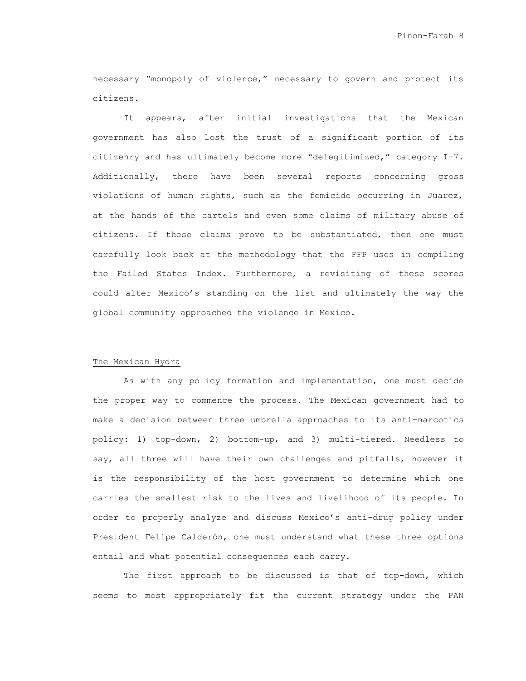necessary "monopoly of violence," necessary to govern and protect its citizens.

It appears, after initial investigations that the Mexican government has also lost the trust of a significant portion of its citizenry and has ultimately become more "delegitimized," category I-7. Additionally, there have been several reports concerning gross violations of human rights, such as the femicide occurring in Juarez, at the hands of the cartels and even some claims of military abuse of citizens. If these claims prove to be substantiated, then one must carefully look back at the methodology that the FFP uses in compiling the Failed States Index. Furthermore, a revisiting of these scores could alter Mexico"s standing on the list and ultimately the way the global community approached the violence in Mexico.

#### The Mexican Hydra

As with any policy formation and implementation, one must decide the proper way to commence the process. The Mexican government had to make a decision between three umbrella approaches to its anti-narcotics policy: 1) top-down, 2) bottom-up, and 3) multi-tiered. Needless to say, all three will have their own challenges and pitfalls, however it is the responsibility of the host government to determine which one carries the smallest risk to the lives and livelihood of its people. In order to properly analyze and discuss Mexico"s anti-drug policy under President Felipe Calderón, one must understand what these three options entail and what potential consequences each carry.

The first approach to be discussed is that of top-down, which seems to most appropriately fit the current strategy under the PAN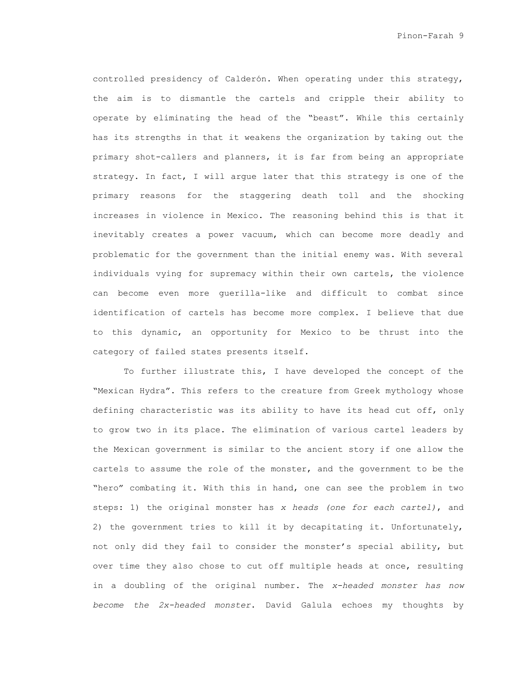controlled presidency of Calderón. When operating under this strategy, the aim is to dismantle the cartels and cripple their ability to operate by eliminating the head of the "beast". While this certainly has its strengths in that it weakens the organization by taking out the primary shot-callers and planners, it is far from being an appropriate strategy. In fact, I will argue later that this strategy is one of the primary reasons for the staggering death toll and the shocking increases in violence in Mexico. The reasoning behind this is that it inevitably creates a power vacuum, which can become more deadly and problematic for the government than the initial enemy was. With several individuals vying for supremacy within their own cartels, the violence can become even more guerilla-like and difficult to combat since identification of cartels has become more complex. I believe that due to this dynamic, an opportunity for Mexico to be thrust into the category of failed states presents itself.

To further illustrate this, I have developed the concept of the "Mexican Hydra". This refers to the creature from Greek mythology whose defining characteristic was its ability to have its head cut off, only to grow two in its place. The elimination of various cartel leaders by the Mexican government is similar to the ancient story if one allow the cartels to assume the role of the monster, and the government to be the "hero" combating it. With this in hand, one can see the problem in two steps: 1) the original monster has *x heads (one for each cartel)*, and 2) the government tries to kill it by decapitating it. Unfortunately, not only did they fail to consider the monster"s special ability, but over time they also chose to cut off multiple heads at once, resulting in a doubling of the original number. The *x-headed monster has now become the 2x-headed monster*. David Galula echoes my thoughts by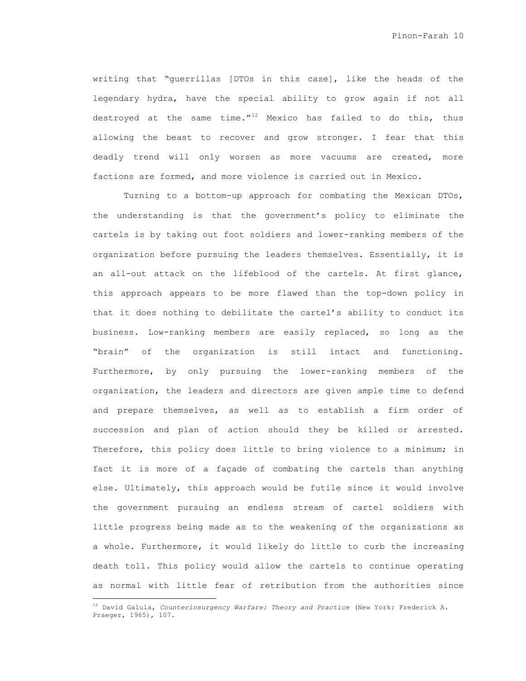writing that "guerrillas [DTOs in this case], like the heads of the legendary hydra, have the special ability to grow again if not all destroyed at the same time." $12$  Mexico has failed to do this, thus allowing the beast to recover and grow stronger. I fear that this deadly trend will only worsen as more vacuums are created, more factions are formed, and more violence is carried out in Mexico.

Turning to a bottom-up approach for combating the Mexican DTOs, the understanding is that the government"s policy to eliminate the cartels is by taking out foot soldiers and lower-ranking members of the organization before pursuing the leaders themselves. Essentially, it is an all-out attack on the lifeblood of the cartels. At first glance, this approach appears to be more flawed than the top-down policy in that it does nothing to debilitate the cartel's ability to conduct its business. Low-ranking members are easily replaced, so long as the "brain" of the organization is still intact and functioning. Furthermore, by only pursuing the lower-ranking members of the organization, the leaders and directors are given ample time to defend and prepare themselves, as well as to establish a firm order of succession and plan of action should they be killed or arrested. Therefore, this policy does little to bring violence to a minimum; in fact it is more of a façade of combating the cartels than anything else. Ultimately, this approach would be futile since it would involve the government pursuing an endless stream of cartel soldiers with little progress being made as to the weakening of the organizations as a whole. Furthermore, it would likely do little to curb the increasing death toll. This policy would allow the cartels to continue operating as normal with little fear of retribution from the authorities since

<sup>12</sup> David Galula, *Counterinsurgency Warfare: Theory and Practice* (New York: Frederick A. Praeger, 1965), 107.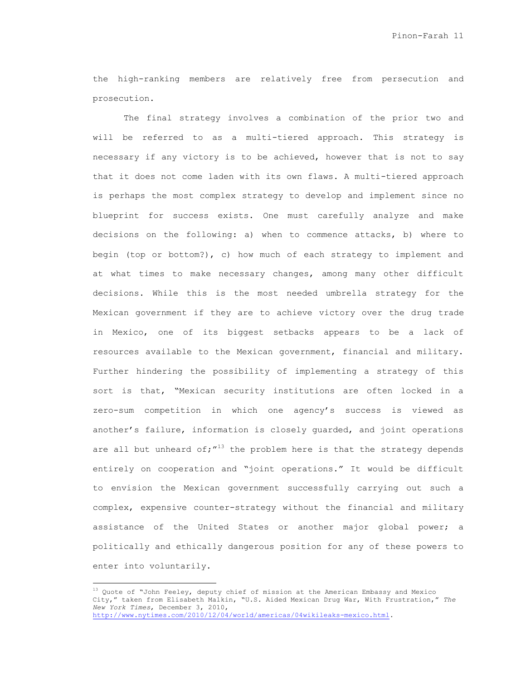the high-ranking members are relatively free from persecution and prosecution.

The final strategy involves a combination of the prior two and will be referred to as a multi-tiered approach. This strategy is necessary if any victory is to be achieved, however that is not to say that it does not come laden with its own flaws. A multi-tiered approach is perhaps the most complex strategy to develop and implement since no blueprint for success exists. One must carefully analyze and make decisions on the following: a) when to commence attacks, b) where to begin (top or bottom?), c) how much of each strategy to implement and at what times to make necessary changes, among many other difficult decisions. While this is the most needed umbrella strategy for the Mexican government if they are to achieve victory over the drug trade in Mexico, one of its biggest setbacks appears to be a lack of resources available to the Mexican government, financial and military. Further hindering the possibility of implementing a strategy of this sort is that, "Mexican security institutions are often locked in a zero-sum competition in which one agency"s success is viewed as another"s failure, information is closely guarded, and joint operations are all but unheard of;  $''^{13}$  the problem here is that the strategy depends entirely on cooperation and "joint operations." It would be difficult to envision the Mexican government successfully carrying out such a complex, expensive counter-strategy without the financial and military assistance of the United States or another major global power; a politically and ethically dangerous position for any of these powers to enter into voluntarily.

 $^{13}$  Quote of "John Feeley, deputy chief of mission at the American Embassy and Mexico City," taken from Elisabeth Malkin, "U.S. Aided Mexican Drug War, With Frustration," *The New York Times*, December 3, 2010, [http://www.nytimes.com/2010/12/04/world/americas/04wikileaks-mexico.html.](http://www.nytimes.com/2010/12/04/world/americas/04wikileaks-mexico.html)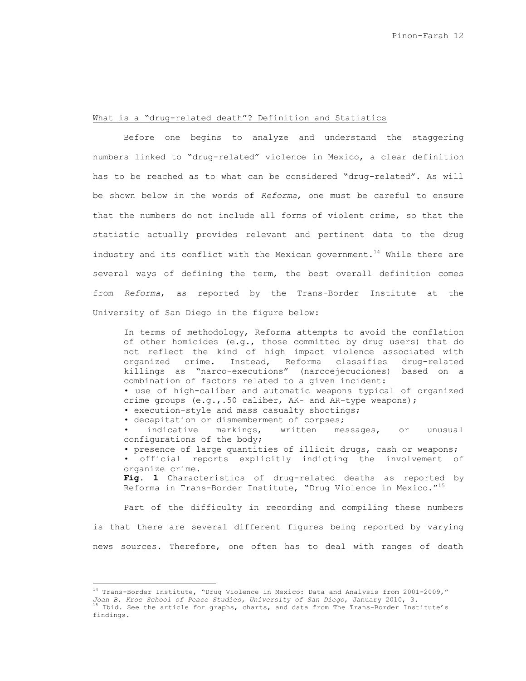#### What is a "drug-related death"? Definition and Statistics

Before one begins to analyze and understand the staggering numbers linked to "drug-related" violence in Mexico, a clear definition has to be reached as to what can be considered "drug-related". As will be shown below in the words of *Reforma*, one must be careful to ensure that the numbers do not include all forms of violent crime, so that the statistic actually provides relevant and pertinent data to the drug industry and its conflict with the Mexican government.<sup>14</sup> While there are several ways of defining the term, the best overall definition comes from *Reforma*, as reported by the Trans-Border Institute at the University of San Diego in the figure below:

In terms of methodology, Reforma attempts to avoid the conflation of other homicides (e.g., those committed by drug users) that do not reflect the kind of high impact violence associated with organized crime. Instead, Reforma classifies drug-related killings as "narco-executions" (narcoejecuciones) based on a combination of factors related to a given incident: • use of high-caliber and automatic weapons typical of organized crime groups (e.g.,.50 caliber, AK- and AR-type weapons);

• execution-style and mass casualty shootings;

• decapitation or dismemberment of corpses;

 $\overline{a}$ 

indicative markings, written messages, or unusual configurations of the body;

• presence of large quantities of illicit drugs, cash or weapons;

• official reports explicitly indicting the involvement of organize crime.

**Fig. 1** Characteristics of drug-related deaths as reported by Reforma in Trans-Border Institute, "Drug Violence in Mexico."<sup>15</sup>

Part of the difficulty in recording and compiling these numbers is that there are several different figures being reported by varying news sources. Therefore, one often has to deal with ranges of death

 $^{14}$  Trans-Border Institute, "Drug Violence in Mexico: Data and Analysis from 2001-2009," *Joan B. Kroc School of Peace Studies, University of San Diego*, January 2010, 3. <sup>15</sup> Ibid. See the article for graphs, charts, and data from The Trans-Border Institute"s findings**.**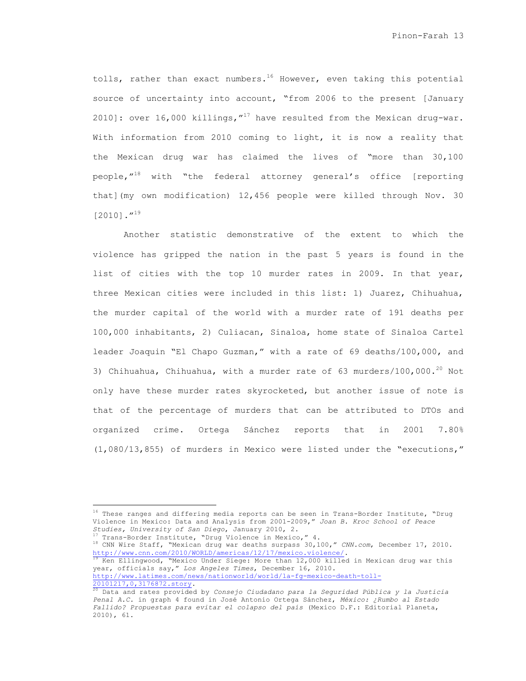tolls, rather than exact numbers.<sup>16</sup> However, even taking this potential source of uncertainty into account, "from 2006 to the present [January 2010]: over 16,000 killings,  $''^{17}$  have resulted from the Mexican drug-war. With information from 2010 coming to light, it is now a reality that the Mexican drug war has claimed the lives of "more than 30,100 people,"<sup>18</sup> with "the federal attorney general's office [reporting that](my own modification) 12,456 people were killed through Nov. 30  $[2010]$ ."<sup>19</sup>

Another statistic demonstrative of the extent to which the violence has gripped the nation in the past 5 years is found in the list of cities with the top 10 murder rates in 2009. In that year, three Mexican cities were included in this list: 1) Juarez, Chihuahua, the murder capital of the world with a murder rate of 191 deaths per 100,000 inhabitants, 2) Culiacan, Sinaloa, home state of Sinaloa Cartel leader Joaquin "El Chapo Guzman," with a rate of 69 deaths/100,000, and 3) Chihuahua, Chihuahua, with a murder rate of 63 murders/100,000.<sup>20</sup> Not only have these murder rates skyrocketed, but another issue of note is that of the percentage of murders that can be attributed to DTOs and organized crime. Ortega Sánchez reports that in 2001 7.80% (1,080/13,855) of murders in Mexico were listed under the "executions,"

<sup>17</sup> Trans-Border Institute, "Drug Violence in Mexico," 4.

<sup>19</sup> Ken Ellingwood, "Mexico Under Siege: More than 12,000 killed in Mexican drug war this year, officials say," *Los Angeles Times*, December 16, 2010. [http://www.latimes.com/news/nationworld/world/la-fg-mexico-death-toll-](http://www.latimes.com/news/nationworld/world/la-fg-mexico-death-toll-20101217,0,3176872.story)

<sup>&</sup>lt;sup>16</sup> These ranges and differing media reports can be seen in Trans-Border Institute, "Drug Violence in Mexico: Data and Analysis from 2001-2009," *Joan B. Kroc School of Peace Studies, University of San Diego*, January 2010, 2.

<sup>18</sup> CNN Wire Staff, "Mexican drug war deaths surpass 30,100," *CNN.com*, December 17, 2010. [http://www.cnn.com/2010/WORLD/americas/12/17/mexico.violence/.](http://www.cnn.com/2010/WORLD/americas/12/17/mexico.violence/)

[<sup>20101217,0,3176872.</sup>story.](http://www.latimes.com/news/nationworld/world/la-fg-mexico-death-toll-20101217,0,3176872.story)

<sup>20</sup> Data and rates provided by *Consejo Ciudadano para la Seguridad Pública y la Justicia Penal A.C.* in graph 4 found in José Antonio Ortega Sánchez, *México: ¿Rumbo al Estado Fallido? Propuestas para evitar el colapso del país* (Mexico D.F.: Editorial Planeta, 2010), 61.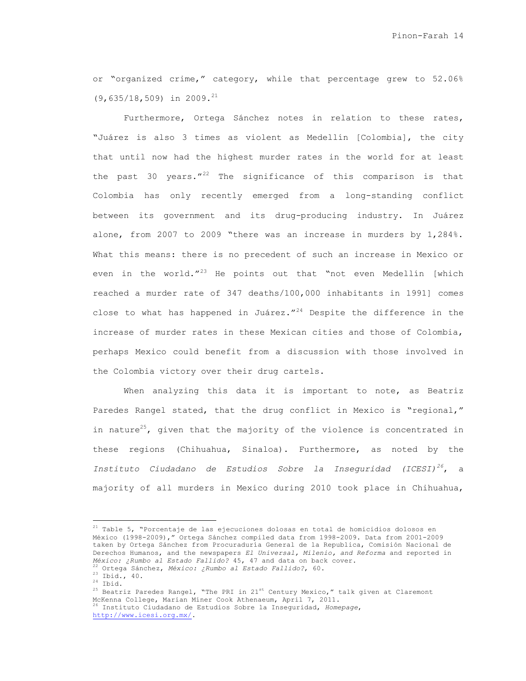or "organized crime," category, while that percentage grew to 52.06%  $(9,635/18,509)$  in 2009.<sup>21</sup>

Furthermore, Ortega Sánchez notes in relation to these rates, "Juárez is also 3 times as violent as Medellín [Colombia], the city that until now had the highest murder rates in the world for at least the past 30 years." $^{22}$  The significance of this comparison is that Colombia has only recently emerged from a long-standing conflict between its government and its drug-producing industry. In Juárez alone, from 2007 to 2009 "there was an increase in murders by 1,284%. What this means: there is no precedent of such an increase in Mexico or even in the world."<sup>23</sup> He points out that "not even Medellín [which reached a murder rate of 347 deaths/100,000 inhabitants in 1991] comes close to what has happened in Juárez."<sup>24</sup> Despite the difference in the increase of murder rates in these Mexican cities and those of Colombia, perhaps Mexico could benefit from a discussion with those involved in the Colombia victory over their drug cartels.

When analyzing this data it is important to note, as Beatriz Paredes Rangel stated, that the drug conflict in Mexico is "regional," in nature<sup>25</sup>, given that the majority of the violence is concentrated in these regions (Chihuahua, Sinaloa). Furthermore, as noted by the *Instituto Ciudadano de Estudios Sobre la Inseguridad (ICESI)<sup>26</sup>*, a majority of all murders in Mexico during 2010 took place in Chihuahua,

 $21$  Table 5, "Porcentaje de las ejecuciones dolosas en total de homicidios dolosos en México (1998-2009)," Ortega Sánchez compiled data from 1998-2009. Data from 2001-2009 taken by Ortega Sánchez from Procuraduría General de la Republica, Comisión Nacional de Derechos Humanos, and the newspapers *El Universal, Milenio, and Reforma* and reported in *México: ¿Rumbo al Estado Fallido?* 45, 47 and data on back cover.

<sup>22</sup> Ortega Sánchez, *México: ¿Rumbo al Estado Fallido?*, 60.

 $23$  Ibid., 40.  $24$  Ibid.

<sup>&</sup>lt;sup>25</sup> Beatriz Paredes Rangel, "The PRI in 21<sup>st</sup> Century Mexico," talk given at Claremont McKenna College, Marian Miner Cook Athenaeum, April 7, 2011.

<sup>26</sup> Instituto Ciudadano de Estudios Sobre la Inseguridad, *Homepage*, [http://www.icesi.org.mx/.](http://www.icesi.org.mx/)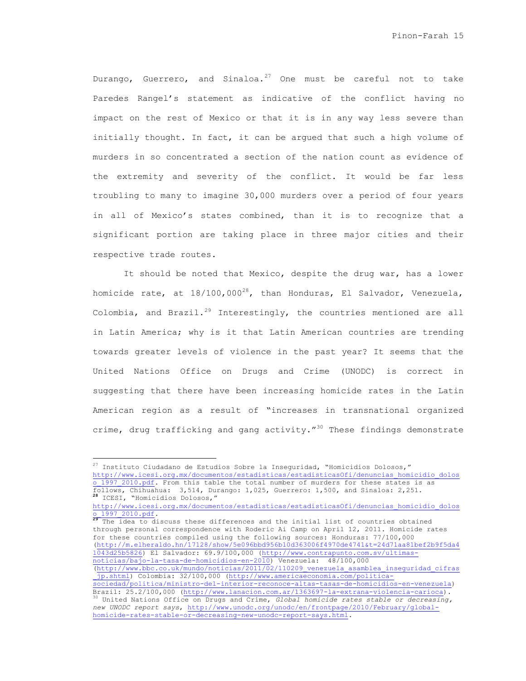Durango, Guerrero, and Sinaloa.<sup>27</sup> One must be careful not to take Paredes Rangel"s statement as indicative of the conflict having no impact on the rest of Mexico or that it is in any way less severe than initially thought. In fact, it can be argued that such a high volume of murders in so concentrated a section of the nation count as evidence of the extremity and severity of the conflict. It would be far less troubling to many to imagine 30,000 murders over a period of four years in all of Mexico"s states combined, than it is to recognize that a significant portion are taking place in three major cities and their respective trade routes.

It should be noted that Mexico, despite the drug war, has a lower homicide rate, at  $18/100,000^{28}$ , than Honduras, El Salvador, Venezuela, Colombia, and Brazil.<sup>29</sup> Interestingly, the countries mentioned are all in Latin America; why is it that Latin American countries are trending towards greater levels of violence in the past year? It seems that the United Nations Office on Drugs and Crime (UNODC) is correct in suggesting that there have been increasing homicide rates in the Latin American region as a result of "increases in transnational organized crime, drug trafficking and gang activity."<sup>30</sup> These findings demonstrate

 $\overline{a}$ 

through personal correspondence with Roderic Ai Camp on April 12, 2011. Homicide rates for these countries compiled using the following sources: Honduras: 77/100,000 [\(http://m.elheraldo.hn/17128/show/5e096bbd956b10d363006f4970de4741&t=24d71aa81bef2b9f5da4](http://m.elheraldo.hn/17128/show/5e096bbd956b10d363006f4970de4741&t=24d71aa81bef2b9f5da41043d25b5826) [1043d25b5826\)](http://m.elheraldo.hn/17128/show/5e096bbd956b10d363006f4970de4741&t=24d71aa81bef2b9f5da41043d25b5826) El Salvador: 69.9/100,000 [\(http://www.contrapunto.com.sv/ultimas](http://www.contrapunto.com.sv/ultimas-noticias/bajo-la-tasa-de-homicidios-en-2010)[noticias/bajo-la-tasa-de-homicidios-en-2010\)](http://www.contrapunto.com.sv/ultimas-noticias/bajo-la-tasa-de-homicidios-en-2010) Venezuela: 48/100,000

[\(http://www.bbc.co.uk/mundo/noticias/2011/02/110209\\_venezuela\\_asamblea\\_inseguridad\\_cifras](http://www.bbc.co.uk/mundo/noticias/2011/02/110209_venezuela_asamblea_inseguridad_cifras_jp.shtml) [\\_jp.shtml\)](http://www.bbc.co.uk/mundo/noticias/2011/02/110209_venezuela_asamblea_inseguridad_cifras_jp.shtml) Colombia: 32/100,000 [\(http://www.americaeconomia.com/politica-](http://www.americaeconomia.com/politica-sociedad/politica/ministro-del-interior-reconoce-altas-tasas-de-homicidios-en-venezuela)

[sociedad/politica/ministro-del-interior-reconoce-altas-tasas-de-homicidios-en-venezuela\)](http://www.americaeconomia.com/politica-sociedad/politica/ministro-del-interior-reconoce-altas-tasas-de-homicidios-en-venezuela) Brazil: 25.2/100,000 [\(http://www.lanacion.com.ar/1363697-la-extrana-violencia-carioca\)](http://www.lanacion.com.ar/1363697-la-extrana-violencia-carioca). <sup>30</sup> United Nations Office on Drugs and Crime, *Global homicide rates stable or decreasing, new UNODC report says*, [http://www.unodc.org/unodc/en/frontpage/2010/February/global](http://www.unodc.org/unodc/en/frontpage/2010/February/global-homicide-rates-stable-or-decreasing-new-unodc-report-says.html)[homicide-rates-stable-or-decreasing-new-unodc-report-says.html.](http://www.unodc.org/unodc/en/frontpage/2010/February/global-homicide-rates-stable-or-decreasing-new-unodc-report-says.html)

 $27$  Instituto Ciudadano de Estudios Sobre la Inseguridad, "Homicidios Dolosos," [http://www.icesi.org.mx/documentos/estadisticas/estadisticasOfi/denuncias\\_homicidio\\_dolos](http://www.icesi.org.mx/documentos/estadisticas/estadisticasOfi/denuncias_homicidio_doloso_1997_2010.pdf) [o\\_1997\\_2010.pdf.](http://www.icesi.org.mx/documentos/estadisticas/estadisticasOfi/denuncias_homicidio_doloso_1997_2010.pdf) From this table the total number of murders for these states is as follows, Chihuahua: 3,514, Durango: 1,025, Guerrero: 1,500, and Sinaloa: 2,251. **<sup>28</sup>** ICESI, "Homicidios Dolosos,"

[http://www.icesi.org.mx/documentos/estadisticas/estadisticasOfi/denuncias\\_homicidio\\_dolos](http://www.icesi.org.mx/documentos/estadisticas/estadisticasOfi/denuncias_homicidio_doloso_1997_2010.pdf) o 1997 2010.pdf.<br><sup>29</sup> The idea to discuss these differences and the initial list of countries obtained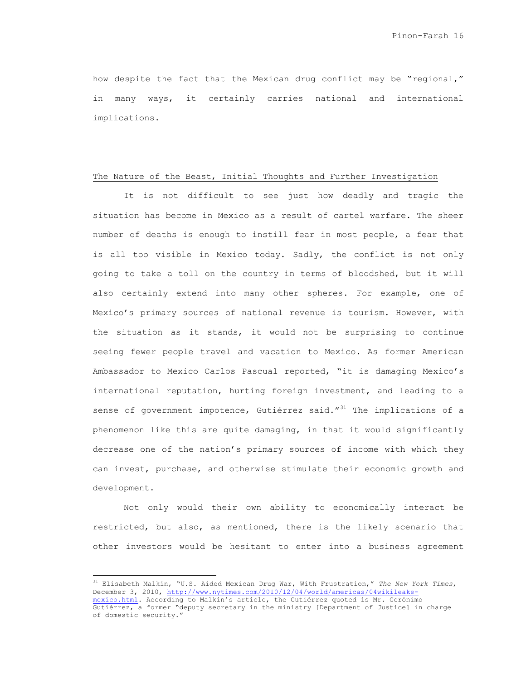how despite the fact that the Mexican drug conflict may be "regional," in many ways, it certainly carries national and international implications.

#### The Nature of the Beast, Initial Thoughts and Further Investigation

It is not difficult to see just how deadly and tragic the situation has become in Mexico as a result of cartel warfare. The sheer number of deaths is enough to instill fear in most people, a fear that is all too visible in Mexico today. Sadly, the conflict is not only going to take a toll on the country in terms of bloodshed, but it will also certainly extend into many other spheres. For example, one of Mexico"s primary sources of national revenue is tourism. However, with the situation as it stands, it would not be surprising to continue seeing fewer people travel and vacation to Mexico. As former American Ambassador to Mexico Carlos Pascual reported, "it is damaging Mexico"s international reputation, hurting foreign investment, and leading to a sense of government impotence, Gutiérrez said."<sup>31</sup> The implications of a phenomenon like this are quite damaging, in that it would significantly decrease one of the nation"s primary sources of income with which they can invest, purchase, and otherwise stimulate their economic growth and development.

Not only would their own ability to economically interact be restricted, but also, as mentioned, there is the likely scenario that other investors would be hesitant to enter into a business agreement

<sup>31</sup> Elisabeth Malkin, "U.S. Aided Mexican Drug War, With Frustration," *The New York Times*, December 3, 2010, [http://www.nytimes.com/2010/12/04/world/americas/04wikileaks](http://www.nytimes.com/2010/12/04/world/americas/04wikileaks-mexico.html)[mexico.html.](http://www.nytimes.com/2010/12/04/world/americas/04wikileaks-mexico.html) According to Malkin"s article, the Gutiérrez quoted is Mr. Gerónimo Gutiérrez, a former "deputy secretary in the ministry [Department of Justice] in charge of domestic security."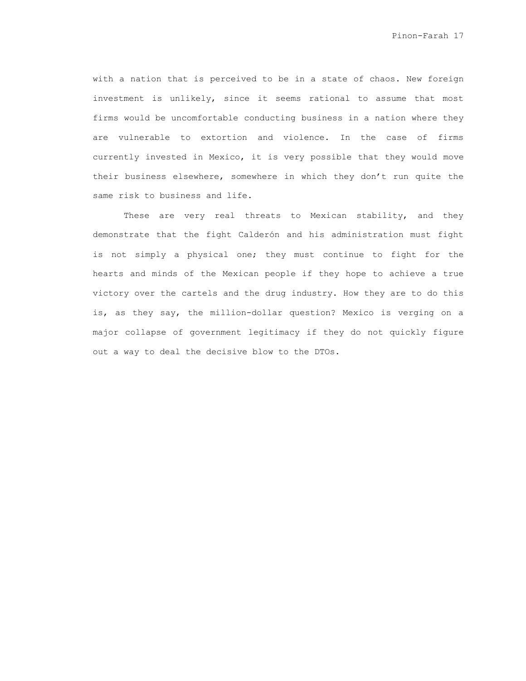with a nation that is perceived to be in a state of chaos. New foreign investment is unlikely, since it seems rational to assume that most firms would be uncomfortable conducting business in a nation where they are vulnerable to extortion and violence. In the case of firms currently invested in Mexico, it is very possible that they would move their business elsewhere, somewhere in which they don"t run quite the same risk to business and life.

These are very real threats to Mexican stability, and they demonstrate that the fight Calderón and his administration must fight is not simply a physical one; they must continue to fight for the hearts and minds of the Mexican people if they hope to achieve a true victory over the cartels and the drug industry. How they are to do this is, as they say, the million-dollar question? Mexico is verging on a major collapse of government legitimacy if they do not quickly figure out a way to deal the decisive blow to the DTOs.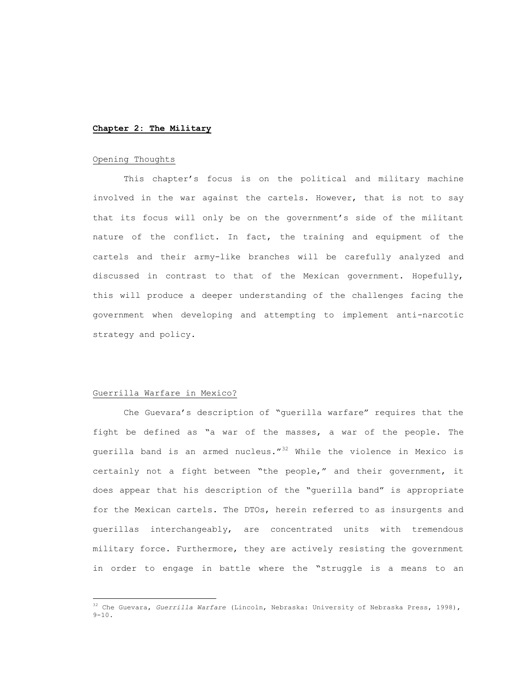#### **Chapter 2: The Military**

#### Opening Thoughts

This chapter's focus is on the political and military machine involved in the war against the cartels. However, that is not to say that its focus will only be on the government's side of the militant nature of the conflict. In fact, the training and equipment of the cartels and their army-like branches will be carefully analyzed and discussed in contrast to that of the Mexican government. Hopefully, this will produce a deeper understanding of the challenges facing the government when developing and attempting to implement anti-narcotic strategy and policy.

#### Guerrilla Warfare in Mexico?

 $\overline{a}$ 

Che Guevara"s description of "guerilla warfare" requires that the fight be defined as "a war of the masses, a war of the people. The querilla band is an armed nucleus. $1^{32}$  While the violence in Mexico is certainly not a fight between "the people," and their government, it does appear that his description of the "guerilla band" is appropriate for the Mexican cartels. The DTOs, herein referred to as insurgents and guerillas interchangeably, are concentrated units with tremendous military force. Furthermore, they are actively resisting the government in order to engage in battle where the "struggle is a means to an

<sup>32</sup> Che Guevara, *Guerrilla Warfare* (Lincoln, Nebraska: University of Nebraska Press, 1998),  $9-10.$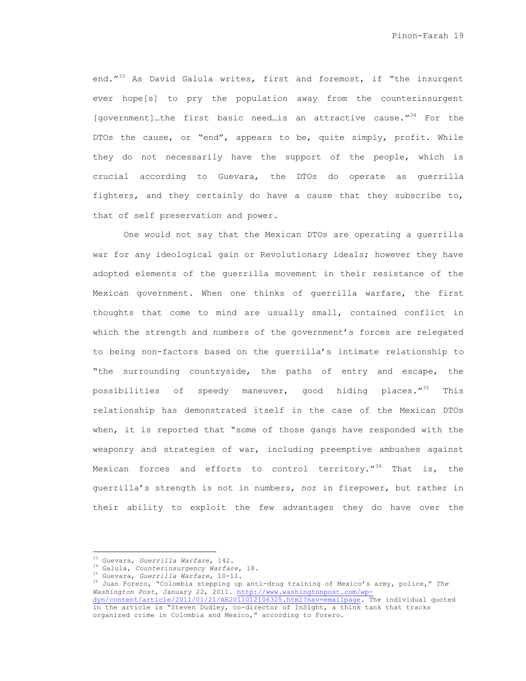end."<sup>33</sup> As David Galula writes, first and foremost, if "the insurgent ever hope[s] to pry the population away from the counterinsurgent [government]…the first basic need…is an attractive cause."<sup>34</sup> For the DTOs the cause, or "end", appears to be, quite simply, profit. While they do not necessarily have the support of the people, which is crucial according to Guevara, the DTOs do operate as guerrilla fighters, and they certainly do have a cause that they subscribe to, that of self preservation and power.

One would not say that the Mexican DTOs are operating a guerrilla war for any ideological gain or Revolutionary ideals; however they have adopted elements of the guerrilla movement in their resistance of the Mexican government. When one thinks of guerrilla warfare, the first thoughts that come to mind are usually small, contained conflict in which the strength and numbers of the government's forces are relegated to being non-factors based on the guerrilla"s intimate relationship to "the surrounding countryside, the paths of entry and escape, the possibilities of speedy maneuver, good hiding places."<sup>35</sup> This relationship has demonstrated itself in the case of the Mexican DTOs when, it is reported that "some of those gangs have responded with the weaponry and strategies of war, including preemptive ambushes against Mexican forces and efforts to control territory."<sup>36</sup> That is, the guerrilla"s strength is not in numbers, nor in firepower, but rather in their ability to exploit the few advantages they do have over the

<sup>33</sup> Guevara, *Guerrilla Warfare*, 142.

<sup>34</sup> Galula, *Counterinsurgency Warfare*, 18.

<sup>35</sup> Guevara, *Guerrilla Warfare*, 10-11.

<sup>36</sup> Juan Forero, "Colombia stepping up anti-drug training of Mexico"s army, police," *The Washington Post*, January 22, 2011. [http://www.washingtonpost.com/wp](http://www.washingtonpost.com/wp-dyn/content/article/2011/01/21/AR2011012106325.html?nav=emailpage)[dyn/content/article/2011/01/21/AR2011012106325.html?nav=emailpage.](http://www.washingtonpost.com/wp-dyn/content/article/2011/01/21/AR2011012106325.html?nav=emailpage) The individual quoted in the article is "Steven Dudley, co-director of InSight, a think tank that tracks organized crime in Colombia and Mexico," according to Forero.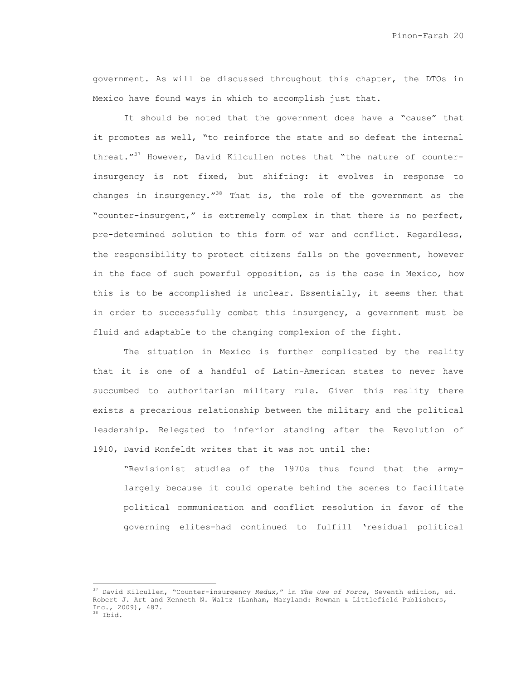government. As will be discussed throughout this chapter, the DTOs in Mexico have found ways in which to accomplish just that.

It should be noted that the government does have a "cause" that it promotes as well, "to reinforce the state and so defeat the internal threat."<sup>37</sup> However, David Kilcullen notes that "the nature of counterinsurgency is not fixed, but shifting: it evolves in response to changes in insurgency." $^{38}$  That is, the role of the government as the "counter-insurgent," is extremely complex in that there is no perfect, pre-determined solution to this form of war and conflict. Regardless, the responsibility to protect citizens falls on the government, however in the face of such powerful opposition, as is the case in Mexico, how this is to be accomplished is unclear. Essentially, it seems then that in order to successfully combat this insurgency, a government must be fluid and adaptable to the changing complexion of the fight.

The situation in Mexico is further complicated by the reality that it is one of a handful of Latin-American states to never have succumbed to authoritarian military rule. Given this reality there exists a precarious relationship between the military and the political leadership. Relegated to inferior standing after the Revolution of 1910, David Ronfeldt writes that it was not until the:

"Revisionist studies of the 1970s thus found that the armylargely because it could operate behind the scenes to facilitate political communication and conflict resolution in favor of the governing elites-had continued to fulfill "residual political

<sup>37</sup> David Kilcullen, "Counter-insurgency *Redux*," in *The Use of Force*, Seventh edition, ed. Robert J. Art and Kenneth N. Waltz (Lanham, Maryland: Rowman & Littlefield Publishers, Inc., 2009), 487. Ibid.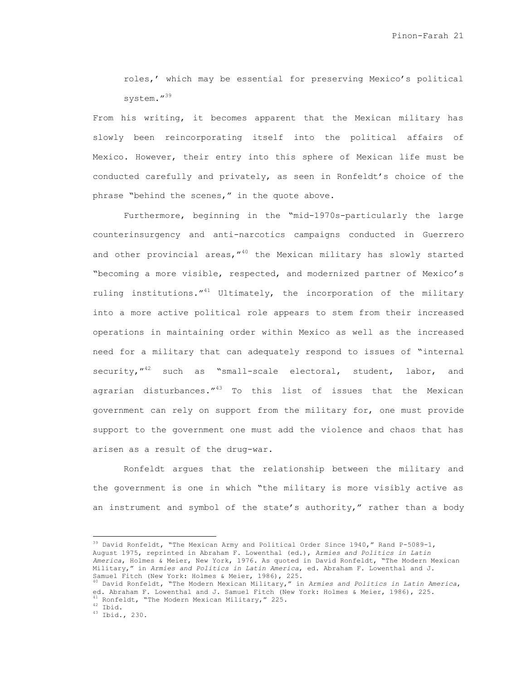roles," which may be essential for preserving Mexico"s political system."<sup>39</sup>

From his writing, it becomes apparent that the Mexican military has slowly been reincorporating itself into the political affairs of Mexico. However, their entry into this sphere of Mexican life must be conducted carefully and privately, as seen in Ronfeldt"s choice of the phrase "behind the scenes," in the quote above.

Furthermore, beginning in the "mid-1970s-particularly the large counterinsurgency and anti-narcotics campaigns conducted in Guerrero and other provincial areas,  $n^{40}$  the Mexican military has slowly started "becoming a more visible, respected, and modernized partner of Mexico"s ruling institutions."<sup>41</sup> Ultimately, the incorporation of the military into a more active political role appears to stem from their increased operations in maintaining order within Mexico as well as the increased need for a military that can adequately respond to issues of "internal security,  $n^{42}$  such as "small-scale electoral, student, labor, and agrarian disturbances."<sup>43</sup> To this list of issues that the Mexican government can rely on support from the military for, one must provide support to the government one must add the violence and chaos that has arisen as a result of the drug-war.

Ronfeldt argues that the relationship between the military and the government is one in which "the military is more visibly active as an instrument and symbol of the state's authority," rather than a body

 $39$  David Ronfeldt, "The Mexican Army and Political Order Since 1940," Rand P-5089-1, August 1975, reprinted in Abraham F. Lowenthal (ed.), *Armies and Politics in Latin America*, Holmes & Meier, New York, 1976. As quoted in David Ronfeldt, "The Modern Mexican Military," in *Armies and Politics in Latin America*, ed. Abraham F. Lowenthal and J. Samuel Fitch (New York: Holmes & Meier, 1986), 225.

<sup>40</sup> David Ronfeldt, "The Modern Mexican Military," in *Armies and Politics in Latin America*, ed. Abraham F. Lowenthal and J. Samuel Fitch (New York: Holmes & Meier, 1986), 225. Ronfeldt, "The Modern Mexican Military," 225.

 $42$  Ibid.

<sup>43</sup> Ibid., 230.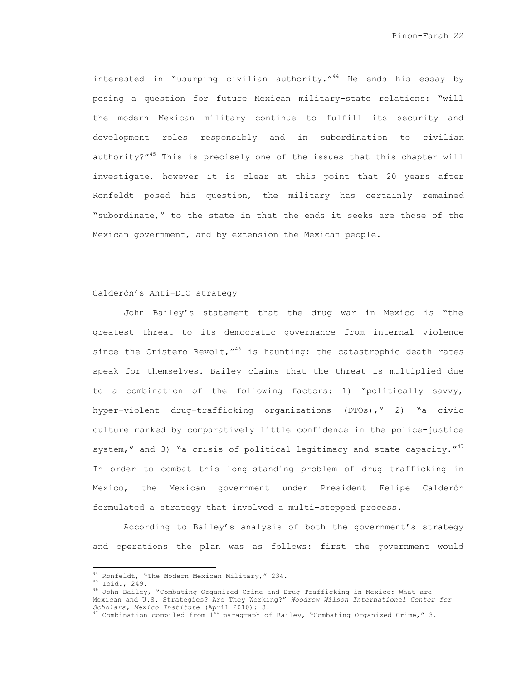interested in "usurping civilian authority."<sup>44</sup> He ends his essay by posing a question for future Mexican military-state relations: "will the modern Mexican military continue to fulfill its security and development roles responsibly and in subordination to civilian authority?"<sup>45</sup> This is precisely one of the issues that this chapter will investigate, however it is clear at this point that 20 years after Ronfeldt posed his question, the military has certainly remained "subordinate," to the state in that the ends it seeks are those of the Mexican government, and by extension the Mexican people.

#### Calderón"s Anti-DTO strategy

John Bailey"s statement that the drug war in Mexico is "the greatest threat to its democratic governance from internal violence since the Cristero Revolt,  $146$  is haunting; the catastrophic death rates speak for themselves. Bailey claims that the threat is multiplied due to a combination of the following factors: 1) "politically savvy, hyper-violent drug-trafficking organizations (DTOs)," 2) "a civic culture marked by comparatively little confidence in the police-justice system," and 3) "a crisis of political legitimacy and state capacity." $47$ In order to combat this long-standing problem of drug trafficking in Mexico, the Mexican government under President Felipe Calderón formulated a strategy that involved a multi-stepped process.

According to Bailey's analysis of both the government's strategy and operations the plan was as follows: first the government would

<sup>&</sup>lt;sup>44</sup> Ronfeldt, "The Modern Mexican Military," 234.

<sup>45</sup> Ibid., 249.

<sup>46</sup> John Bailey, "Combating Organized Crime and Drug Trafficking in Mexico: What are Mexican and U.S. Strategies? Are They Working?" *Woodrow Wilson International Center for Scholars, Mexico Institute* (April 2010): 3.

Combination compiled from  $1^{st}$  paragraph of Bailey, "Combating Organized Crime," 3.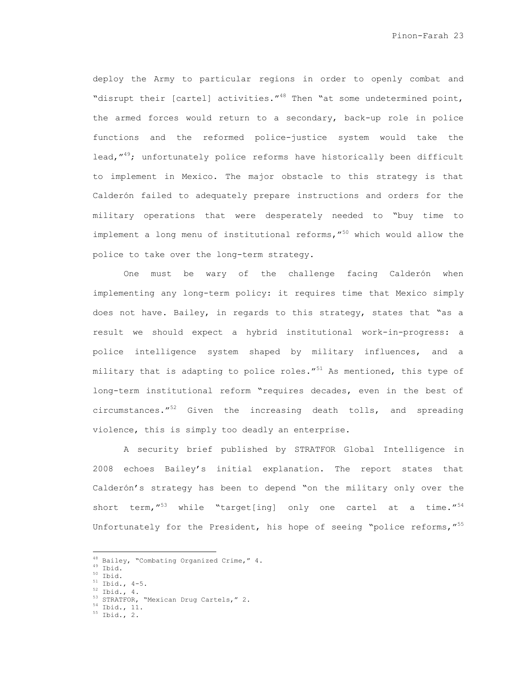deploy the Army to particular regions in order to openly combat and "disrupt their [cartel] activities."<sup>48</sup> Then "at some undetermined point, the armed forces would return to a secondary, back-up role in police functions and the reformed police-justice system would take the lead,"<sup>49</sup>; unfortunately police reforms have historically been difficult to implement in Mexico. The major obstacle to this strategy is that Calderón failed to adequately prepare instructions and orders for the military operations that were desperately needed to "buy time to implement a long menu of institutional reforms,  $''^{50}$  which would allow the police to take over the long-term strategy.

One must be wary of the challenge facing Calderón when implementing any long-term policy: it requires time that Mexico simply does not have. Bailey, in regards to this strategy, states that "as a result we should expect a hybrid institutional work-in-progress: a police intelligence system shaped by military influences, and a military that is adapting to police roles." $51$  As mentioned, this type of long-term institutional reform "requires decades, even in the best of circumstances."<sup>52</sup> Given the increasing death tolls, and spreading violence, this is simply too deadly an enterprise.

A security brief published by STRATFOR Global Intelligence in 2008 echoes Bailey"s initial explanation. The report states that Calderón"s strategy has been to depend "on the military only over the short term,  $153$  while "target[ing] only one cartel at a time.  $154$ Unfortunately for the President, his hope of seeing "police reforms,"<sup>55</sup>

<sup>49</sup> Ibid.

- <sup>50</sup> Ibid.
- $^{51}$  Ibid., 4-5.  $52$  Ibid., 4.

- <sup>54</sup> Ibid., 11.
- $55$  Ibid., 2.
	-

<sup>48</sup> Bailey, "Combating Organized Crime," 4.

<sup>53</sup> STRATFOR, "Mexican Drug Cartels," 2.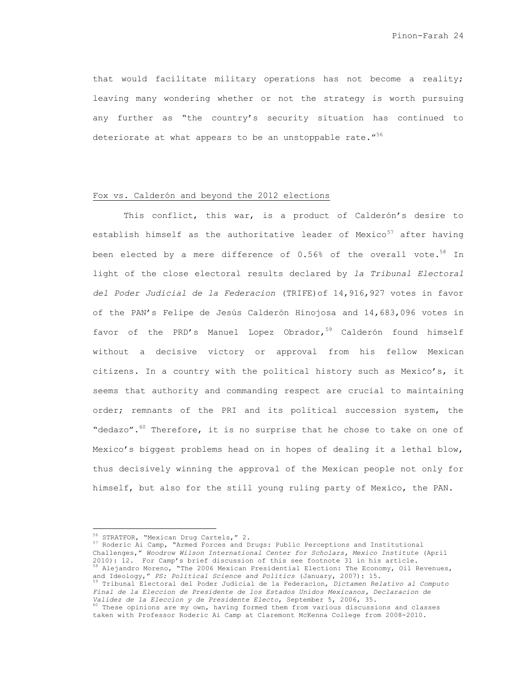that would facilitate military operations has not become a reality; leaving many wondering whether or not the strategy is worth pursuing any further as "the country"s security situation has continued to deteriorate at what appears to be an unstoppable rate."<sup>56</sup>

#### Fox vs. Calderón and beyond the 2012 elections

This conflict, this war, is a product of Calderón"s desire to establish himself as the authoritative leader of Mexico<sup>57</sup> after having been elected by a mere difference of  $0.56$ % of the overall vote.<sup>58</sup> In light of the close electoral results declared by *la Tribunal Electoral del Poder Judicial de la Federacion* (TRIFE)of 14,916,927 votes in favor of the PAN"s Felipe de Jesús Calderón Hinojosa and 14,683,096 votes in favor of the PRD's Manuel Lopez Obrador,<sup>59</sup> Calderón found himself without a decisive victory or approval from his fellow Mexican citizens. In a country with the political history such as Mexico"s, it seems that authority and commanding respect are crucial to maintaining order; remnants of the PRI and its political succession system, the "dedazo".<sup>60</sup> Therefore, it is no surprise that he chose to take on one of Mexico"s biggest problems head on in hopes of dealing it a lethal blow, thus decisively winning the approval of the Mexican people not only for himself, but also for the still young ruling party of Mexico, the PAN.

<sup>56</sup> STRATFOR, "Mexican Drug Cartels," 2.

<sup>57</sup> Roderic Ai Camp, "Armed Forces and Drugs: Public Perceptions and Institutional Challenges," *Woodrow Wilson International Center for Scholars, Mexico Institute* (April 2010): 12. For Camp"s brief discussion of this see footnote 31 in his article. Alejandro Moreno, "The 2006 Mexican Presidential Election: The Economy, Oil Revenues,

and Ideology," *PS: Political Science and Politics* (January, 2007): 15. <sup>59</sup> Tribunal Electoral del Poder Judicial de la Federacion, *Dictamen Relativo al Computo Final de la Eleccion de Presidente de los Estados Unidos Mexicanos, Declaracion de Validez de la Eleccion y de Presidente Electo*, September 5, 2006, 35.

 $60$  These opinions are my own, having formed them from various discussions and classes taken with Professor Roderic Ai Camp at Claremont McKenna College from 2008-2010.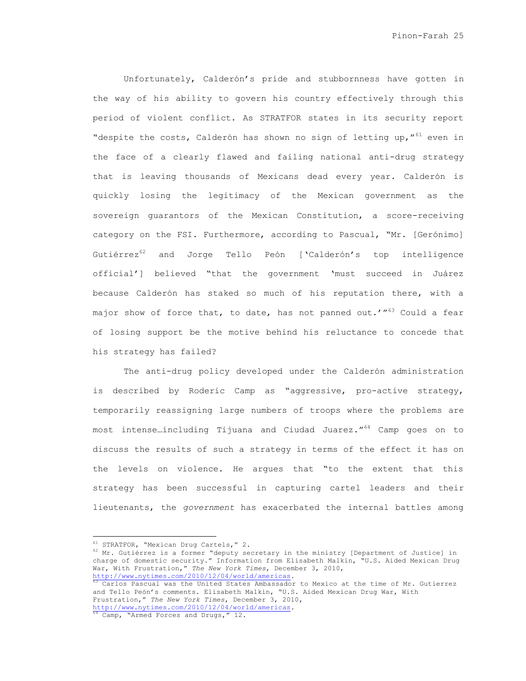Unfortunately, Calderón"s pride and stubbornness have gotten in the way of his ability to govern his country effectively through this period of violent conflict. As STRATFOR states in its security report "despite the costs, Calderón has shown no sign of letting up,  $''^{61}$  even in the face of a clearly flawed and failing national anti-drug strategy that is leaving thousands of Mexicans dead every year. Calderón is quickly losing the legitimacy of the Mexican government as the sovereign guarantors of the Mexican Constitution, a score-receiving category on the FSI. Furthermore, according to Pascual, "Mr. [Gerónimo] Gutiérrez<sup>62</sup> and Jorge Tello Peón ['Calderón's top intelligence official"] believed "that the government "must succeed in Juárez because Calderón has staked so much of his reputation there, with a major show of force that, to date, has not panned out.'"<sup>63</sup> Could a fear of losing support be the motive behind his reluctance to concede that his strategy has failed?

The anti-drug policy developed under the Calderón administration is described by Roderic Camp as "aggressive, pro-active strategy, temporarily reassigning large numbers of troops where the problems are most intense…including Tijuana and Ciudad Juarez." <sup>64</sup> Camp goes on to discuss the results of such a strategy in terms of the effect it has on the levels on violence. He argues that "to the extent that this strategy has been successful in capturing cartel leaders and their lieutenants, the *government* has exacerbated the internal battles among

<sup>&</sup>lt;sup>61</sup> STRATFOR, "Mexican Drug Cartels," 2.

<sup>62</sup> Mr. Gutiérrez is a former "deputy secretary in the ministry [Department of Justice] in charge of domestic security." Information from Elisabeth Malkin, "U.S. Aided Mexican Drug War, With Frustration," *The New York Times*, December 3, 2010, [http://www.nytimes.com/2010/12/04/world/americas.](http://www.nytimes.com/2010/12/04/world/americas)

<sup>63</sup> Carlos Pascual was the United States Ambassador to Mexico at the time of Mr. Gutierrez and Tello Peón"s comments. Elisabeth Malkin, "U.S. Aided Mexican Drug War, With Frustration," *The New York Times*, December 3, 2010, [http://www.nytimes.com/2010/12/04/world/americas.](http://www.nytimes.com/2010/12/04/world/americas)

 $\frac{64}{64}$  Camp, "Armed Forces and Drugs," 12.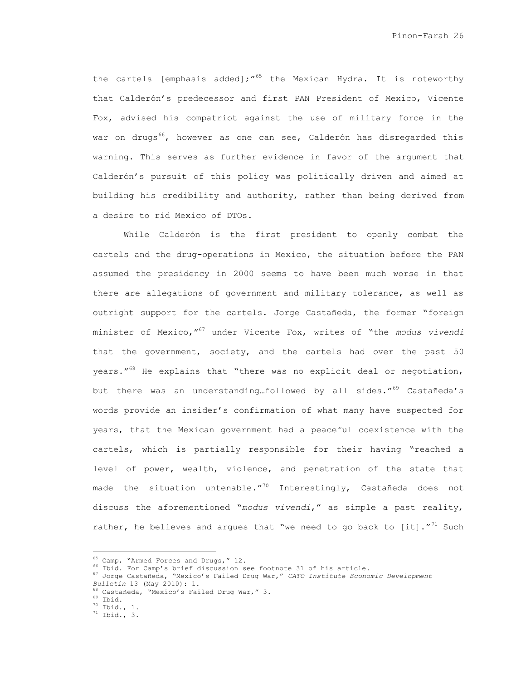the cartels [emphasis added];<sup>"65</sup> the Mexican Hydra. It is noteworthy that Calderón"s predecessor and first PAN President of Mexico, Vicente Fox, advised his compatriot against the use of military force in the war on drugs<sup>66</sup>, however as one can see, Calderón has disregarded this warning. This serves as further evidence in favor of the argument that Calderón"s pursuit of this policy was politically driven and aimed at building his credibility and authority, rather than being derived from a desire to rid Mexico of DTOs.

While Calderón is the first president to openly combat the cartels and the drug-operations in Mexico, the situation before the PAN assumed the presidency in 2000 seems to have been much worse in that there are allegations of government and military tolerance, as well as outright support for the cartels. Jorge Castañeda, the former "foreign minister of Mexico,"<sup>67</sup> under Vicente Fox, writes of "the *modus vivendi* that the government, society, and the cartels had over the past 50 years."<sup>68</sup> He explains that "there was no explicit deal or negotiation, but there was an understanding...followed by all sides."<sup>69</sup> Castañeda's words provide an insider"s confirmation of what many have suspected for years, that the Mexican government had a peaceful coexistence with the cartels, which is partially responsible for their having "reached a level of power, wealth, violence, and penetration of the state that made the situation untenable." $^{70}$  Interestingly, Castañeda does not discuss the aforementioned "*modus vivendi*," as simple a past reality, rather, he believes and argues that "we need to go back to  $[it]$ ."<sup>71</sup> Such

<sup>65</sup> Camp, "Armed Forces and Drugs," 12.

<sup>66</sup> Ibid. For Camp"s brief discussion see footnote 31 of his article.

<sup>67</sup> Jorge Castañeda, "Mexico"s Failed Drug War," *CATO Institute Economic Development* 

*Bulletin* 13 (May 2010): 1.

Castañeda, "Mexico's Failed Drug War," 3.

 $69$  Ibid.

<sup>70</sup> Ibid., 1.

 $71$  Ibid., 3.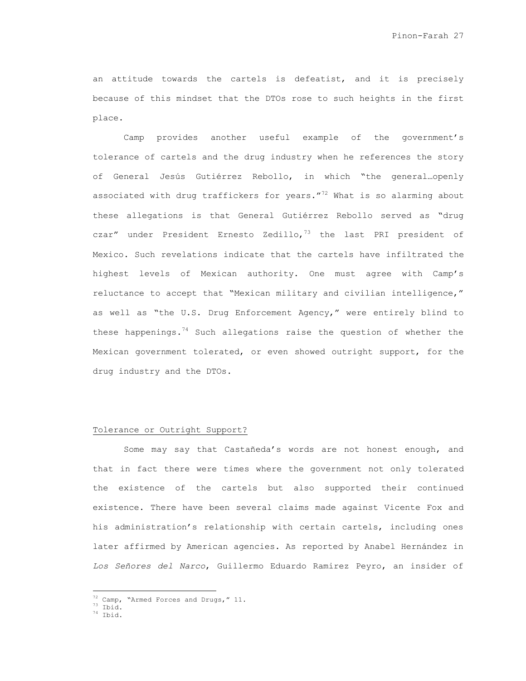an attitude towards the cartels is defeatist, and it is precisely because of this mindset that the DTOs rose to such heights in the first place.

Camp provides another useful example of the government's tolerance of cartels and the drug industry when he references the story of General Jesús Gutiérrez Rebollo, in which "the general…openly associated with drug traffickers for years." $^{72}$  What is so alarming about these allegations is that General Gutiérrez Rebollo served as "drug czar" under President Ernesto Zedillo,<sup>73</sup> the last PRI president of Mexico. Such revelations indicate that the cartels have infiltrated the highest levels of Mexican authority. One must agree with Camp"s reluctance to accept that "Mexican military and civilian intelligence," as well as "the U.S. Drug Enforcement Agency," were entirely blind to these happenings. $74$  Such allegations raise the question of whether the Mexican government tolerated, or even showed outright support, for the drug industry and the DTOs.

#### Tolerance or Outright Support?

Some may say that Castañeda"s words are not honest enough, and that in fact there were times where the government not only tolerated the existence of the cartels but also supported their continued existence. There have been several claims made against Vicente Fox and his administration"s relationship with certain cartels, including ones later affirmed by American agencies. As reported by Anabel Hernández in *Los Señores del Narco*, Guillermo Eduardo Ramirez Peyro, an insider of

 $72$  Camp, "Armed Forces and Drugs," 11.

<sup>73</sup> Ibid.

 $74$  Ibid.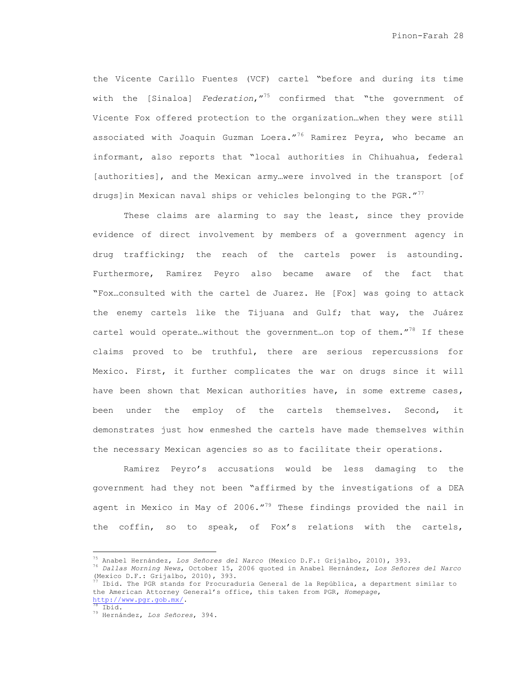the Vicente Carillo Fuentes (VCF) cartel "before and during its time with the [Sinaloa] *Federation*,"<sup>75</sup> confirmed that "the government of Vicente Fox offered protection to the organization…when they were still associated with Joaquin Guzman Loera."<sup>76</sup> Ramirez Peyra, who became an informant, also reports that "local authorities in Chihuahua, federal [authorities], and the Mexican army…were involved in the transport [of drugs] in Mexican naval ships or vehicles belonging to the PGR. $''^{77}$ 

These claims are alarming to say the least, since they provide evidence of direct involvement by members of a government agency in drug trafficking; the reach of the cartels power is astounding. Furthermore, Ramirez Peyro also became aware of the fact that "Fox…consulted with the cartel de Juarez. He [Fox] was going to attack the enemy cartels like the Tijuana and Gulf; that way, the Juárez cartel would operate...without the government...on top of them."<sup>78</sup> If these claims proved to be truthful, there are serious repercussions for Mexico. First, it further complicates the war on drugs since it will have been shown that Mexican authorities have, in some extreme cases, been under the employ of the cartels themselves. Second, it demonstrates just how enmeshed the cartels have made themselves within the necessary Mexican agencies so as to facilitate their operations.

Ramirez Peyro"s accusations would be less damaging to the government had they not been "affirmed by the investigations of a DEA agent in Mexico in May of 2006."<sup>79</sup> These findings provided the nail in the coffin, so to speak, of Fox"s relations with the cartels,

<sup>75</sup> Anabel Hernández, *Los Señores del Narco* (Mexico D.F.: Grijalbo, 2010), 393.

<sup>76</sup> *Dallas Morning News*, October 15, 2006 quoted in Anabel Hernández, *Los Señores del Narco* (Mexico D.F.: Grijalbo, 2010), 393.<br>  $\frac{1}{77}$  Third may represent the results of the results of the results of the results of the results of the results of the results of the results of the results of the results of the

<sup>77</sup> Ibid. The PGR stands for Procuraduría General de la República, a department similar to the American Attorney General"s office, this taken from PGR, *Homepage*, [http://www.pgr.gob.mx/.](http://www.pgr.gob.mx/)  $\frac{78}{1}$  Ibid.

<sup>79</sup> Hernández, *Los Señores*, 394.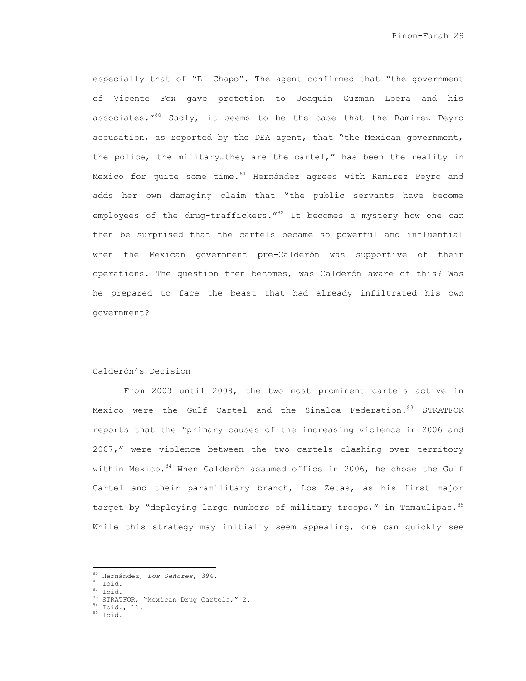especially that of "El Chapo". The agent confirmed that "the government of Vicente Fox gave protetion to Joaquin Guzman Loera and his associates."<sup>80</sup> Sadly, it seems to be the case that the Ramirez Peyro accusation, as reported by the DEA agent, that "the Mexican government, the police, the military…they are the cartel," has been the reality in Mexico for quite some time. $81$  Hernández agrees with Ramirez Peyro and adds her own damaging claim that "the public servants have become employees of the drug-traffickers."<sup>82</sup> It becomes a mystery how one can then be surprised that the cartels became so powerful and influential when the Mexican government pre-Calderón was supportive of their operations. The question then becomes, was Calderón aware of this? Was he prepared to face the beast that had already infiltrated his own government?

#### Calderón"s Decision

From 2003 until 2008, the two most prominent cartels active in Mexico were the Gulf Cartel and the Sinaloa Federation.<sup>83</sup> STRATFOR reports that the "primary causes of the increasing violence in 2006 and 2007," were violence between the two cartels clashing over territory within Mexico.<sup>84</sup> When Calderón assumed office in 2006, he chose the Gulf Cartel and their paramilitary branch, Los Zetas, as his first major target by "deploying large numbers of military troops," in Tamaulipas. 85 While this strategy may initially seem appealing, one can quickly see

 $81$  Ibid.

- $84$  Ibid., 11.
- $85$  Ibid.

<sup>80</sup> Hernández, *Los Señores*, 394.

 $82$  Ibid.

<sup>83</sup> STRATFOR, "Mexican Drug Cartels," 2.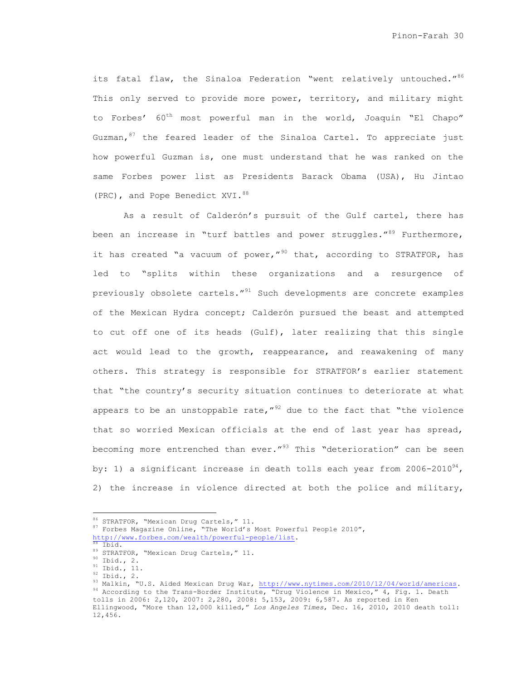its fatal flaw, the Sinaloa Federation "went relatively untouched."<sup>86</sup> This only served to provide more power, territory, and military might to Forbes' 60<sup>th</sup> most powerful man in the world, Joaquin "El Chapo" Guzman, $87$  the feared leader of the Sinaloa Cartel. To appreciate just how powerful Guzman is, one must understand that he was ranked on the same Forbes power list as Presidents Barack Obama (USA), Hu Jintao (PRC), and Pope Benedict XVI. 88

As a result of Calderón"s pursuit of the Gulf cartel, there has been an increase in "turf battles and power struggles."<sup>89</sup> Furthermore, it has created "a vacuum of power,  $^{\prime\prime\,90}$  that, according to STRATFOR, has led to "splits within these organizations and a resurgence of previously obsolete cartels."<sup>91</sup> Such developments are concrete examples of the Mexican Hydra concept; Calderón pursued the beast and attempted to cut off one of its heads (Gulf), later realizing that this single act would lead to the growth, reappearance, and reawakening of many others. This strategy is responsible for STRATFOR"s earlier statement that "the country"s security situation continues to deteriorate at what appears to be an unstoppable rate,  $''^{92}$  due to the fact that "the violence that so worried Mexican officials at the end of last year has spread, becoming more entrenched than ever."<sup>93</sup> This "deterioration" can be seen by: 1) a significant increase in death tolls each year from  $2006-2010^{94}$ , 2) the increase in violence directed at both the police and military,

<sup>86</sup> STRATFOR, "Mexican Drug Cartels," 11.

<sup>87</sup> Forbes Magazine Online, "The World's Most Powerful People 2010", [http://www.forbes.com/wealth/powerful-people/list.](http://www.forbes.com/wealth/powerful-people/list)

Ibid.

<sup>89</sup> STRATFOR, "Mexican Drug Cartels," 11.

 $90$  Ibid., 2.

 $91$  Ibid., 11.

<sup>92</sup> Ibid., 2.

<sup>93</sup> Malkin, "U.S. Aided Mexican Drug War, [http://www.nytimes.com/2010/12/04/world/americas.](http://www.nytimes.com/2010/12/04/world/americas) <sup>94</sup> According to the Trans-Border Institute, "Drug Violence in Mexico," 4, Fig. 1. Death tolls in 2006: 2,120, 2007: 2,280, 2008: 5,153, 2009: 6,587. As reported in Ken Ellingwood, "More than 12,000 killed," *Los Angeles Times*, Dec. 16, 2010, 2010 death toll: 12,456.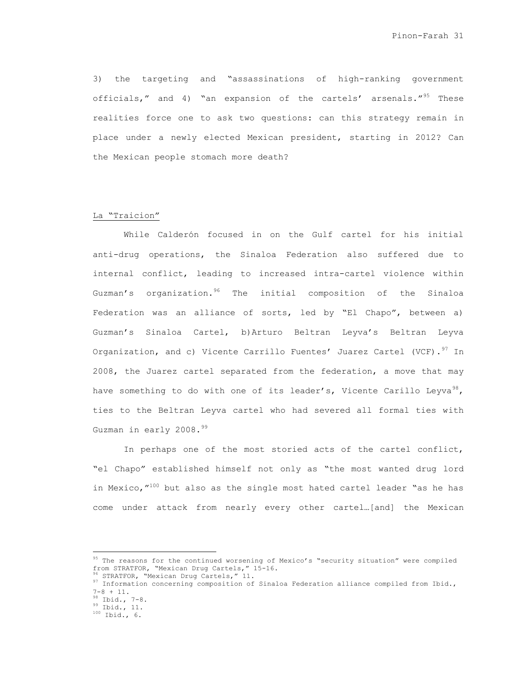3) the targeting and "assassinations of high-ranking government officials," and 4) "an expansion of the cartels' arsenals."<sup>95</sup> These realities force one to ask two questions: can this strategy remain in place under a newly elected Mexican president, starting in 2012? Can the Mexican people stomach more death?

#### La "Traicion"

While Calderón focused in on the Gulf cartel for his initial anti-drug operations, the Sinaloa Federation also suffered due to internal conflict, leading to increased intra-cartel violence within Guzman's organization.<sup>96</sup> The initial composition of the Sinaloa Federation was an alliance of sorts, led by "El Chapo", between a) Guzman"s Sinaloa Cartel, b)Arturo Beltran Leyva"s Beltran Leyva Organization, and c) Vicente Carrillo Fuentes' Juarez Cartel (VCF).<sup>97</sup> In 2008, the Juarez cartel separated from the federation, a move that may have something to do with one of its leader's, Vicente Carillo Leyva<sup>98</sup>, ties to the Beltran Leyva cartel who had severed all formal ties with Guzman in early 2008.<sup>99</sup>

In perhaps one of the most storied acts of the cartel conflict, "el Chapo" established himself not only as "the most wanted drug lord in Mexico,  $''^{100}$  but also as the single most hated cartel leader "as he has come under attack from nearly every other cartel…[and] the Mexican

<sup>&</sup>lt;sup>95</sup> The reasons for the continued worsening of Mexico's "security situation" were compiled from STRATFOR, "Mexican Drug Cartels," 15-16.

STRATFOR, "Mexican Drug Cartels," 11.

<sup>97</sup> Information concerning composition of Sinaloa Federation alliance compiled from Ibid., 7-8 + 11.

<sup>98</sup> Ibid., 7-8.

 $99$  Ibid., 11.

 $100$  Ibid., 6.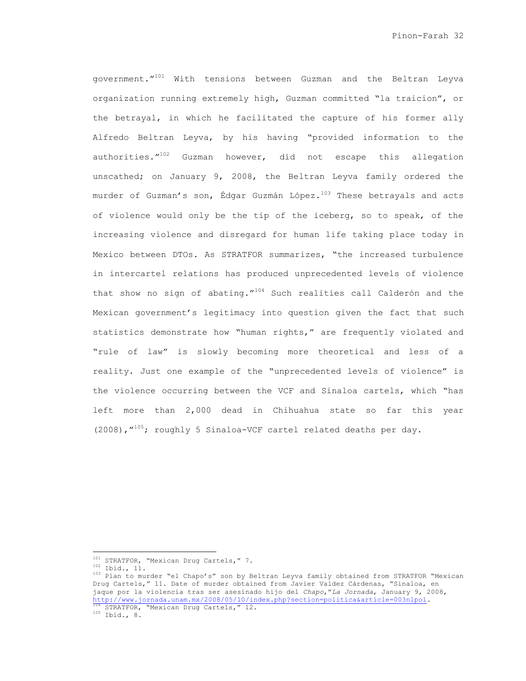government."<sup>101</sup> With tensions between Guzman and the Beltran Leyva organization running extremely high, Guzman committed "la traicion", or the betrayal, in which he facilitated the capture of his former ally Alfredo Beltran Leyva, by his having "provided information to the authorities."<sup>102</sup> Guzman however, did not escape this allegation unscathed; on January 9, 2008, the Beltran Leyva family ordered the murder of Guzman's son, Édgar Guzmán López.<sup>103</sup> These betrayals and acts of violence would only be the tip of the iceberg, so to speak, of the increasing violence and disregard for human life taking place today in Mexico between DTOs. As STRATFOR summarizes, "the increased turbulence in intercartel relations has produced unprecedented levels of violence that show no sign of abating."<sup>104</sup> Such realities call Calderón and the Mexican government"s legitimacy into question given the fact that such statistics demonstrate how "human rights," are frequently violated and "rule of law" is slowly becoming more theoretical and less of a reality. Just one example of the "unprecedented levels of violence" is the violence occurring between the VCF and Sinaloa cartels, which "has left more than 2,000 dead in Chihuahua state so far this year  $(2008)$ ,  $''^{105}$ ; roughly 5 Sinaloa-VCF cartel related deaths per day.

 $\overline{a}$ 

<sup>105</sup> Ibid., 8.

<sup>101</sup> STRATFOR, "Mexican Drug Cartels," 7.

<sup>102</sup> Ibid., 11.

<sup>103</sup> Plan to murder "el Chapo"s" son by Beltran Leyva family obtained from STRATFOR "Mexican Drug Cartels," 11. Date of murder obtained from Javier Valdez Cárdenas, "Sinaloa, en jaque por la violencia tras ser asesinado hijo del *Chapo*,"*La Jornada*, January 9, 2008, [http://www.jornada.unam.mx/2008/05/10/index.php?section=politica&article=003n1pol.](http://www.jornada.unam.mx/2008/05/10/index.php?section=politica&article=003n1pol) <sup>104</sup> STRATFOR, "Mexican Drug Cartels," 12.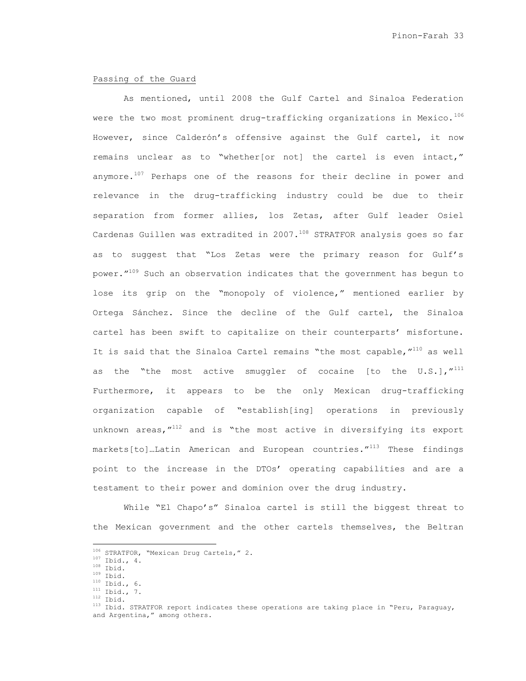#### Passing of the Guard

As mentioned, until 2008 the Gulf Cartel and Sinaloa Federation were the two most prominent drug-trafficking organizations in Mexico.<sup>106</sup> However, since Calderón"s offensive against the Gulf cartel, it now remains unclear as to "whether[or not] the cartel is even intact," anymore. $107$  Perhaps one of the reasons for their decline in power and relevance in the drug-trafficking industry could be due to their separation from former allies, los Zetas, after Gulf leader Osiel Cardenas Guillen was extradited in 2007. $^{108}$  STRATFOR analysis goes so far as to suggest that "Los Zetas were the primary reason for Gulf's power."<sup>109</sup> Such an observation indicates that the government has begun to lose its grip on the "monopoly of violence," mentioned earlier by Ortega Sánchez. Since the decline of the Gulf cartel, the Sinaloa cartel has been swift to capitalize on their counterparts' misfortune. It is said that the Sinaloa Cartel remains "the most capable,  $''^{110}$  as well as the "the most active smuggler of cocaine [to the  $U.S.$ ],  $''^{111}$ Furthermore, it appears to be the only Mexican drug-trafficking organization capable of "establish[ing] operations in previously unknown areas,  $''^{112}$  and is "the most active in diversifying its export markets[to]…Latin American and European countries."<sup>113</sup> These findings point to the increase in the DTOs" operating capabilities and are a testament to their power and dominion over the drug industry.

While "El Chapo's" Sinaloa cartel is still the biggest threat to the Mexican government and the other cartels themselves, the Beltran

 $\overline{a}$ 

 $112$  Ibid.

 $106$  STRATFOR, "Mexican Drug Cartels," 2.

 $107$  Ibid., 4. <sup>108</sup> Ibid.

<sup>109</sup> Ibid.

 $110$  Ibid., 6.

 $111$  Ibid., 7.

<sup>113</sup> Ibid. STRATFOR report indicates these operations are taking place in "Peru, Paraguay, and Argentina," among others.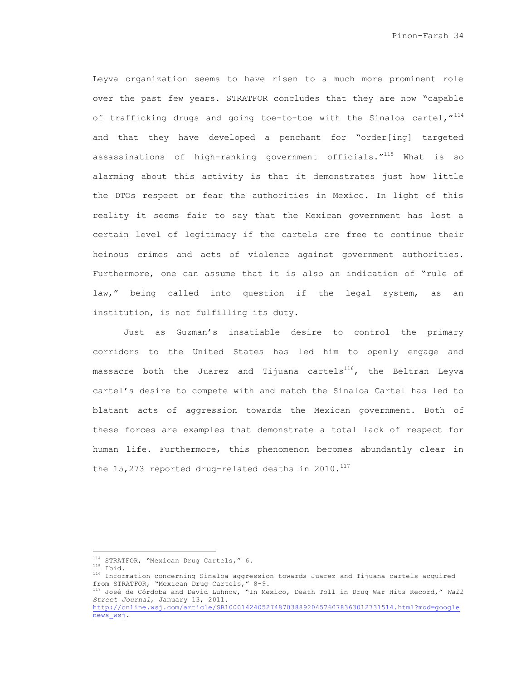Leyva organization seems to have risen to a much more prominent role over the past few years. STRATFOR concludes that they are now "capable of trafficking drugs and going toe-to-toe with the Sinaloa cartel,  $''^{114}$ and that they have developed a penchant for "order[ing] targeted assassinations of high-ranking government officials."<sup>115</sup> What is so alarming about this activity is that it demonstrates just how little the DTOs respect or fear the authorities in Mexico. In light of this reality it seems fair to say that the Mexican government has lost a certain level of legitimacy if the cartels are free to continue their heinous crimes and acts of violence against government authorities. Furthermore, one can assume that it is also an indication of "rule of law," being called into question if the legal system, as an institution, is not fulfilling its duty.

Just as Guzman"s insatiable desire to control the primary corridors to the United States has led him to openly engage and massacre both the Juarez and Tijuana cartels $^{116}$ , the Beltran Leyva cartel"s desire to compete with and match the Sinaloa Cartel has led to blatant acts of aggression towards the Mexican government. Both of these forces are examples that demonstrate a total lack of respect for human life. Furthermore, this phenomenon becomes abundantly clear in the  $15,273$  reported drug-related deaths in 2010.<sup>117</sup>

<sup>114</sup> STRATFOR, "Mexican Drug Cartels," 6.

 $115$  Ibid.

<sup>116</sup> Information concerning Sinaloa aggression towards Juarez and Tijuana cartels acquired from STRATFOR, "Mexican Drug Cartels," 8-9. <sup>117</sup> José de Córdoba and David Luhnow, "In Mexico, Death Toll in Drug War Hits Record," *Wall* 

*Street Journal*, January 13, 2011. [http://online.wsj.com/article/SB10001424052748703889204576078363012731514.html?mod=google](http://online.wsj.com/article/SB10001424052748703889204576078363012731514.html?mod=googlenews_wsj) [news\\_wsj.](http://online.wsj.com/article/SB10001424052748703889204576078363012731514.html?mod=googlenews_wsj)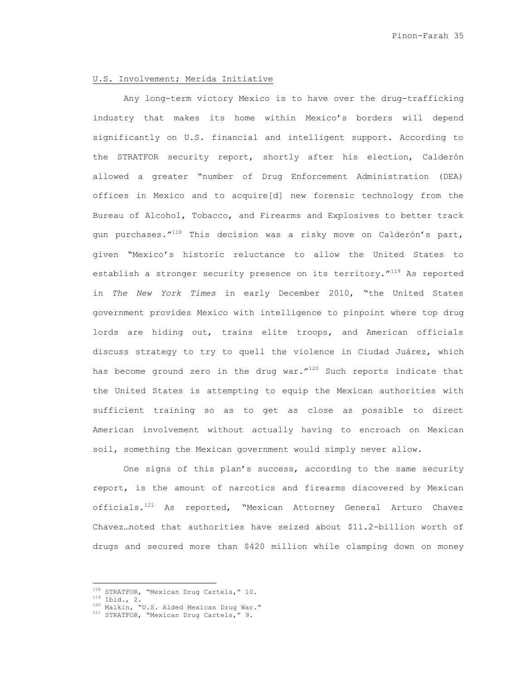## U.S. Involvement; Merida Initiative

Any long-term victory Mexico is to have over the drug-trafficking industry that makes its home within Mexico"s borders will depend significantly on U.S. financial and intelligent support. According to the STRATFOR security report, shortly after his election, Calderón allowed a greater "number of Drug Enforcement Administration (DEA) offices in Mexico and to acquire[d] new forensic technology from the Bureau of Alcohol, Tobacco, and Firearms and Explosives to better track gun purchases."<sup>118</sup> This decision was a risky move on Calderón's part, given "Mexico"s historic reluctance to allow the United States to establish a stronger security presence on its territory."<sup>119</sup> As reported in *The New York Times* in early December 2010, "the United States government provides Mexico with intelligence to pinpoint where top drug lords are hiding out, trains elite troops, and American officials discuss strategy to try to quell the violence in Ciudad Juárez, which has become ground zero in the drug war." $^{120}$  Such reports indicate that the United States is attempting to equip the Mexican authorities with sufficient training so as to get as close as possible to direct American involvement without actually having to encroach on Mexican soil, something the Mexican government would simply never allow.

One signs of this plan"s success, according to the same security report, is the amount of narcotics and firearms discovered by Mexican officials.<sup>121</sup> As reported, "Mexican Attorney General Arturo Chavez Chavez…noted that authorities have seized about \$11.2-billion worth of drugs and secured more than \$420 million while clamping down on money

 $118$  STRATFOR, "Mexican Drug Cartels," 10.

 $^{119}$  Ibid., 2.

<sup>120</sup> Nalkin, "U.S. Aided Mexican Drug War."

<sup>121</sup> STRATFOR, "Mexican Drug Cartels," 9.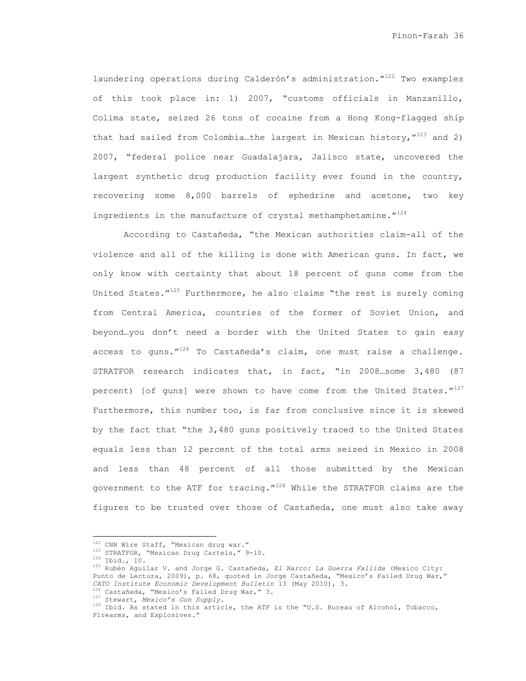laundering operations during Calderón's administration."<sup>122</sup> Two examples of this took place in: 1) 2007, "customs officials in Manzanillo, Colima state, seized 26 tons of cocaine from a Hong Kong-flagged ship that had sailed from Colombia...the largest in Mexican history,  $''^{123}$  and 2) 2007, "federal police near Guadalajara, Jalisco state, uncovered the largest synthetic drug production facility ever found in the country, recovering some 8,000 barrels of ephedrine and acetone, two key ingredients in the manufacture of crystal methamphetamine. $1^{124}$ 

According to Castañeda, "the Mexican authorities claim-all of the violence and all of the killing is done with American guns. In fact, we only know with certainty that about 18 percent of guns come from the United States."<sup>125</sup> Furthermore, he also claims "the rest is surely coming from Central America, countries of the former of Soviet Union, and beyond…you don"t need a border with the United States to gain easy access to guns. $n^{126}$  To Castañeda's claim, one must raise a challenge. STRATFOR research indicates that, in fact, "in 2008…some 3,480 (87 percent) [of guns] were shown to have come from the United States."<sup>127</sup> Furthermore, this number too, is far from conclusive since it is skewed by the fact that "the 3,480 guns positively traced to the United States equals less than 12 percent of the total arms seized in Mexico in 2008 and less than 48 percent of all those submitted by the Mexican government to the ATF for tracing."<sup>128</sup> While the STRATFOR claims are the figures to be trusted over those of Castañeda, one must also take away

 $122$  CNN Wire Staff, "Mexican drug war."

<sup>123</sup> STRATFOR, "Mexican Drug Cartels," 9-10.

<sup>124</sup> Ibid., 10.

<sup>125</sup> Rubén Aguilar V. and Jorge G. Castañeda, *El Narco: La Guerra Fallida* (Mexico City: Punto de Lectura, 2009), p. 68, quoted in Jorge Castañeda, "Mexico"s Failed Drug War," *CATO Institute Economic Development Bulletin* 13 (May 2010), 3. Castañeda, "Mexico's Failed Drug War," 3.

<sup>127</sup> Stewart, *Mexico's Gun Supply*.

<sup>128</sup> Ibid. As stated in this article, the ATF is the "U.S. Bureau of Alcohol, Tobacco, Firearms, and Explosives."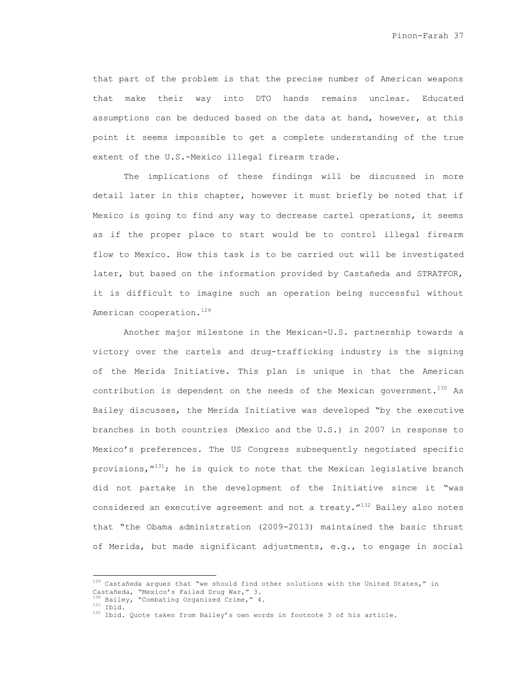that part of the problem is that the precise number of American weapons that make their way into DTO hands remains unclear. Educated assumptions can be deduced based on the data at hand, however, at this point it seems impossible to get a complete understanding of the true extent of the U.S.-Mexico illegal firearm trade.

The implications of these findings will be discussed in more detail later in this chapter, however it must briefly be noted that if Mexico is going to find any way to decrease cartel operations, it seems as if the proper place to start would be to control illegal firearm flow to Mexico. How this task is to be carried out will be investigated later, but based on the information provided by Castañeda and STRATFOR, it is difficult to imagine such an operation being successful without American cooperation.<sup>129</sup>

Another major milestone in the Mexican-U.S. partnership towards a victory over the cartels and drug-trafficking industry is the signing of the Merida Initiative. This plan is unique in that the American contribution is dependent on the needs of the Mexican government.<sup>130</sup> As Bailey discusses, the Merida Initiative was developed "by the executive branches in both countries (Mexico and the U.S.) in 2007 in response to Mexico"s preferences. The US Congress subsequently negotiated specific provisions,  $''^{131}$ ; he is quick to note that the Mexican legislative branch did not partake in the development of the Initiative since it "was considered an executive agreement and not a treaty. $''^{132}$  Bailey also notes that "the Obama administration (2009-2013) maintained the basic thrust of Merida, but made significant adjustments, e.g., to engage in social

 $^{129}$  Castañeda argues that "we should find other solutions with the United States," in Castañeda, "Mexico"s Failed Drug War," 3.

Bailey, "Combating Organized Crime," 4.

 $\overline{131}$   $\overline{1}$  Ibid.

<sup>132</sup> Ibid. Quote taken from Bailey's own words in footnote 3 of his article.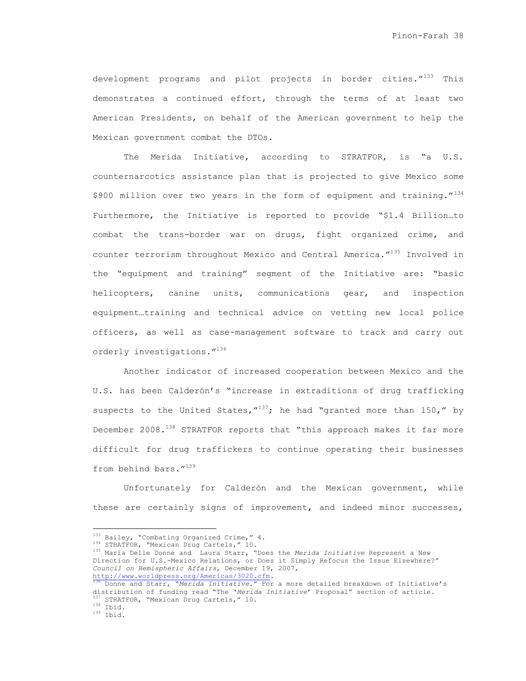development programs and pilot projects in border cities."<sup>133</sup> This demonstrates a continued effort, through the terms of at least two American Presidents, on behalf of the American government to help the Mexican government combat the DTOs.

The Merida Initiative, according to STRATFOR, is "a U.S. counternarcotics assistance plan that is projected to give Mexico some \$900 million over two years in the form of equipment and training."<sup>134</sup> Furthermore, the Initiative is reported to provide "\$1.4 Billion…to combat the trans-border war on drugs, fight organized crime, and counter terrorism throughout Mexico and Central America."<sup>135</sup> Involved in the "equipment and training" segment of the Initiative are: "basic helicopters, canine units, communications gear, and inspection equipment…training and technical advice on vetting new local police officers, as well as case-management software to track and carry out orderly investigations."<sup>136</sup>

Another indicator of increased cooperation between Mexico and the U.S. has been Calderón"s "increase in extraditions of drug trafficking suspects to the United States,  $v^{137}$ ; he had "granted more than 150," by December 2008.<sup>138</sup> STRATFOR reports that "this approach makes it far more difficult for drug traffickers to continue operating their businesses from behind bars."<sup>139</sup>

Unfortunately for Calderón and the Mexican government, while these are certainly signs of improvement, and indeed minor successes,

<sup>136</sup> Donne and Starr, "*Merida Initiative*." For a more detailed breakdown of Initiative"s distribution of funding read "The "*Merida Initiative*" Proposal" section of article. STRATFOR, "Mexican Drug Cartels," 10.  $138$  Ibid.

<sup>133</sup> Bailey, "Combating Organized Crime," 4.

<sup>134</sup> STRATFOR, "Mexican Drug Cartels," 10.

<sup>135</sup> Maria Delle Donne and Laura Starr, "Does the *Merida Initiative* Represent a New Direction for U.S.-Mexico Relations, or Does it Simply Refocus the Issue Elsewhere?" *Council on Hemispheric Affairs*, December 19, 2007, [http://www.worldpress.org/Americas/3020.cfm.](http://www.worldpress.org/Americas/3020.cfm)

 $139$  Ibid.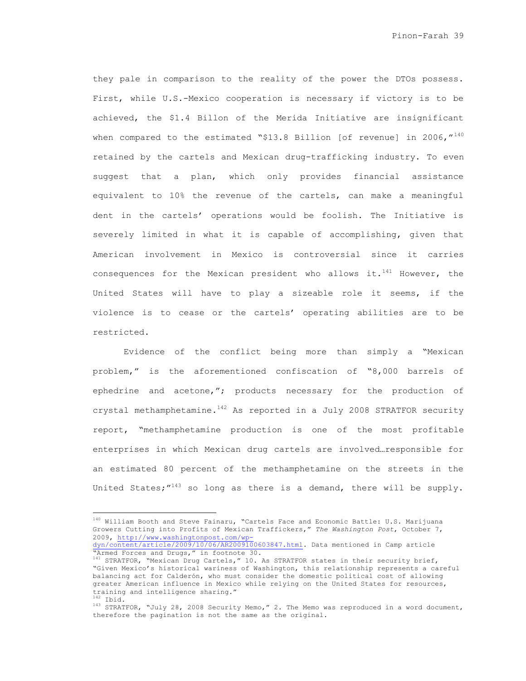they pale in comparison to the reality of the power the DTOs possess. First, while U.S.-Mexico cooperation is necessary if victory is to be achieved, the \$1.4 Billon of the Merida Initiative are insignificant when compared to the estimated "\$13.8 Billion [of revenue] in 2006,  $^{\prime\prime}$ <sup>140</sup> retained by the cartels and Mexican drug-trafficking industry. To even suggest that a plan, which only provides financial assistance equivalent to 10% the revenue of the cartels, can make a meaningful dent in the cartels" operations would be foolish. The Initiative is severely limited in what it is capable of accomplishing, given that American involvement in Mexico is controversial since it carries consequences for the Mexican president who allows it. $^{141}$  However, the United States will have to play a sizeable role it seems, if the violence is to cease or the cartels' operating abilities are to be restricted.

Evidence of the conflict being more than simply a "Mexican problem," is the aforementioned confiscation of "8,000 barrels of ephedrine and acetone,"; products necessary for the production of crystal methamphetamine. $142$  As reported in a July 2008 STRATFOR security report, "methamphetamine production is one of the most profitable enterprises in which Mexican drug cartels are involved…responsible for an estimated 80 percent of the methamphetamine on the streets in the United States;  $''^{143}$  so long as there is a demand, there will be supply.

[dyn/content/article/2009/10/06/AR2009100603847.html.](http://www.washingtonpost.com/wp-dyn/content/article/2009/10/06/AR2009100603847.html) Data mentioned in Camp article "Armed Forces and Drugs," in footnote 30.

<sup>140</sup> William Booth and Steve Fainaru, "Cartels Face and Economic Battle: U.S. Marijuana Growers Cutting into Profits of Mexican Traffickers," *The Washington Post*, October 7, 2009, [http://www.washingtonpost.com/wp-](http://www.washingtonpost.com/wp-dyn/content/article/2009/10/06/AR2009100603847.html)

<sup>141</sup> STRATFOR, "Mexican Drug Cartels," 10. As STRATFOR states in their security brief, "Given Mexico"s historical wariness of Washington, this relationship represents a careful balancing act for Calderón, who must consider the domestic political cost of allowing greater American influence in Mexico while relying on the United States for resources, training and intelligence sharing."<br><sup>142</sup> This Ibid.

<sup>143</sup> STRATFOR, "July 28, 2008 Security Memo," 2. The Memo was reproduced in a word document, therefore the pagination is not the same as the original.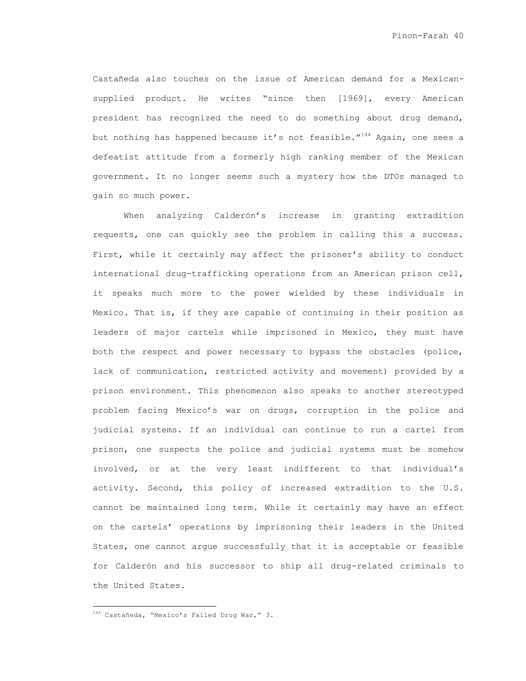Castañeda also touches on the issue of American demand for a Mexicansupplied product. He writes "since then [1969], every American president has recognized the need to do something about drug demand, but nothing has happened because it's not feasible."<sup>144</sup> Again, one sees a defeatist attitude from a formerly high ranking member of the Mexican government. It no longer seems such a mystery how the DTOs managed to gain so much power.

When analyzing Calderón"s increase in granting extradition requests, one can quickly see the problem in calling this a success. First, while it certainly may affect the prisoner's ability to conduct international drug-trafficking operations from an American prison cell, it speaks much more to the power wielded by these individuals in Mexico. That is, if they are capable of continuing in their position as leaders of major cartels while imprisoned in Mexico, they must have both the respect and power necessary to bypass the obstacles (police, lack of communication, restricted activity and movement) provided by a prison environment. This phenomenon also speaks to another stereotyped problem facing Mexico"s war on drugs, corruption in the police and judicial systems. If an individual can continue to run a cartel from prison, one suspects the police and judicial systems must be somehow involved, or at the very least indifferent to that individual"s activity. Second, this policy of increased extradition to the U.S. cannot be maintained long term. While it certainly may have an effect on the cartels" operations by imprisoning their leaders in the United States, one cannot argue successfully that it is acceptable or feasible for Calderón and his successor to ship all drug-related criminals to the United States.

 $144$  Castañeda, "Mexico's Failed Drug War," 3.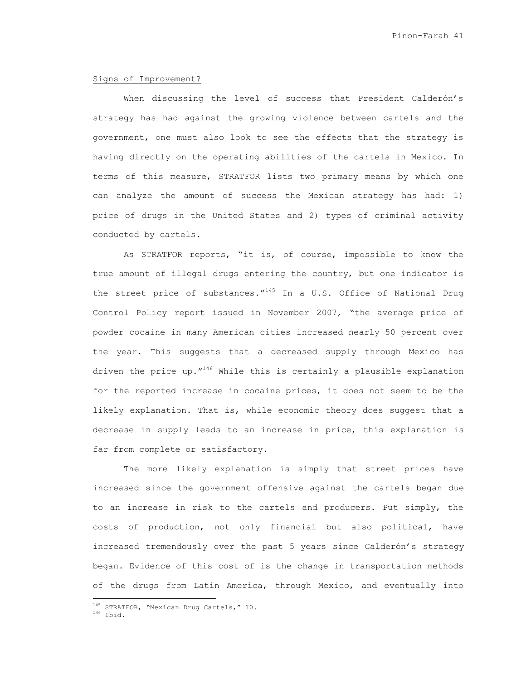## Signs of Improvement?

When discussing the level of success that President Calderón"s strategy has had against the growing violence between cartels and the government, one must also look to see the effects that the strategy is having directly on the operating abilities of the cartels in Mexico. In terms of this measure, STRATFOR lists two primary means by which one can analyze the amount of success the Mexican strategy has had: 1) price of drugs in the United States and 2) types of criminal activity conducted by cartels.

As STRATFOR reports, "it is, of course, impossible to know the true amount of illegal drugs entering the country, but one indicator is the street price of substances."<sup>145</sup> In a U.S. Office of National Drug Control Policy report issued in November 2007, "the average price of powder cocaine in many American cities increased nearly 50 percent over the year. This suggests that a decreased supply through Mexico has driven the price up."<sup>146</sup> While this is certainly a plausible explanation for the reported increase in cocaine prices, it does not seem to be the likely explanation. That is, while economic theory does suggest that a decrease in supply leads to an increase in price, this explanation is far from complete or satisfactory.

The more likely explanation is simply that street prices have increased since the government offensive against the cartels began due to an increase in risk to the cartels and producers. Put simply, the costs of production, not only financial but also political, have increased tremendously over the past 5 years since Calderón"s strategy began. Evidence of this cost of is the change in transportation methods of the drugs from Latin America, through Mexico, and eventually into

 $145$  STRATFOR, "Mexican Drug Cartels," 10.

 $146$  Tbid.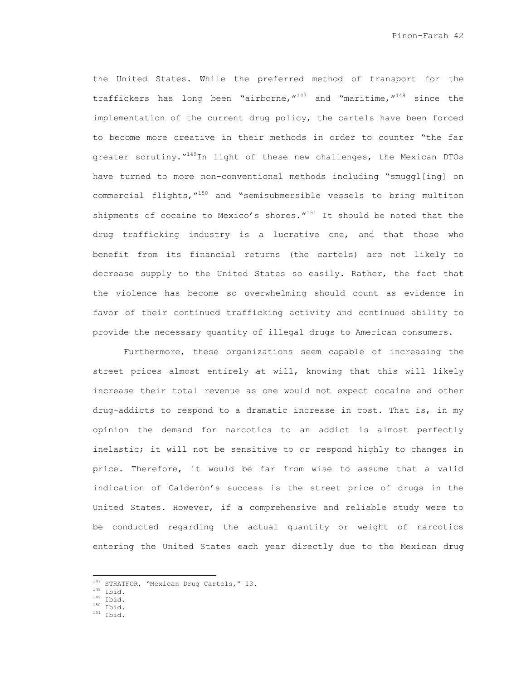the United States. While the preferred method of transport for the traffickers has long been "airborne,  $''^{147}$  and "maritime,  $''^{148}$  since the implementation of the current drug policy, the cartels have been forced to become more creative in their methods in order to counter "the far greater scrutiny."<sup>149</sup>In light of these new challenges, the Mexican DTOs have turned to more non-conventional methods including "smuggl[ing] on commercial flights, "150 and "semisubmersible vessels to bring multiton shipments of cocaine to Mexico's shores. $''^{151}$  It should be noted that the drug trafficking industry is a lucrative one, and that those who benefit from its financial returns (the cartels) are not likely to decrease supply to the United States so easily. Rather, the fact that the violence has become so overwhelming should count as evidence in favor of their continued trafficking activity and continued ability to provide the necessary quantity of illegal drugs to American consumers.

Furthermore, these organizations seem capable of increasing the street prices almost entirely at will, knowing that this will likely increase their total revenue as one would not expect cocaine and other drug-addicts to respond to a dramatic increase in cost. That is, in my opinion the demand for narcotics to an addict is almost perfectly inelastic; it will not be sensitive to or respond highly to changes in price. Therefore, it would be far from wise to assume that a valid indication of Calderón"s success is the street price of drugs in the United States. However, if a comprehensive and reliable study were to be conducted regarding the actual quantity or weight of narcotics entering the United States each year directly due to the Mexican drug

- $150$  Ibid.  $151$  Ibid.
- 

 $147$  STRATFOR, "Mexican Drug Cartels," 13.

<sup>&</sup>lt;sup>148</sup> Ibid.  $149$  Ibid.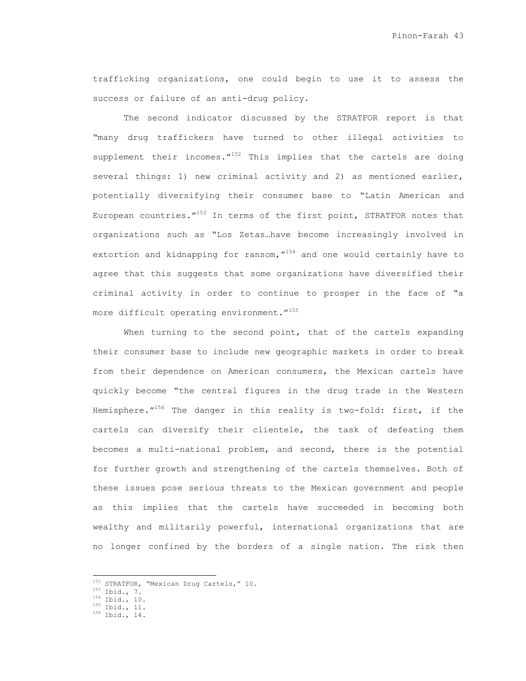Pinon-Farah 43

trafficking organizations, one could begin to use it to assess the success or failure of an anti-drug policy.

The second indicator discussed by the STRATFOR report is that "many drug traffickers have turned to other illegal activities to supplement their incomes. $1152}$  This implies that the cartels are doing several things: 1) new criminal activity and 2) as mentioned earlier, potentially diversifying their consumer base to "Latin American and European countries."<sup>153</sup> In terms of the first point, STRATFOR notes that organizations such as "Los Zetas…have become increasingly involved in extortion and kidnapping for ransom,  $^{\prime\prime^{154}}$  and one would certainly have to agree that this suggests that some organizations have diversified their criminal activity in order to continue to prosper in the face of "a more difficult operating environment."<sup>155</sup>

When turning to the second point, that of the cartels expanding their consumer base to include new geographic markets in order to break from their dependence on American consumers, the Mexican cartels have quickly become "the central figures in the drug trade in the Western Hemisphere."<sup>156</sup> The danger in this reality is two-fold: first, if the cartels can diversify their clientele, the task of defeating them becomes a multi-national problem, and second, there is the potential for further growth and strengthening of the cartels themselves. Both of these issues pose serious threats to the Mexican government and people as this implies that the cartels have succeeded in becoming both wealthy and militarily powerful, international organizations that are no longer confined by the borders of a single nation. The risk then

 $152$  STRATFOR, "Mexican Drug Cartels," 10.

 $^{153}$  Ibid., 7.

 $^{154}$  Ibid., 10.

 $^{155}$  Ibid., 11.

<sup>156</sup> Ibid., 14.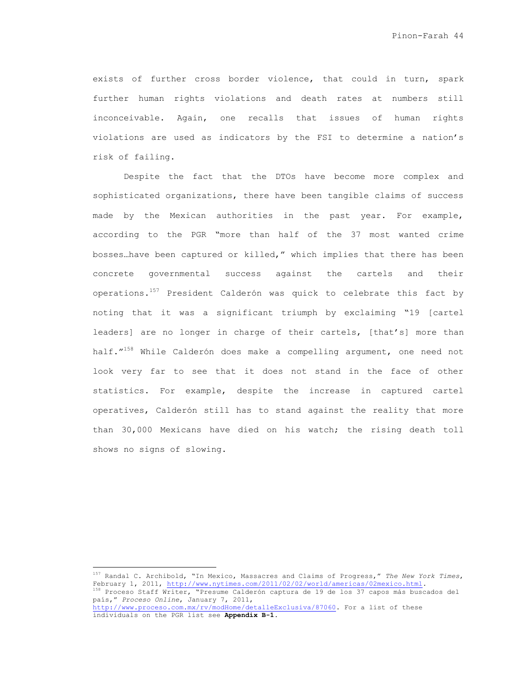exists of further cross border violence, that could in turn, spark further human rights violations and death rates at numbers still inconceivable. Again, one recalls that issues of human rights violations are used as indicators by the FSI to determine a nation"s risk of failing.

Despite the fact that the DTOs have become more complex and sophisticated organizations, there have been tangible claims of success made by the Mexican authorities in the past year. For example, according to the PGR "more than half of the 37 most wanted crime bosses…have been captured or killed," which implies that there has been concrete governmental success against the cartels and their operations.<sup>157</sup> President Calderón was quick to celebrate this fact by noting that it was a significant triumph by exclaiming "19 [cartel leaders] are no longer in charge of their cartels, [that's] more than half."<sup>158</sup> While Calderón does make a compelling argument, one need not look very far to see that it does not stand in the face of other statistics. For example, despite the increase in captured cartel operatives, Calderón still has to stand against the reality that more than 30,000 Mexicans have died on his watch; the rising death toll shows no signs of slowing.

<sup>157</sup> Randal C. Archibold, "In Mexico, Massacres and Claims of Progress," *The New York Times*, February 1, 2011, [http://www.nytimes.com/2011/02/02/world/americas/02mexico.html.](http://www.nytimes.com/2011/02/02/world/americas/02mexico.html) <sup>8</sup> Proceso Staff Writer, "Presume Calderón captura de 19 de los 37 capos más buscados del país," *Proceso Online*, January 7, 2011, [http://www.proceso.com.mx/rv/modHome/detalleExclusiva/87060.](http://www.proceso.com.mx/rv/modHome/detalleExclusiva/87060) For a list of these individuals on the PGR list see **Appendix B-1.**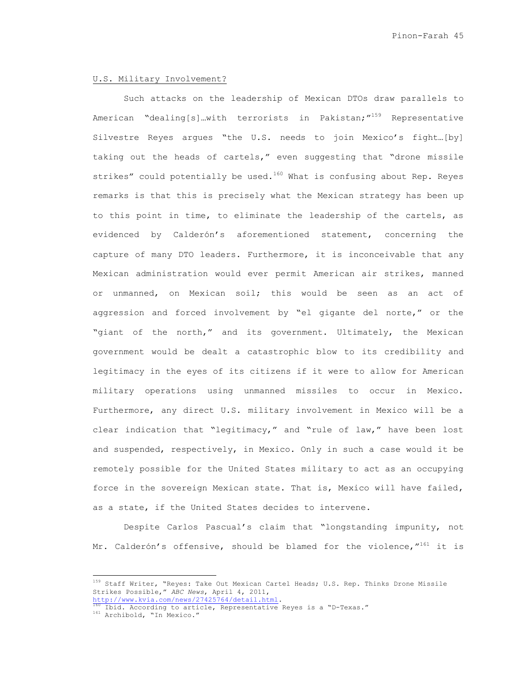## U.S. Military Involvement?

Such attacks on the leadership of Mexican DTOs draw parallels to American "dealing[s]...with terrorists in Pakistan;"<sup>159</sup> Representative Silvestre Reyes argues "the U.S. needs to join Mexico's fight...[by] taking out the heads of cartels," even suggesting that "drone missile strikes" could potentially be used. $160$  What is confusing about Rep. Reyes remarks is that this is precisely what the Mexican strategy has been up to this point in time, to eliminate the leadership of the cartels, as evidenced by Calderón"s aforementioned statement, concerning the capture of many DTO leaders. Furthermore, it is inconceivable that any Mexican administration would ever permit American air strikes, manned or unmanned, on Mexican soil; this would be seen as an act of aggression and forced involvement by "el gigante del norte," or the "giant of the north," and its government. Ultimately, the Mexican government would be dealt a catastrophic blow to its credibility and legitimacy in the eyes of its citizens if it were to allow for American military operations using unmanned missiles to occur in Mexico. Furthermore, any direct U.S. military involvement in Mexico will be a clear indication that "legitimacy," and "rule of law," have been lost and suspended, respectively, in Mexico. Only in such a case would it be remotely possible for the United States military to act as an occupying force in the sovereign Mexican state. That is, Mexico will have failed, as a state, if the United States decides to intervene.

Despite Carlos Pascual"s claim that "longstanding impunity, not Mr. Calderón's offensive, should be blamed for the violence, "<sup>161</sup> it is

<sup>&</sup>lt;sup>159</sup> Staff Writer, "Reyes: Take Out Mexican Cartel Heads; U.S. Rep. Thinks Drone Missile Strikes Possible," *ABC News*, April 4, 2011, [http://www.kvia.com/news/27425764/detail.html.](http://www.kvia.com/news/27425764/detail.html)

Ibid. According to article, Representative Reyes is a "D-Texas."

<sup>161</sup> Archibold, "In Mexico."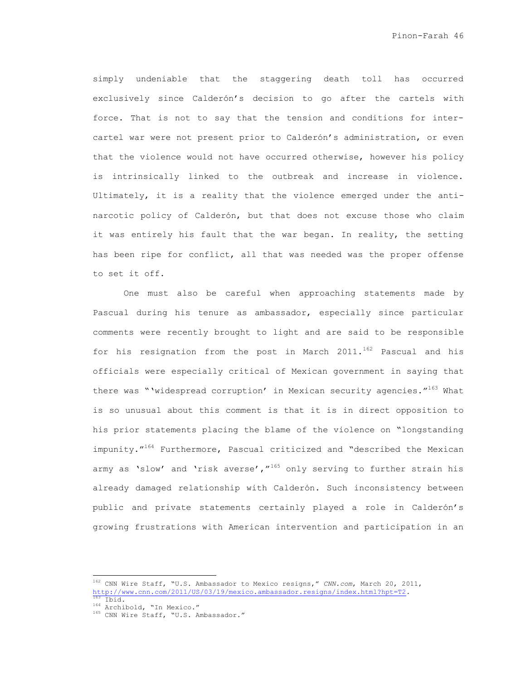simply undeniable that the staggering death toll has occurred exclusively since Calderón"s decision to go after the cartels with force. That is not to say that the tension and conditions for intercartel war were not present prior to Calderón"s administration, or even that the violence would not have occurred otherwise, however his policy is intrinsically linked to the outbreak and increase in violence. Ultimately, it is a reality that the violence emerged under the antinarcotic policy of Calderón, but that does not excuse those who claim it was entirely his fault that the war began. In reality, the setting has been ripe for conflict, all that was needed was the proper offense to set it off.

One must also be careful when approaching statements made by Pascual during his tenure as ambassador, especially since particular comments were recently brought to light and are said to be responsible for his resignation from the post in March  $2011$ .<sup>162</sup> Pascual and his officials were especially critical of Mexican government in saying that there was "'widespread corruption' in Mexican security agencies."<sup>163</sup> What is so unusual about this comment is that it is in direct opposition to his prior statements placing the blame of the violence on "longstanding impunity."<sup>164</sup> Furthermore, Pascual criticized and "described the Mexican army as 'slow' and 'risk averse',  $^{\prime\prime}$ <sup>165</sup> only serving to further strain his already damaged relationship with Calderón. Such inconsistency between public and private statements certainly played a role in Calderón"s growing frustrations with American intervention and participation in an

<sup>162</sup> CNN Wire Staff, "U.S. Ambassador to Mexico resigns," *CNN.com*, March 20, 2011, [http://www.cnn.com/2011/US/03/19/mexico.ambassador.resigns/index.html?hpt=T2.](http://www.cnn.com/2011/US/03/19/mexico.ambassador.resigns/index.html?hpt=T2) Ibid.

<sup>164</sup> Archibold, "In Mexico."

<sup>165</sup> CNN Wire Staff, "U.S. Ambassador."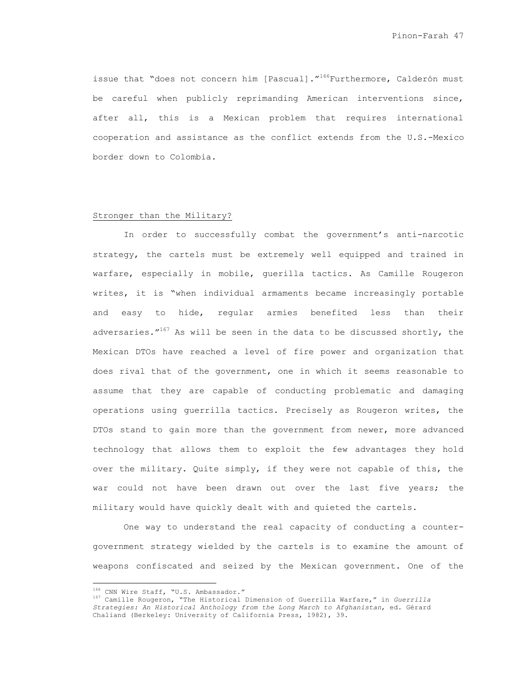issue that "does not concern him [Pascual]."<sup>166</sup>Furthermore, Calderón must be careful when publicly reprimanding American interventions since, after all, this is a Mexican problem that requires international cooperation and assistance as the conflict extends from the U.S.-Mexico border down to Colombia.

### Stronger than the Military?

In order to successfully combat the government's anti-narcotic strategy, the cartels must be extremely well equipped and trained in warfare, especially in mobile, guerilla tactics. As Camille Rougeron writes, it is "when individual armaments became increasingly portable and easy to hide, regular armies benefited less than their adversaries."<sup>167</sup> As will be seen in the data to be discussed shortly, the Mexican DTOs have reached a level of fire power and organization that does rival that of the government, one in which it seems reasonable to assume that they are capable of conducting problematic and damaging operations using guerrilla tactics. Precisely as Rougeron writes, the DTOs stand to gain more than the government from newer, more advanced technology that allows them to exploit the few advantages they hold over the military. Quite simply, if they were not capable of this, the war could not have been drawn out over the last five years; the military would have quickly dealt with and quieted the cartels.

One way to understand the real capacity of conducting a countergovernment strategy wielded by the cartels is to examine the amount of weapons confiscated and seized by the Mexican government. One of the

<sup>166</sup> CNN Wire Staff, "U.S. Ambassador."

<sup>167</sup> Camille Rougeron, "The Historical Dimension of Guerrilla Warfare," in *Guerrilla Strategies: An Historical Anthology from the Long March to Afghanistan*, ed. Gérard Chaliand (Berkeley: University of California Press, 1982), 39.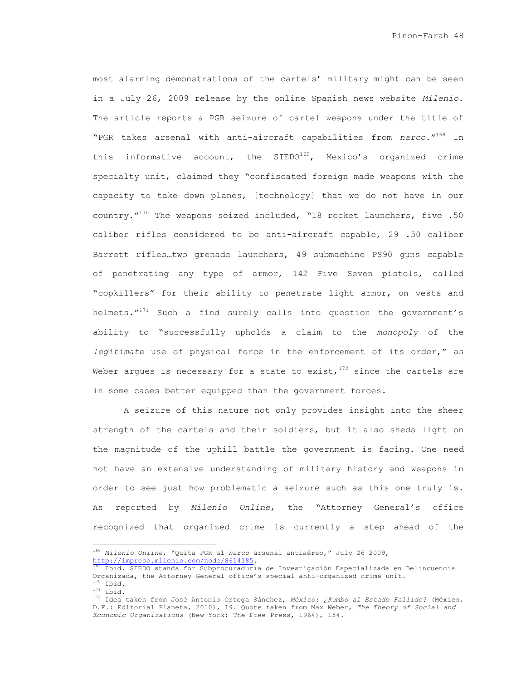most alarming demonstrations of the cartels' military might can be seen in a July 26, 2009 release by the online Spanish news website *Milenio*. The article reports a PGR seizure of cartel weapons under the title of "PGR takes arsenal with anti-aircraft capabilities from *narco*."<sup>168</sup> In this informative account, the SIEDO<sup>169</sup>, Mexico's organized crime specialty unit, claimed they "confiscated foreign made weapons with the capacity to take down planes, [technology] that we do not have in our country. $170$  The weapons seized included, "18 rocket launchers, five .50 caliber rifles considered to be anti-aircraft capable, 29 .50 caliber Barrett rifles…two grenade launchers, 49 submachine PS90 guns capable of penetrating any type of armor, 142 Five Seven pistols, called "copkillers" for their ability to penetrate light armor, on vests and helmets."<sup>171</sup> Such a find surely calls into question the government's ability to "successfully upholds a claim to the *monopoly* of the *legitimate* use of physical force in the enforcement of its order," as Weber argues is necessary for a state to exist,  $^{172}$  since the cartels are in some cases better equipped than the government forces.

A seizure of this nature not only provides insight into the sheer strength of the cartels and their soldiers, but it also sheds light on the magnitude of the uphill battle the government is facing. One need not have an extensive understanding of military history and weapons in order to see just how problematic a seizure such as this one truly is. As reported by *Milenio Online*, the "Attorney General"s office recognized that organized crime is currently a step ahead of the

<sup>168</sup> *Milenio Online*, "Quita PGR al *narco* arsenal antiaéreo," July 26 2009, [http://impreso.milenio.com/node/8614185.](http://impreso.milenio.com/node/8614185)

<sup>169</sup> Ibid. SIEDO stands for Subprocuraduría de Investigación Especializada en Delincuencia Organizada, the Attorney General office"s special anti-organized crime unit.  $170$  Ibid.

 $171$  Ibid.

<sup>172</sup> Idea taken from José Antonio Ortega Sánchez, *México: ¿Rumbo al Estado Fallido?* (México, D.F.: Editorial Planeta, 2010), 19. Quote taken from Max Weber, *The Theory of Social and Economic Organizations* (New York: The Free Press, 1964), 154.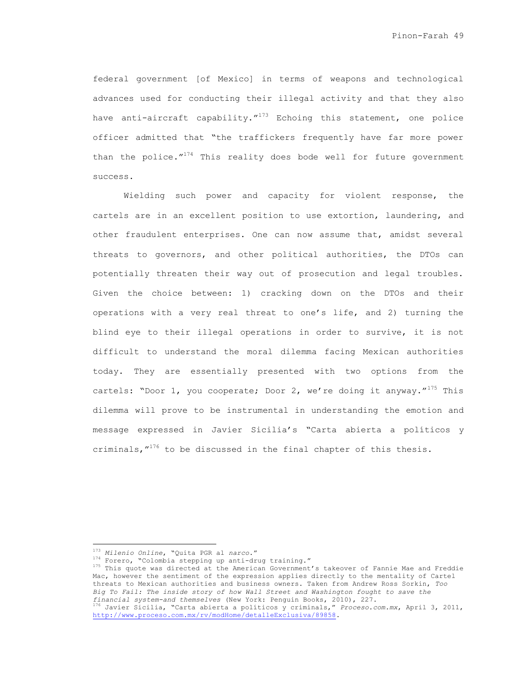federal government [of Mexico] in terms of weapons and technological advances used for conducting their illegal activity and that they also have anti-aircraft capability. $173$  Echoing this statement, one police officer admitted that "the traffickers frequently have far more power than the police. $174$  This reality does bode well for future government success.

Wielding such power and capacity for violent response, the cartels are in an excellent position to use extortion, laundering, and other fraudulent enterprises. One can now assume that, amidst several threats to governors, and other political authorities, the DTOs can potentially threaten their way out of prosecution and legal troubles. Given the choice between: 1) cracking down on the DTOs and their operations with a very real threat to one"s life, and 2) turning the blind eye to their illegal operations in order to survive, it is not difficult to understand the moral dilemma facing Mexican authorities today. They are essentially presented with two options from the cartels: "Door 1, you cooperate; Door 2, we're doing it anyway." $175$  This dilemma will prove to be instrumental in understanding the emotion and message expressed in Javier Sicilia"s "Carta abierta a políticos y criminals,  $n^{176}$  to be discussed in the final chapter of this thesis.

<sup>173</sup> *Milenio Online*, "Quita PGR al *narco*."

<sup>174</sup> Forero, "Colombia stepping up anti-drug training."

<sup>&</sup>lt;sup>175</sup> This quote was directed at the American Government's takeover of Fannie Mae and Freddie Mac, however the sentiment of the expression applies directly to the mentality of Cartel threats to Mexican authorities and business owners. Taken from Andrew Ross Sorkin, *Too Big To Fail: The inside story of how Wall Street and Washington fought to save the financial system-and themselves* (New York: Penguin Books, 2010), 227.<br><sup>176</sup> Junior City Control Comments (New York: Penguin Books, 2010), 227. <sup>176</sup> Javier Sicilia, "Carta abierta a políticos y criminals," *Proceso.com.mx*, April 3, 2011, [http://www.proceso.com.mx/rv/modHome/detalleExclusiva/89858.](http://www.proceso.com.mx/rv/modHome/detalleExclusiva/89858)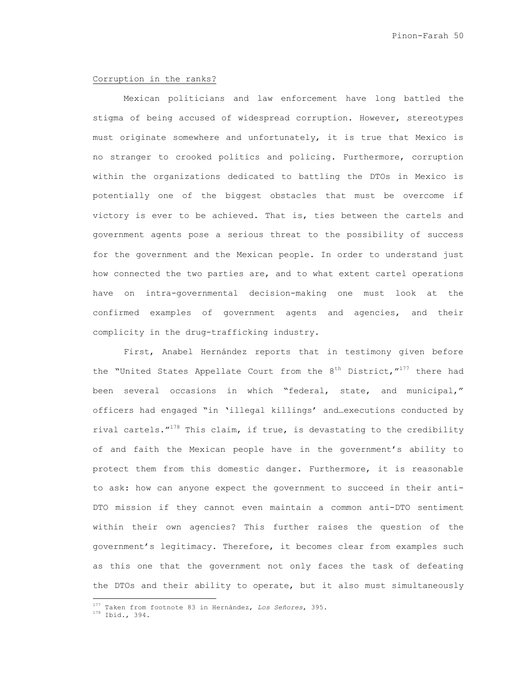# Corruption in the ranks?

Mexican politicians and law enforcement have long battled the stigma of being accused of widespread corruption. However, stereotypes must originate somewhere and unfortunately, it is true that Mexico is no stranger to crooked politics and policing. Furthermore, corruption within the organizations dedicated to battling the DTOs in Mexico is potentially one of the biggest obstacles that must be overcome if victory is ever to be achieved. That is, ties between the cartels and government agents pose a serious threat to the possibility of success for the government and the Mexican people. In order to understand just how connected the two parties are, and to what extent cartel operations have on intra-governmental decision-making one must look at the confirmed examples of government agents and agencies, and their complicity in the drug-trafficking industry.

First, Anabel Hernández reports that in testimony given before the "United States Appellate Court from the  $8^{th}$  District,"<sup>177</sup> there had been several occasions in which "federal, state, and municipal," officers had engaged "in "illegal killings" and…executions conducted by rival cartels."<sup>178</sup> This claim, if true, is devastating to the credibility of and faith the Mexican people have in the government's ability to protect them from this domestic danger. Furthermore, it is reasonable to ask: how can anyone expect the government to succeed in their anti-DTO mission if they cannot even maintain a common anti-DTO sentiment within their own agencies? This further raises the question of the government"s legitimacy. Therefore, it becomes clear from examples such as this one that the government not only faces the task of defeating the DTOs and their ability to operate, but it also must simultaneously

<sup>177</sup> Taken from footnote 83 in Hernández, *Los Señores*, 395.

<sup>178</sup> Ibid., 394.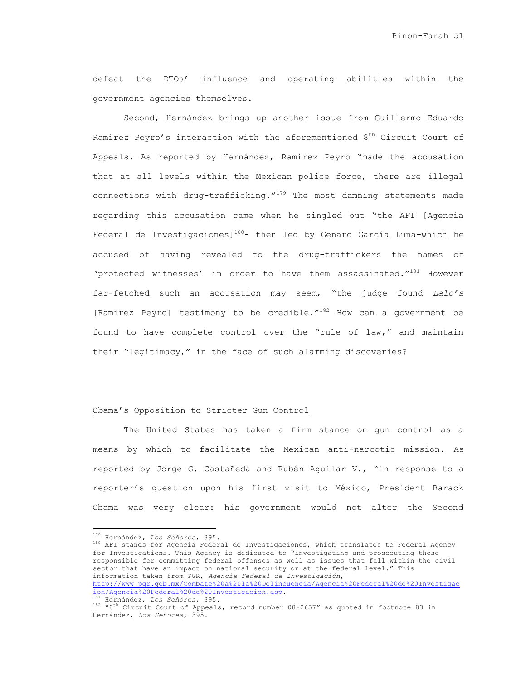defeat the DTOs" influence and operating abilities within the government agencies themselves.

Second, Hernández brings up another issue from Guillermo Eduardo Ramirez Peyro's interaction with the aforementioned 8<sup>th</sup> Circuit Court of Appeals. As reported by Hernández, Ramirez Peyro "made the accusation that at all levels within the Mexican police force, there are illegal connections with drug-trafficking." $179$  The most damning statements made regarding this accusation came when he singled out "the AFI [Agencia Federal de Investigaciones]<sup>180</sup>- then led by Genaro García Luna-which he accused of having revealed to the drug-traffickers the names of 'protected witnesses' in order to have them assassinated."<sup>181</sup> However far-fetched such an accusation may seem, "the judge found *Lalo's* [Ramirez Peyro] testimony to be credible."<sup>182</sup> How can a government be found to have complete control over the "rule of law," and maintain their "legitimacy," in the face of such alarming discoveries?

# Obama"s Opposition to Stricter Gun Control

The United States has taken a firm stance on gun control as a means by which to facilitate the Mexican anti-narcotic mission. As reported by Jorge G. Castañeda and Rubén Aguilar V., "in response to a reporter"s question upon his first visit to México, President Barack Obama was very clear: his government would not alter the Second

<sup>179</sup> Hernández, *Los Señores*, 395.

<sup>180</sup> AFI stands for Agencia Federal de Investigaciones, which translates to Federal Agency for Investigations. This Agency is dedicated to "investigating and prosecuting those responsible for committing federal offenses as well as issues that fall within the civil sector that have an impact on national security or at the federal level." This information taken from PGR, *Agencia Federal de Investigación*, [http://www.pgr.gob.mx/Combate%20a%20la%20Delincuencia/Agencia%20Federal%20de%20Investigac](http://www.pgr.gob.mx/Combate%20a%20la%20Delincuencia/Agencia%20Federal%20de%20Investigacion/Agencia%20Federal%20de%20Investigacion.asp) [ion/Agencia%20Federal%20de%20Investigacion.asp.](http://www.pgr.gob.mx/Combate%20a%20la%20Delincuencia/Agencia%20Federal%20de%20Investigacion/Agencia%20Federal%20de%20Investigacion.asp) <sup>181</sup> Hernández, *Los Señores*, 395.

<sup>&</sup>lt;sup>182</sup> "8<sup>th</sup> Circuit Court of Appeals, record number 08-2657" as quoted in footnote 83 in Hernández, *Los Señores*, 395.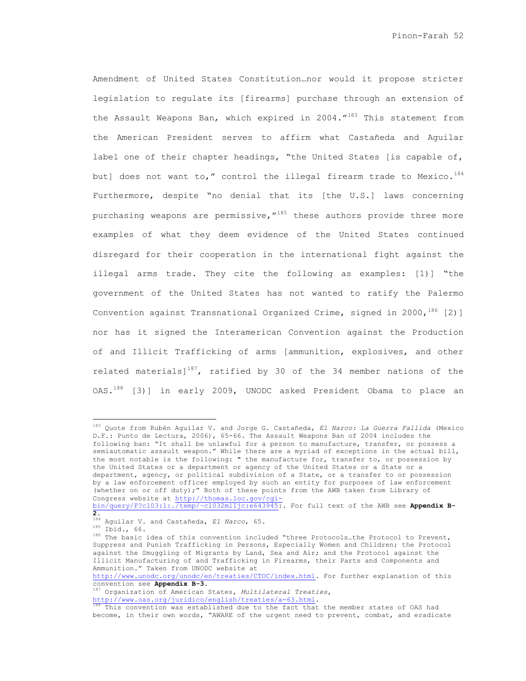Amendment of United States Constitution…nor would it propose stricter legislation to regulate its [firearms] purchase through an extension of the Assault Weapons Ban, which expired in 2004."<sup>183</sup> This statement from the American President serves to affirm what Castañeda and Aguilar label one of their chapter headings, "the United States [is capable of, but] does not want to," control the illegal firearm trade to Mexico. $184$ Furthermore, despite "no denial that its [the U.S.] laws concerning purchasing weapons are permissive, "<sup>185</sup> these authors provide three more examples of what they deem evidence of the United States continued disregard for their cooperation in the international fight against the illegal arms trade. They cite the following as examples: [1)] "the government of the United States has not wanted to ratify the Palermo Convention against Transnational Organized Crime, signed in  $2000,^{186}$  [2)] nor has it signed the Interamerican Convention against the Production of and Illicit Trafficking of arms [ammunition, explosives, and other related materials]<sup>187</sup>, ratified by 30 of the 34 member nations of the OAS.<sup>188</sup> [3)] in early 2009, UNODC asked President Obama to place an

**2**.

 $\overline{a}$ 

[http://www.unodc.org/unodc/en/treaties/CTOC/index.html.](http://www.unodc.org/unodc/en/treaties/CTOC/index.html) For further explanation of this convention see **Appendix B-3.**

<sup>183</sup> Quote from Rubén Aguilar V. and Jorge G. Castañeda, *El Narco: La Guerra Fallida* (Mexico D.F.: Punto de Lectura, 2006), 65-66. The Assault Weapons Ban of 2004 includes the following ban: "It shall be unlawful for a person to manufacture, transfer, or possess a semiautomatic assault weapon." While there are a myriad of exceptions in the actual bill, the most notable is the following: " the manufacture for, transfer to, or possession by the United States or a department or agency of the United States or a State or a department, agency, or political subdivision of a State, or a transfer to or possession by a law enforcement officer employed by such an entity for purposes of law enforcement (whether on or off duty);" Both of these points from the AWB taken from Library of Congress website at [http://thomas.loc.gov/cgi](http://thomas.loc.gov/cgi-bin/query/F?c103:1:./temp/~c1032m1Ijc:e643945)[bin/query/F?c103:1:./temp/~c1032m1Ijc:e643945:](http://thomas.loc.gov/cgi-bin/query/F?c103:1:./temp/~c1032m1Ijc:e643945). For full text of the AWB see **Appendix B-**

<sup>184</sup> Aguilar V. and Castañeda, *El Narco*, 65.

 $185$  Ibid., 66.

<sup>186</sup> The basic idea of this convention included "three Protocols...the Protocol to Prevent, Suppress and Punish Trafficking in Persons, Especially Women and Children; the Protocol against the Smuggling of Migrants by Land, Sea and Air; and the Protocol against the Illicit Manufacturing of and Trafficking in Firearms, their Parts and Components and Ammunition." Taken from UNODC website at

<sup>187</sup> Organization of American States, *Multilateral Treaties*,

[http://www.oas.org/juridico/english/treaties/a-63.html.](http://www.oas.org/juridico/english/treaties/a-63.html)<br><sup>188</sup> This convention was established due to the fact that the member states of OAS had become, in their own words, "AWARE of the urgent need to prevent, combat, and eradicate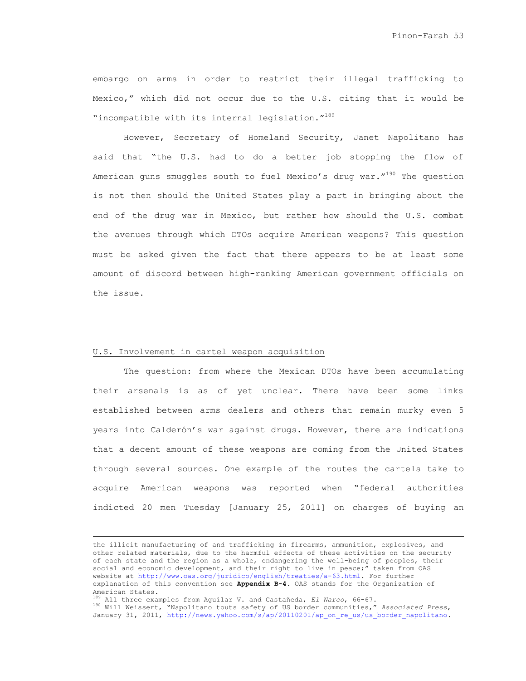Pinon-Farah 53

embargo on arms in order to restrict their illegal trafficking to Mexico," which did not occur due to the U.S. citing that it would be "incompatible with its internal legislation."<sup>189</sup>

However, Secretary of Homeland Security, Janet Napolitano has said that "the U.S. had to do a better job stopping the flow of American guns smuggles south to fuel Mexico's drug war."<sup>190</sup> The question is not then should the United States play a part in bringing about the end of the drug war in Mexico, but rather how should the U.S. combat the avenues through which DTOs acquire American weapons? This question must be asked given the fact that there appears to be at least some amount of discord between high-ranking American government officials on the issue.

## U.S. Involvement in cartel weapon acquisition

 $\overline{a}$ 

The question: from where the Mexican DTOs have been accumulating their arsenals is as of yet unclear. There have been some links established between arms dealers and others that remain murky even 5 years into Calderón"s war against drugs. However, there are indications that a decent amount of these weapons are coming from the United States through several sources. One example of the routes the cartels take to acquire American weapons was reported when "federal authorities indicted 20 men Tuesday [January 25, 2011] on charges of buying an

the illicit manufacturing of and trafficking in firearms, ammunition, explosives, and other related materials, due to the harmful effects of these activities on the security of each state and the region as a whole, endangering the well-being of peoples, their social and economic development, and their right to live in peace;" taken from OAS website at [http://www.oas.org/juridico/english/treaties/a-63.html.](http://www.oas.org/juridico/english/treaties/a-63.html) For further explanation of this convention see **Appendix B-4.** OAS stands for the Organization of American States.

<sup>189</sup> All three examples from Aguilar V. and Castañeda, *El Narco*, 66-67.

<sup>190</sup> Will Weissert, "Napolitano touts safety of US border communities," *Associated Press*, January 31, 2011, [http://news.yahoo.com/s/ap/20110201/ap\\_on\\_re\\_us/us\\_border\\_napolitano.](http://news.yahoo.com/s/ap/20110201/ap_on_re_us/us_border_napolitano)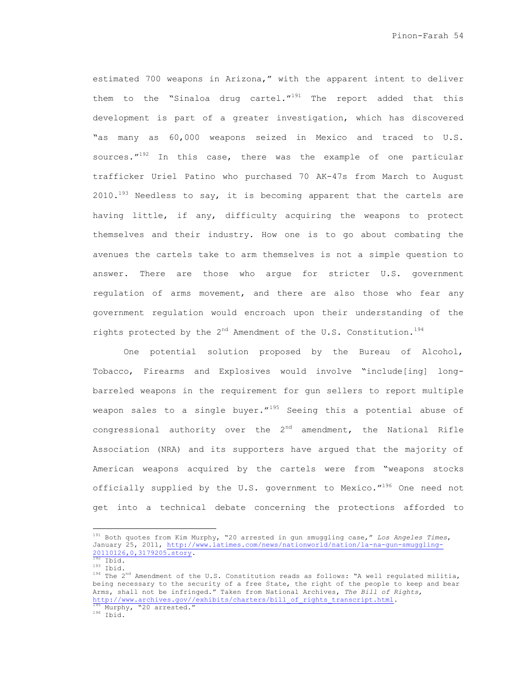estimated 700 weapons in Arizona," with the apparent intent to deliver them to the "Sinaloa drug cartel. $''^{191}$  The report added that this development is part of a greater investigation, which has discovered "as many as 60,000 weapons seized in Mexico and traced to U.S. sources. $1^{192}$  In this case, there was the example of one particular trafficker Uriel Patino who purchased 70 AK-47s from March to August  $2010.^{193}$  Needless to say, it is becoming apparent that the cartels are having little, if any, difficulty acquiring the weapons to protect themselves and their industry. How one is to go about combating the avenues the cartels take to arm themselves is not a simple question to answer. There are those who argue for stricter U.S. government regulation of arms movement, and there are also those who fear any government regulation would encroach upon their understanding of the rights protected by the  $2^{nd}$  Amendment of the U.S. Constitution.<sup>194</sup>

One potential solution proposed by the Bureau of Alcohol, Tobacco, Firearms and Explosives would involve "include[ing] longbarreled weapons in the requirement for gun sellers to report multiple weapon sales to a single buyer."<sup>195</sup> Seeing this a potential abuse of congressional authority over the  $2^{nd}$  amendment, the National Rifle Association (NRA) and its supporters have argued that the majority of American weapons acquired by the cartels were from "weapons stocks officially supplied by the U.S. government to Mexico."<sup>196</sup> One need not get into a technical debate concerning the protections afforded to

 $192$  Ibid.

 $\overline{a}$ 

<sup>196</sup> Ibid.

<sup>191</sup> Both quotes from Kim Murphy, "20 arrested in gun smuggling case," *Los Angeles Times*, January 25, 2011, [http://www.latimes.com/news/nationworld/nation/la-na-gun-smuggling-](http://www.latimes.com/news/nationworld/nation/la-na-gun-smuggling-20110126,0,3179205.story)[20110126,0,3179205.story.](http://www.latimes.com/news/nationworld/nation/la-na-gun-smuggling-20110126,0,3179205.story)

 $193$  Ibid.

 $194$  The  $2^{nd}$  Amendment of the U.S. Constitution reads as follows: "A well regulated militia, being necessary to the security of a free State, the right of the people to keep and bear Arms, shall not be infringed." Taken from National Archives, *The Bill of Rights*, http://www.archives.gov//exhibits/charters/bill of rights transcript.html.<br><sup>195</sup> Murphy, "20 arrested."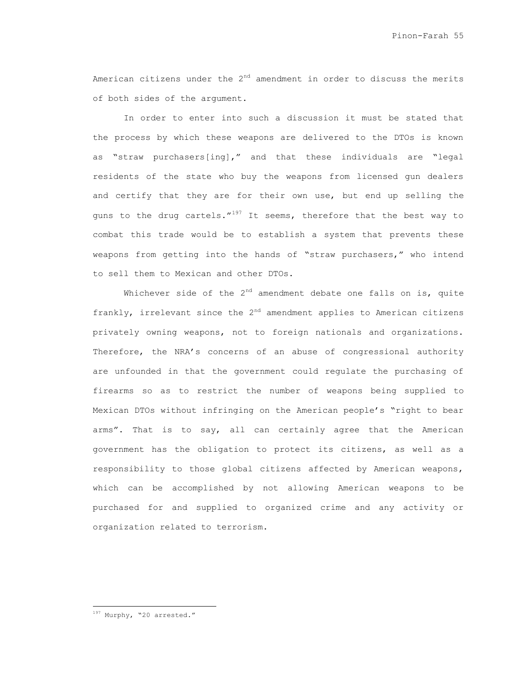American citizens under the  $2<sup>nd</sup>$  amendment in order to discuss the merits of both sides of the argument.

In order to enter into such a discussion it must be stated that the process by which these weapons are delivered to the DTOs is known as "straw purchasers[ing]," and that these individuals are "legal residents of the state who buy the weapons from licensed gun dealers and certify that they are for their own use, but end up selling the guns to the drug cartels."<sup>197</sup> It seems, therefore that the best way to combat this trade would be to establish a system that prevents these weapons from getting into the hands of "straw purchasers," who intend to sell them to Mexican and other DTOs.

Whichever side of the  $2^{nd}$  amendment debate one falls on is, quite frankly, irrelevant since the  $2<sup>nd</sup>$  amendment applies to American citizens privately owning weapons, not to foreign nationals and organizations. Therefore, the NRA's concerns of an abuse of congressional authority are unfounded in that the government could regulate the purchasing of firearms so as to restrict the number of weapons being supplied to Mexican DTOs without infringing on the American people"s "right to bear arms". That is to say, all can certainly agree that the American government has the obligation to protect its citizens, as well as a responsibility to those global citizens affected by American weapons, which can be accomplished by not allowing American weapons to be purchased for and supplied to organized crime and any activity or organization related to terrorism.

 $197$  Murphy, "20 arrested."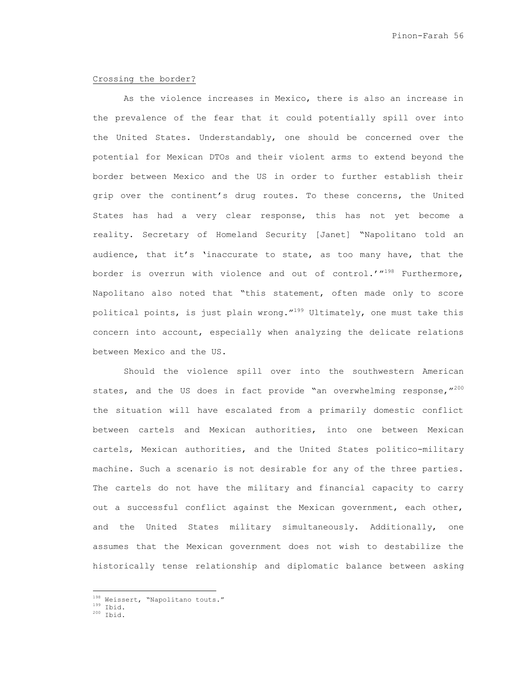Pinon-Farah 56

#### Crossing the border?

As the violence increases in Mexico, there is also an increase in the prevalence of the fear that it could potentially spill over into the United States. Understandably, one should be concerned over the potential for Mexican DTOs and their violent arms to extend beyond the border between Mexico and the US in order to further establish their grip over the continent"s drug routes. To these concerns, the United States has had a very clear response, this has not yet become a reality. Secretary of Homeland Security [Janet] "Napolitano told an audience, that it's 'inaccurate to state, as too many have, that the border is overrun with violence and out of control." $1^{198}$  Furthermore, Napolitano also noted that "this statement, often made only to score political points, is just plain wrong.  $''^{199}$  Ultimately, one must take this concern into account, especially when analyzing the delicate relations between Mexico and the US.

Should the violence spill over into the southwestern American states, and the US does in fact provide "an overwhelming response,  $^{\prime\prime\,200}$ the situation will have escalated from a primarily domestic conflict between cartels and Mexican authorities, into one between Mexican cartels, Mexican authorities, and the United States politico-military machine. Such a scenario is not desirable for any of the three parties. The cartels do not have the military and financial capacity to carry out a successful conflict against the Mexican government, each other, and the United States military simultaneously. Additionally, one assumes that the Mexican government does not wish to destabilize the historically tense relationship and diplomatic balance between asking

<sup>199</sup> Ibid.

<sup>&</sup>lt;sup>198</sup> Weissert, "Napolitano touts."

 $200$  Ibid.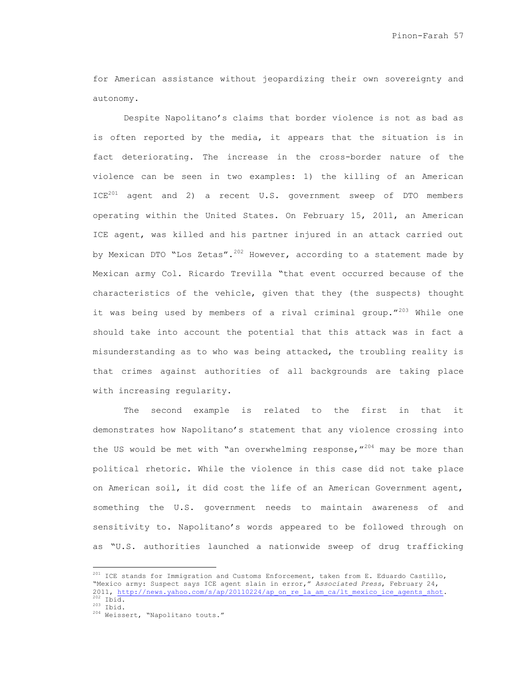for American assistance without jeopardizing their own sovereignty and autonomy.

Despite Napolitano"s claims that border violence is not as bad as is often reported by the media, it appears that the situation is in fact deteriorating. The increase in the cross-border nature of the violence can be seen in two examples: 1) the killing of an American ICE<sup>201</sup> agent and 2) a recent U.S. government sweep of DTO members operating within the United States. On February 15, 2011, an American ICE agent, was killed and his partner injured in an attack carried out by Mexican DTO "Los Zetas". $202$  However, according to a statement made by Mexican army Col. Ricardo Trevilla "that event occurred because of the characteristics of the vehicle, given that they (the suspects) thought it was being used by members of a rival criminal group."<sup>203</sup> While one should take into account the potential that this attack was in fact a misunderstanding as to who was being attacked, the troubling reality is that crimes against authorities of all backgrounds are taking place with increasing regularity.

The second example is related to the first in that it demonstrates how Napolitano"s statement that any violence crossing into the US would be met with "an overwhelming response,  $''^{204}$  may be more than political rhetoric. While the violence in this case did not take place on American soil, it did cost the life of an American Government agent, something the U.S. government needs to maintain awareness of and sensitivity to. Napolitano's words appeared to be followed through on as "U.S. authorities launched a nationwide sweep of drug trafficking

 $^{201}$  ICE stands for Immigration and Customs Enforcement, taken from E. Eduardo Castillo, "Mexico army: Suspect says ICE agent slain in error," *Associated Press*, February 24, 2011, [http://news.yahoo.com/s/ap/20110224/ap\\_on\\_re\\_la\\_am\\_ca/lt\\_mexico\\_ice\\_agents\\_shot.](http://news.yahoo.com/s/ap/20110224/ap_on_re_la_am_ca/lt_mexico_ice_agents_shot)<br><sup>202</sup> Ibid.  $203$  Ibid.

<sup>204</sup> Weissert, "Napolitano touts."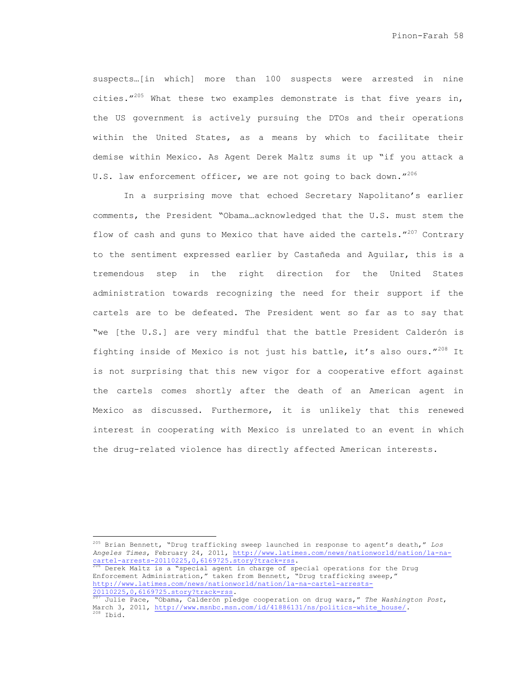suspects…[in which] more than 100 suspects were arrested in nine cities. $1205$  What these two examples demonstrate is that five years in, the US government is actively pursuing the DTOs and their operations within the United States, as a means by which to facilitate their demise within Mexico. As Agent Derek Maltz sums it up "if you attack a U.S. law enforcement officer, we are not going to back down."206

In a surprising move that echoed Secretary Napolitano"s earlier comments, the President "Obama…acknowledged that the U.S. must stem the flow of cash and guns to Mexico that have aided the cartels. $"^{207}$  Contrary to the sentiment expressed earlier by Castañeda and Aguilar, this is a tremendous step in the right direction for the United States administration towards recognizing the need for their support if the cartels are to be defeated. The President went so far as to say that "we [the U.S.] are very mindful that the battle President Calderón is fighting inside of Mexico is not just his battle, it's also ours." $^{208}$  It is not surprising that this new vigor for a cooperative effort against the cartels comes shortly after the death of an American agent in Mexico as discussed. Furthermore, it is unlikely that this renewed interest in cooperating with Mexico is unrelated to an event in which the drug-related violence has directly affected American interests.

<sup>205</sup> Brian Bennett, "Drug trafficking sweep launched in response to agent"s death," *Los Angeles Times*, February 24, 2011, [http://www.latimes.com/news/nationworld/nation/la-na](http://www.latimes.com/news/nationworld/nation/la-na-cartel-arrests-20110225,0,6169725.story?track=rss)[cartel-arrests-20110225,0,6169725.story?track=rss.](http://www.latimes.com/news/nationworld/nation/la-na-cartel-arrests-20110225,0,6169725.story?track=rss)<br><sup>206</sup> Derek Maltz is a "special agent in charge of special operations for the Drug

Enforcement Administration," taken from Bennett, "Drug trafficking sweep," [http://www.latimes.com/news/nationworld/nation/la-na-cartel-arrests-](http://www.latimes.com/news/nationworld/nation/la-na-cartel-arrests-20110225,0,6169725.story?track=rss)[20110225,0,6169725.story?track=rss.](http://www.latimes.com/news/nationworld/nation/la-na-cartel-arrests-20110225,0,6169725.story?track=rss)

<sup>207</sup> Julie Pace, "Obama, Calderón pledge cooperation on drug wars," *The Washington Post*, March 3, 2011, http://www.msnbc.msn.com/id/41886131/ns/politics-white house/. Ibid.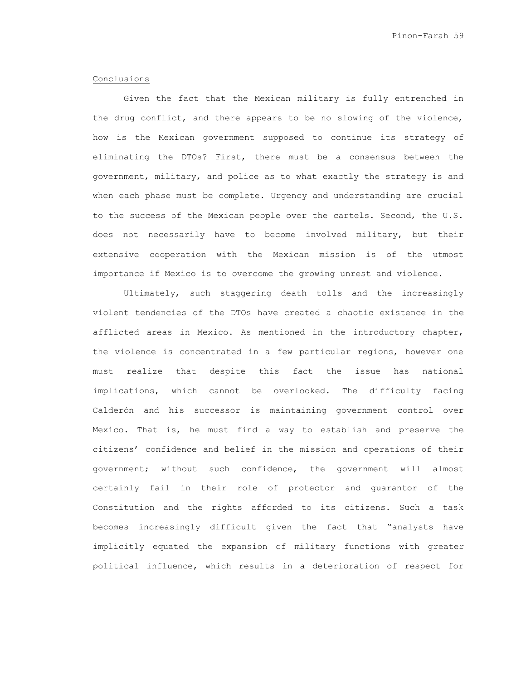## Conclusions

Given the fact that the Mexican military is fully entrenched in the drug conflict, and there appears to be no slowing of the violence, how is the Mexican government supposed to continue its strategy of eliminating the DTOs? First, there must be a consensus between the government, military, and police as to what exactly the strategy is and when each phase must be complete. Urgency and understanding are crucial to the success of the Mexican people over the cartels. Second, the U.S. does not necessarily have to become involved military, but their extensive cooperation with the Mexican mission is of the utmost importance if Mexico is to overcome the growing unrest and violence.

Ultimately, such staggering death tolls and the increasingly violent tendencies of the DTOs have created a chaotic existence in the afflicted areas in Mexico. As mentioned in the introductory chapter, the violence is concentrated in a few particular regions, however one must realize that despite this fact the issue has national implications, which cannot be overlooked. The difficulty facing Calderón and his successor is maintaining government control over Mexico. That is, he must find a way to establish and preserve the citizens" confidence and belief in the mission and operations of their government; without such confidence, the government will almost certainly fail in their role of protector and guarantor of the Constitution and the rights afforded to its citizens. Such a task becomes increasingly difficult given the fact that "analysts have implicitly equated the expansion of military functions with greater political influence, which results in a deterioration of respect for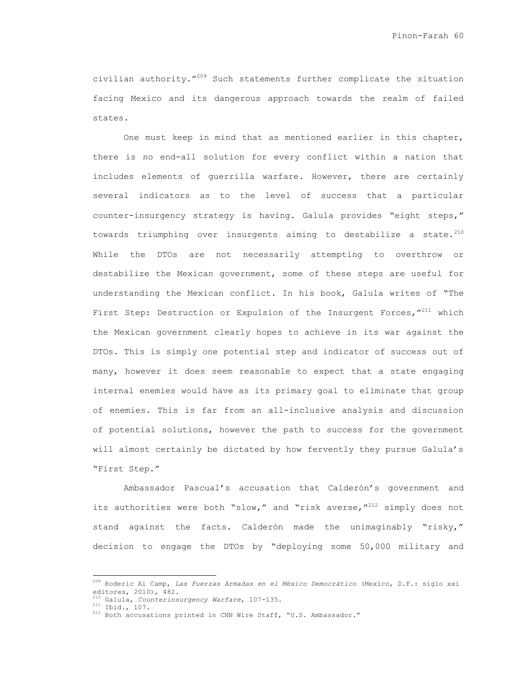civilian authority."<sup>209</sup> Such statements further complicate the situation facing Mexico and its dangerous approach towards the realm of failed states.

One must keep in mind that as mentioned earlier in this chapter, there is no end-all solution for every conflict within a nation that includes elements of guerrilla warfare. However, there are certainly several indicators as to the level of success that a particular counter-insurgency strategy is having. Galula provides "eight steps," towards triumphing over insurgents aiming to destabilize a state. $^{210}$ While the DTOs are not necessarily attempting to overthrow or destabilize the Mexican government, some of these steps are useful for understanding the Mexican conflict. In his book, Galula writes of "The First Step: Destruction or Expulsion of the Insurgent Forces,  $''^{211}$  which the Mexican government clearly hopes to achieve in its war against the DTOs. This is simply one potential step and indicator of success out of many, however it does seem reasonable to expect that a state engaging internal enemies would have as its primary goal to eliminate that group of enemies. This is far from an all-inclusive analysis and discussion of potential solutions, however the path to success for the government will almost certainly be dictated by how fervently they pursue Galula"s "First Step."

Ambassador Pascual"s accusation that Calderón"s government and its authorities were both "slow," and "risk averse,"<sup>212</sup> simply does not stand against the facts. Calderón made the unimaginably "risky," decision to engage the DTOs by "deploying some 50,000 military and

<sup>209</sup> Roderic Ai Camp, *Las Fuerzas Armadas en el México Democrático* (Mexico, D.F.: siglo xxi editores, 2010), 482.

<sup>210</sup> Galula, *Counterinsurgency Warfare*, 107-135.

 $211$  Ibid., 107.

<sup>212</sup> Both accusations printed in CNN Wire Staff, "U.S. Ambassador."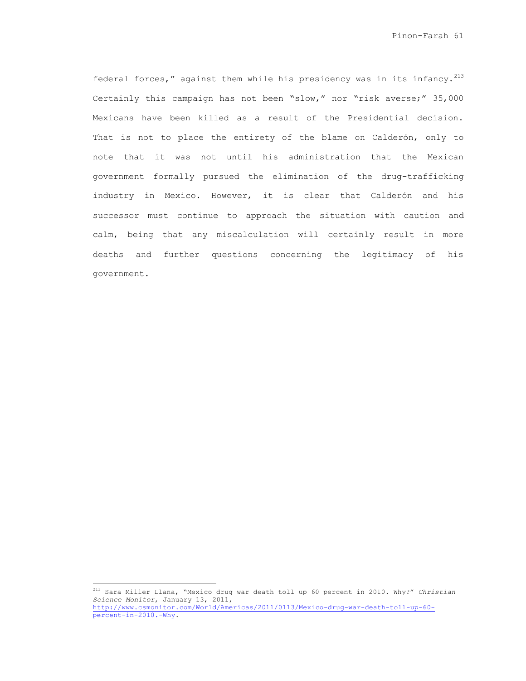federal forces," against them while his presidency was in its infancy. $^{213}$ Certainly this campaign has not been "slow," nor "risk averse;" 35,000 Mexicans have been killed as a result of the Presidential decision. That is not to place the entirety of the blame on Calderón, only to note that it was not until his administration that the Mexican government formally pursued the elimination of the drug-trafficking industry in Mexico. However, it is clear that Calderón and his successor must continue to approach the situation with caution and calm, being that any miscalculation will certainly result in more deaths and further questions concerning the legitimacy of his government.

<sup>213</sup> Sara Miller Llana, "Mexico drug war death toll up 60 percent in 2010. Why?" *Christian Science Monitor*, January 13, 2011, [http://www.csmonitor.com/World/Americas/2011/0113/Mexico-drug-war-death-toll-up-60](http://www.csmonitor.com/World/Americas/2011/0113/Mexico-drug-war-death-toll-up-60-percent-in-2010.-Why) [percent-in-2010.-Why.](http://www.csmonitor.com/World/Americas/2011/0113/Mexico-drug-war-death-toll-up-60-percent-in-2010.-Why)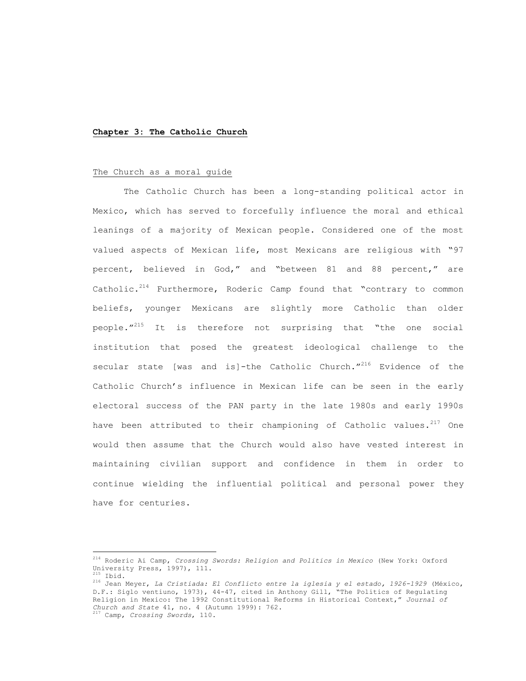## **Chapter 3: The Catholic Church**

### The Church as a moral guide

The Catholic Church has been a long-standing political actor in Mexico, which has served to forcefully influence the moral and ethical leanings of a majority of Mexican people. Considered one of the most valued aspects of Mexican life, most Mexicans are religious with "97 percent, believed in God," and "between 81 and 88 percent," are Catholic. $214$  Furthermore, Roderic Camp found that "contrary to common beliefs, younger Mexicans are slightly more Catholic than older people."<sup>215</sup> It is therefore not surprising that "the one social institution that posed the greatest ideological challenge to the secular state [was and is]-the Catholic Church. $''^{216}$  Evidence of the Catholic Church"s influence in Mexican life can be seen in the early electoral success of the PAN party in the late 1980s and early 1990s have been attributed to their championing of Catholic values. $217$  One would then assume that the Church would also have vested interest in maintaining civilian support and confidence in them in order to continue wielding the influential political and personal power they have for centuries.

<sup>214</sup> Roderic Ai Camp, *Crossing Swords: Religion and Politics in Mexico* (New York: Oxford University Press, 1997), 111.

Ibid.

<sup>216</sup> Jean Meyer, *La Cristiada: El Conflicto entre la iglesia y el estado, 1926-1929* (México, D.F.: Siglo ventiuno, 1973), 44-47, cited in Anthony Gill, "The Politics of Regulating Religion in Mexico: The 1992 Constitutional Reforms in Historical Context," *Journal of Church and State* 41, no. 4 (Autumn 1999): 762.

<sup>217</sup> Camp, *Crossing Swords*, 110.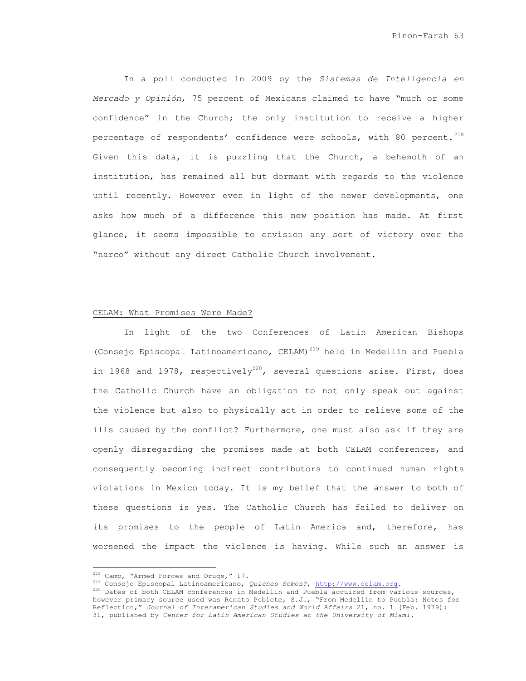In a poll conducted in 2009 by the *Sistemas de Inteligencia en Mercado y Opinión*, 75 percent of Mexicans claimed to have "much or some confidence" in the Church; the only institution to receive a higher percentage of respondents' confidence were schools, with 80 percent.  $218$ Given this data, it is puzzling that the Church, a behemoth of an institution, has remained all but dormant with regards to the violence until recently. However even in light of the newer developments, one asks how much of a difference this new position has made. At first glance, it seems impossible to envision any sort of victory over the "narco" without any direct Catholic Church involvement.

# CELAM: What Promises Were Made?

In light of the two Conferences of Latin American Bishops (Consejo Episcopal Latinoamericano, CELAM)<sup>219</sup> held in Medellín and Puebla in 1968 and 1978, respectively<sup>220</sup>, several questions arise. First, does the Catholic Church have an obligation to not only speak out against the violence but also to physically act in order to relieve some of the ills caused by the conflict? Furthermore, one must also ask if they are openly disregarding the promises made at both CELAM conferences, and consequently becoming indirect contributors to continued human rights violations in Mexico today. It is my belief that the answer to both of these questions is yes. The Catholic Church has failed to deliver on its promises to the people of Latin America and, therefore, has worsened the impact the violence is having. While such an answer is

 $^{218}$  Camp, "Armed Forces and Drugs," 17.

<sup>219</sup> Consejo Episcopal Latinoamericano, *Quienes Somos?*, [http://www.celam.org.](http://www.celam.org/)

<sup>220</sup> Dates of both CELAM conferences in Medellin and Puebla acquired from various sources, however primary source used was Renato Poblete, S.J., "From Medellín to Puebla: Notes for Reflection," *Journal of Interamerican Studies and World Affairs* 21, no. 1 (Feb. 1979): 31, published by *Center for Latin American Studies at the University of Miami*.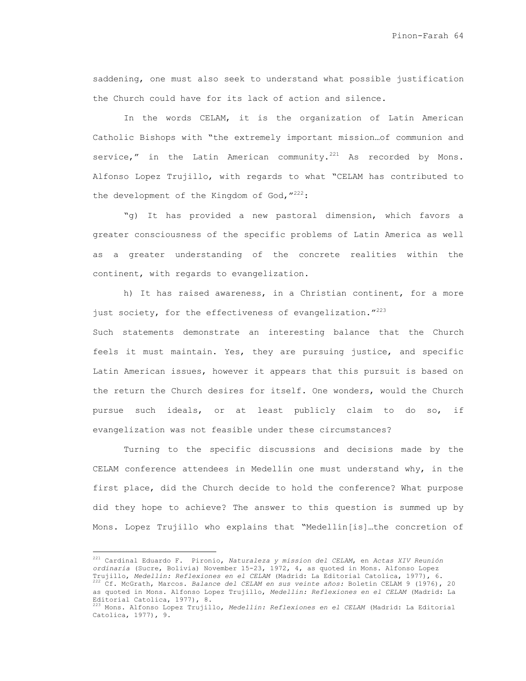Pinon-Farah 64

saddening, one must also seek to understand what possible justification the Church could have for its lack of action and silence.

In the words CELAM, it is the organization of Latin American Catholic Bishops with "the extremely important mission…of communion and service," in the Latin American community. $^{221}$  As recorded by Mons. Alfonso Lopez Trujillo, with regards to what "CELAM has contributed to the development of the Kingdom of God,  $''^{222}$ :

"g) It has provided a new pastoral dimension, which favors a greater consciousness of the specific problems of Latin America as well as a greater understanding of the concrete realities within the continent, with regards to evangelization.

h) It has raised awareness, in a Christian continent, for a more just society, for the effectiveness of evangelization.  $''^{223}$ 

Such statements demonstrate an interesting balance that the Church feels it must maintain. Yes, they are pursuing justice, and specific Latin American issues, however it appears that this pursuit is based on the return the Church desires for itself. One wonders, would the Church pursue such ideals, or at least publicly claim to do so, if evangelization was not feasible under these circumstances?

Turning to the specific discussions and decisions made by the CELAM conference attendees in Medellín one must understand why, in the first place, did the Church decide to hold the conference? What purpose did they hope to achieve? The answer to this question is summed up by Mons. Lopez Trujillo who explains that "Medellín[is]…the concretion of

<sup>221</sup> Cardinal Eduardo F. Pironio, *Naturaleza y mission del CELAM*, en *Actas XIV Reunión ordinaria* (Sucre, Bolivia) November 15-23, 1972, 4, as quoted in Mons. Alfonso Lopez Trujillo, *Medellin: Reflexiones en el CELAM* (Madrid: La Editorial Catolica, 1977), 6. <sup>222</sup> Cf. McGrath, Marcos. *Balance del CELAM en sus veinte años:* Boletín CELAM 9 (1976), 20

as quoted in Mons. Alfonso Lopez Trujillo, *Medellin: Reflexiones en el CELAM* (Madrid: La Editorial Catolica, 1977), 8.

<sup>223</sup> Mons. Alfonso Lopez Trujillo, *Medellin: Reflexiones en el CELAM* (Madrid: La Editorial Catolica, 1977), 9.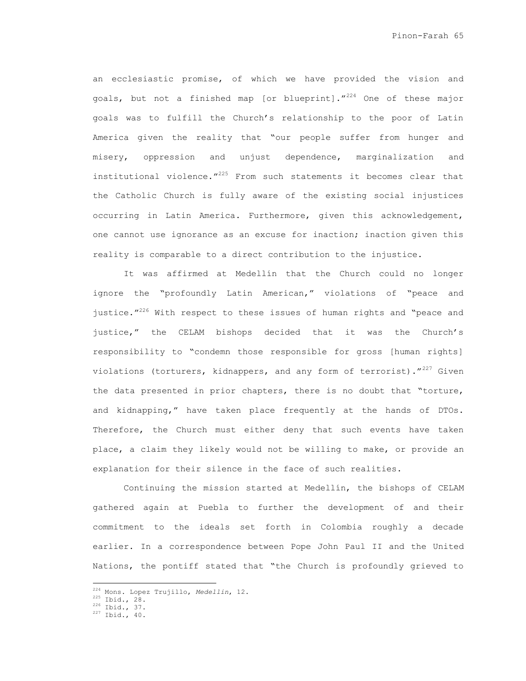an ecclesiastic promise, of which we have provided the vision and goals, but not a finished map [or blueprint]."<sup>224</sup> One of these major goals was to fulfill the Church"s relationship to the poor of Latin America given the reality that "our people suffer from hunger and misery, oppression and unjust dependence, marginalization and institutional violence. $1225$  From such statements it becomes clear that the Catholic Church is fully aware of the existing social injustices occurring in Latin America. Furthermore, given this acknowledgement, one cannot use ignorance as an excuse for inaction; inaction given this reality is comparable to a direct contribution to the injustice.

It was affirmed at Medellín that the Church could no longer ignore the "profoundly Latin American," violations of "peace and justice."<sup>226</sup> With respect to these issues of human rights and "peace and justice," the CELAM bishops decided that it was the Church"s responsibility to "condemn those responsible for gross [human rights] violations (torturers, kidnappers, and any form of terrorist). $12^{27}$  Given the data presented in prior chapters, there is no doubt that "torture, and kidnapping," have taken place frequently at the hands of DTOs. Therefore, the Church must either deny that such events have taken place, a claim they likely would not be willing to make, or provide an explanation for their silence in the face of such realities.

Continuing the mission started at Medellín, the bishops of CELAM gathered again at Puebla to further the development of and their commitment to the ideals set forth in Colombia roughly a decade earlier. In a correspondence between Pope John Paul II and the United Nations, the pontiff stated that "the Church is profoundly grieved to

<sup>224</sup> Mons. Lopez Trujillo, *Medellin*, 12.

 $225$  Ibid., 28.

 $226$  Ibid., 37.

 $227$  Ibid., 40.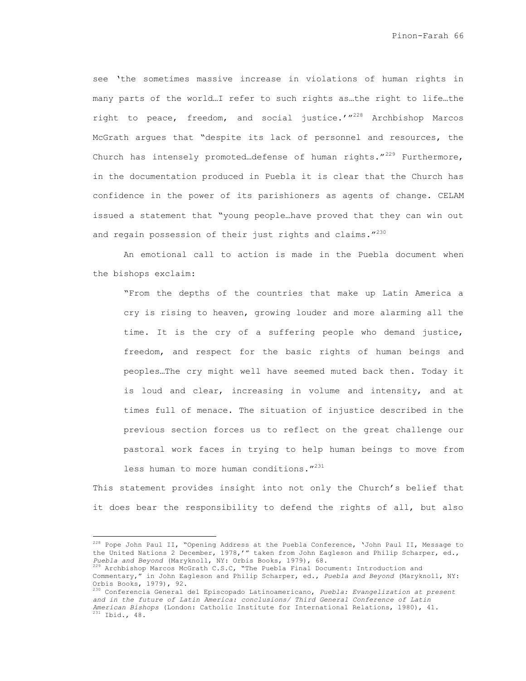see "the sometimes massive increase in violations of human rights in many parts of the world…I refer to such rights as…the right to life…the right to peace, freedom, and social justice.""<sup>228</sup> Archbishop Marcos McGrath argues that "despite its lack of personnel and resources, the Church has intensely promoted...defense of human rights. $1229$  Furthermore, in the documentation produced in Puebla it is clear that the Church has confidence in the power of its parishioners as agents of change. CELAM issued a statement that "young people…have proved that they can win out and regain possession of their just rights and claims."<sup>230</sup>

An emotional call to action is made in the Puebla document when the bishops exclaim:

"From the depths of the countries that make up Latin America a cry is rising to heaven, growing louder and more alarming all the time. It is the cry of a suffering people who demand justice, freedom, and respect for the basic rights of human beings and peoples…The cry might well have seemed muted back then. Today it is loud and clear, increasing in volume and intensity, and at times full of menace. The situation of injustice described in the previous section forces us to reflect on the great challenge our pastoral work faces in trying to help human beings to move from less human to more human conditions."<sup>231</sup>

This statement provides insight into not only the Church"s belief that it does bear the responsibility to defend the rights of all, but also

 $^{228}$  Pope John Paul II, "Opening Address at the Puebla Conference, 'John Paul II, Message to the United Nations 2 December, 1978,"" taken from John Eagleson and Philip Scharper, ed., *Puebla and Beyond* (Maryknoll, NY: Orbis Books, 1979), 68. <sup>229</sup> Archbishop Marcos McGrath C.S.C, "The Puebla Final Document: Introduction and

Commentary," in John Eagleson and Philip Scharper, ed., *Puebla and Beyond* (Maryknoll, NY: Orbis Books, 1979), 92.

<sup>230</sup> Conferencia General del Episcopado Latinoamericano, *Puebla: Evangelization at present and in the future of Latin America: conclusions/ Third General Conference of Latin American Bishops* (London: Catholic Institute for International Relations, 1980), 41. <sup>231</sup> Ibid., 48.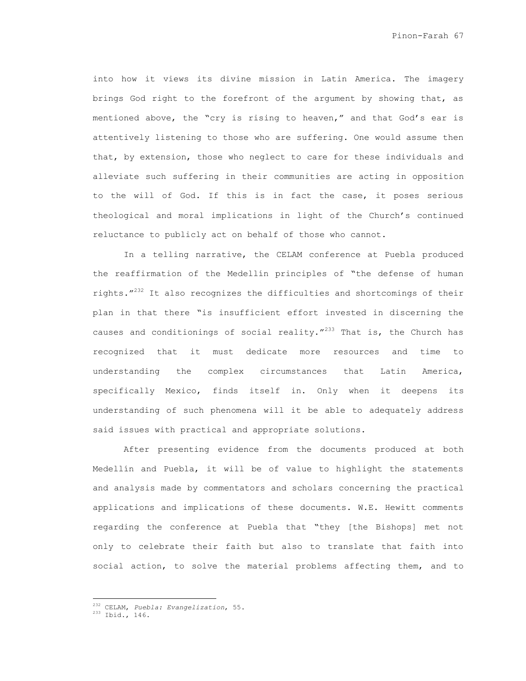into how it views its divine mission in Latin America. The imagery brings God right to the forefront of the argument by showing that, as mentioned above, the "cry is rising to heaven," and that God's ear is attentively listening to those who are suffering. One would assume then that, by extension, those who neglect to care for these individuals and alleviate such suffering in their communities are acting in opposition to the will of God. If this is in fact the case, it poses serious theological and moral implications in light of the Church"s continued reluctance to publicly act on behalf of those who cannot.

In a telling narrative, the CELAM conference at Puebla produced the reaffirmation of the Medellín principles of "the defense of human rights." <sup>232</sup> It also recognizes the difficulties and shortcomings of their plan in that there "is insufficient effort invested in discerning the causes and conditionings of social reality." $^{233}$  That is, the Church has recognized that it must dedicate more resources and time to understanding the complex circumstances that Latin America, specifically Mexico, finds itself in. Only when it deepens its understanding of such phenomena will it be able to adequately address said issues with practical and appropriate solutions.

After presenting evidence from the documents produced at both Medellín and Puebla, it will be of value to highlight the statements and analysis made by commentators and scholars concerning the practical applications and implications of these documents. W.E. Hewitt comments regarding the conference at Puebla that "they [the Bishops] met not only to celebrate their faith but also to translate that faith into social action, to solve the material problems affecting them, and to

<sup>232</sup> CELAM, *Puebla: Evangelization*, 55.

 $233$  Ibid., 146.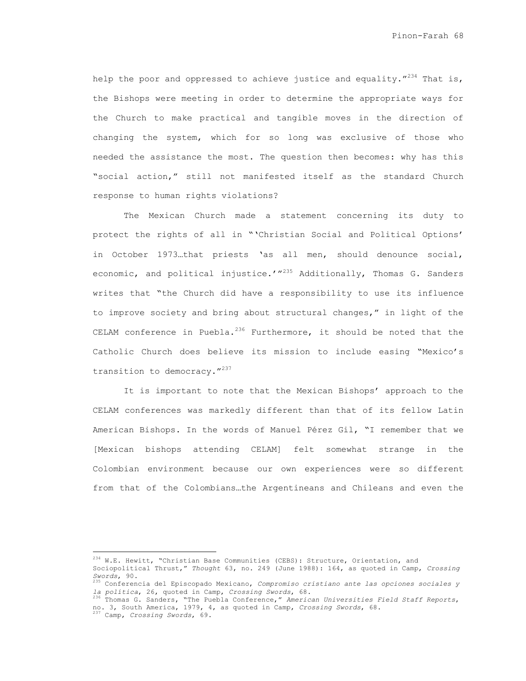help the poor and oppressed to achieve justice and equality."<sup>234</sup> That is, the Bishops were meeting in order to determine the appropriate ways for the Church to make practical and tangible moves in the direction of changing the system, which for so long was exclusive of those who needed the assistance the most. The question then becomes: why has this "social action," still not manifested itself as the standard Church response to human rights violations?

The Mexican Church made a statement concerning its duty to protect the rights of all in ""Christian Social and Political Options" in October 1973…that priests "as all men, should denounce social, economic, and political injustice." $1^{235}$  Additionally, Thomas G. Sanders writes that "the Church did have a responsibility to use its influence to improve society and bring about structural changes," in light of the CELAM conference in Puebla.<sup>236</sup> Furthermore, it should be noted that the Catholic Church does believe its mission to include easing "Mexico"s transition to democracy.  $''^{237}$ 

It is important to note that the Mexican Bishops' approach to the CELAM conferences was markedly different than that of its fellow Latin American Bishops. In the words of Manuel Pérez Gil, "I remember that we [Mexican bishops attending CELAM] felt somewhat strange in the Colombian environment because our own experiences were so different from that of the Colombians…the Argentineans and Chileans and even the

 $234$  W.E. Hewitt, "Christian Base Communities (CEBS): Structure, Orientation, and Sociopolitical Thrust," *Thought* 63, no. 249 (June 1988): 164, as quoted in Camp, *Crossing* 

*Swords*, 90. <sup>235</sup> Conferencia del Episcopado Mexicano, *Compromiso cristiano ante las opciones sociales y la política*, 26, quoted in Camp, *Crossing Swords*, 68.

<sup>236</sup> Thomas G. Sanders, "The Puebla Conference," *American Universities Field Staff Reports*, no. 3, South America, 1979, 4, as quoted in Camp, *Crossing Swords*, 68.

Camp, *Crossing Swords*, 69.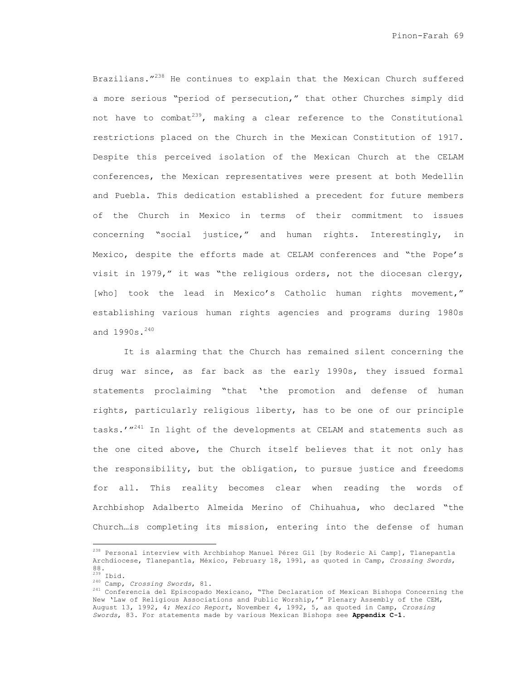Brazilians."<sup>238</sup> He continues to explain that the Mexican Church suffered a more serious "period of persecution," that other Churches simply did not have to combat<sup>239</sup>, making a clear reference to the Constitutional restrictions placed on the Church in the Mexican Constitution of 1917. Despite this perceived isolation of the Mexican Church at the CELAM conferences, the Mexican representatives were present at both Medellín and Puebla. This dedication established a precedent for future members of the Church in Mexico in terms of their commitment to issues concerning "social justice," and human rights. Interestingly, in Mexico, despite the efforts made at CELAM conferences and "the Pope"s visit in 1979," it was "the religious orders, not the diocesan clergy, [who] took the lead in Mexico's Catholic human rights movement," establishing various human rights agencies and programs during 1980s and 1990s.<sup>240</sup>

It is alarming that the Church has remained silent concerning the drug war since, as far back as the early 1990s, they issued formal statements proclaiming "that "the promotion and defense of human rights, particularly religious liberty, has to be one of our principle tasks." $10^{241}$  In light of the developments at CELAM and statements such as the one cited above, the Church itself believes that it not only has the responsibility, but the obligation, to pursue justice and freedoms for all. This reality becomes clear when reading the words of Archbishop Adalberto Almeida Merino of Chihuahua, who declared "the Church…is completing its mission, entering into the defense of human

 $\overline{a}$ 

<sup>240</sup> Camp, *Crossing Swords*, 81.

<sup>&</sup>lt;sup>238</sup> Personal interview with Archbishop Manuel Pérez Gil [by Roderic Ai Camp], Tlanepantla Archdiocese, Tlanepantla, México, February 18, 1991, as quoted in Camp, *Crossing Swords*, 88.<br><sup>239</sup> Ibid.

<sup>241</sup> Conferencia del Episcopado Mexicano, "The Declaration of Mexican Bishops Concerning the New "Law of Religious Associations and Public Worship,"" Plenary Assembly of the CEM, August 13, 1992, 4; *Mexico Report*, November 4, 1992, 5, as quoted in Camp, *Crossing Swords*, 83. For statements made by various Mexican Bishops see **Appendix C-1.**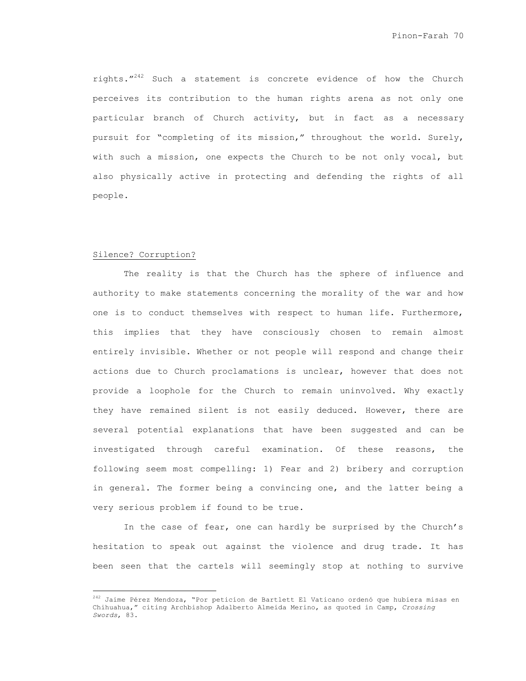rights."<sup>242</sup> Such a statement is concrete evidence of how the Church perceives its contribution to the human rights arena as not only one particular branch of Church activity, but in fact as a necessary pursuit for "completing of its mission," throughout the world. Surely, with such a mission, one expects the Church to be not only vocal, but also physically active in protecting and defending the rights of all people.

## Silence? Corruption?

 $\overline{a}$ 

The reality is that the Church has the sphere of influence and authority to make statements concerning the morality of the war and how one is to conduct themselves with respect to human life. Furthermore, this implies that they have consciously chosen to remain almost entirely invisible. Whether or not people will respond and change their actions due to Church proclamations is unclear, however that does not provide a loophole for the Church to remain uninvolved. Why exactly they have remained silent is not easily deduced. However, there are several potential explanations that have been suggested and can be investigated through careful examination. Of these reasons, the following seem most compelling: 1) Fear and 2) bribery and corruption in general. The former being a convincing one, and the latter being a very serious problem if found to be true.

In the case of fear, one can hardly be surprised by the Church"s hesitation to speak out against the violence and drug trade. It has been seen that the cartels will seemingly stop at nothing to survive

<sup>&</sup>lt;sup>242</sup> Jaime Pérez Mendoza, "Por peticíon de Bartlett El Vaticano ordenó que hubiera misas en Chihuahua," citing Archbishop Adalberto Almeida Merino, as quoted in Camp, *Crossing Swords*, 83.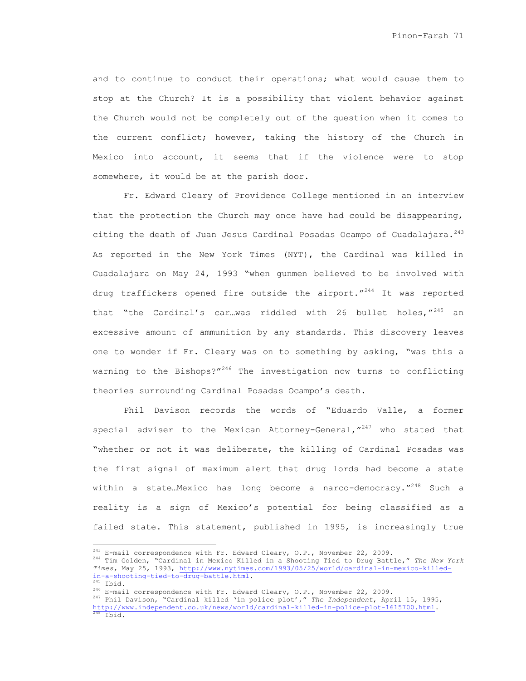and to continue to conduct their operations; what would cause them to stop at the Church? It is a possibility that violent behavior against the Church would not be completely out of the question when it comes to the current conflict; however, taking the history of the Church in Mexico into account, it seems that if the violence were to stop somewhere, it would be at the parish door.

Fr. Edward Cleary of Providence College mentioned in an interview that the protection the Church may once have had could be disappearing, citing the death of Juan Jesus Cardinal Posadas Ocampo of Guadalajara. $^{243}$ As reported in the New York Times (NYT), the Cardinal was killed in Guadalajara on May 24, 1993 "when gunmen believed to be involved with drug traffickers opened fire outside the airport."<sup>244</sup> It was reported that "the Cardinal's car...was riddled with 26 bullet holes,"<sup>245</sup> an excessive amount of ammunition by any standards. This discovery leaves one to wonder if Fr. Cleary was on to something by asking, "was this a warning to the Bishops?" $^{246}$  The investigation now turns to conflicting theories surrounding Cardinal Posadas Ocampo"s death.

Phil Davison records the words of "Eduardo Valle, a former special adviser to the Mexican Attorney-General,  $n^{247}$  who stated that "whether or not it was deliberate, the killing of Cardinal Posadas was the first signal of maximum alert that drug lords had become a state within a state... Mexico has long become a narco-democracy. "<sup>248</sup> Such a reality is a sign of Mexico"s potential for being classified as a failed state. This statement, published in 1995, is increasingly true

 $^{243}$  E-mail correspondence with Fr. Edward Cleary, O.P., November 22, 2009.

<sup>244</sup> Tim Golden, "Cardinal in Mexico Killed in a Shooting Tied to Drug Battle," *The New York Times,* May 25, 1993, [http://www.nytimes.com/1993/05/25/world/cardinal-in-mexico-killed](http://www.nytimes.com/1993/05/25/world/cardinal-in-mexico-killed-in-a-shooting-tied-to-drug-battle.html)[in-a-shooting-tied-to-drug-battle.html.](http://www.nytimes.com/1993/05/25/world/cardinal-in-mexico-killed-in-a-shooting-tied-to-drug-battle.html) <sup>245</sup> Ibid.

 $^{246}$  E-mail correspondence with Fr. Edward Cleary, O.P., November 22, 2009.

<sup>247</sup> Phil Davison, "Cardinal killed "in police plot"," *The Independent*, April 15, 1995, [http://www.independent.co.uk/news/world/cardinal-killed-in-police-plot-1615700.html.](http://www.independent.co.uk/news/world/cardinal-killed-in-police-plot-1615700.html)  $^8$  Ibid.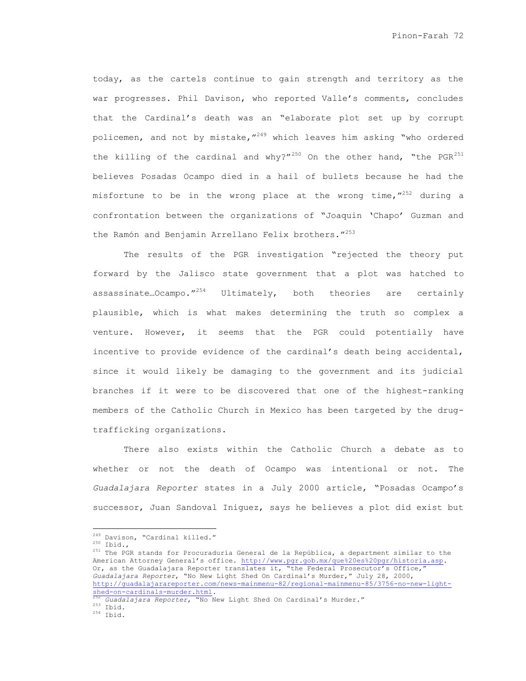today, as the cartels continue to gain strength and territory as the war progresses. Phil Davison, who reported Valle"s comments, concludes that the Cardinal"s death was an "elaborate plot set up by corrupt policemen, and not by mistake,  $^{\prime\prime\,249}$  which leaves him asking "who ordered the killing of the cardinal and why?"<sup>250</sup> On the other hand, "the PGR<sup>251</sup> believes Posadas Ocampo died in a hail of bullets because he had the misfortune to be in the wrong place at the wrong time,  $n^{252}$  during a confrontation between the organizations of "Joaquin "Chapo" Guzman and the Ramón and Benjamin Arrellano Felix brothers. "<sup>253</sup>

The results of the PGR investigation "rejected the theory put forward by the Jalisco state government that a plot was hatched to assassinate... Ocampo."<sup>254</sup> Ultimately, both theories are certainly plausible, which is what makes determining the truth so complex a venture. However, it seems that the PGR could potentially have incentive to provide evidence of the cardinal"s death being accidental, since it would likely be damaging to the government and its judicial branches if it were to be discovered that one of the highest-ranking members of the Catholic Church in Mexico has been targeted by the drugtrafficking organizations.

There also exists within the Catholic Church a debate as to whether or not the death of Ocampo was intentional or not. The *Guadalajara Reporter* states in a July 2000 article, "Posadas Ocampo"s successor, Juan Sandoval Iniguez, says he believes a plot did exist but

 $250$  Ibid.,

<sup>&</sup>lt;sup>249</sup> Davison, "Cardinal killed."

<sup>&</sup>lt;sup>251</sup> The PGR stands for Procuraduría General de la República, a department similar to the American Attorney General's office. [http://www.pgr.gob.mx/que%20es%20pgr/historia.asp.](http://www.pgr.gob.mx/que%20es%20pgr/historia.asp) Or, as the Guadalajara Reporter translates it, "the Federal Prosecutor's Office, *Guadalajara Reporter*, "No New Light Shed On Cardinal"s Murder," July 28, 2000, [http://guadalajarareporter.com/news-mainmenu-82/regional-mainmenu-85/3756-no-new-light](http://guadalajarareporter.com/news-mainmenu-82/regional-mainmenu-85/3756-no-new-light-shed-on-cardinals-murder.html)[shed-on-cardinals-murder.html.](http://guadalajarareporter.com/news-mainmenu-82/regional-mainmenu-85/3756-no-new-light-shed-on-cardinals-murder.html)

Guadalajara Reporter, "No New Light Shed On Cardinal's Murder."  $253$  Ibid.

 $254$  Ibid.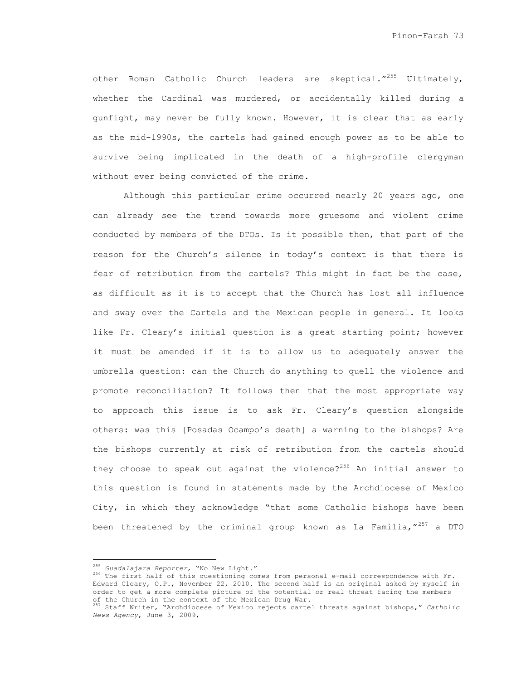other Roman Catholic Church leaders are skeptical."<sup>255</sup> Ultimately, whether the Cardinal was murdered, or accidentally killed during a gunfight, may never be fully known. However, it is clear that as early as the mid-1990s, the cartels had gained enough power as to be able to survive being implicated in the death of a high-profile clergyman without ever being convicted of the crime.

Although this particular crime occurred nearly 20 years ago, one can already see the trend towards more gruesome and violent crime conducted by members of the DTOs. Is it possible then, that part of the reason for the Church"s silence in today"s context is that there is fear of retribution from the cartels? This might in fact be the case, as difficult as it is to accept that the Church has lost all influence and sway over the Cartels and the Mexican people in general. It looks like Fr. Cleary's initial question is a great starting point; however it must be amended if it is to allow us to adequately answer the umbrella question: can the Church do anything to quell the violence and promote reconciliation? It follows then that the most appropriate way to approach this issue is to ask Fr. Cleary"s question alongside others: was this [Posadas Ocampo"s death] a warning to the bishops? Are the bishops currently at risk of retribution from the cartels should they choose to speak out against the violence?<sup>256</sup> An initial answer to this question is found in statements made by the Archdiocese of Mexico City, in which they acknowledge "that some Catholic bishops have been been threatened by the criminal group known as La Familia,  $''^{257}$  a DTO

<sup>255</sup> *Guadalajara Reporter*, "No New Light."

<sup>256</sup> The first half of this questioning comes from personal e-mail correspondence with Fr. Edward Cleary, O.P., November 22, 2010. The second half is an original asked by myself in order to get a more complete picture of the potential or real threat facing the members of the Church in the context of the Mexican Drug War. <sup>257</sup> Staff Writer, "Archdiocese of Mexico rejects cartel threats against bishops," *Catholic* 

*News Agency*, June 3, 2009,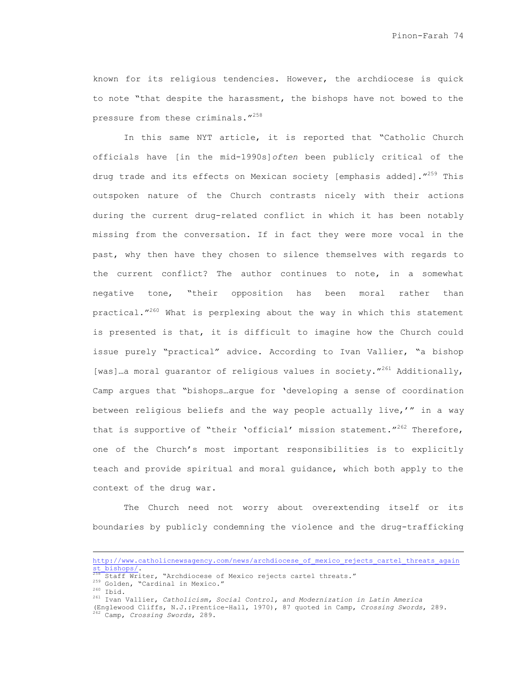Pinon-Farah 74

known for its religious tendencies. However, the archdiocese is quick to note "that despite the harassment, the bishops have not bowed to the pressure from these criminals."<sup>258</sup>

In this same NYT article, it is reported that "Catholic Church officials have [in the mid-1990s]*often* been publicly critical of the drug trade and its effects on Mexican society [emphasis added]."<sup>259</sup> This outspoken nature of the Church contrasts nicely with their actions during the current drug-related conflict in which it has been notably missing from the conversation. If in fact they were more vocal in the past, why then have they chosen to silence themselves with regards to the current conflict? The author continues to note, in a somewhat negative tone, "their opposition has been moral rather than practical."<sup>260</sup> What is perplexing about the way in which this statement is presented is that, it is difficult to imagine how the Church could issue purely "practical" advice. According to Ivan Vallier, "a bishop [was] a moral quarantor of religious values in society."<sup>261</sup> Additionally, Camp argues that "bishops…argue for "developing a sense of coordination between religious beliefs and the way people actually live,"" in a way that is supportive of "their 'official' mission statement."<sup>262</sup> Therefore, one of the Church"s most important responsibilities is to explicitly teach and provide spiritual and moral guidance, which both apply to the context of the drug war.

The Church need not worry about overextending itself or its boundaries by publicly condemning the violence and the drug-trafficking

http://www.catholicnewsagency.com/news/archdiocese of mexico rejects cartel threats again [st\\_bishops/.](http://www.catholicnewsagency.com/news/archdiocese_of_mexico_rejects_cartel_threats_against_bishops/)<br><sup>258</sup> Staff Writer, "Archdiocese of Mexico rejects cartel threats."

<sup>259</sup> Golden, "Cardinal in Mexico."

 $260$  Ibid.

<sup>261</sup> Ivan Vallier, *Catholicism, Social Control, and Modernization in Latin America*

<sup>(</sup>Englewood Cliffs, N.J.:Prentice-Hall, 1970), 87 quoted in Camp, *Crossing Swords*, 289.

<sup>&</sup>lt;sup>2</sup> Camp, *Crossing Swords*, 289.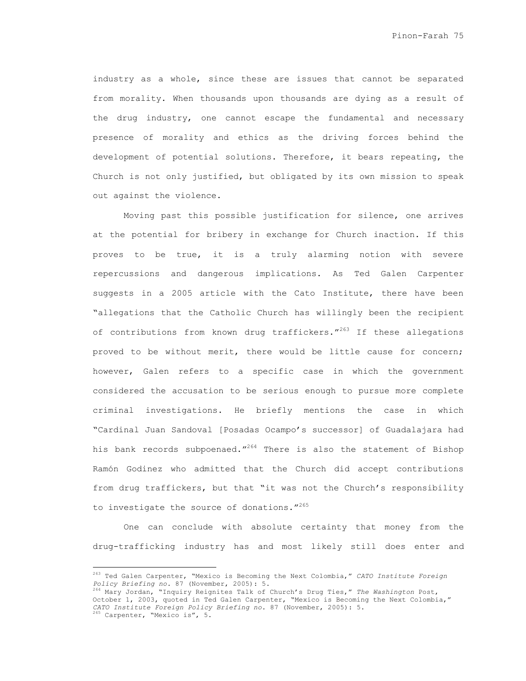industry as a whole, since these are issues that cannot be separated from morality. When thousands upon thousands are dying as a result of the drug industry, one cannot escape the fundamental and necessary presence of morality and ethics as the driving forces behind the development of potential solutions. Therefore, it bears repeating, the Church is not only justified, but obligated by its own mission to speak out against the violence.

Moving past this possible justification for silence, one arrives at the potential for bribery in exchange for Church inaction. If this proves to be true, it is a truly alarming notion with severe repercussions and dangerous implications. As Ted Galen Carpenter suggests in a 2005 article with the Cato Institute, there have been "allegations that the Catholic Church has willingly been the recipient of contributions from known drug traffickers."<sup>263</sup> If these allegations proved to be without merit, there would be little cause for concern; however, Galen refers to a specific case in which the government considered the accusation to be serious enough to pursue more complete criminal investigations. He briefly mentions the case in which "Cardinal Juan Sandoval [Posadas Ocampo"s successor] of Guadalajara had his bank records subpoenaed."<sup>264</sup> There is also the statement of Bishop Ramón Godinez who admitted that the Church did accept contributions from drug traffickers, but that "it was not the Church's responsibility to investigate the source of donations."<sup>265</sup>

One can conclude with absolute certainty that money from the drug-trafficking industry has and most likely still does enter and

<sup>263</sup> Ted Galen Carpenter, "Mexico is Becoming the Next Colombia," *CATO Institute Foreign Policy Briefing no.* 87 (November, 2005): 5.

<sup>264</sup> Mary Jordan, "Inquiry Reignites Talk of Church"s Drug Ties," *The Washington* Post, October 1, 2003, quoted in Ted Galen Carpenter, "Mexico is Becoming the Next Colombia," *CATO Institute Foreign Policy Briefing no.* 87 (November, 2005): 5. <sup>5</sup> Carpenter, "Mexico is", 5.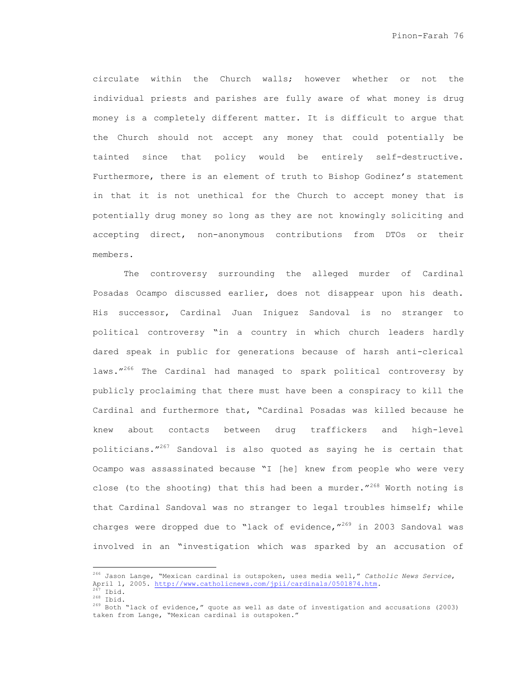circulate within the Church walls; however whether or not the individual priests and parishes are fully aware of what money is drug money is a completely different matter. It is difficult to argue that the Church should not accept any money that could potentially be tainted since that policy would be entirely self-destructive. Furthermore, there is an element of truth to Bishop Godinez's statement in that it is not unethical for the Church to accept money that is potentially drug money so long as they are not knowingly soliciting and accepting direct, non-anonymous contributions from DTOs or their members.

The controversy surrounding the alleged murder of Cardinal Posadas Ocampo discussed earlier, does not disappear upon his death. His successor, Cardinal Juan Iniguez Sandoval is no stranger to political controversy "in a country in which church leaders hardly dared speak in public for generations because of harsh anti-clerical laws."<sup>266</sup> The Cardinal had managed to spark political controversy by publicly proclaiming that there must have been a conspiracy to kill the Cardinal and furthermore that, "Cardinal Posadas was killed because he knew about contacts between drug traffickers and high-level politicians."<sup>267</sup> Sandoval is also quoted as saying he is certain that Ocampo was assassinated because "I [he] knew from people who were very close (to the shooting) that this had been a murder.  $1268$  Worth noting is that Cardinal Sandoval was no stranger to legal troubles himself; while charges were dropped due to "lack of evidence,  $^{\prime\prime\,269}$  in 2003 Sandoval was involved in an "investigation which was sparked by an accusation of

<sup>266</sup> Jason Lange, "Mexican cardinal is outspoken, uses media well," *Catholic News Service*, April 1, 2005. [http://www.catholicnews.com/jpii/cardinals/0501874.htm.](http://www.catholicnews.com/jpii/cardinals/0501874.htm)  $267$  Ibid.

 $268$  Ibid.

<sup>269</sup> Both "lack of evidence," quote as well as date of investigation and accusations (2003) taken from Lange, "Mexican cardinal is outspoken."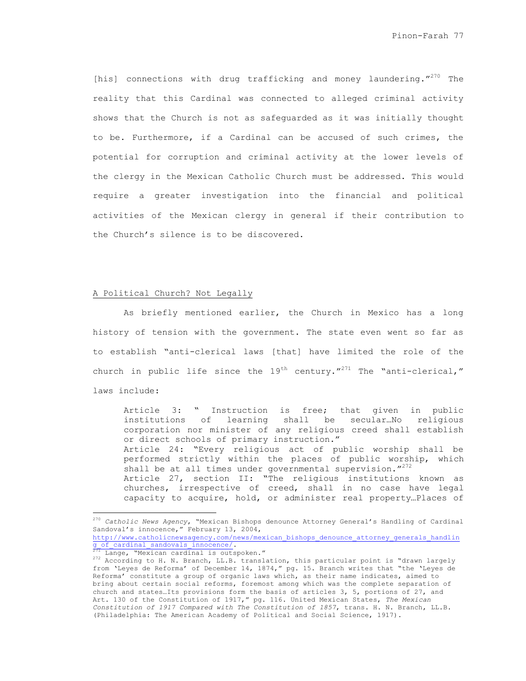[his] connections with drug trafficking and money laundering. $T^{270}$  The reality that this Cardinal was connected to alleged criminal activity shows that the Church is not as safeguarded as it was initially thought to be. Furthermore, if a Cardinal can be accused of such crimes, the potential for corruption and criminal activity at the lower levels of the clergy in the Mexican Catholic Church must be addressed. This would require a greater investigation into the financial and political activities of the Mexican clergy in general if their contribution to the Church"s silence is to be discovered.

## A Political Church? Not Legally

As briefly mentioned earlier, the Church in Mexico has a long history of tension with the government. The state even went so far as to establish "anti-clerical laws [that] have limited the role of the church in public life since the  $19^{th}$  century."<sup>271</sup> The "anti-clerical," laws include:

Article 3: " Instruction is free; that given in public institutions of learning shall be secular…No religious corporation nor minister of any religious creed shall establish or direct schools of primary instruction." Article 24: "Every religious act of public worship shall be performed strictly within the places of public worship, which shall be at all times under governmental supervision."<sup>272</sup> Article 27, section II: "The religious institutions known as churches, irrespective of creed, shall in no case have legal capacity to acquire, hold, or administer real property…Places of

[g\\_of\\_cardinal\\_sandovals\\_innocence/.](http://www.catholicnewsagency.com/news/mexican_bishops_denounce_attorney_generals_handling_of_cardinal_sandovals_innocence/)<br><sup>271</sup> Lange, "Mexican cardinal is outspoken."

<sup>270</sup> *Catholic News Agency*, "Mexican Bishops denounce Attorney General"s Handling of Cardinal Sandoval"s innocence," February 13, 2004, [http://www.catholicnewsagency.com/news/mexican\\_bishops\\_denounce\\_attorney\\_generals\\_handlin](http://www.catholicnewsagency.com/news/mexican_bishops_denounce_attorney_generals_handling_of_cardinal_sandovals_innocence/)

<sup>&</sup>lt;sup>272</sup> According to H. N. Branch, LL.B. translation, this particular point is "drawn largely from "Leyes de Reforma" of December 14, 1874," pg. 15. Branch writes that "the "Leyes de Reforma" constitute a group of organic laws which, as their name indicates, aimed to bring about certain social reforms, foremost among which was the complete separation of church and states…Its provisions form the basis of articles 3, 5, portions of 27, and Art. 130 of the Constitution of 1917," pg. 116. United Mexican States, *The Mexican Constitution of 1917 Compared with The Constitution of 1857*, trans. H. N. Branch, LL.B. (Philadelphia: The American Academy of Political and Social Science, 1917).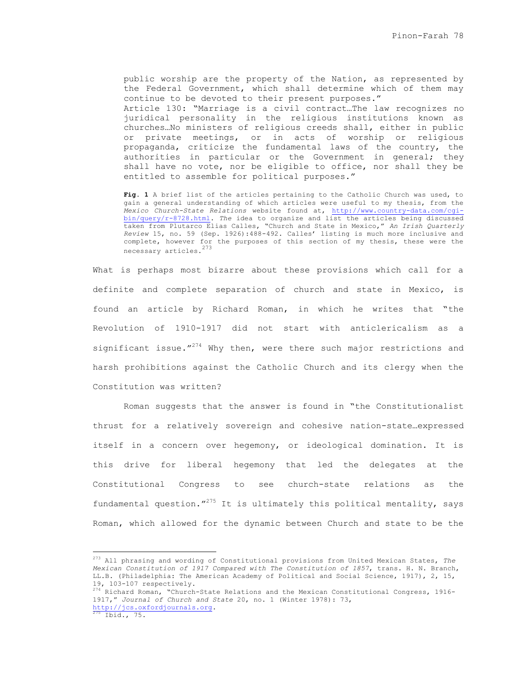public worship are the property of the Nation, as represented by the Federal Government, which shall determine which of them may continue to be devoted to their present purposes." Article 130: "Marriage is a civil contract…The law recognizes no juridical personality in the religious institutions known as churches…No ministers of religious creeds shall, either in public or private meetings, or in acts of worship or religious propaganda, criticize the fundamental laws of the country, the authorities in particular or the Government in general; they shall have no vote, nor be eligible to office, nor shall they be entitled to assemble for political purposes."

**Fig. 1** A brief list of the articles pertaining to the Catholic Church was used, to gain a general understanding of which articles were useful to my thesis, from the *Mexico Church-State Relations* website found at, [http://www.country-data.com/cgi](http://www.country-data.com/cgi-bin/query/r-8728.html)[bin/query/r-8728.html.](http://www.country-data.com/cgi-bin/query/r-8728.html) *The* idea to organize and list the articles being discussed taken from Plutarco Elias Calles, "Church and State in Mexico," *An Irish Quarterly Review* 15, no. 59 (Sep. 1926):488-492. Calles" listing is much more inclusive and complete, however for the purposes of this section of my thesis, these were the necessary articles.<sup>273</sup>

What is perhaps most bizarre about these provisions which call for a definite and complete separation of church and state in Mexico, is found an article by Richard Roman, in which he writes that "the Revolution of 1910-1917 did not start with anticlericalism as a significant issue. $1274$  Why then, were there such major restrictions and harsh prohibitions against the Catholic Church and its clergy when the Constitution was written?

Roman suggests that the answer is found in "the Constitutionalist thrust for a relatively sovereign and cohesive nation-state…expressed itself in a concern over hegemony, or ideological domination. It is this drive for liberal hegemony that led the delegates at the Constitutional Congress to see church-state relations as the fundamental question. $1275$  It is ultimately this political mentality, says Roman, which allowed for the dynamic between Church and state to be the

 $\frac{275}{275}$  Ibid., 75.

<sup>273</sup> All phrasing and wording of Constitutional provisions from United Mexican States, *The Mexican Constitution of 1917 Compared with The Constitution of 1857*, trans. H. N. Branch, LL.B. (Philadelphia: The American Academy of Political and Social Science, 1917), 2, 15, 19, 103-107 respectively.

 $274$  Richard Roman, "Church-State Relations and the Mexican Constitutional Congress, 1916-1917," *Journal of Church and State* 20, no. 1 (Winter 1978): 73, [http://jcs.oxfordjournals.org.](http://jcs.oxfordjournals.org/)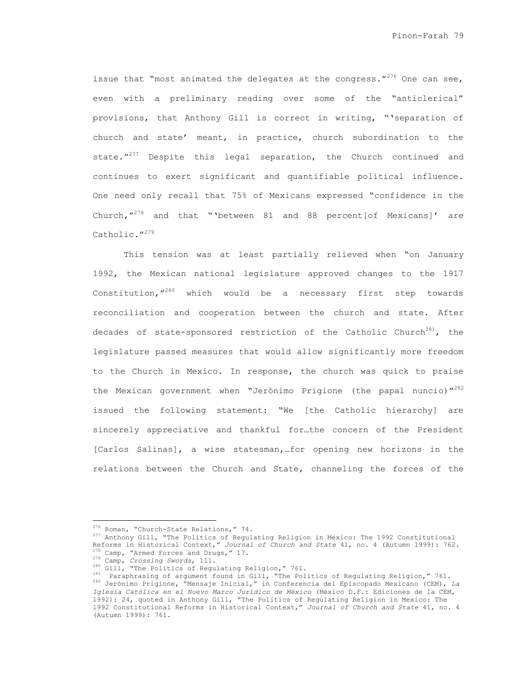issue that "most animated the delegates at the congress." $^{276}$  One can see, even with a preliminary reading over some of the "anticlerical" provisions, that Anthony Gill is correct in writing, ""separation of church and state" meant, in practice, church subordination to the state. $1277$  Despite this legal separation, the Church continued and continues to exert significant and quantifiable political influence. One need only recall that 75% of Mexicans expressed "confidence in the Church, $n^{278}$  and that "'between 81 and 88 percent[of Mexicans]' are Catholic."<sup>279</sup>

This tension was at least partially relieved when "on January 1992, the Mexican national legislature approved changes to the 1917 Constitution, "280 which would be a necessary first step towards reconciliation and cooperation between the church and state. After decades of state-sponsored restriction of the Catholic Church<sup>281</sup>, the legislature passed measures that would allow significantly more freedom to the Church in Mexico. In response, the church was quick to praise the Mexican government when "Jerónimo Prigione (the papal nuncio)"<sup>282</sup> issued the following statement: "We [the Catholic hierarchy] are sincerely appreciative and thankful for…the concern of the President [Carlos Salinas], a wise statesman,…for opening new horizons in the relations between the Church and State, channeling the forces of the

<sup>&</sup>lt;sup>276</sup> Roman, "Church-State Relations," 74.

 $277$  Anthony Gill, "The Politics of Regulating Religion in Mexico: The 1992 Constitutional Reforms in Historical Context," *Journal of Church and State* 41, no. 4 (Autumn 1999): 762. <sup>278</sup> Camp, "Armed Forces and Drugs," 17.

<sup>279</sup> Camp, *Crossing Swords*, 111.

<sup>&</sup>lt;sup>280</sup> Gill, "The Politics of Regulating Religion," 761.

<sup>&</sup>lt;sup>281</sup> Paraphrasing of argument found in Gill, "The Politics of Regulating Religion," 761. <sup>282</sup> Jerónimo Prigione, "Mensaje Inicial," in Conferencia del Episcopado Mexicano (CEM), *La Iglesia Católica en el Nuevo Marco Jurídico de México* (México D.F.: Ediciones de la CEM, 1992): 24, quoted in Anthony Gill, "The Politics of Regulating Religion in Mexico: The 1992 Constitutional Reforms in Historical Context," *Journal of Church and State* 41, no. 4 (Autumn 1999): 761.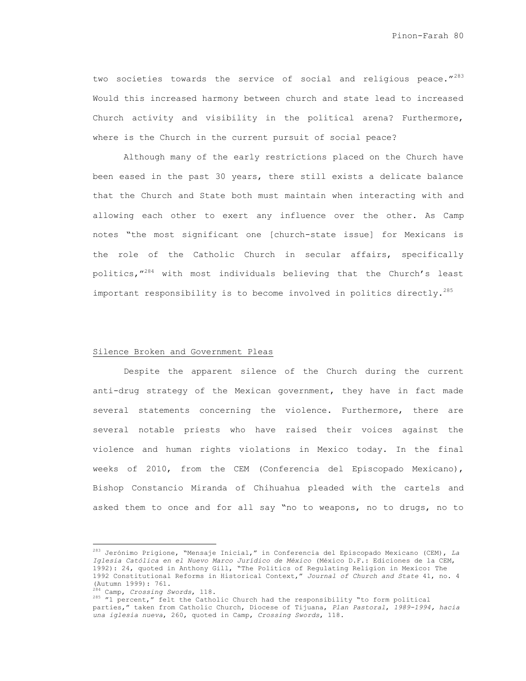Pinon-Farah 80

two societies towards the service of social and religious peace."<sup>283</sup> Would this increased harmony between church and state lead to increased Church activity and visibility in the political arena? Furthermore, where is the Church in the current pursuit of social peace?

Although many of the early restrictions placed on the Church have been eased in the past 30 years, there still exists a delicate balance that the Church and State both must maintain when interacting with and allowing each other to exert any influence over the other. As Camp notes "the most significant one [church-state issue] for Mexicans is the role of the Catholic Church in secular affairs, specifically politics,"<sup>284</sup> with most individuals believing that the Church"s least important responsibility is to become involved in politics directly.<sup>285</sup>

### Silence Broken and Government Pleas

Despite the apparent silence of the Church during the current anti-drug strategy of the Mexican government, they have in fact made several statements concerning the violence. Furthermore, there are several notable priests who have raised their voices against the violence and human rights violations in Mexico today. In the final weeks of 2010, from the CEM (Conferencia del Episcopado Mexicano), Bishop Constancio Miranda of Chihuahua pleaded with the cartels and asked them to once and for all say "no to weapons, no to drugs, no to

<sup>283</sup> Jerónimo Prigione, "Mensaje Inicial," in Conferencia del Episcopado Mexicano (CEM), *La Iglesia Católica en el Nuevo Marco Jurídico de México* (México D.F.: Ediciones de la CEM, 1992): 24, quoted in Anthony Gill, "The Politics of Regulating Religion in Mexico: The 1992 Constitutional Reforms in Historical Context," *Journal of Church and State* 41, no. 4 (Autumn 1999): 761.

Camp, *Crossing Swords*, 118.

<sup>&</sup>lt;sup>285</sup> "1 percent," felt the Catholic Church had the responsibility "to form political parties," taken from Catholic Church, Diocese of Tijuana, *Plan Pastoral*, *1989-1994, hacia una iglesia nueva*, 260, quoted in Camp, *Crossing Swords*, 118.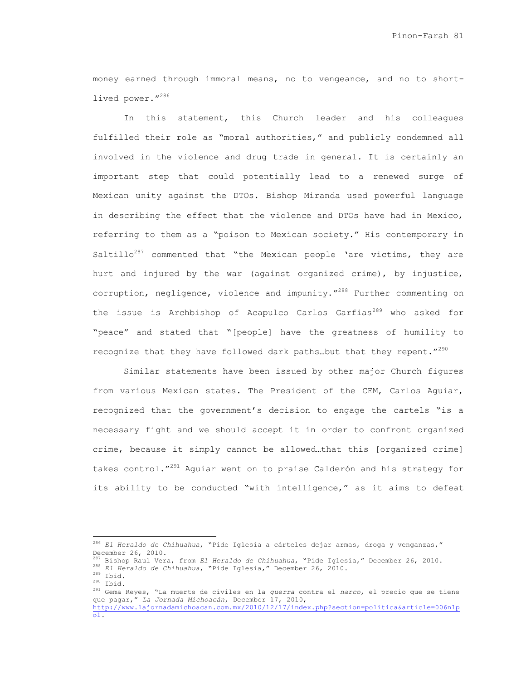money earned through immoral means, no to vengeance, and no to shortlived power."286

In this statement, this Church leader and his colleagues fulfilled their role as "moral authorities," and publicly condemned all involved in the violence and drug trade in general. It is certainly an important step that could potentially lead to a renewed surge of Mexican unity against the DTOs. Bishop Miranda used powerful language in describing the effect that the violence and DTOs have had in Mexico, referring to them as a "poison to Mexican society." His contemporary in Saltillo<sup>287</sup> commented that "the Mexican people 'are victims, they are hurt and injured by the war (against organized crime), by injustice, corruption, negligence, violence and impunity."<sup>288</sup> Further commenting on the issue is Archbishop of Acapulco Carlos Garfias<sup>289</sup> who asked for "peace" and stated that "[people] have the greatness of humility to recognize that they have followed dark paths...but that they repent. $1290$ 

Similar statements have been issued by other major Church figures from various Mexican states. The President of the CEM, Carlos Aguiar, recognized that the government"s decision to engage the cartels "is a necessary fight and we should accept it in order to confront organized crime, because it simply cannot be allowed…that this [organized crime] takes control."<sup>291</sup> Aguiar went on to praise Calderón and his strategy for its ability to be conducted "with intelligence," as it aims to defeat

<sup>286</sup> *El Heraldo de Chihuahua*, "Pide Iglesia a cárteles dejar armas, droga y venganzas," December 26, 2010.

<sup>287</sup> Bishop Raul Vera, from *El Heraldo de Chihuahua*, "Pide Iglesia," December 26, 2010.

<sup>288</sup> *El Heraldo de Chihuahua*, "Pide Iglesia," December 26, 2010.

 $289$  Ibid.

 $290$  Ibid.

<sup>291</sup> Gema Reyes, "La muerte de civiles en la *guerra* contra el *narco*, el precio que se tiene que pagar," *La Jornada Michoacán*, December 17, 2010, [http://www.lajornadamichoacan.com.mx/2010/12/17/index.php?section=politica&article=006n1p](http://www.lajornadamichoacan.com.mx/2010/12/17/index.php?section=politica&article=006n1pol) [ol.](http://www.lajornadamichoacan.com.mx/2010/12/17/index.php?section=politica&article=006n1pol)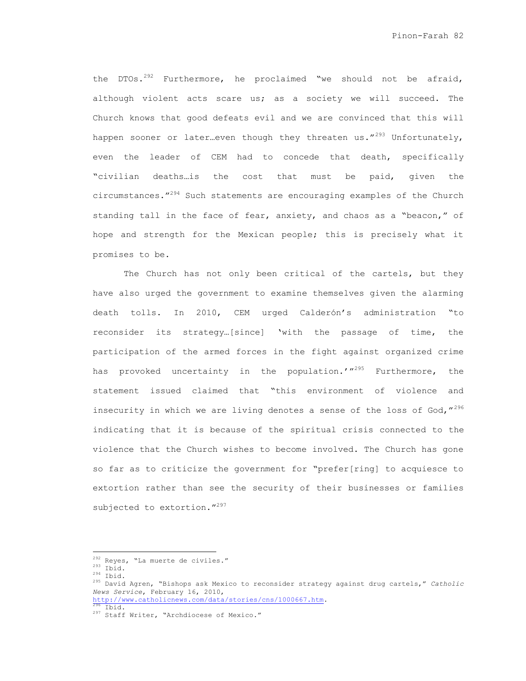the DTOs.<sup>292</sup> Furthermore, he proclaimed "we should not be afraid, although violent acts scare us; as a society we will succeed. The Church knows that good defeats evil and we are convinced that this will happen sooner or later…even though they threaten us."<sup>293</sup> Unfortunately, even the leader of CEM had to concede that death, specifically "civilian deaths…is the cost that must be paid, given the circumstances."<sup>294</sup> Such statements are encouraging examples of the Church standing tall in the face of fear, anxiety, and chaos as a "beacon," of hope and strength for the Mexican people; this is precisely what it promises to be.

The Church has not only been critical of the cartels, but they have also urged the government to examine themselves given the alarming death tolls. In 2010, CEM urged Calderón"s administration "to reconsider its strategy…[since] "with the passage of time, the participation of the armed forces in the fight against organized crime has provoked uncertainty in the population.'"<sup>295</sup> Furthermore, the statement issued claimed that "this environment of violence and insecurity in which we are living denotes a sense of the loss of God,  $n^{296}$ indicating that it is because of the spiritual crisis connected to the violence that the Church wishes to become involved. The Church has gone so far as to criticize the government for "prefer[ring] to acquiesce to extortion rather than see the security of their businesses or families subjected to extortion."<sup>297</sup>

<sup>292</sup> Reyes, "La muerte de civiles."

 $293$  Ibid.

 $294$  Ibid.

<sup>295</sup> David Agren, "Bishops ask Mexico to reconsider strategy against drug cartels," *Catholic News Service*, February 16, 2010,

[http://www.catholicnews.com/data/stories/cns/1000667.htm.](http://www.catholicnews.com/data/stories/cns/1000667.htm) <sup>296</sup> Ibid.

<sup>297</sup> Staff Writer, "Archdiocese of Mexico."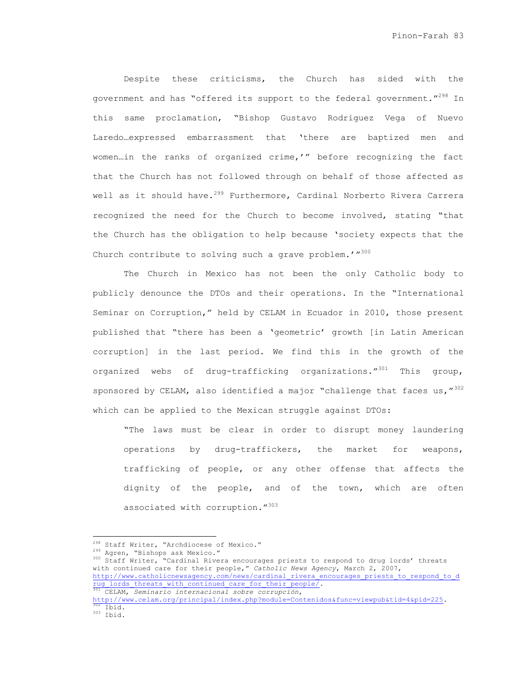Despite these criticisms, the Church has sided with the government and has "offered its support to the federal government."<sup>298</sup> In this same proclamation, "Bishop Gustavo Rodriguez Vega of Nuevo Laredo…expressed embarrassment that "there are baptized men and women…in the ranks of organized crime,"" before recognizing the fact that the Church has not followed through on behalf of those affected as well as it should have.<sup>299</sup> Furthermore, Cardinal Norberto Rivera Carrera recognized the need for the Church to become involved, stating "that the Church has the obligation to help because "society expects that the Church contribute to solving such a grave problem.  $1''^{300}$ 

The Church in Mexico has not been the only Catholic body to publicly denounce the DTOs and their operations. In the "International Seminar on Corruption," held by CELAM in Ecuador in 2010, those present published that "there has been a "geometric" growth [in Latin American corruption] in the last period. We find this in the growth of the organized webs of drug-trafficking organizations. $^{\prime\prime\,301}$  This group, sponsored by CELAM, also identified a major "challenge that faces us,  $^{\prime\prime\,302}$ which can be applied to the Mexican struggle against DTOs:

"The laws must be clear in order to disrupt money laundering operations by drug-traffickers, the market for weapons, trafficking of people, or any other offense that affects the dignity of the people, and of the town, which are often associated with corruption."303

<sup>&</sup>lt;sup>298</sup> Staff Writer, "Archdiocese of Mexico."

<sup>299</sup> Agren, "Bishops ask Mexico."

<sup>&</sup>lt;sup>300</sup> Staff Writer, "Cardinal Rivera encourages priests to respond to drug lords' threats with continued care for their people," *Catholic News Agency*, March 2, 2007, [http://www.catholicnewsagency.com/news/cardinal\\_rivera\\_encourages\\_priests\\_to\\_respond\\_to\\_d](http://www.catholicnewsagency.com/news/cardinal_rivera_encourages_priests_to_respond_to_drug_lords_threats_with_continued_care_for_their_people/) [rug\\_lords\\_threats\\_with\\_continued\\_care\\_for\\_their\\_people/.](http://www.catholicnewsagency.com/news/cardinal_rivera_encourages_priests_to_respond_to_drug_lords_threats_with_continued_care_for_their_people/) <sup>301</sup> CELAM, *Seminario internacional sobre corrupción*,

[http://www.celam.org/principal/index.php?module=Contenidos&func=viewpub&tid=4&pid=225.](http://www.celam.org/principal/index.php?module=Contenidos&func=viewpub&tid=4&pid=225) <sup>302</sup> Ibid.

 $303$  Ibid.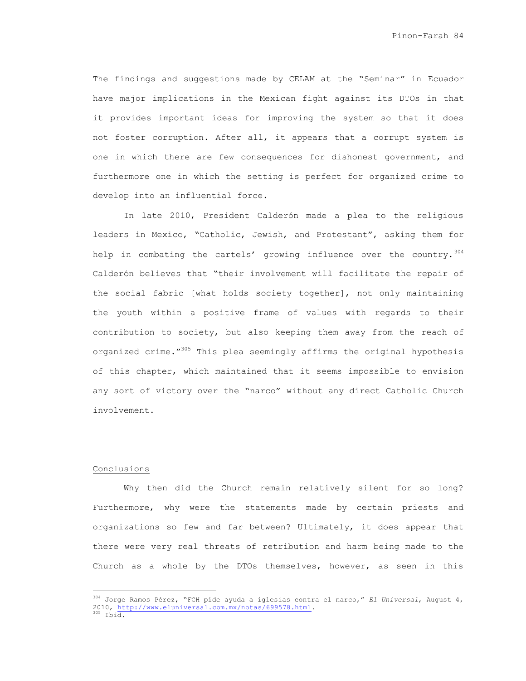The findings and suggestions made by CELAM at the "Seminar" in Ecuador have major implications in the Mexican fight against its DTOs in that it provides important ideas for improving the system so that it does not foster corruption. After all, it appears that a corrupt system is one in which there are few consequences for dishonest government, and furthermore one in which the setting is perfect for organized crime to develop into an influential force.

In late 2010, President Calderón made a plea to the religious leaders in Mexico, "Catholic, Jewish, and Protestant", asking them for help in combating the cartels' growing influence over the country. 304 Calderón believes that "their involvement will facilitate the repair of the social fabric [what holds society together], not only maintaining the youth within a positive frame of values with regards to their contribution to society, but also keeping them away from the reach of organized crime."<sup>305</sup> This plea seemingly affirms the original hypothesis of this chapter, which maintained that it seems impossible to envision any sort of victory over the "narco" without any direct Catholic Church involvement.

# Conclusions

 $\overline{a}$ 

Why then did the Church remain relatively silent for so long? Furthermore, why were the statements made by certain priests and organizations so few and far between? Ultimately, it does appear that there were very real threats of retribution and harm being made to the Church as a whole by the DTOs themselves, however, as seen in this

<sup>304</sup> Jorge Ramos Pérez, "FCH pide ayuda a iglesias contra el narco," *El Universal*, August 4, 2010, [http://www.eluniversal.com.mx/notas/699578.html.](http://www.eluniversal.com.mx/notas/699578.html) Ibid.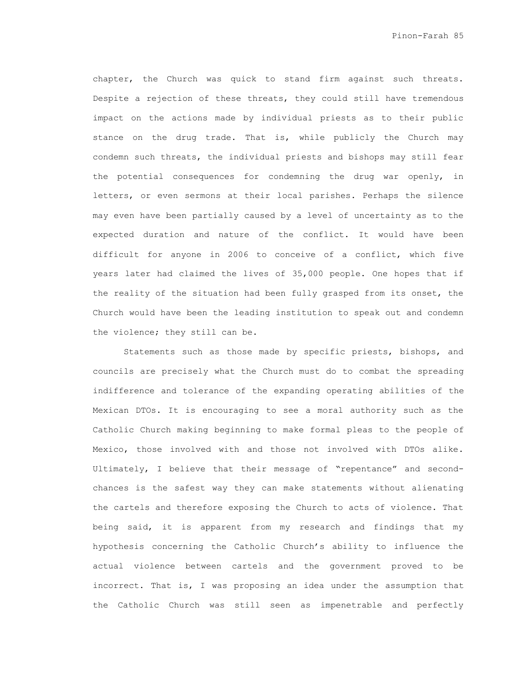chapter, the Church was quick to stand firm against such threats. Despite a rejection of these threats, they could still have tremendous impact on the actions made by individual priests as to their public stance on the drug trade. That is, while publicly the Church may condemn such threats, the individual priests and bishops may still fear the potential consequences for condemning the drug war openly, in letters, or even sermons at their local parishes. Perhaps the silence may even have been partially caused by a level of uncertainty as to the expected duration and nature of the conflict. It would have been difficult for anyone in 2006 to conceive of a conflict, which five years later had claimed the lives of 35,000 people. One hopes that if the reality of the situation had been fully grasped from its onset, the Church would have been the leading institution to speak out and condemn the violence; they still can be.

Statements such as those made by specific priests, bishops, and councils are precisely what the Church must do to combat the spreading indifference and tolerance of the expanding operating abilities of the Mexican DTOs. It is encouraging to see a moral authority such as the Catholic Church making beginning to make formal pleas to the people of Mexico, those involved with and those not involved with DTOs alike. Ultimately, I believe that their message of "repentance" and secondchances is the safest way they can make statements without alienating the cartels and therefore exposing the Church to acts of violence. That being said, it is apparent from my research and findings that my hypothesis concerning the Catholic Church"s ability to influence the actual violence between cartels and the government proved to be incorrect. That is, I was proposing an idea under the assumption that the Catholic Church was still seen as impenetrable and perfectly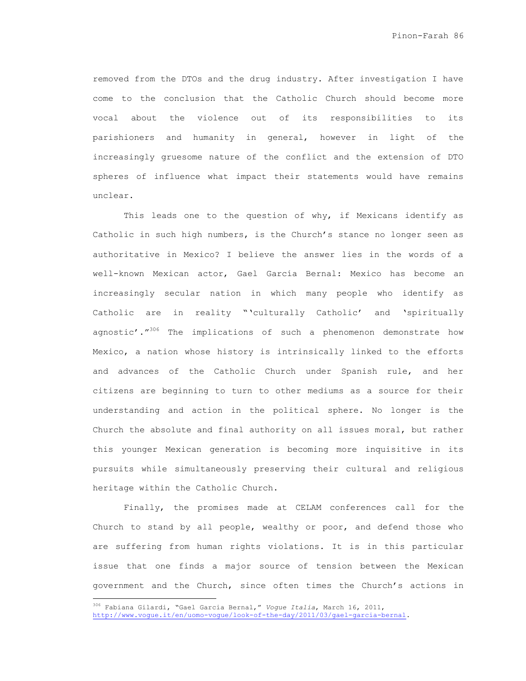removed from the DTOs and the drug industry. After investigation I have come to the conclusion that the Catholic Church should become more vocal about the violence out of its responsibilities to its parishioners and humanity in general, however in light of the increasingly gruesome nature of the conflict and the extension of DTO spheres of influence what impact their statements would have remains unclear.

This leads one to the question of why, if Mexicans identify as Catholic in such high numbers, is the Church"s stance no longer seen as authoritative in Mexico? I believe the answer lies in the words of a well-known Mexican actor, Gael García Bernal: Mexico has become an increasingly secular nation in which many people who identify as Catholic are in reality "'culturally Catholic' and 'spiritually agnostic'."306 The implications of such a phenomenon demonstrate how Mexico, a nation whose history is intrinsically linked to the efforts and advances of the Catholic Church under Spanish rule, and her citizens are beginning to turn to other mediums as a source for their understanding and action in the political sphere. No longer is the Church the absolute and final authority on all issues moral, but rather this younger Mexican generation is becoming more inquisitive in its pursuits while simultaneously preserving their cultural and religious heritage within the Catholic Church.

Finally, the promises made at CELAM conferences call for the Church to stand by all people, wealthy or poor, and defend those who are suffering from human rights violations. It is in this particular issue that one finds a major source of tension between the Mexican government and the Church, since often times the Church"s actions in

<sup>306</sup> Fabiana Gilardi, "Gael Garcia Bernal," *Vogue Italia*, March 16, 2011, [http://www.vogue.it/en/uomo-vogue/look-of-the-day/2011/03/gael-garcia-bernal.](http://www.vogue.it/en/uomo-vogue/look-of-the-day/2011/03/gael-garcia-bernal)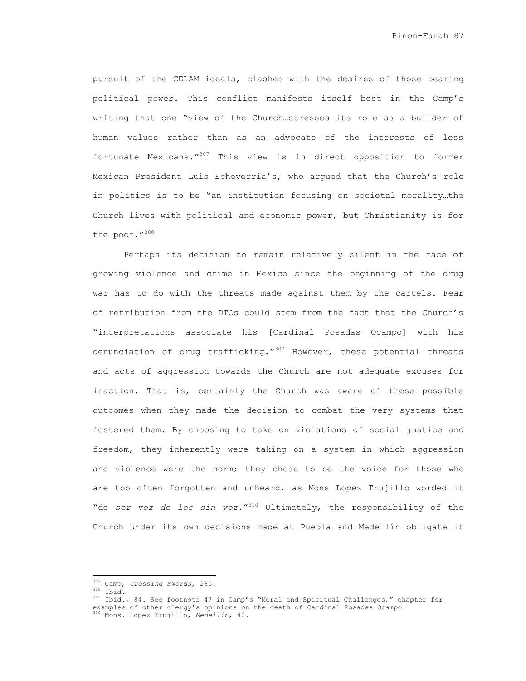pursuit of the CELAM ideals, clashes with the desires of those bearing political power. This conflict manifests itself best in the Camp"s writing that one "view of the Church…stresses its role as a builder of human values rather than as an advocate of the interests of less fortunate Mexicans."<sup>307</sup> This view is in direct opposition to former Mexican President Luis Echeverría's, who arqued that the Church's role in politics is to be "an institution focusing on societal morality…the Church lives with political and economic power, but Christianity is for the poor."308

Perhaps its decision to remain relatively silent in the face of growing violence and crime in Mexico since the beginning of the drug war has to do with the threats made against them by the cartels. Fear of retribution from the DTOs could stem from the fact that the Church"s "interpretations associate his [Cardinal Posadas Ocampo] with his denunciation of drug trafficking."<sup>309</sup> However, these potential threats and acts of aggression towards the Church are not adequate excuses for inaction. That is, certainly the Church was aware of these possible outcomes when they made the decision to combat the very systems that fostered them. By choosing to take on violations of social justice and freedom, they inherently were taking on a system in which aggression and violence were the norm; they chose to be the voice for those who are too often forgotten and unheard, as Mons Lopez Trujillo worded it "de *ser voz de los sin voz*."<sup>310</sup> Ultimately, the responsibility of the Church under its own decisions made at Puebla and Medellín obligate it

<sup>307</sup> Camp, *Crossing Swords*, 285.

<sup>308</sup> Ibid.

<sup>309</sup> Ibid., 84. See footnote 47 in Camp"s "Moral and Spiritual Challenges," chapter for examples of other clergy"s opinions on the death of Cardinal Posadas Ocampo.

<sup>310</sup> Mons. Lopez Trujillo, *Medellin*, 40.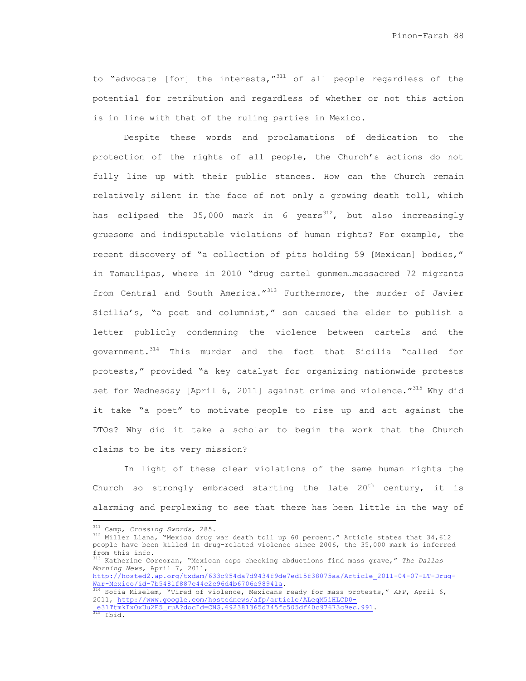Pinon-Farah 88

to "advocate [for] the interests,  $1^{311}$  of all people regardless of the potential for retribution and regardless of whether or not this action is in line with that of the ruling parties in Mexico.

Despite these words and proclamations of dedication to the protection of the rights of all people, the Church"s actions do not fully line up with their public stances. How can the Church remain relatively silent in the face of not only a growing death toll, which has eclipsed the 35,000 mark in 6 years<sup>312</sup>, but also increasingly gruesome and indisputable violations of human rights? For example, the recent discovery of "a collection of pits holding 59 [Mexican] bodies," in Tamaulipas, where in 2010 "drug cartel gunmen…massacred 72 migrants from Central and South America."<sup>313</sup> Furthermore, the murder of Javier Sicilia"s, "a poet and columnist," son caused the elder to publish a letter publicly condemning the violence between cartels and the government.<sup>314</sup> This murder and the fact that Sicilia "called for protests," provided "a key catalyst for organizing nationwide protests set for Wednesday [April 6, 2011] against crime and violence."<sup>315</sup> Why did it take "a poet" to motivate people to rise up and act against the DTOs? Why did it take a scholar to begin the work that the Church claims to be its very mission?

In light of these clear violations of the same human rights the Church so strongly embraced starting the late  $20^{th}$  century, it is alarming and perplexing to see that there has been little in the way of

<sup>311</sup> Camp, *Crossing Swords*, 285.

<sup>&</sup>lt;sup>312</sup> Miller Llana, "Mexico drug war death toll up 60 percent." Article states that 34,612 people have been killed in drug-related violence since 2006, the 35,000 mark is inferred from this info.

<sup>313</sup> Katherine Corcoran, "Mexican cops checking abductions find mass grave," *The Dallas Morning News*, April 7, 2011,

[http://hosted2.ap.org/txdam/633c954da7d9434f9de7ed15f38075aa/Article\\_2011-04-07-LT-Drug-](http://hosted2.ap.org/txdam/633c954da7d9434f9de7ed15f38075aa/Article_2011-04-07-LT-Drug-War-Mexico/id-7b5481f887c44c2c96d4b6706e98941a)[War-Mexico/id-7b5481f887c44c2c96d4b6706e98941a.](http://hosted2.ap.org/txdam/633c954da7d9434f9de7ed15f38075aa/Article_2011-04-07-LT-Drug-War-Mexico/id-7b5481f887c44c2c96d4b6706e98941a)

<sup>314</sup> Sofia Miselem, "Tired of violence, Mexicans ready for mass protests," *AFP*, April 6, 2011, [http://www.google.com/hostednews/afp/article/ALeqM5iHLCD0-](http://www.google.com/hostednews/afp/article/ALeqM5iHLCD0-_e31TtmkIxOxUu2E5_ruA?docId=CNG.692381365d745fc505df40c97673c9ec.991)

[\\_e31TtmkIxOxUu2E5\\_ruA?docId=CNG.692381365d745fc505df40c97673c9ec.991.](http://www.google.com/hostednews/afp/article/ALeqM5iHLCD0-_e31TtmkIxOxUu2E5_ruA?docId=CNG.692381365d745fc505df40c97673c9ec.991) <sup>315</sup> Ibid.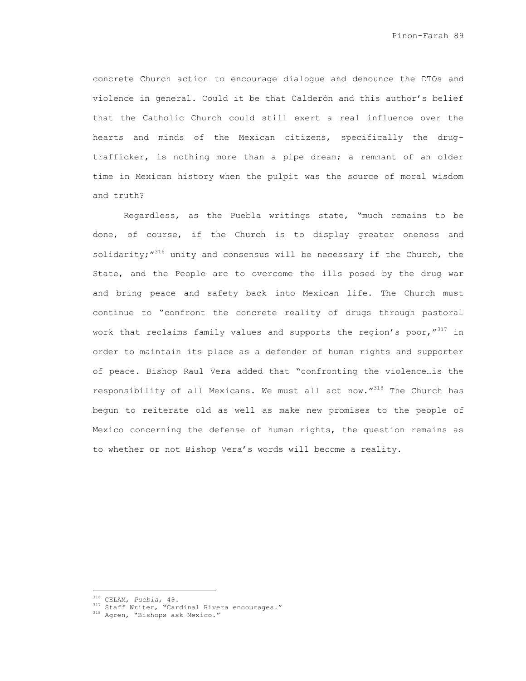concrete Church action to encourage dialogue and denounce the DTOs and violence in general. Could it be that Calderón and this author"s belief that the Catholic Church could still exert a real influence over the hearts and minds of the Mexican citizens, specifically the drugtrafficker, is nothing more than a pipe dream; a remnant of an older time in Mexican history when the pulpit was the source of moral wisdom and truth?

Regardless, as the Puebla writings state, "much remains to be done, of course, if the Church is to display greater oneness and solidarity;  $1316$  unity and consensus will be necessary if the Church, the State, and the People are to overcome the ills posed by the drug war and bring peace and safety back into Mexican life. The Church must continue to "confront the concrete reality of drugs through pastoral work that reclaims family values and supports the region's poor, "317 in order to maintain its place as a defender of human rights and supporter of peace. Bishop Raul Vera added that "confronting the violence…is the responsibility of all Mexicans. We must all act now."<sup>318</sup> The Church has begun to reiterate old as well as make new promises to the people of Mexico concerning the defense of human rights, the question remains as to whether or not Bishop Vera"s words will become a reality.

 $\overline{a}$ 

<sup>318</sup> Agren, "Bishops ask Mexico."

<sup>316</sup> CELAM, *Puebla*, 49.

 $317$  Staff Writer, "Cardinal Rivera encourages."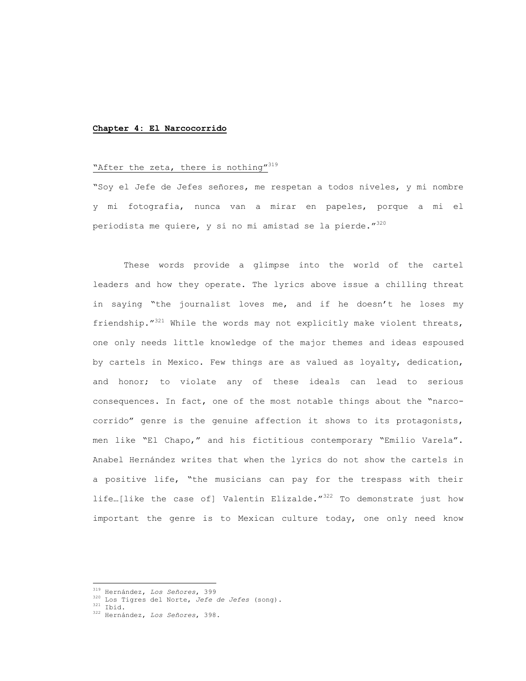#### **Chapter 4: El Narcocorrido**

# "After the zeta, there is nothing"<sup>319</sup>

"Soy el Jefe de Jefes señores, me respetan a todos niveles, y mi nombre y mi fotografia, nunca van a mirar en papeles, porque a mi el periodista me quiere, y si no mi amistad se la pierde.  $^{\prime\prime320}$ 

These words provide a glimpse into the world of the cartel leaders and how they operate. The lyrics above issue a chilling threat in saying "the journalist loves me, and if he doesn't he loses my friendship. $1^{321}$  While the words may not explicitly make violent threats, one only needs little knowledge of the major themes and ideas espoused by cartels in Mexico. Few things are as valued as loyalty, dedication, and honor; to violate any of these ideals can lead to serious consequences. In fact, one of the most notable things about the "narcocorrido" genre is the genuine affection it shows to its protagonists, men like "El Chapo," and his fictitious contemporary "Emilio Varela". Anabel Hernández writes that when the lyrics do not show the cartels in a positive life, "the musicians can pay for the trespass with their life...[like the case of] Valentin Elizalde." $322$  To demonstrate just how important the genre is to Mexican culture today, one only need know

<sup>319</sup> Hernández, *Los Señores*, 399

<sup>320</sup> Los Tigres del Norte, *Jefe de Jefes* (song).

 $321$  Ibid.

<sup>322</sup> Hernández, *Los Señores*, 398.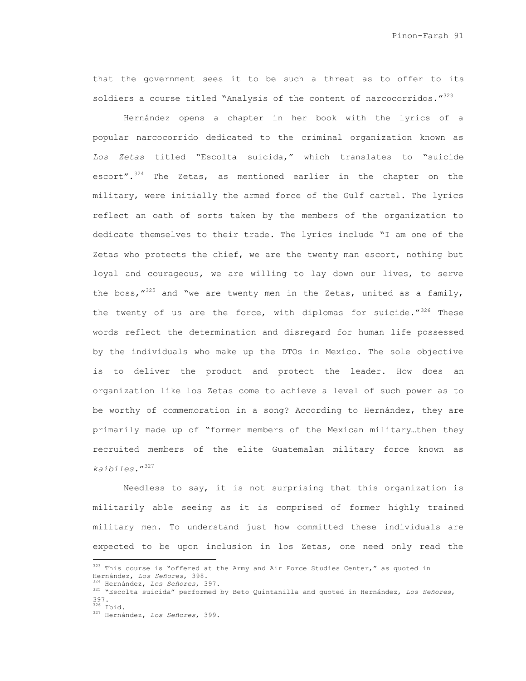that the government sees it to be such a threat as to offer to its soldiers a course titled "Analysis of the content of narcocorridos." $^{323}$ 

Hernández opens a chapter in her book with the lyrics of a popular narcocorrido dedicated to the criminal organization known as *Los Zetas* titled "Escolta suicida," which translates to "suicide escort".<sup>324</sup> The Zetas, as mentioned earlier in the chapter on the military, were initially the armed force of the Gulf cartel. The lyrics reflect an oath of sorts taken by the members of the organization to dedicate themselves to their trade. The lyrics include "I am one of the Zetas who protects the chief, we are the twenty man escort, nothing but loyal and courageous, we are willing to lay down our lives, to serve the boss,  $^{\prime\prime}$ <sup>325</sup> and "we are twenty men in the Zetas, united as a family, the twenty of us are the force, with diplomas for suicide." $326$  These words reflect the determination and disregard for human life possessed by the individuals who make up the DTOs in Mexico. The sole objective is to deliver the product and protect the leader. How does an organization like los Zetas come to achieve a level of such power as to be worthy of commemoration in a song? According to Hernández, they are primarily made up of "former members of the Mexican military…then they recruited members of the elite Guatemalan military force known as *kaibiles*."<sup>327</sup>

Needless to say, it is not surprising that this organization is militarily able seeing as it is comprised of former highly trained military men. To understand just how committed these individuals are expected to be upon inclusion in los Zetas, one need only read the

 $323$  This course is "offered at the Army and Air Force Studies Center," as quoted in Hernández, *Los Señores*, 398.

<sup>324</sup> Hernández, *Los Señores*, 397.

<sup>325</sup> "Escolta suicida" performed by Beto Quintanilla and quoted in Hernández, *Los Señores*, 397.

 $326$  Ibid.

<sup>327</sup> Hernández, *Los Señores*, 399.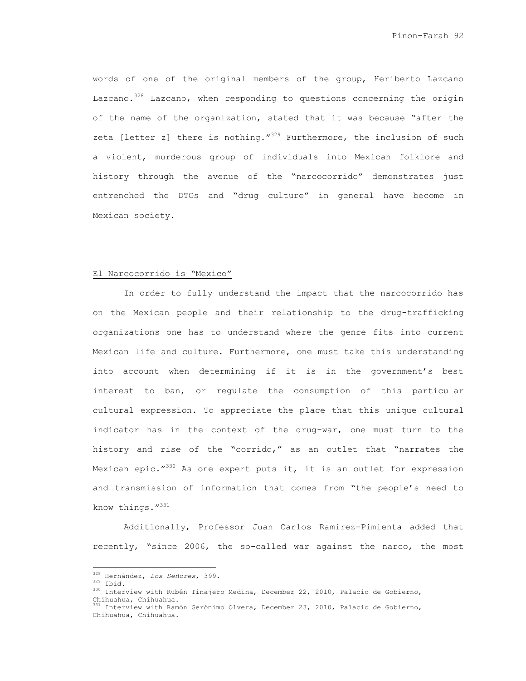words of one of the original members of the group, Heriberto Lazcano Lazcano.<sup>328</sup> Lazcano, when responding to questions concerning the origin of the name of the organization, stated that it was because "after the zeta [letter  $z$ ] there is nothing." $329$  Furthermore, the inclusion of such a violent, murderous group of individuals into Mexican folklore and history through the avenue of the "narcocorrido" demonstrates just entrenched the DTOs and "drug culture" in general have become in Mexican society.

### El Narcocorrido is "Mexico"

In order to fully understand the impact that the narcocorrido has on the Mexican people and their relationship to the drug-trafficking organizations one has to understand where the genre fits into current Mexican life and culture. Furthermore, one must take this understanding into account when determining if it is in the government's best interest to ban, or regulate the consumption of this particular cultural expression. To appreciate the place that this unique cultural indicator has in the context of the drug-war, one must turn to the history and rise of the "corrido," as an outlet that "narrates the Mexican epic." $330$  As one expert puts it, it is an outlet for expression and transmission of information that comes from "the people"s need to know things."331

Additionally, Professor Juan Carlos Ramirez-Pimienta added that recently, "since 2006, the so-called war against the narco, the most

<sup>328</sup> Hernández, *Los Señores*, 399.

<sup>329</sup> Ibid.

<sup>330</sup> Interview with Rubén Tinajero Medina, December 22, 2010, Palacio de Gobierno, Chihuahua, Chihuahua.

<sup>331</sup> Interview with Ramón Gerónimo Olvera, December 23, 2010, Palacio de Gobierno, Chihuahua, Chihuahua.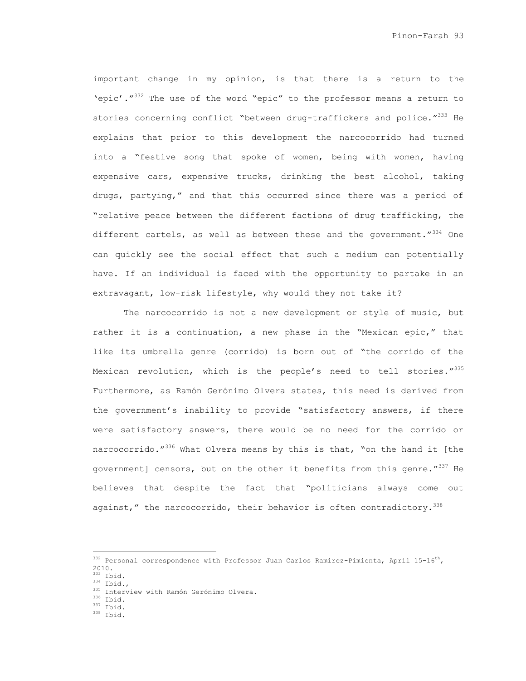important change in my opinion, is that there is a return to the 'epic'."<sup>332</sup> The use of the word "epic" to the professor means a return to stories concerning conflict "between drug-traffickers and police."<sup>333</sup> He explains that prior to this development the narcocorrido had turned into a "festive song that spoke of women, being with women, having expensive cars, expensive trucks, drinking the best alcohol, taking drugs, partying," and that this occurred since there was a period of "relative peace between the different factions of drug trafficking, the different cartels, as well as between these and the government.  $1^{334}$  One can quickly see the social effect that such a medium can potentially have. If an individual is faced with the opportunity to partake in an extravagant, low-risk lifestyle, why would they not take it?

The narcocorrido is not a new development or style of music, but rather it is a continuation, a new phase in the "Mexican epic," that like its umbrella genre (corrido) is born out of "the corrido of the Mexican revolution, which is the people's need to tell stories."335 Furthermore, as Ramón Gerónimo Olvera states, this need is derived from the government's inability to provide "satisfactory answers, if there were satisfactory answers, there would be no need for the corrido or narcocorrido."<sup>336</sup> What Olvera means by this is that, "on the hand it [the government] censors, but on the other it benefits from this genre."337 He believes that despite the fact that "politicians always come out against," the narcocorrido, their behavior is often contradictory.  $338$ 

 $333$  Ibid.

- $334$  Ibid.,
- <sup>335</sup> Interview with Ramón Gerónimo Olvera.
- $336$  Ibid.
- $337$  Ibid.
- $338$  Ibid.

 $^{332}$  Personal correspondence with Professor Juan Carlos Ramirez-Pimienta, April 15-16<sup>th</sup>, 2010.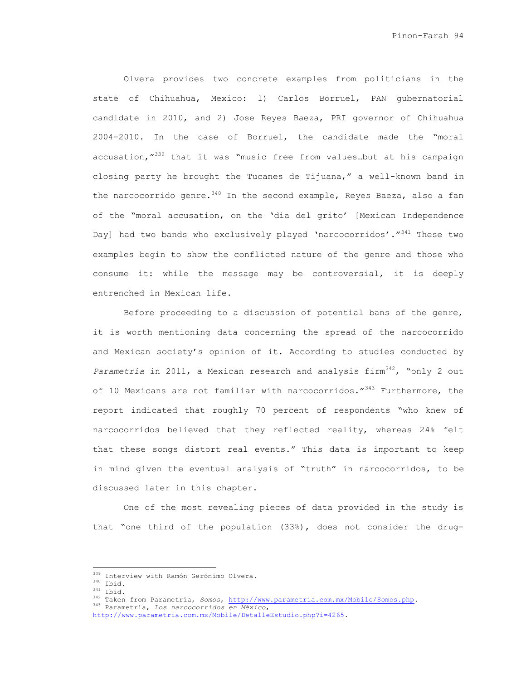Olvera provides two concrete examples from politicians in the state of Chihuahua, Mexico: 1) Carlos Borruel, PAN gubernatorial candidate in 2010, and 2) Jose Reyes Baeza, PRI governor of Chihuahua 2004-2010**.** In the case of Borruel, the candidate made the "moral accusation,  $1339$  that it was "music free from values...but at his campaign closing party he brought the Tucanes de Tijuana," a well-known band in the narcocorrido genre.  $340$  In the second example, Reyes Baeza, also a fan of the "moral accusation, on the "dia del grito" [Mexican Independence Day] had two bands who exclusively played 'narcocorridos'."<sup>341</sup> These two examples begin to show the conflicted nature of the genre and those who consume it: while the message may be controversial, it is deeply entrenched in Mexican life.

Before proceeding to a discussion of potential bans of the genre, it is worth mentioning data concerning the spread of the narcocorrido and Mexican society's opinion of it. According to studies conducted by Parametría in 2011, a Mexican research and analysis firm<sup>342</sup>, "only 2 out of 10 Mexicans are not familiar with narcocorridos."<sup>343</sup> Furthermore, the report indicated that roughly 70 percent of respondents "who knew of narcocorridos believed that they reflected reality, whereas 24% felt that these songs distort real events." This data is important to keep in mind given the eventual analysis of "truth" in narcocorridos, to be discussed later in this chapter.

One of the most revealing pieces of data provided in the study is that "one third of the population (33%), does not consider the drug-

<sup>339</sup> Interview with Ramón Gerónimo Olvera.

 $340$  Ibid.

<sup>341</sup> Ibid.

<sup>342</sup> Taken from Parametría, *Somos*, [http://www.parametria.com.mx/Mobile/Somos.php.](http://www.parametria.com.mx/Mobile/Somos.php) <sup>343</sup> Parametría, *Los narcocorridos en México*,

[http://www.parametria.com.mx/Mobile/DetalleEstudio.php?i=4265.](http://www.parametria.com.mx/Mobile/DetalleEstudio.php?i=4265)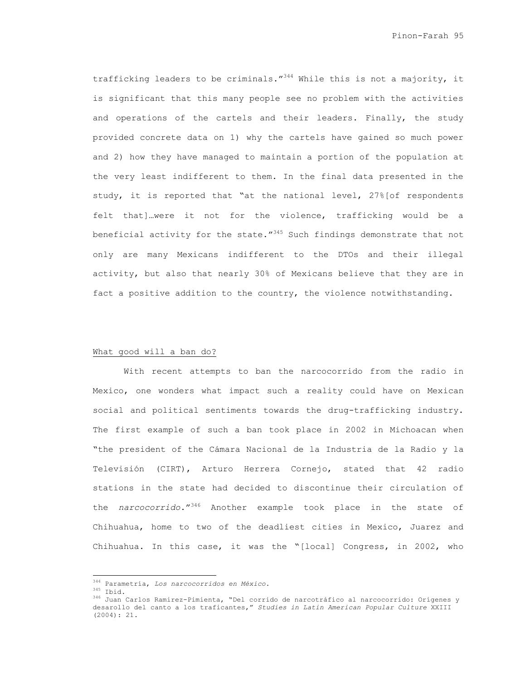Pinon-Farah 95

trafficking leaders to be criminals."<sup>344</sup> While this is not a majority, it is significant that this many people see no problem with the activities and operations of the cartels and their leaders. Finally, the study provided concrete data on 1) why the cartels have gained so much power and 2) how they have managed to maintain a portion of the population at the very least indifferent to them. In the final data presented in the study, it is reported that "at the national level, 27%[of respondents felt that]…were it not for the violence, trafficking would be a beneficial activity for the state. $1^{445}$  Such findings demonstrate that not only are many Mexicans indifferent to the DTOs and their illegal activity, but also that nearly 30% of Mexicans believe that they are in fact a positive addition to the country, the violence notwithstanding.

## What good will a ban do?

With recent attempts to ban the narcocorrido from the radio in Mexico, one wonders what impact such a reality could have on Mexican social and political sentiments towards the drug-trafficking industry. The first example of such a ban took place in 2002 in Michoacan when "the president of the Cámara Nacional de la Industria de la Radio y la Televisión (CIRT), Arturo Herrera Cornejo, stated that 42 radio stations in the state had decided to discontinue their circulation of the *narcocorrido*."<sup>346</sup> Another example took place in the state of Chihuahua, home to two of the deadliest cities in Mexico, Juarez and Chihuahua. In this case, it was the "[local] Congress, in 2002, who

<sup>344</sup> Parametría, *Los narcocorridos en México*.

 $345$  Ibid.

<sup>346</sup> Juan Carlos Ramirez-Pimienta, "Del corrido de narcotráfico al narcocorrido: Orígenes y desarollo del canto a los traficantes," *Studies in Latin American Popular Culture* XXIII (2004): 21.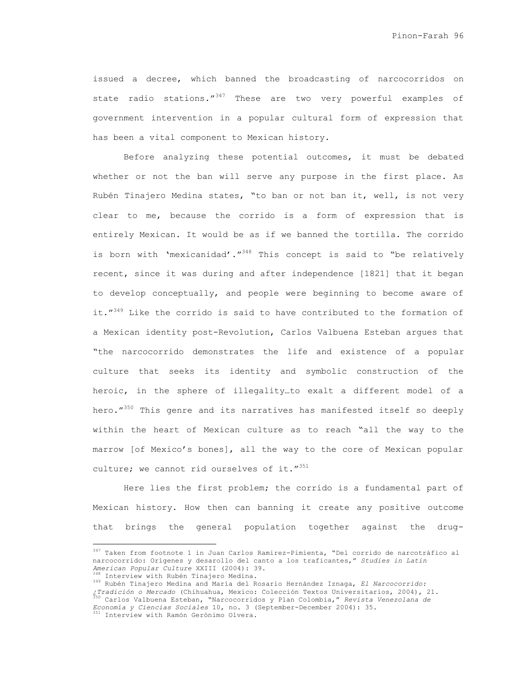issued a decree, which banned the broadcasting of narcocorridos on state radio stations."<sup>347</sup> These are two very powerful examples of government intervention in a popular cultural form of expression that has been a vital component to Mexican history.

Before analyzing these potential outcomes, it must be debated whether or not the ban will serve any purpose in the first place. As Rubén Tinajero Medina states, "to ban or not ban it, well, is not very clear to me, because the corrido is a form of expression that is entirely Mexican. It would be as if we banned the tortilla. The corrido is born with 'mexicanidad'." $^{348}$  This concept is said to "be relatively recent, since it was during and after independence [1821] that it began to develop conceptually, and people were beginning to become aware of it."<sup>349</sup> Like the corrido is said to have contributed to the formation of a Mexican identity post-Revolution, Carlos Valbuena Esteban argues that "the narcocorrido demonstrates the life and existence of a popular culture that seeks its identity and symbolic construction of the heroic, in the sphere of illegality…to exalt a different model of a hero."<sup>350</sup> This genre and its narratives has manifested itself so deeply within the heart of Mexican culture as to reach "all the way to the marrow [of Mexico"s bones], all the way to the core of Mexican popular culture; we cannot rid ourselves of it.  $1351$ 

Here lies the first problem; the corrido is a fundamental part of Mexican history. How then can banning it create any positive outcome that brings the general population together against the drug-

<sup>347</sup> Taken from footnote 1 in Juan Carlos Ramirez-Pimienta, "Del corrido de narcotráfico al narcocorrido: Orígenes y desarollo del canto a los traficantes," *Studies in Latin American Popular Culture* XXIII (2004): 39. Interview with Rubén Tinajero Medina.

<sup>349</sup> Rubén Tinajero Medina and María del Rosario Hernández Iznaga, *El Narcocorrido: ¿Tradición o Mercado* (Chihuahua, Mexico: Colección Textos Universitarios, 2004), 21. <sup>350</sup> Carlos Valbuena Esteban, "Narcocorridos y Plan Colombia," *Revista Venezolana de Economía y Ciencias Sociales* 10, no. 3 (September-December 2004): 35.

Interview with Ramón Gerónimo Olvera.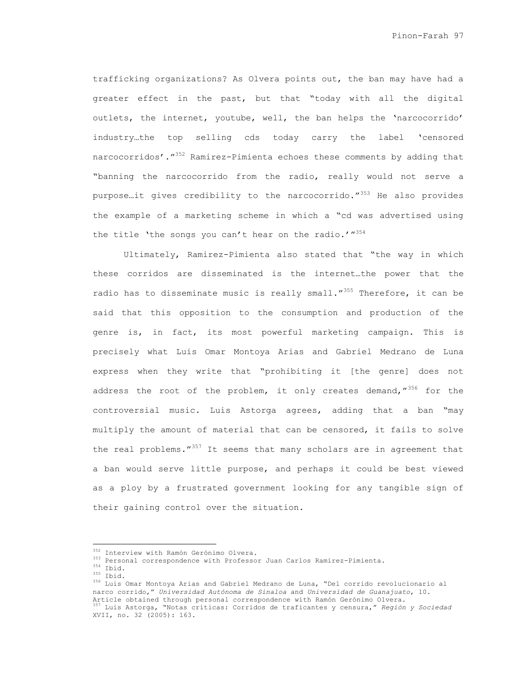trafficking organizations? As Olvera points out, the ban may have had a greater effect in the past, but that "today with all the digital outlets, the internet, youtube, well, the ban helps the "narcocorrido" industry…the top selling cds today carry the label "censored narcocorridos'."<sup>352</sup> Ramirez-Pimienta echoes these comments by adding that "banning the narcocorrido from the radio, really would not serve a purpose…it gives credibility to the narcocorrido."<sup>353</sup> He also provides the example of a marketing scheme in which a "cd was advertised using the title 'the songs you can't hear on the radio.' $10^{354}$ 

Ultimately, Ramirez-Pimienta also stated that "the way in which these corridos are disseminated is the internet…the power that the radio has to disseminate music is really small."<sup>355</sup> Therefore, it can be said that this opposition to the consumption and production of the genre is, in fact, its most powerful marketing campaign. This is precisely what Luis Omar Montoya Arias and Gabriel Medrano de Luna express when they write that "prohibiting it [the genre] does not address the root of the problem, it only creates demand,  $1^{356}$  for the controversial music. Luis Astorga agrees, adding that a ban "may multiply the amount of material that can be censored, it fails to solve the real problems."<sup>357</sup> It seems that many scholars are in agreement that a ban would serve little purpose, and perhaps it could be best viewed as a ploy by a frustrated government looking for any tangible sign of their gaining control over the situation.

<sup>352</sup> Interview with Ramón Gerónimo Olvera.

<sup>353</sup> Personal correspondence with Professor Juan Carlos Ramirez-Pimienta.

<sup>354</sup> Ibid.

<sup>355</sup> Ibid.

<sup>356</sup> Luis Omar Montoya Arias and Gabriel Medrano de Luna, "Del corrido revolucionario al narco corrido," *Universidad Autónoma de Sinaloa* and *Universidad de Guanajuato*, 10. Article obtained through personal correspondence with Ramón Gerónimo Olvera. <sup>357</sup> Luis Astorga, "Notas críticas: Corridos de traficantes y censura," *Región y Sociedad*  XVII, no. 32 (2005): 163.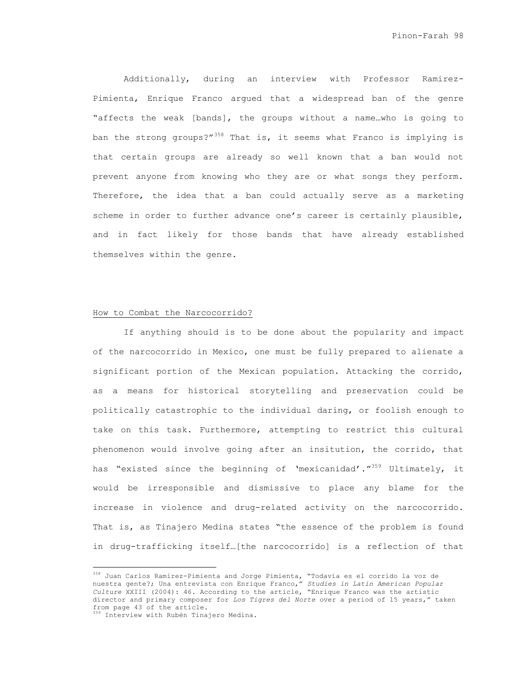Additionally, during an interview with Professor Ramirez-Pimienta, Enrique Franco argued that a widespread ban of the genre "affects the weak [bands], the groups without a name…who is going to ban the strong groups?" $358$  That is, it seems what Franco is implying is that certain groups are already so well known that a ban would not prevent anyone from knowing who they are or what songs they perform. Therefore, the idea that a ban could actually serve as a marketing scheme in order to further advance one's career is certainly plausible, and in fact likely for those bands that have already established themselves within the genre.

## How to Combat the Narcocorrido?

If anything should is to be done about the popularity and impact of the narcocorrido in Mexico, one must be fully prepared to alienate a significant portion of the Mexican population. Attacking the corrido, as a means for historical storytelling and preservation could be politically catastrophic to the individual daring, or foolish enough to take on this task. Furthermore, attempting to restrict this cultural phenomenon would involve going after an insitution, the corrido, that has "existed since the beginning of 'mexicanidad'."<sup>359</sup> Ultimately, it would be irresponsible and dismissive to place any blame for the increase in violence and drug-related activity on the narcocorrido. That is, as Tinajero Medina states "the essence of the problem is found in drug-trafficking itself…[the narcocorrido] is a reflection of that

<sup>&</sup>lt;sup>358</sup> Juan Carlos Ramirez-Pimienta and Jorge Pimienta, "Todavía es el corrido la voz de nuestra gente?; Una entrevista con Enrique Franco," *Studies in Latin American Popular Culture* XXIII (2004): 46. According to the article, "Enrique Franco was the artistic director and primary composer for *Los Tigres del Norte* over a period of 15 years," taken from page 43 of the article.

<sup>&</sup>lt;sup>59</sup> Interview with Rubén Tinajero Medina.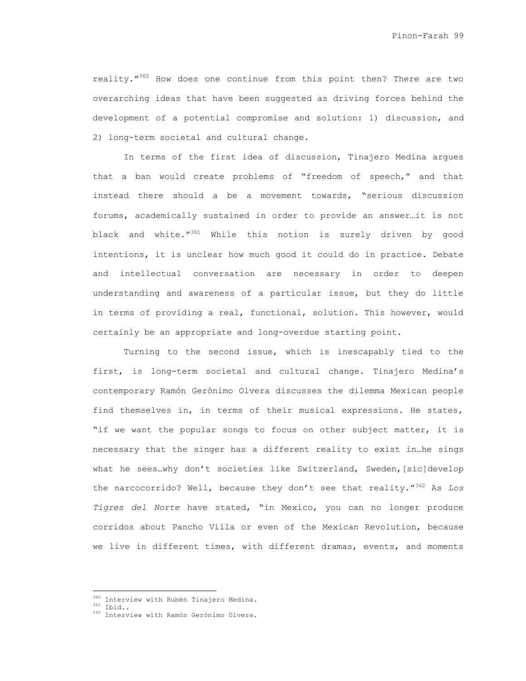reality."<sup>360</sup> How does one continue from this point then? There are two overarching ideas that have been suggested as driving forces behind the development of a potential compromise and solution: 1) discussion, and 2) long-term societal and cultural change.

In terms of the first idea of discussion, Tinajero Medina argues that a ban would create problems of "freedom of speech," and that instead there should a be a movement towards, "serious discussion forums, academically sustained in order to provide an answer…it is not black and white."<sup>361</sup> While this notion is surely driven by good intentions, it is unclear how much good it could do in practice. Debate and intellectual conversation are necessary in order to deepen understanding and awareness of a particular issue, but they do little in terms of providing a real, functional, solution. This however, would certainly be an appropriate and long-overdue starting point.

Turning to the second issue, which is inescapably tied to the first, is long-term societal and cultural change. Tinajero Medina"s contemporary Ramón Gerónimo Olvera discusses the dilemma Mexican people find themselves in, in terms of their musical expressions. He states, "if we want the popular songs to focus on other subject matter, it is necessary that the singer has a different reality to exist in…he sings what he sees...why don't societies like Switzerland, Sweden, [sic]develop the narcocorrido? Well, because they don"t see that reality."<sup>362</sup> As *Los Tigres del Norte* have stated, "in Mexico, you can no longer produce corridos about Pancho Villa or even of the Mexican Revolution, because we live in different times, with different dramas, events, and moments

<sup>360</sup> Interview with Rubén Tinajero Medina.

 $361$  Ibid..

<sup>362</sup> Interview with Ramón Gerónimo Olvera.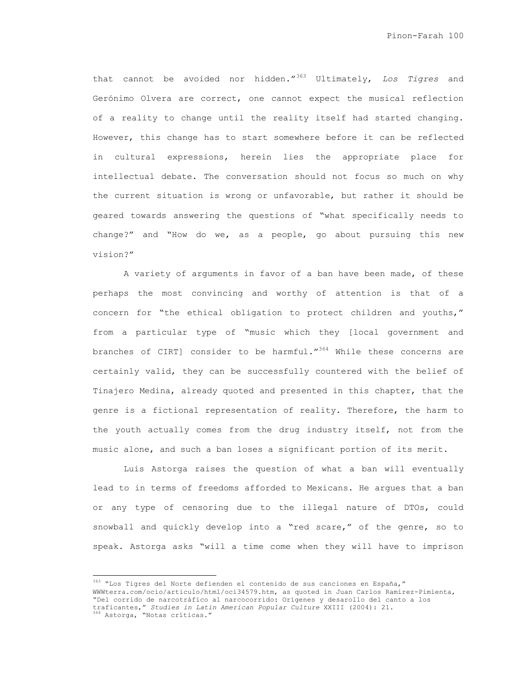that cannot be avoided nor hidden."<sup>363</sup> Ultimately, *Los Tigres* and Gerónimo Olvera are correct, one cannot expect the musical reflection of a reality to change until the reality itself had started changing. However, this change has to start somewhere before it can be reflected in cultural expressions, herein lies the appropriate place for intellectual debate. The conversation should not focus so much on why the current situation is wrong or unfavorable, but rather it should be geared towards answering the questions of "what specifically needs to change?" and "How do we, as a people, go about pursuing this new vision?"

A variety of arguments in favor of a ban have been made, of these perhaps the most convincing and worthy of attention is that of a concern for "the ethical obligation to protect children and youths," from a particular type of "music which they [local government and branches of CIRT] consider to be harmful."<sup>364</sup> While these concerns are certainly valid, they can be successfully countered with the belief of Tinajero Medina, already quoted and presented in this chapter, that the genre is a fictional representation of reality. Therefore, the harm to the youth actually comes from the drug industry itself, not from the music alone, and such a ban loses a significant portion of its merit.

Luis Astorga raises the question of what a ban will eventually lead to in terms of freedoms afforded to Mexicans. He argues that a ban or any type of censoring due to the illegal nature of DTOs, could snowball and quickly develop into a "red scare," of the genre, so to speak. Astorga asks "will a time come when they will have to imprison

<sup>363</sup> "Los Tigres del Norte defienden el contenido de sus canciones en España," WWWterra.com/ocio/articulo/html/oci34579.htm, as quoted in Juan Carlos Ramirez-Pimienta, "Del corrido de narcotráfico al narcocorrido: Orígenes y desarollo del canto a los traficantes," *Studies in Latin American Popular Culture* XXIII (2004): 21. <sup>364</sup> Astorga, "Notas críticas."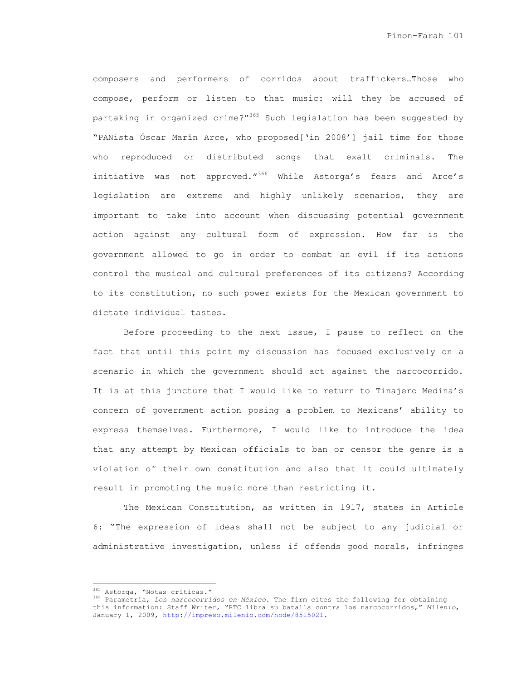composers and performers of corridos about traffickers…Those who compose, perform or listen to that music: will they be accused of partaking in organized crime?"<sup>365</sup> Such legislation has been suggested by "PANista Óscar Marín Arce, who proposed["in 2008"] jail time for those who reproduced or distributed songs that exalt criminals. The initiative was not approved."<sup>366</sup> While Astorga's fears and Arce's legislation are extreme and highly unlikely scenarios, they are important to take into account when discussing potential government action against any cultural form of expression. How far is the government allowed to go in order to combat an evil if its actions control the musical and cultural preferences of its citizens? According to its constitution, no such power exists for the Mexican government to dictate individual tastes.

Before proceeding to the next issue, I pause to reflect on the fact that until this point my discussion has focused exclusively on a scenario in which the government should act against the narcocorrido. It is at this juncture that I would like to return to Tinajero Medina"s concern of government action posing a problem to Mexicans' ability to express themselves. Furthermore, I would like to introduce the idea that any attempt by Mexican officials to ban or censor the genre is a violation of their own constitution and also that it could ultimately result in promoting the music more than restricting it.

The Mexican Constitution, as written in 1917, states in Article 6: "The expression of ideas shall not be subject to any judicial or administrative investigation, unless if offends good morals, infringes

<sup>&</sup>lt;sup>365</sup> Astorga, "Notas críticas."

<sup>366</sup> Parametría, *Los narcocorridos en México*. The firm cites the following for obtaining this information: Staff Writer, "RTC libra su batalla contra los narcocorridos," *Milenio*, January 1, 2009, [http://impreso.milenio.com/node/8515021.](http://impreso.milenio.com/node/8515021)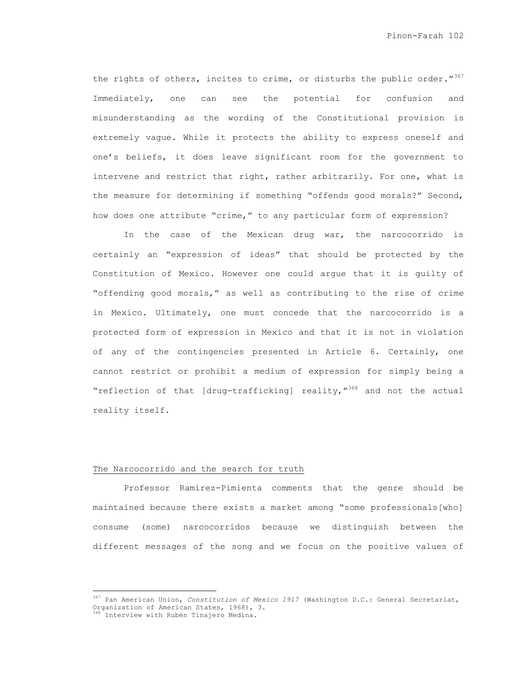the rights of others, incites to crime, or disturbs the public order.  $''^{367}$ Immediately, one can see the potential for confusion and misunderstanding as the wording of the Constitutional provision is extremely vague. While it protects the ability to express oneself and one"s beliefs, it does leave significant room for the government to intervene and restrict that right, rather arbitrarily. For one, what is the measure for determining if something "offends good morals?" Second, how does one attribute "crime," to any particular form of expression?

In the case of the Mexican drug war, the narcocorrido is certainly an "expression of ideas" that should be protected by the Constitution of Mexico. However one could argue that it is guilty of "offending good morals," as well as contributing to the rise of crime in Mexico. Ultimately, one must concede that the narcocorrido is a protected form of expression in Mexico and that it is not in violation of any of the contingencies presented in Article 6. Certainly, one cannot restrict or prohibit a medium of expression for simply being a "reflection of that [drug-trafficking] reality,"<sup>368</sup> and not the actual reality itself.

## The Narcocorrido and the search for truth

 $\overline{a}$ 

Professor Ramirez-Pimienta comments that the genre should be maintained because there exists a market among "some professionals[who] consume (some) narcocorridos because we distinguish between the different messages of the song and we focus on the positive values of

<sup>367</sup> Pan American Union, *Constitution of Mexico 1917* (Washington D.C.: General Secretariat, Organization of American States, 1968), 3. Interview with Rubén Tinajero Medina.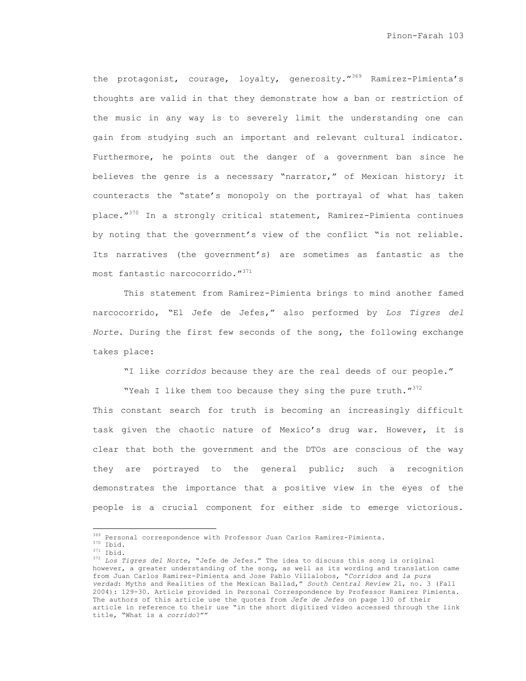the protagonist, courage, loyalty, generosity."<sup>369</sup> Ramirez-Pimienta's thoughts are valid in that they demonstrate how a ban or restriction of the music in any way is to severely limit the understanding one can gain from studying such an important and relevant cultural indicator. Furthermore, he points out the danger of a government ban since he believes the genre is a necessary "narrator," of Mexican history; it counteracts the "state"s monopoly on the portrayal of what has taken place."<sup>370</sup> In a strongly critical statement, Ramirez-Pimienta continues by noting that the government's view of the conflict "is not reliable. Its narratives (the government's) are sometimes as fantastic as the most fantastic narcocorrido."<sup>371</sup>

This statement from Ramirez-Pimienta brings to mind another famed narcocorrido, "El Jefe de Jefes," also performed by *Los Tigres del Norte*. During the first few seconds of the song, the following exchange takes place:

"I like *corridos* because they are the real deeds of our people."

"Yeah I like them too because they sing the pure truth."372

This constant search for truth is becoming an increasingly difficult task given the chaotic nature of Mexico's drug war. However, it is clear that both the government and the DTOs are conscious of the way they are portrayed to the general public; such a recognition demonstrates the importance that a positive view in the eyes of the people is a crucial component for either side to emerge victorious.

<sup>&</sup>lt;sup>369</sup> Personal correspondence with Professor Juan Carlos Ramirez-Pimienta.

 $370$  Ibid.

 $371$  Thid.

<sup>372</sup> *Los Tigres del Norte*, "Jefe de Jefes." The idea to discuss this song is original however, a greater understanding of the song, as well as its wording and translation came from Juan Carlos Ramirez-Pimienta and Jose Pablo Villalobos, "*Corridos* and *la pura verdad*: Myths and Realities of the Mexican Ballad," *South Central Review* 21, no. 3 (Fall 2004): 129-30. Article provided in Personal Correspondence by Professor Ramirez Pimienta. The authors of this article use the quotes from *Jefe de Jefes* on page 130 of their article in reference to their use "in the short digitized video accessed through the link title, "What is a *corrido*?""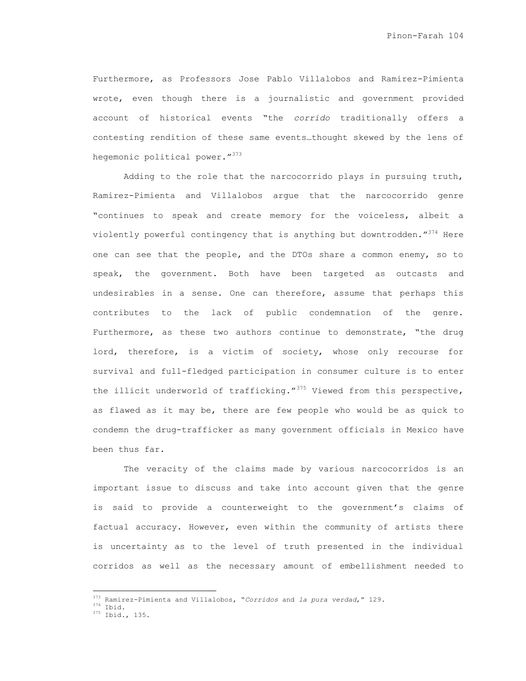Furthermore, as Professors Jose Pablo Villalobos and Ramirez-Pimienta wrote, even though there is a journalistic and government provided account of historical events "the *corrido* traditionally offers a contesting rendition of these same events…thought skewed by the lens of hegemonic political power."<sup>373</sup>

Adding to the role that the narcocorrido plays in pursuing truth, Ramirez-Pimienta and Villalobos argue that the narcocorrido genre "continues to speak and create memory for the voiceless, albeit a violently powerful contingency that is anything but downtrodden.  $1^{374}$  Here one can see that the people, and the DTOs share a common enemy, so to speak, the government. Both have been targeted as outcasts and undesirables in a sense. One can therefore, assume that perhaps this contributes to the lack of public condemnation of the genre. Furthermore, as these two authors continue to demonstrate, "the drug lord, therefore, is a victim of society, whose only recourse for survival and full-fledged participation in consumer culture is to enter the illicit underworld of trafficking." $375$  Viewed from this perspective, as flawed as it may be, there are few people who would be as quick to condemn the drug-trafficker as many government officials in Mexico have been thus far.

The veracity of the claims made by various narcocorridos is an important issue to discuss and take into account given that the genre is said to provide a counterweight to the government's claims of factual accuracy. However, even within the community of artists there is uncertainty as to the level of truth presented in the individual corridos as well as the necessary amount of embellishment needed to

<sup>373</sup> Ramirez-Pimienta and Villalobos, "*Corridos* and *la pura verdad*," 129.

<sup>374</sup> Ibid.

 $375$  Ibid., 135.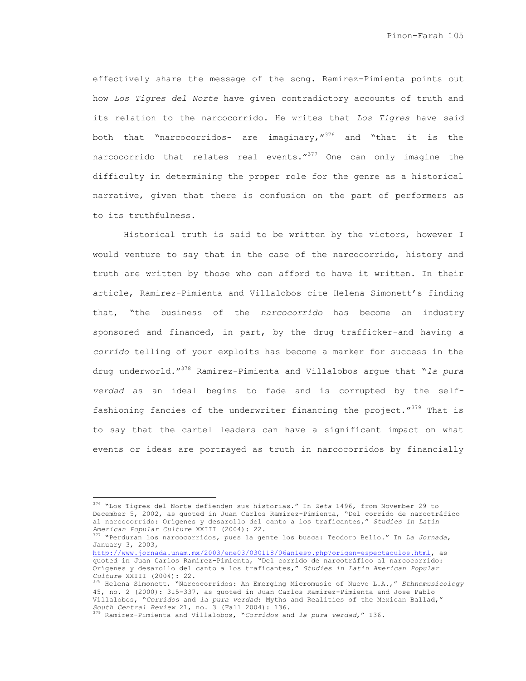Pinon-Farah 105

effectively share the message of the song. Ramirez-Pimienta points out how *Los Tigres del Norte* have given contradictory accounts of truth and its relation to the narcocorrido. He writes that *Los Tigres* have said both that "narcocorridos- are imaginary,  $m^{376}$  and "that it is the narcocorrido that relates real events." $377$  One can only imagine the difficulty in determining the proper role for the genre as a historical narrative, given that there is confusion on the part of performers as to its truthfulness.

Historical truth is said to be written by the victors, however I would venture to say that in the case of the narcocorrido, history and truth are written by those who can afford to have it written. In their article, Ramirez-Pimienta and Villalobos cite Helena Simonett's finding that, "the business of the *narcocorrido* has become an industry sponsored and financed, in part, by the drug trafficker-and having a *corrido* telling of your exploits has become a marker for success in the drug underworld."<sup>378</sup> Ramirez-Pimienta and Villalobos argue that "*la pura verdad* as an ideal begins to fade and is corrupted by the selffashioning fancies of the underwriter financing the project."<sup>379</sup> That is to say that the cartel leaders can have a significant impact on what events or ideas are portrayed as truth in narcocorridos by financially

<sup>377</sup> "Perduran los narcocorridos, pues la gente los busca: Teodoro Bello." In *La Jornada*, January 3, 2003,

<sup>376</sup> "Los Tigres del Norte defienden sus historias." In *Zeta* 1496, from November 29 to December 5, 2002, as quoted in Juan Carlos Ramirez-Pimienta, "Del corrido de narcotráfico al narcocorrido: Orígenes y desarollo del canto a los traficantes," *Studies in Latin American Popular Culture* XXIII (2004): 22.

[http://www.jornada.unam.mx/2003/ene03/030118/06an1esp.php?origen=espectaculos.html,](http://www.jornada.unam.mx/2003/ene03/030118/06an1esp.php?origen=espectaculos.html) as quoted in Juan Carlos Ramirez-Pimienta, "Del corrido de narcotráfico al narcocorrido: Orígenes y desarollo del canto a los traficantes," *Studies in Latin American Popular Culture* XXIII (2004): 22.

<sup>378</sup> Helena Simonett, "Narcocorridos: An Emerging Micromusic of Nuevo L.A.," *Ethnomusicology* 45, no. 2 (2000): 315-337, as quoted in Juan Carlos Ramirez-Pimienta and Jose Pablo Villalobos, "*Corridos* and *la pura verdad*: Myths and Realities of the Mexican Ballad," *South Central Review* 21, no. 3 (Fall 2004): 136.

<sup>379</sup> Ramirez-Pimienta and Villalobos, "*Corridos* and *la pura verdad*," 136.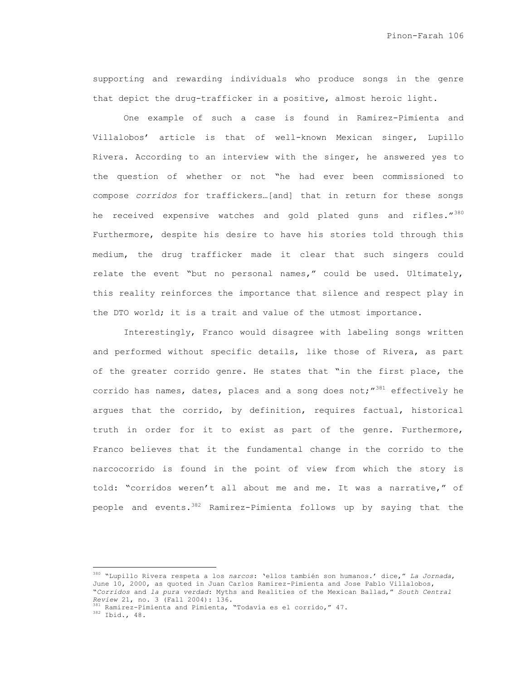supporting and rewarding individuals who produce songs in the genre that depict the drug-trafficker in a positive, almost heroic light.

One example of such a case is found in Ramirez-Pimienta and Villalobos" article is that of well-known Mexican singer, Lupillo Rivera. According to an interview with the singer, he answered yes to the question of whether or not "he had ever been commissioned to compose *corridos* for traffickers…[and] that in return for these songs he received expensive watches and gold plated guns and rifles."<sup>380</sup> Furthermore, despite his desire to have his stories told through this medium, the drug trafficker made it clear that such singers could relate the event "but no personal names," could be used. Ultimately, this reality reinforces the importance that silence and respect play in the DTO world; it is a trait and value of the utmost importance.

Interestingly, Franco would disagree with labeling songs written and performed without specific details, like those of Rivera, as part of the greater corrido genre. He states that "in the first place, the corrido has names, dates, places and a song does not;  $''^{381}$  effectively he argues that the corrido, by definition, requires factual, historical truth in order for it to exist as part of the genre. Furthermore, Franco believes that it the fundamental change in the corrido to the narcocorrido is found in the point of view from which the story is told: "corridos weren"t all about me and me. It was a narrative," of people and events.<sup>382</sup> Ramirez-Pimienta follows up by saying that the

<sup>380</sup> "Lupillo Rivera respeta a los *narcos*: "ellos también son humanos." dice," *La Jornada*, June 10, 2000, as quoted in Juan Carlos Ramirez-Pimienta and Jose Pablo Villalobos, "*Corridos* and *la pura verdad*: Myths and Realities of the Mexican Ballad," *South Central Review* 21, no. 3 (Fall 2004): 136. <sup>381</sup> Ramirez-Pimienta and Pimienta, "Todavía es el corrido," 47.

 $382$  Ibid., 48.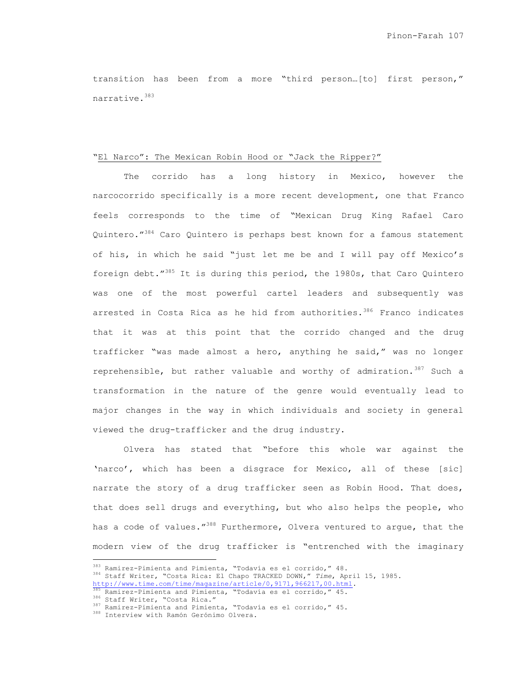transition has been from a more "third person…[to] first person," narrative.<sup>383</sup>

### "El Narco": The Mexican Robin Hood or "Jack the Ripper?"

The corrido has a long history in Mexico, however the narcocorrido specifically is a more recent development, one that Franco feels corresponds to the time of "Mexican Drug King Rafael Caro Quintero."<sup>384</sup> Caro Quintero is perhaps best known for a famous statement of his, in which he said "just let me be and I will pay off Mexico"s foreign debt."<sup>385</sup> It is during this period, the 1980s, that Caro Quintero was one of the most powerful cartel leaders and subsequently was arrested in Costa Rica as he hid from authorities.<sup>386</sup> Franco indicates that it was at this point that the corrido changed and the drug trafficker "was made almost a hero, anything he said," was no longer reprehensible, but rather valuable and worthy of admiration.<sup>387</sup> Such a transformation in the nature of the genre would eventually lead to major changes in the way in which individuals and society in general viewed the drug-trafficker and the drug industry.

Olvera has stated that "before this whole war against the 'narco', which has been a disgrace for Mexico, all of these [sic] narrate the story of a drug trafficker seen as Robin Hood. That does, that does sell drugs and everything, but who also helps the people, who has a code of values."<sup>388</sup> Furthermore, Olvera ventured to argue, that the modern view of the drug trafficker is "entrenched with the imaginary

<sup>383</sup> Ramirez-Pimienta and Pimienta, "Todavía es el corrido," 48.

<sup>384</sup> Staff Writer, "Costa Rica: El Chapo TRACKED DOWN," *Time*, April 15, 1985. [http://www.time.com/time/magazine/article/0,9171,966217,00.html.](http://www.time.com/time/magazine/article/0,9171,966217,00.html) Ramirez-Pimienta and Pimienta, "Todavía es el corrido," 45.

<sup>386</sup> Staff Writer, "Costa Rica."

<sup>387</sup> Ramirez-Pimienta and Pimienta, "Todavía es el corrido," 45.

<sup>388</sup> Interview with Ramón Gerónimo Olvera.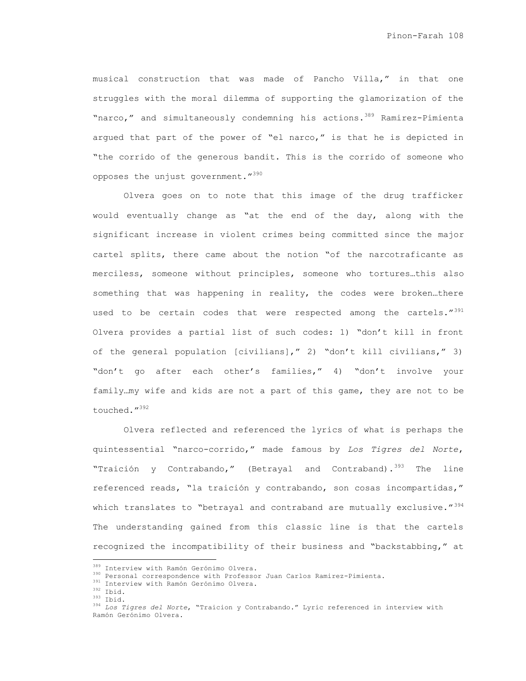musical construction that was made of Pancho Villa," in that one struggles with the moral dilemma of supporting the glamorization of the "narco," and simultaneously condemning his actions.<sup>389</sup> Ramirez-Pimienta argued that part of the power of "el narco," is that he is depicted in "the corrido of the generous bandit. This is the corrido of someone who opposes the unjust government."390

Olvera goes on to note that this image of the drug trafficker would eventually change as "at the end of the day, along with the significant increase in violent crimes being committed since the major cartel splits, there came about the notion "of the narcotraficante as merciless, someone without principles, someone who tortures…this also something that was happening in reality, the codes were broken…there used to be certain codes that were respected among the cartels."391 Olvera provides a partial list of such codes: 1) "don"t kill in front of the general population [civilians]," 2) "don"t kill civilians," 3) "don"t go after each other"s families," 4) "don"t involve your family…my wife and kids are not a part of this game, they are not to be touched."<sup>392</sup>

Olvera reflected and referenced the lyrics of what is perhaps the quintessential "narco-corrido," made famous by *Los Tigres del Norte*, "Traición y Contrabando," (Betrayal and Contraband). $393$  The line referenced reads, "la traición y contrabando, son cosas incompartidas," which translates to "betrayal and contraband are mutually exclusive." $394$ The understanding gained from this classic line is that the cartels recognized the incompatibility of their business and "backstabbing," at

<sup>389</sup> Interview with Ramón Gerónimo Olvera.

<sup>390</sup> Personal correspondence with Professor Juan Carlos Ramirez-Pimienta.

<sup>391</sup> Interview with Ramón Gerónimo Olvera.

<sup>392</sup> Ibid.

<sup>393</sup> Ibid.

<sup>394</sup> *Los Tigres del Norte*, "Traicion y Contrabando." Lyric referenced in interview with Ramón Gerónimo Olvera.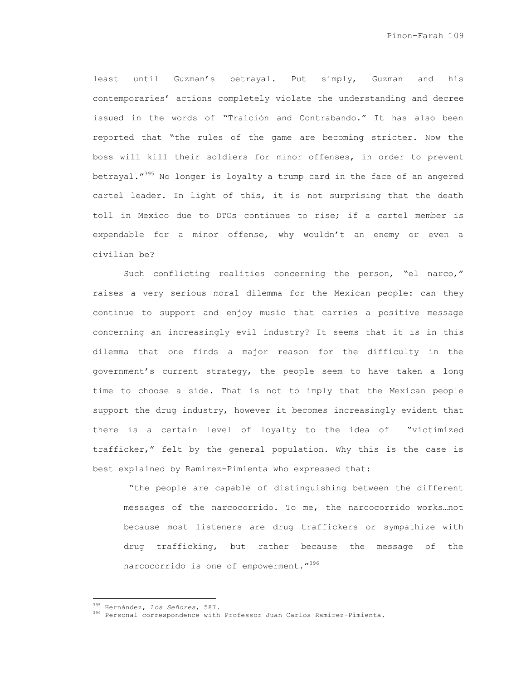least until Guzman"s betrayal. Put simply, Guzman and his contemporaries" actions completely violate the understanding and decree issued in the words of "Traición and Contrabando." It has also been reported that "the rules of the game are becoming stricter. Now the boss will kill their soldiers for minor offenses, in order to prevent betrayal."<sup>395</sup> No longer is loyalty a trump card in the face of an angered cartel leader. In light of this, it is not surprising that the death toll in Mexico due to DTOs continues to rise; if a cartel member is expendable for a minor offense, why wouldn't an enemy or even a civilian be?

Such conflicting realities concerning the person, "el narco," raises a very serious moral dilemma for the Mexican people: can they continue to support and enjoy music that carries a positive message concerning an increasingly evil industry? It seems that it is in this dilemma that one finds a major reason for the difficulty in the government"s current strategy, the people seem to have taken a long time to choose a side. That is not to imply that the Mexican people support the drug industry, however it becomes increasingly evident that there is a certain level of loyalty to the idea of "victimized trafficker," felt by the general population. Why this is the case is best explained by Ramirez-Pimienta who expressed that:

"the people are capable of distinguishing between the different messages of the narcocorrido. To me, the narcocorrido works…not because most listeners are drug traffickers or sympathize with drug trafficking, but rather because the message of the narcocorrido is one of empowerment."<sup>396</sup>

<sup>395</sup> Hernández, *Los Señores*, 587.

<sup>396</sup> Personal correspondence with Professor Juan Carlos Ramirez-Pimienta.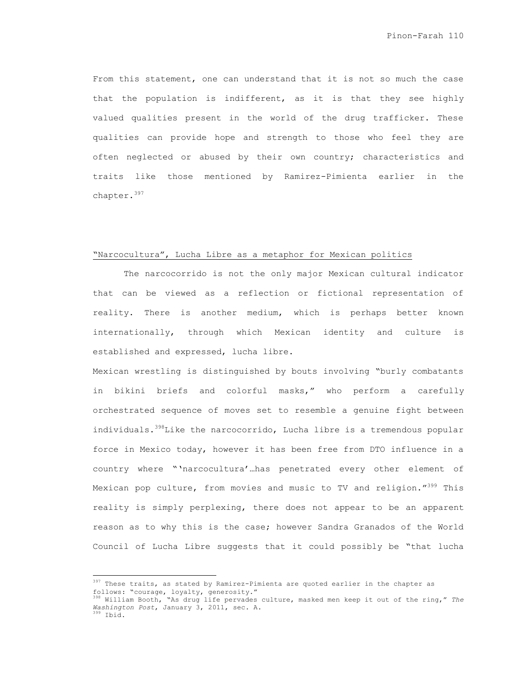From this statement, one can understand that it is not so much the case that the population is indifferent, as it is that they see highly valued qualities present in the world of the drug trafficker. These qualities can provide hope and strength to those who feel they are often neglected or abused by their own country; characteristics and traits like those mentioned by Ramirez-Pimienta earlier in the chapter.<sup>397</sup>

# "Narcocultura", Lucha Libre as a metaphor for Mexican politics

The narcocorrido is not the only major Mexican cultural indicator that can be viewed as a reflection or fictional representation of reality. There is another medium, which is perhaps better known internationally, through which Mexican identity and culture is established and expressed, lucha libre.

Mexican wrestling is distinguished by bouts involving "burly combatants in bikini briefs and colorful masks," who perform a carefully orchestrated sequence of moves set to resemble a genuine fight between individuals.<sup>398</sup>Like the narcocorrido, Lucha libre is a tremendous popular force in Mexico today, however it has been free from DTO influence in a country where ""narcocultura"…has penetrated every other element of Mexican pop culture, from movies and music to TV and religion."<sup>399</sup> This reality is simply perplexing, there does not appear to be an apparent reason as to why this is the case; however Sandra Granados of the World Council of Lucha Libre suggests that it could possibly be "that lucha

<sup>&</sup>lt;sup>397</sup> These traits, as stated by Ramirez-Pimienta are quoted earlier in the chapter as follows: "courage, loyalty, generosity." <sup>398</sup> William Booth, "As drug life pervades culture, masked men keep it out of the ring," *The* 

*Washington Post*, January 3, 2011, sec. A. Ibid.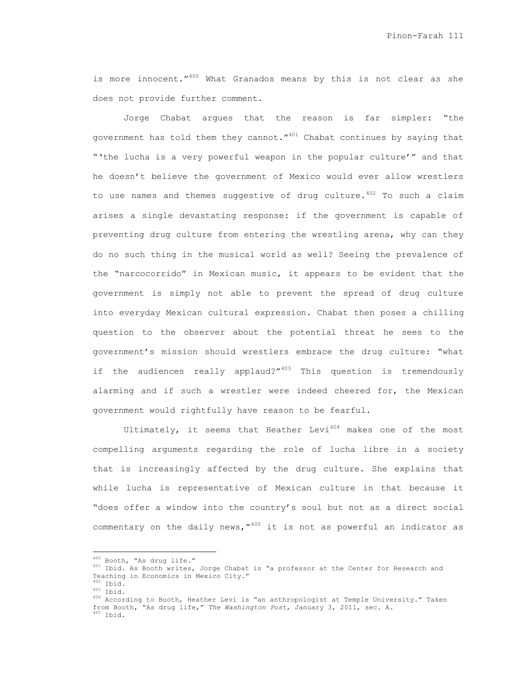Pinon-Farah 111

is more innocent."<sup>400</sup> What Granados means by this is not clear as she does not provide further comment.

Jorge Chabat argues that the reason is far simpler: "the government has told them they cannot.  $1401$  Chabat continues by saying that ""the lucha is a very powerful weapon in the popular culture'" and that he doesn"t believe the government of Mexico would ever allow wrestlers to use names and themes suggestive of drug culture. $402$  To such a claim arises a single devastating response: if the government is capable of preventing drug culture from entering the wrestling arena, why can they do no such thing in the musical world as well? Seeing the prevalence of the "narcocorrido" in Mexican music, it appears to be evident that the government is simply not able to prevent the spread of drug culture into everyday Mexican cultural expression. Chabat then poses a chilling question to the observer about the potential threat he sees to the government"s mission should wrestlers embrace the drug culture: "what if the audiences really applaud?"<sup>403</sup> This question is tremendously alarming and if such a wrestler were indeed cheered for, the Mexican government would rightfully have reason to be fearful.

Ultimately, it seems that Heather Levi<sup>404</sup> makes one of the most compelling arguments regarding the role of lucha libre in a society that is increasingly affected by the drug culture. She explains that while lucha is representative of Mexican culture in that because it "does offer a window into the country"s soul but not as a direct social commentary on the daily news,  $''^{405}$  it is not as powerful an indicator as

<sup>400</sup> Booth, "As drug life."

<sup>401</sup> Ibid. As Booth writes, Jorge Chabat is "a professor at the Center for Research and Teaching in Economics in Mexico City."

 $402$  Ibid. <sup>403</sup> Ibid.

<sup>404</sup> According to Booth, Heather Levi is "an anthropologist at Temple University." Taken from Booth, "As drug life," *The Washington Post*, January 3, 2011, sec. A. Ibid.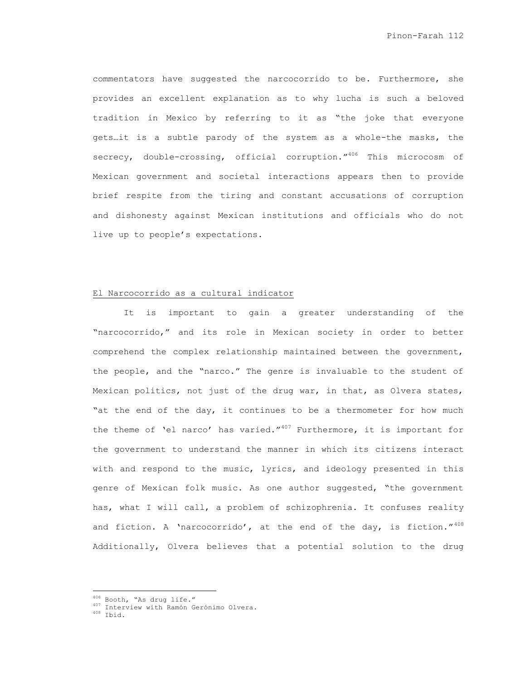commentators have suggested the narcocorrido to be. Furthermore, she provides an excellent explanation as to why lucha is such a beloved tradition in Mexico by referring to it as "the joke that everyone gets…it is a subtle parody of the system as a whole-the masks, the secrecy, double-crossing, official corruption."<sup>406</sup> This microcosm of Mexican government and societal interactions appears then to provide brief respite from the tiring and constant accusations of corruption and dishonesty against Mexican institutions and officials who do not live up to people's expectations.

# El Narcocorrido as a cultural indicator

It is important to gain a greater understanding of the "narcocorrido," and its role in Mexican society in order to better comprehend the complex relationship maintained between the government, the people, and the "narco." The genre is invaluable to the student of Mexican politics, not just of the drug war, in that, as Olvera states, "at the end of the day, it continues to be a thermometer for how much the theme of 'el narco' has varied. $''^{407}$  Furthermore, it is important for the government to understand the manner in which its citizens interact with and respond to the music, lyrics, and ideology presented in this genre of Mexican folk music. As one author suggested, "the government has, what I will call, a problem of schizophrenia. It confuses reality and fiction. A 'narcocorrido', at the end of the day, is fiction." $408$ Additionally, Olvera believes that a potential solution to the drug

<sup>406</sup> Booth, "As drug life."

<sup>407</sup> Interview with Ramón Gerónimo Olvera.

 $408$  Ibid.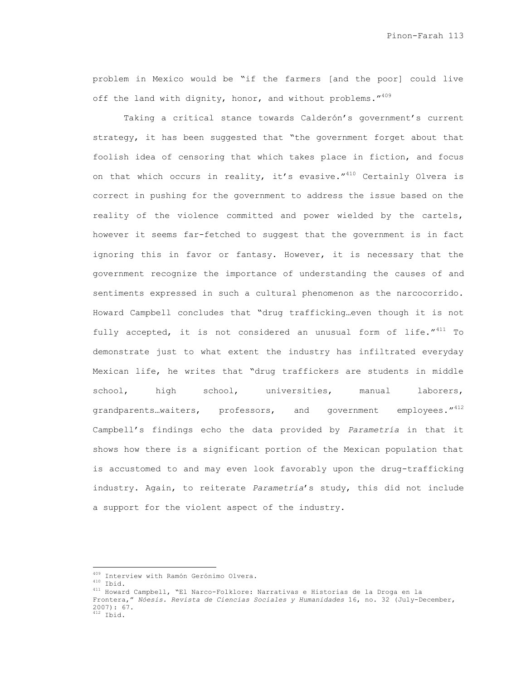Pinon-Farah 113

problem in Mexico would be "if the farmers [and the poor] could live off the land with dignity, honor, and without problems.  $''^{409}$ 

Taking a critical stance towards Calderón's government's current strategy, it has been suggested that "the government forget about that foolish idea of censoring that which takes place in fiction, and focus on that which occurs in reality, it's evasive."<sup>410</sup> Certainly Olvera is correct in pushing for the government to address the issue based on the reality of the violence committed and power wielded by the cartels, however it seems far-fetched to suggest that the government is in fact ignoring this in favor or fantasy. However, it is necessary that the government recognize the importance of understanding the causes of and sentiments expressed in such a cultural phenomenon as the narcocorrido. Howard Campbell concludes that "drug trafficking…even though it is not fully accepted, it is not considered an unusual form of life."411 To demonstrate just to what extent the industry has infiltrated everyday Mexican life, he writes that "drug traffickers are students in middle school, high school, universities, manual laborers, grandparents..waiters, professors, and government employees."<sup>412</sup> Campbell"s findings echo the data provided by *Parametría* in that it shows how there is a significant portion of the Mexican population that is accustomed to and may even look favorably upon the drug-trafficking industry. Again, to reiterate *Parametría*"s study, this did not include a support for the violent aspect of the industry.

<sup>409</sup> Interview with Ramón Gerónimo Olvera.

<sup>410</sup> Ibid.

<sup>411</sup> Howard Campbell, "El Narco-Folklore: Narrativas e Historias de la Droga en la Frontera," *Nóesis. Revista de Ciencias Sociales y Humanidades* 16, no. 32 (July-December, 2007): 67.  $^{412}$  Ibid.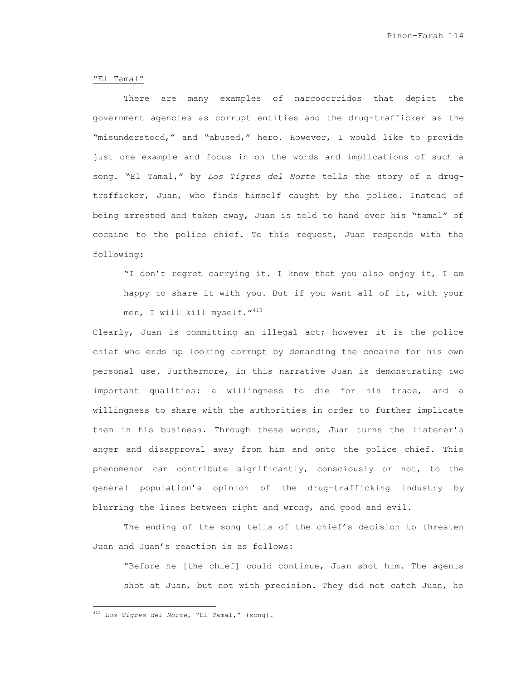### "El Tamal"

There are many examples of narcocorridos that depict the government agencies as corrupt entities and the drug-trafficker as the "misunderstood," and "abused," hero. However, I would like to provide just one example and focus in on the words and implications of such a song. "El Tamal," by *Los Tigres del Norte* tells the story of a drugtrafficker, Juan, who finds himself caught by the police. Instead of being arrested and taken away, Juan is told to hand over his "tamal" of cocaine to the police chief. To this request, Juan responds with the following:

"I don"t regret carrying it. I know that you also enjoy it, I am happy to share it with you. But if you want all of it, with your men, I will kill myself."<sup>413</sup>

Clearly, Juan is committing an illegal act; however it is the police chief who ends up looking corrupt by demanding the cocaine for his own personal use. Furthermore, in this narrative Juan is demonstrating two important qualities: a willingness to die for his trade, and a willingness to share with the authorities in order to further implicate them in his business. Through these words, Juan turns the listener's anger and disapproval away from him and onto the police chief. This phenomenon can contribute significantly, consciously or not, to the general population"s opinion of the drug-trafficking industry by blurring the lines between right and wrong, and good and evil.

The ending of the song tells of the chief's decision to threaten Juan and Juan"s reaction is as follows:

"Before he [the chief] could continue, Juan shot him. The agents shot at Juan, but not with precision. They did not catch Juan, he

<sup>413</sup> *Los Tigres del Norte*, "El Tamal," (song).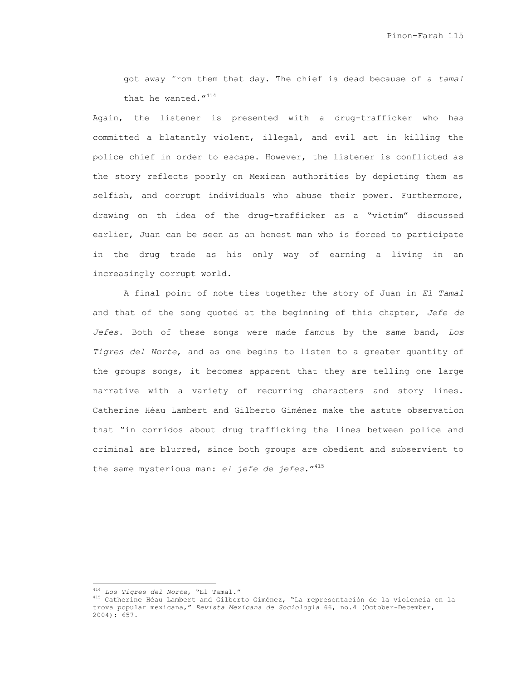got away from them that day. The chief is dead because of a *tamal* that he wanted."414

Again, the listener is presented with a drug-trafficker who has committed a blatantly violent, illegal, and evil act in killing the police chief in order to escape. However, the listener is conflicted as the story reflects poorly on Mexican authorities by depicting them as selfish, and corrupt individuals who abuse their power. Furthermore, drawing on th idea of the drug-trafficker as a "victim" discussed earlier, Juan can be seen as an honest man who is forced to participate in the drug trade as his only way of earning a living in an increasingly corrupt world.

A final point of note ties together the story of Juan in *El Tamal* and that of the song quoted at the beginning of this chapter, *Jefe de Jefes*. Both of these songs were made famous by the same band, *Los Tigres del Norte*, and as one begins to listen to a greater quantity of the groups songs, it becomes apparent that they are telling one large narrative with a variety of recurring characters and story lines. Catherine Héau Lambert and Gilberto Giménez make the astute observation that "in corridos about drug trafficking the lines between police and criminal are blurred, since both groups are obedient and subservient to the same mysterious man: *el jefe de jefes*."<sup>415</sup>

<sup>414</sup> *Los Tigres del Norte*, "El Tamal."

<sup>415</sup> Catherine Héau Lambert and Gilberto Giménez, "La representación de la violencia en la trova popular mexicana," *Revista Mexicana de Sociología* 66, no.4 (October-December, 2004): 657.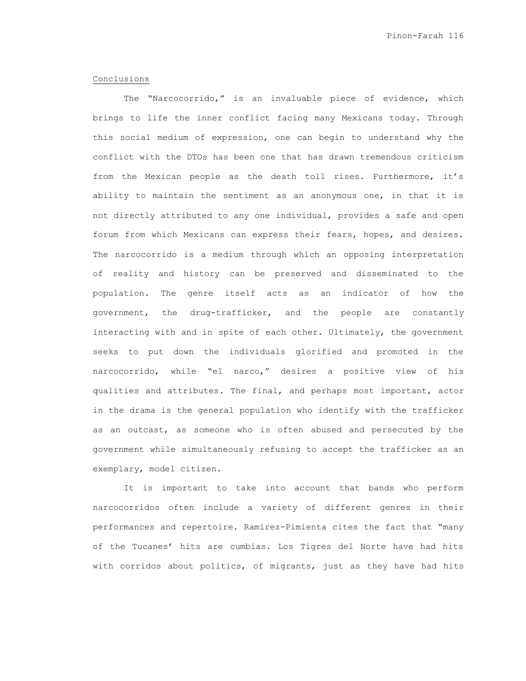#### Conclusions

The "Narcocorrido," is an invaluable piece of evidence, which brings to life the inner conflict facing many Mexicans today. Through this social medium of expression, one can begin to understand why the conflict with the DTOs has been one that has drawn tremendous criticism from the Mexican people as the death toll rises. Furthermore, it's ability to maintain the sentiment as an anonymous one, in that it is not directly attributed to any one individual, provides a safe and open forum from which Mexicans can express their fears, hopes, and desires. The narcocorrido is a medium through which an opposing interpretation of reality and history can be preserved and disseminated to the population. The genre itself acts as an indicator of how the government, the drug-trafficker, and the people are constantly interacting with and in spite of each other. Ultimately, the government seeks to put down the individuals glorified and promoted in the narcocorrido, while "el narco," desires a positive view of his qualities and attributes. The final, and perhaps most important, actor in the drama is the general population who identify with the trafficker as an outcast, as someone who is often abused and persecuted by the government while simultaneously refusing to accept the trafficker as an exemplary, model citizen.

It is important to take into account that bands who perform narcocorridos often include a variety of different genres in their performances and repertoire. Ramirez-Pimienta cites the fact that "many of the Tucanes' hits are cumbias. Los Tigres del Norte have had hits with corridos about politics, of migrants, just as they have had hits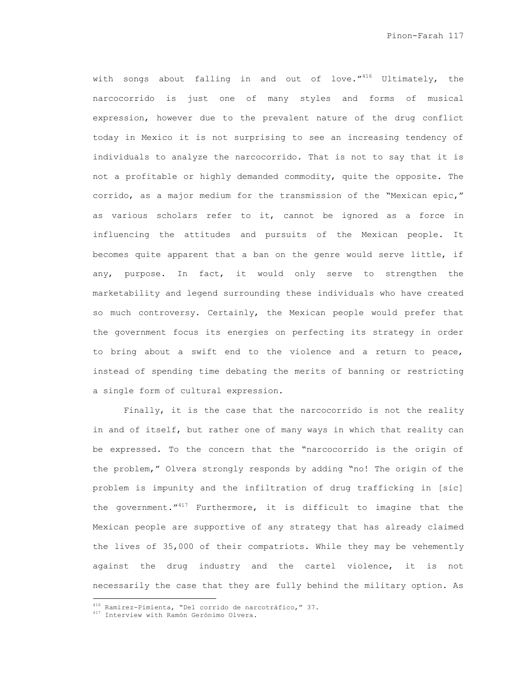with songs about falling in and out of love."<sup>416</sup> Ultimately, the narcocorrido is just one of many styles and forms of musical expression, however due to the prevalent nature of the drug conflict today in Mexico it is not surprising to see an increasing tendency of individuals to analyze the narcocorrido. That is not to say that it is not a profitable or highly demanded commodity, quite the opposite. The corrido, as a major medium for the transmission of the "Mexican epic," as various scholars refer to it, cannot be ignored as a force in influencing the attitudes and pursuits of the Mexican people. It becomes quite apparent that a ban on the genre would serve little, if any, purpose. In fact, it would only serve to strengthen the marketability and legend surrounding these individuals who have created so much controversy. Certainly, the Mexican people would prefer that the government focus its energies on perfecting its strategy in order to bring about a swift end to the violence and a return to peace, instead of spending time debating the merits of banning or restricting a single form of cultural expression.

Finally, it is the case that the narcocorrido is not the reality in and of itself, but rather one of many ways in which that reality can be expressed. To the concern that the "narcocorrido is the origin of the problem," Olvera strongly responds by adding "no! The origin of the problem is impunity and the infiltration of drug trafficking in [sic] the government. $1417}$  Furthermore, it is difficult to imagine that the Mexican people are supportive of any strategy that has already claimed the lives of 35,000 of their compatriots. While they may be vehemently against the drug industry and the cartel violence, it is not necessarily the case that they are fully behind the military option. As

<sup>416</sup> Ramirez-Pimienta, "Del corrido de narcotráfico," 37.

<sup>417</sup> Interview with Ramón Gerónimo Olvera.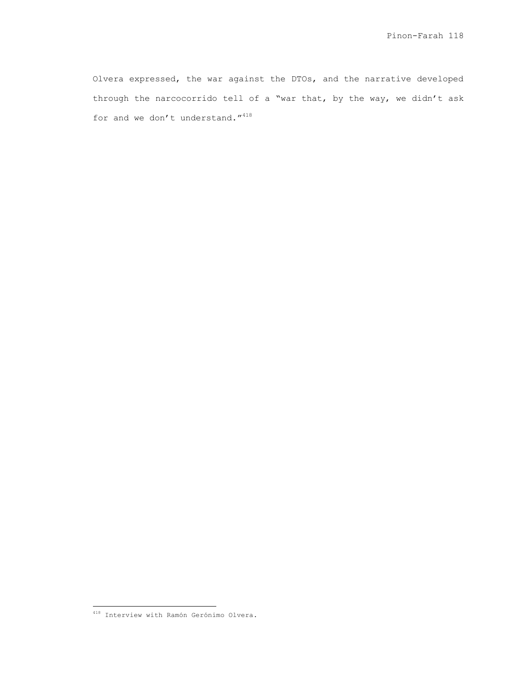Olvera expressed, the war against the DTOs, and the narrative developed through the narcocorrido tell of a "war that, by the way, we didn't ask for and we don't understand."418

<sup>418</sup> Interview with Ramón Gerónimo Olvera.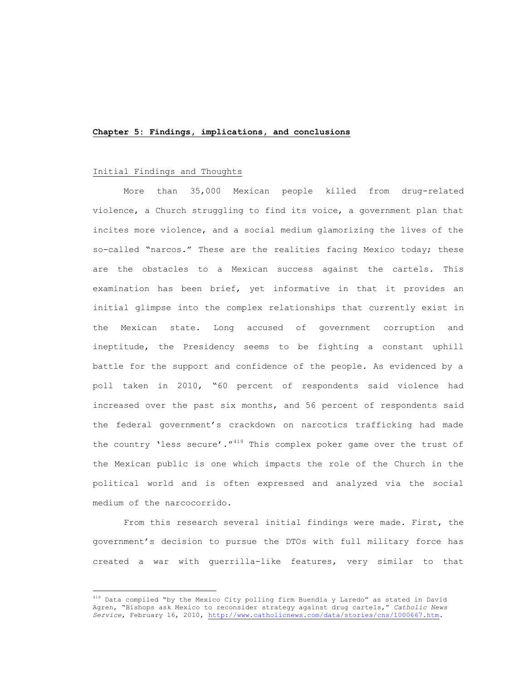## **Chapter 5: Findings, implications, and conclusions**

# Initial Findings and Thoughts

 $\overline{a}$ 

More than 35,000 Mexican people killed from drug-related violence, a Church struggling to find its voice, a government plan that incites more violence, and a social medium glamorizing the lives of the so-called "narcos." These are the realities facing Mexico today; these are the obstacles to a Mexican success against the cartels. This examination has been brief, yet informative in that it provides an initial glimpse into the complex relationships that currently exist in the Mexican state. Long accused of government corruption and ineptitude, the Presidency seems to be fighting a constant uphill battle for the support and confidence of the people. As evidenced by a poll taken in 2010, "60 percent of respondents said violence had increased over the past six months, and 56 percent of respondents said the federal government"s crackdown on narcotics trafficking had made the country 'less secure'."<sup>419</sup> This complex poker game over the trust of the Mexican public is one which impacts the role of the Church in the political world and is often expressed and analyzed via the social medium of the narcocorrido.

From this research several initial findings were made. First, the government"s decision to pursue the DTOs with full military force has created a war with guerrilla-like features, very similar to that

<sup>&</sup>lt;sup>419</sup> Data compiled "by the Mexico City polling firm Buendia y Laredo" as stated in David Agren, "Bishops ask Mexico to reconsider strategy against drug cartels," *Catholic News Service*, February 16, 2010, [http://www.catholicnews.com/data/stories/cns/1000667.htm.](http://www.catholicnews.com/data/stories/cns/1000667.htm)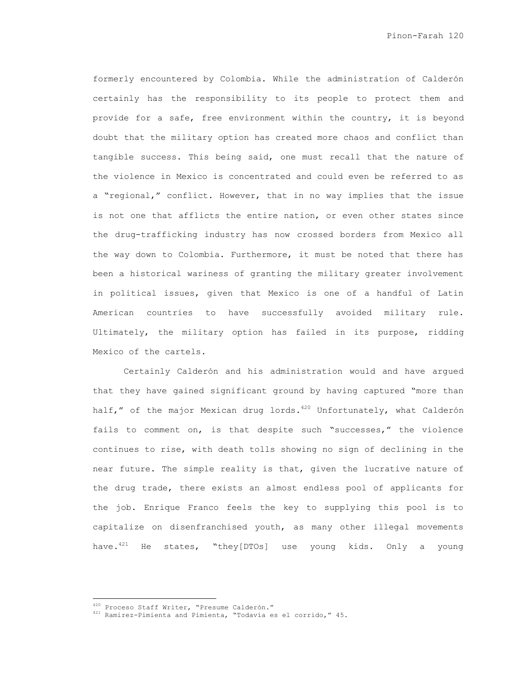Pinon-Farah 120

formerly encountered by Colombia. While the administration of Calderón certainly has the responsibility to its people to protect them and provide for a safe, free environment within the country, it is beyond doubt that the military option has created more chaos and conflict than tangible success. This being said, one must recall that the nature of the violence in Mexico is concentrated and could even be referred to as a "regional," conflict. However, that in no way implies that the issue is not one that afflicts the entire nation, or even other states since the drug-trafficking industry has now crossed borders from Mexico all the way down to Colombia. Furthermore, it must be noted that there has been a historical wariness of granting the military greater involvement in political issues, given that Mexico is one of a handful of Latin American countries to have successfully avoided military rule. Ultimately, the military option has failed in its purpose, ridding Mexico of the cartels.

Certainly Calderón and his administration would and have argued that they have gained significant ground by having captured "more than half," of the major Mexican drug lords. $420$  Unfortunately, what Calderón fails to comment on, is that despite such "successes," the violence continues to rise, with death tolls showing no sign of declining in the near future. The simple reality is that, given the lucrative nature of the drug trade, there exists an almost endless pool of applicants for the job. Enrique Franco feels the key to supplying this pool is to capitalize on disenfranchised youth, as many other illegal movements have.<sup>421</sup> He states, "they[DTOs] use young kids. Only a young

<sup>420</sup> Proceso Staff Writer, "Presume Calderón."

<sup>421</sup> Ramirez-Pimienta and Pimienta, "Todavía es el corrido," 45.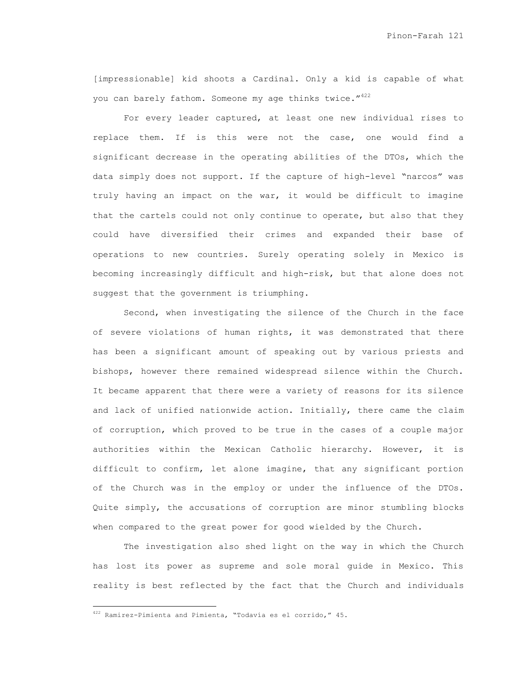Pinon-Farah 121

[impressionable] kid shoots a Cardinal. Only a kid is capable of what you can barely fathom. Someone my age thinks twice.  $1422$ 

For every leader captured, at least one new individual rises to replace them. If is this were not the case, one would find a significant decrease in the operating abilities of the DTOs, which the data simply does not support. If the capture of high-level "narcos" was truly having an impact on the war, it would be difficult to imagine that the cartels could not only continue to operate, but also that they could have diversified their crimes and expanded their base of operations to new countries. Surely operating solely in Mexico is becoming increasingly difficult and high-risk, but that alone does not suggest that the government is triumphing.

Second, when investigating the silence of the Church in the face of severe violations of human rights, it was demonstrated that there has been a significant amount of speaking out by various priests and bishops, however there remained widespread silence within the Church. It became apparent that there were a variety of reasons for its silence and lack of unified nationwide action. Initially, there came the claim of corruption, which proved to be true in the cases of a couple major authorities within the Mexican Catholic hierarchy. However, it is difficult to confirm, let alone imagine, that any significant portion of the Church was in the employ or under the influence of the DTOs. Quite simply, the accusations of corruption are minor stumbling blocks when compared to the great power for good wielded by the Church.

The investigation also shed light on the way in which the Church has lost its power as supreme and sole moral guide in Mexico. This reality is best reflected by the fact that the Church and individuals

<sup>422</sup> Ramirez-Pimienta and Pimienta, "Todavía es el corrido," 45.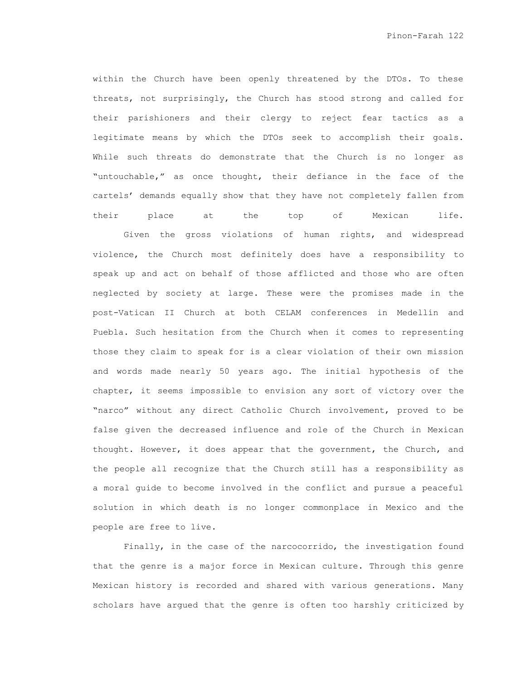within the Church have been openly threatened by the DTOs. To these threats, not surprisingly, the Church has stood strong and called for their parishioners and their clergy to reject fear tactics as a legitimate means by which the DTOs seek to accomplish their goals. While such threats do demonstrate that the Church is no longer as "untouchable," as once thought, their defiance in the face of the cartels" demands equally show that they have not completely fallen from their place at the top of Mexican life.

Given the gross violations of human rights, and widespread violence, the Church most definitely does have a responsibility to speak up and act on behalf of those afflicted and those who are often neglected by society at large. These were the promises made in the post-Vatican II Church at both CELAM conferences in Medellín and Puebla. Such hesitation from the Church when it comes to representing those they claim to speak for is a clear violation of their own mission and words made nearly 50 years ago. The initial hypothesis of the chapter, it seems impossible to envision any sort of victory over the "narco" without any direct Catholic Church involvement, proved to be false given the decreased influence and role of the Church in Mexican thought. However, it does appear that the government, the Church, and the people all recognize that the Church still has a responsibility as a moral guide to become involved in the conflict and pursue a peaceful solution in which death is no longer commonplace in Mexico and the people are free to live.

Finally, in the case of the narcocorrido, the investigation found that the genre is a major force in Mexican culture. Through this genre Mexican history is recorded and shared with various generations. Many scholars have argued that the genre is often too harshly criticized by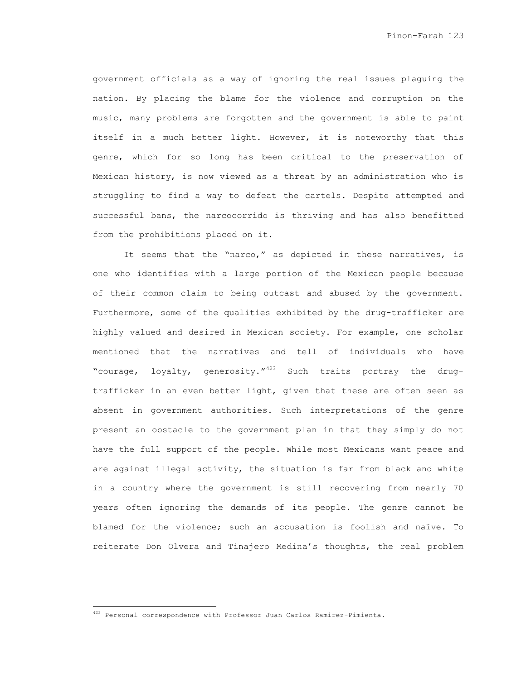government officials as a way of ignoring the real issues plaguing the nation. By placing the blame for the violence and corruption on the music, many problems are forgotten and the government is able to paint itself in a much better light. However, it is noteworthy that this genre, which for so long has been critical to the preservation of Mexican history, is now viewed as a threat by an administration who is struggling to find a way to defeat the cartels. Despite attempted and successful bans, the narcocorrido is thriving and has also benefitted from the prohibitions placed on it.

It seems that the "narco," as depicted in these narratives, is one who identifies with a large portion of the Mexican people because of their common claim to being outcast and abused by the government. Furthermore, some of the qualities exhibited by the drug-trafficker are highly valued and desired in Mexican society. For example, one scholar mentioned that the narratives and tell of individuals who have "courage, loyalty, generosity."<sup>423</sup> Such traits portray the drugtrafficker in an even better light, given that these are often seen as absent in government authorities. Such interpretations of the genre present an obstacle to the government plan in that they simply do not have the full support of the people. While most Mexicans want peace and are against illegal activity, the situation is far from black and white in a country where the government is still recovering from nearly 70 years often ignoring the demands of its people. The genre cannot be blamed for the violence; such an accusation is foolish and naïve. To reiterate Don Olvera and Tinajero Medina"s thoughts, the real problem

<sup>&</sup>lt;sup>423</sup> Personal correspondence with Professor Juan Carlos Ramirez-Pimienta.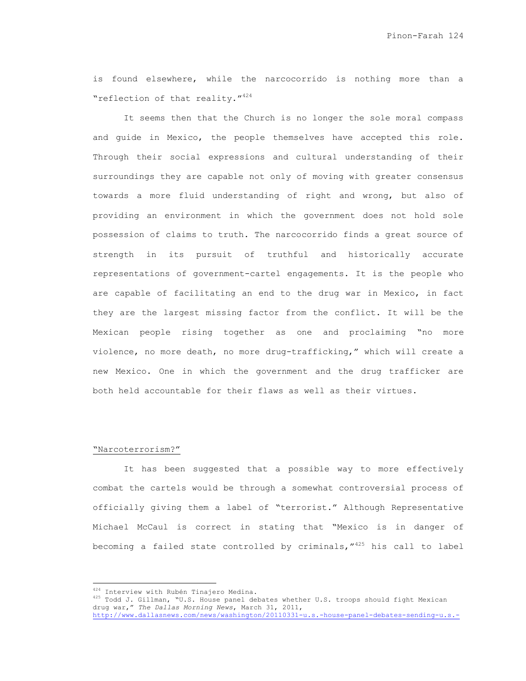is found elsewhere, while the narcocorrido is nothing more than a "reflection of that reality."<sup>424</sup>

It seems then that the Church is no longer the sole moral compass and guide in Mexico, the people themselves have accepted this role. Through their social expressions and cultural understanding of their surroundings they are capable not only of moving with greater consensus towards a more fluid understanding of right and wrong, but also of providing an environment in which the government does not hold sole possession of claims to truth. The narcocorrido finds a great source of strength in its pursuit of truthful and historically accurate representations of government-cartel engagements. It is the people who are capable of facilitating an end to the drug war in Mexico, in fact they are the largest missing factor from the conflict. It will be the Mexican people rising together as one and proclaiming "no more violence, no more death, no more drug-trafficking," which will create a new Mexico. One in which the government and the drug trafficker are both held accountable for their flaws as well as their virtues.

## "Narcoterrorism?"

 $\overline{a}$ 

It has been suggested that a possible way to more effectively combat the cartels would be through a somewhat controversial process of officially giving them a label of "terrorist." Although Representative Michael McCaul is correct in stating that "Mexico is in danger of becoming a failed state controlled by criminals,  $''^{425}$  his call to label

<sup>424</sup> Interview with Rubén Tinajero Medina.

<sup>425</sup> Todd J. Gillman, "U.S. House panel debates whether U.S. troops should fight Mexican drug war," *The Dallas Morning News*, March 31, 2011, [http://www.dallasnews.com/news/washington/20110331-u.s.-house-panel-debates-sending-u.s.-](http://www.dallasnews.com/news/washington/20110331-u.s.-house-panel-debates-sending-u.s.-troops-to-fight-mexican-drug-war.ece)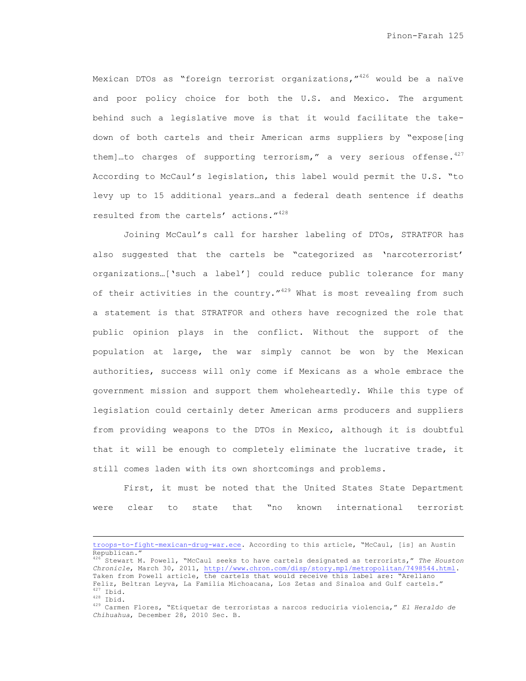Mexican DTOs as "foreign terrorist organizations, "<sup>426</sup> would be a naïve and poor policy choice for both the U.S. and Mexico. The argument behind such a legislative move is that it would facilitate the takedown of both cartels and their American arms suppliers by "expose[ing them]…to charges of supporting terrorism," a very serious offense. $4^{27}$ According to McCaul"s legislation, this label would permit the U.S. "to levy up to 15 additional years…and a federal death sentence if deaths resulted from the cartels' actions."<sup>428</sup>

Joining McCaul"s call for harsher labeling of DTOs, STRATFOR has also suggested that the cartels be "categorized as 'narcoterrorist' organizations…["such a label"] could reduce public tolerance for many of their activities in the country."<sup>429</sup> What is most revealing from such a statement is that STRATFOR and others have recognized the role that public opinion plays in the conflict. Without the support of the population at large, the war simply cannot be won by the Mexican authorities, success will only come if Mexicans as a whole embrace the government mission and support them wholeheartedly. While this type of legislation could certainly deter American arms producers and suppliers from providing weapons to the DTOs in Mexico, although it is doubtful that it will be enough to completely eliminate the lucrative trade, it still comes laden with its own shortcomings and problems.

First, it must be noted that the United States State Department were clear to state that "no known international terrorist

 $\overline{a}$ 

<sup>426</sup> Stewart M. Powell, "McCaul seeks to have cartels designated as terrorists," *The Houston Chronicle*, March 30, 2011, [http://www.chron.com/disp/story.mpl/metropolitan/7498544.html.](http://www.chron.com/disp/story.mpl/metropolitan/7498544.html) Taken from Powell article, the cartels that would receive this label are: "Arellano Feliz, Beltran Leyva, La Familia Michoacana, Los Zetas and Sinaloa and Gulf cartels." Ibid.  $428$  Ibid.

troops-to-fight-mexican-drug-war.ece. According to this article, "McCaul, [is] an Austin Republican."

<sup>429</sup> Carmen Flores, "Etiquetar de terroristas a narcos reduciría violencia," *El Heraldo de Chihuahua*, December 28, 2010 Sec. B.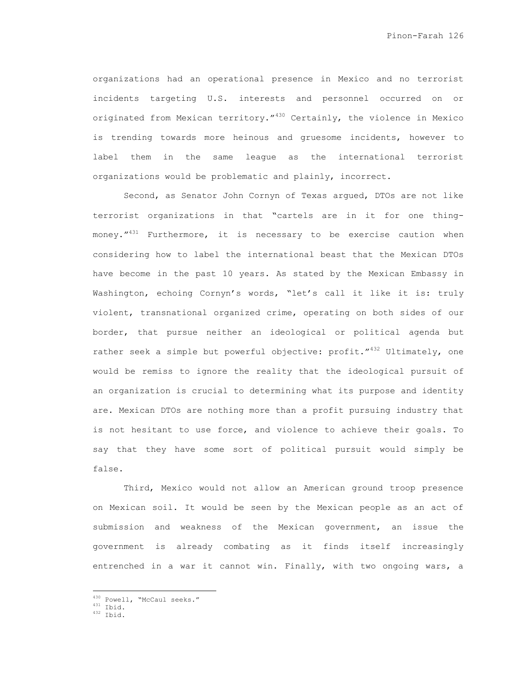organizations had an operational presence in Mexico and no terrorist incidents targeting U.S. interests and personnel occurred on or originated from Mexican territory." $430$  Certainly, the violence in Mexico is trending towards more heinous and gruesome incidents, however to label them in the same league as the international terrorist organizations would be problematic and plainly, incorrect.

Second, as Senator John Cornyn of Texas argued, DTOs are not like terrorist organizations in that "cartels are in it for one thingmoney."<sup>431</sup> Furthermore, it is necessary to be exercise caution when considering how to label the international beast that the Mexican DTOs have become in the past 10 years. As stated by the Mexican Embassy in Washington, echoing Cornyn's words, "let's call it like it is: truly violent, transnational organized crime, operating on both sides of our border, that pursue neither an ideological or political agenda but rather seek a simple but powerful objective: profit."<sup>432</sup> Ultimately, one would be remiss to ignore the reality that the ideological pursuit of an organization is crucial to determining what its purpose and identity are. Mexican DTOs are nothing more than a profit pursuing industry that is not hesitant to use force, and violence to achieve their goals. To say that they have some sort of political pursuit would simply be false.

Third, Mexico would not allow an American ground troop presence on Mexican soil. It would be seen by the Mexican people as an act of submission and weakness of the Mexican government, an issue the government is already combating as it finds itself increasingly entrenched in a war it cannot win. Finally, with two ongoing wars, a

<sup>430</sup> Powell, "McCaul seeks."

 $431$  Ibid.

 $432$  Ibid.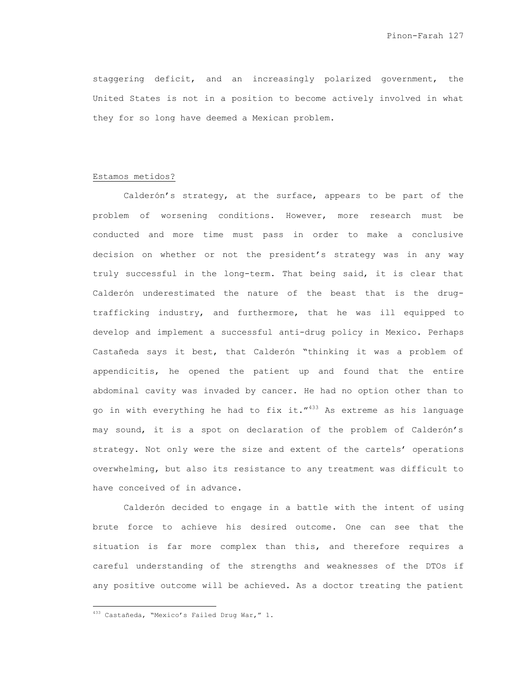staggering deficit, and an increasingly polarized government, the United States is not in a position to become actively involved in what they for so long have deemed a Mexican problem.

### Estamos metidos?

Calderón"s strategy, at the surface, appears to be part of the problem of worsening conditions. However, more research must be conducted and more time must pass in order to make a conclusive decision on whether or not the president"s strategy was in any way truly successful in the long-term. That being said, it is clear that Calderón underestimated the nature of the beast that is the drugtrafficking industry, and furthermore, that he was ill equipped to develop and implement a successful anti-drug policy in Mexico. Perhaps Castañeda says it best, that Calderón "thinking it was a problem of appendicitis, he opened the patient up and found that the entire abdominal cavity was invaded by cancer. He had no option other than to go in with everything he had to fix it." $433$  As extreme as his language may sound, it is a spot on declaration of the problem of Calderón"s strategy. Not only were the size and extent of the cartels" operations overwhelming, but also its resistance to any treatment was difficult to have conceived of in advance.

Calderón decided to engage in a battle with the intent of using brute force to achieve his desired outcome. One can see that the situation is far more complex than this, and therefore requires a careful understanding of the strengths and weaknesses of the DTOs if any positive outcome will be achieved. As a doctor treating the patient

<sup>433</sup> Castañeda, "Mexico's Failed Drug War," 1.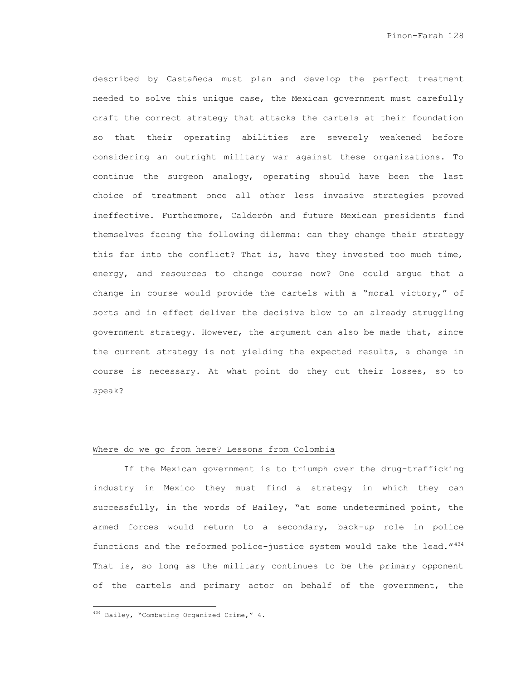described by Castañeda must plan and develop the perfect treatment needed to solve this unique case, the Mexican government must carefully craft the correct strategy that attacks the cartels at their foundation so that their operating abilities are severely weakened before considering an outright military war against these organizations. To continue the surgeon analogy, operating should have been the last choice of treatment once all other less invasive strategies proved ineffective. Furthermore, Calderón and future Mexican presidents find themselves facing the following dilemma: can they change their strategy this far into the conflict? That is, have they invested too much time, energy, and resources to change course now? One could argue that a change in course would provide the cartels with a "moral victory," of sorts and in effect deliver the decisive blow to an already struggling government strategy. However, the argument can also be made that, since the current strategy is not yielding the expected results, a change in course is necessary. At what point do they cut their losses, so to speak?

## Where do we go from here? Lessons from Colombia

If the Mexican government is to triumph over the drug-trafficking industry in Mexico they must find a strategy in which they can successfully, in the words of Bailey, "at some undetermined point, the armed forces would return to a secondary, back-up role in police functions and the reformed police-justice system would take the lead. "434 That is, so long as the military continues to be the primary opponent of the cartels and primary actor on behalf of the government, the

<sup>434</sup> Bailey, "Combating Organized Crime," 4.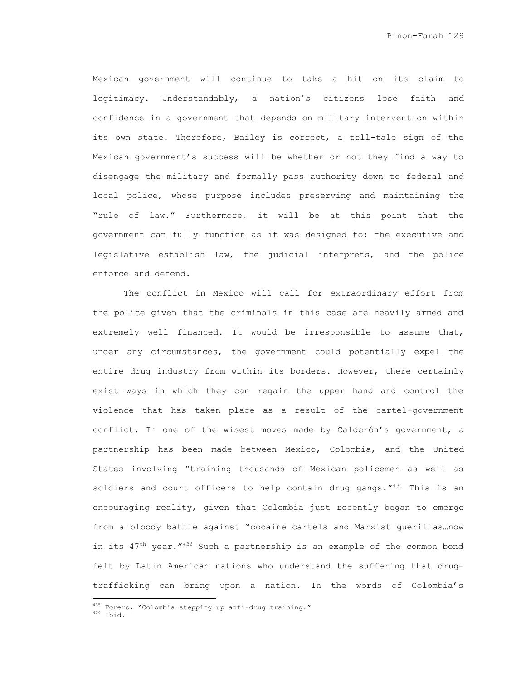Mexican government will continue to take a hit on its claim to legitimacy. Understandably, a nation's citizens lose faith and confidence in a government that depends on military intervention within its own state. Therefore, Bailey is correct, a tell-tale sign of the Mexican government"s success will be whether or not they find a way to disengage the military and formally pass authority down to federal and local police, whose purpose includes preserving and maintaining the "rule of law." Furthermore, it will be at this point that the government can fully function as it was designed to: the executive and legislative establish law, the judicial interprets, and the police enforce and defend.

The conflict in Mexico will call for extraordinary effort from the police given that the criminals in this case are heavily armed and extremely well financed. It would be irresponsible to assume that, under any circumstances, the government could potentially expel the entire drug industry from within its borders. However, there certainly exist ways in which they can regain the upper hand and control the violence that has taken place as a result of the cartel-government conflict. In one of the wisest moves made by Calderón"s government, a partnership has been made between Mexico, Colombia, and the United States involving "training thousands of Mexican policemen as well as soldiers and court officers to help contain drug gangs."<sup>435</sup> This is an encouraging reality, given that Colombia just recently began to emerge from a bloody battle against "cocaine cartels and Marxist guerillas…now in its  $47^{th}$  year."<sup>436</sup> Such a partnership is an example of the common bond felt by Latin American nations who understand the suffering that drugtrafficking can bring upon a nation. In the words of Colombia"s

<sup>435</sup> Forero, "Colombia stepping up anti-drug training."

 $436$  T.bid.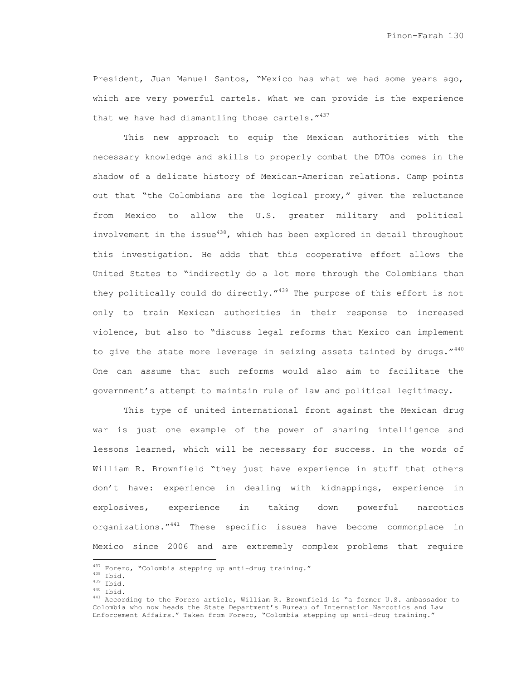Pinon-Farah 130

President, Juan Manuel Santos, "Mexico has what we had some years ago, which are very powerful cartels. What we can provide is the experience that we have had dismantling those cartels."<sup>437</sup>

This new approach to equip the Mexican authorities with the necessary knowledge and skills to properly combat the DTOs comes in the shadow of a delicate history of Mexican-American relations. Camp points out that "the Colombians are the logical proxy," given the reluctance from Mexico to allow the U.S. greater military and political involvement in the issue<sup>438</sup>, which has been explored in detail throughout this investigation. He adds that this cooperative effort allows the United States to "indirectly do a lot more through the Colombians than they politically could do directly."<sup>439</sup> The purpose of this effort is not only to train Mexican authorities in their response to increased violence, but also to "discuss legal reforms that Mexico can implement to give the state more leverage in seizing assets tainted by drugs.  $1440$ One can assume that such reforms would also aim to facilitate the government's attempt to maintain rule of law and political legitimacy.

This type of united international front against the Mexican drug war is just one example of the power of sharing intelligence and lessons learned, which will be necessary for success. In the words of William R. Brownfield "they just have experience in stuff that others don"t have: experience in dealing with kidnappings, experience in explosives, experience in taking down powerful narcotics organizations."<sup>441</sup> These specific issues have become commonplace in Mexico since 2006 and are extremely complex problems that require

<sup>437</sup> Forero, "Colombia stepping up anti-drug training."

<sup>438</sup> Ibid.

 $439$  Ibid.

<sup>440</sup> Ibid.

<sup>441</sup> According to the Forero article, William R. Brownfield is "a former U.S. ambassador to Colombia who now heads the State Department"s Bureau of Internation Narcotics and Law Enforcement Affairs." Taken from Forero, "Colombia stepping up anti-drug training."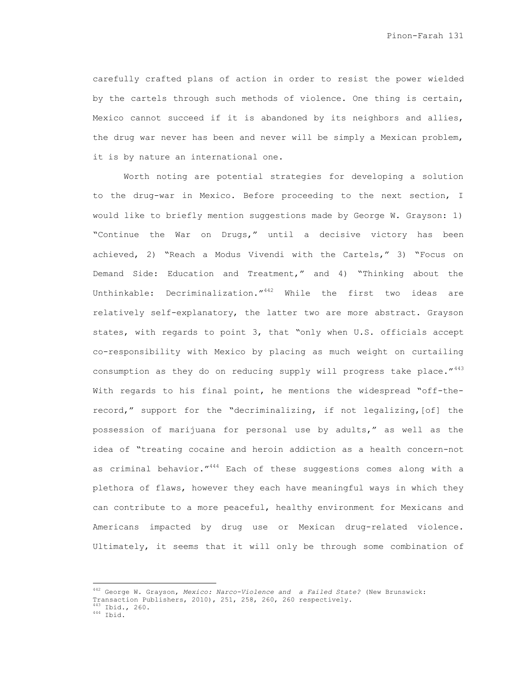carefully crafted plans of action in order to resist the power wielded by the cartels through such methods of violence. One thing is certain, Mexico cannot succeed if it is abandoned by its neighbors and allies, the drug war never has been and never will be simply a Mexican problem, it is by nature an international one.

Worth noting are potential strategies for developing a solution to the drug-war in Mexico. Before proceeding to the next section, I would like to briefly mention suggestions made by George W. Grayson: 1) "Continue the War on Drugs," until a decisive victory has been achieved, 2) "Reach a Modus Vivendi with the Cartels," 3) "Focus on Demand Side: Education and Treatment," and 4) "Thinking about the Unthinkable: Decriminalization."<sup>442</sup> While the first two ideas are relatively self-explanatory, the latter two are more abstract. Grayson states, with regards to point 3, that "only when U.S. officials accept co-responsibility with Mexico by placing as much weight on curtailing consumption as they do on reducing supply will progress take place.  $1443$ With regards to his final point, he mentions the widespread "off-therecord," support for the "decriminalizing, if not legalizing,[of] the possession of marijuana for personal use by adults," as well as the idea of "treating cocaine and heroin addiction as a health concern-not as criminal behavior. "<sup>444</sup> Each of these suggestions comes along with a plethora of flaws, however they each have meaningful ways in which they can contribute to a more peaceful, healthy environment for Mexicans and Americans impacted by drug use or Mexican drug-related violence. Ultimately, it seems that it will only be through some combination of

<sup>442</sup> George W. Grayson, *Mexico: Narco-Violence and a Failed State?* (New Brunswick: Transaction Publishers, 2010), 251, 258, 260, 260 respectively. Ibid., 260.

 $444$  Ibid.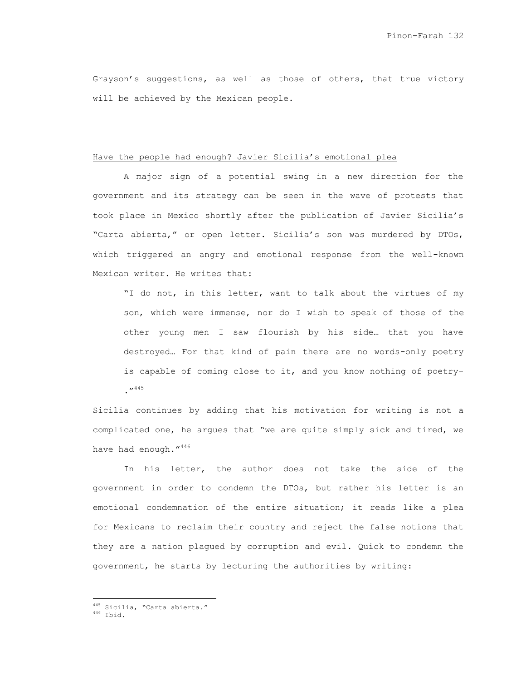Grayson"s suggestions, as well as those of others, that true victory will be achieved by the Mexican people.

### Have the people had enough? Javier Sicilia"s emotional plea

A major sign of a potential swing in a new direction for the government and its strategy can be seen in the wave of protests that took place in Mexico shortly after the publication of Javier Sicilia"s "Carta abierta," or open letter. Sicilia's son was murdered by DTOs, which triggered an angry and emotional response from the well-known Mexican writer. He writes that:

"I do not, in this letter, want to talk about the virtues of my son, which were immense, nor do I wish to speak of those of the other young men I saw flourish by his side… that you have destroyed… For that kind of pain there are no words-only poetry is capable of coming close to it, and you know nothing of poetry-  $.7445$ 

Sicilia continues by adding that his motivation for writing is not a complicated one, he argues that "we are quite simply sick and tired, we have had enough.  $''^{446}$ 

In his letter, the author does not take the side of the government in order to condemn the DTOs, but rather his letter is an emotional condemnation of the entire situation; it reads like a plea for Mexicans to reclaim their country and reject the false notions that they are a nation plagued by corruption and evil. Quick to condemn the government, he starts by lecturing the authorities by writing:

 $446$  Ibid.

<sup>445</sup> Sicilia, "Carta abierta."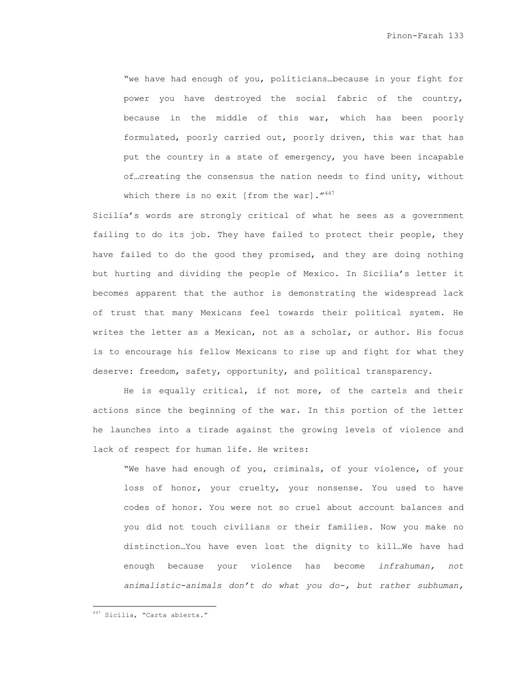"we have had enough of you, politicians…because in your fight for power you have destroyed the social fabric of the country, because in the middle of this war, which has been poorly formulated, poorly carried out, poorly driven, this war that has put the country in a state of emergency, you have been incapable of…creating the consensus the nation needs to find unity, without which there is no exit [from the war].  $''^{447}$ 

Sicilia's words are strongly critical of what he sees as a government failing to do its job. They have failed to protect their people, they have failed to do the good they promised, and they are doing nothing but hurting and dividing the people of Mexico. In Sicilia"s letter it becomes apparent that the author is demonstrating the widespread lack of trust that many Mexicans feel towards their political system. He writes the letter as a Mexican, not as a scholar, or author. His focus is to encourage his fellow Mexicans to rise up and fight for what they deserve: freedom, safety, opportunity, and political transparency.

He is equally critical, if not more, of the cartels and their actions since the beginning of the war. In this portion of the letter he launches into a tirade against the growing levels of violence and lack of respect for human life. He writes:

"We have had enough of you, criminals, of your violence, of your loss of honor, your cruelty, your nonsense. You used to have codes of honor. You were not so cruel about account balances and you did not touch civilians or their families. Now you make no distinction…You have even lost the dignity to kill…We have had enough because your violence has become *infrahuman, not animalistic-animals don't do what you do-, but rather subhuman,* 

<sup>447</sup> Sicilia, "Carta abierta."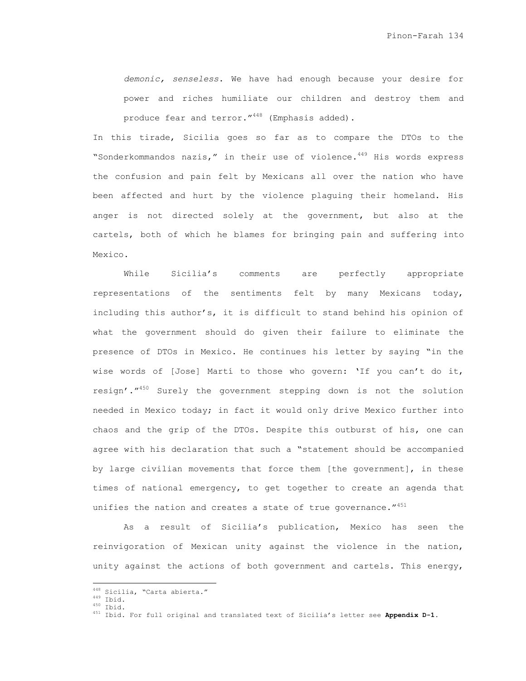Pinon-Farah 134

*demonic, senseless*. We have had enough because your desire for power and riches humiliate our children and destroy them and produce fear and terror."<sup>448</sup> (Emphasis added).

In this tirade, Sicilia goes so far as to compare the DTOs to the "Sonderkommandos nazis," in their use of violence.<sup>449</sup> His words express the confusion and pain felt by Mexicans all over the nation who have been affected and hurt by the violence plaguing their homeland. His anger is not directed solely at the government, but also at the cartels, both of which he blames for bringing pain and suffering into Mexico.

While Sicilia's comments are perfectly appropriate representations of the sentiments felt by many Mexicans today, including this author"s, it is difficult to stand behind his opinion of what the government should do given their failure to eliminate the presence of DTOs in Mexico. He continues his letter by saying "in the wise words of [Jose] Martí to those who govern: 'If you can't do it, resign"."<sup>450</sup> Surely the government stepping down is not the solution needed in Mexico today; in fact it would only drive Mexico further into chaos and the grip of the DTOs. Despite this outburst of his, one can agree with his declaration that such a "statement should be accompanied by large civilian movements that force them [the government], in these times of national emergency, to get together to create an agenda that unifies the nation and creates a state of true governance.  $''^{451}$ 

As a result of Sicilia"s publication, Mexico has seen the reinvigoration of Mexican unity against the violence in the nation, unity against the actions of both government and cartels. This energy,

<sup>448</sup> Sicilia, "Carta abierta."

 $449$  Ibid.

 $450$  Ibid.

<sup>451</sup> Ibid. For full original and translated text of Sicilia"s letter see **Appendix D-1.**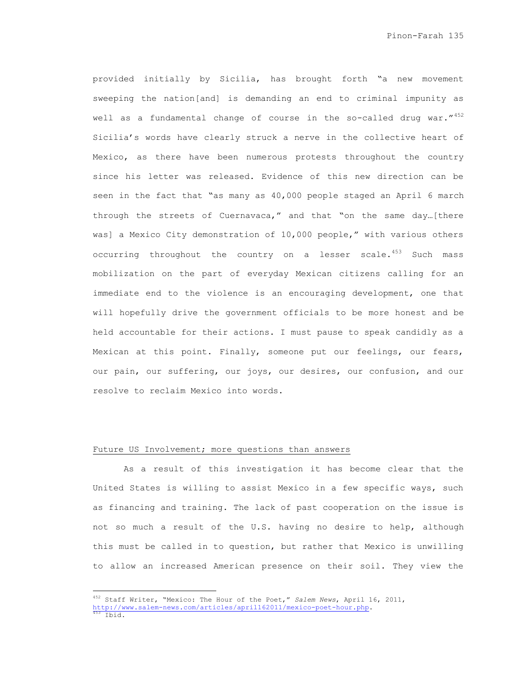provided initially by Sicilia, has brought forth "a new movement sweeping the nation[and] is demanding an end to criminal impunity as well as a fundamental change of course in the so-called drug war."<sup>452</sup> Sicilia"s words have clearly struck a nerve in the collective heart of Mexico, as there have been numerous protests throughout the country since his letter was released. Evidence of this new direction can be seen in the fact that "as many as 40,000 people staged an April 6 march through the streets of Cuernavaca," and that "on the same day…[there was] a Mexico City demonstration of 10,000 people," with various others occurring throughout the country on a lesser scale.<sup>453</sup> Such mass mobilization on the part of everyday Mexican citizens calling for an immediate end to the violence is an encouraging development, one that will hopefully drive the government officials to be more honest and be held accountable for their actions. I must pause to speak candidly as a Mexican at this point. Finally, someone put our feelings, our fears, our pain, our suffering, our joys, our desires, our confusion, and our resolve to reclaim Mexico into words.

# Future US Involvement; more questions than answers

 $\overline{a}$ 

As a result of this investigation it has become clear that the United States is willing to assist Mexico in a few specific ways, such as financing and training. The lack of past cooperation on the issue is not so much a result of the U.S. having no desire to help, although this must be called in to question, but rather that Mexico is unwilling to allow an increased American presence on their soil. They view the

<sup>452</sup> Staff Writer, "Mexico: The Hour of the Poet," *Salem News*, April 16, 2011, [http://www.salem-news.com/articles/april162011/mexico-poet-hour.php.](http://www.salem-news.com/articles/april162011/mexico-poet-hour.php) Ibid.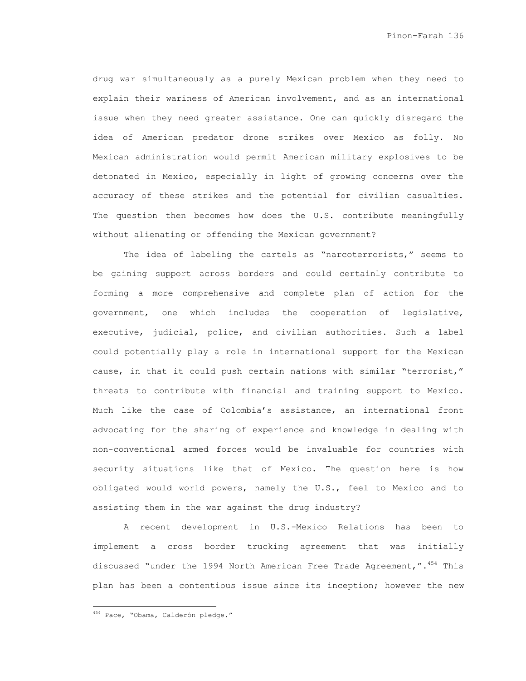drug war simultaneously as a purely Mexican problem when they need to explain their wariness of American involvement, and as an international issue when they need greater assistance. One can quickly disregard the idea of American predator drone strikes over Mexico as folly. No Mexican administration would permit American military explosives to be detonated in Mexico, especially in light of growing concerns over the accuracy of these strikes and the potential for civilian casualties. The question then becomes how does the U.S. contribute meaningfully without alienating or offending the Mexican government?

The idea of labeling the cartels as "narcoterrorists," seems to be gaining support across borders and could certainly contribute to forming a more comprehensive and complete plan of action for the government, one which includes the cooperation of legislative, executive, judicial, police, and civilian authorities. Such a label could potentially play a role in international support for the Mexican cause, in that it could push certain nations with similar "terrorist," threats to contribute with financial and training support to Mexico. Much like the case of Colombia"s assistance, an international front advocating for the sharing of experience and knowledge in dealing with non-conventional armed forces would be invaluable for countries with security situations like that of Mexico. The question here is how obligated would world powers, namely the U.S., feel to Mexico and to assisting them in the war against the drug industry?

A recent development in U.S.-Mexico Relations has been to implement a cross border trucking agreement that was initially discussed "under the 1994 North American Free Trade Agreement,". <sup>454</sup> This plan has been a contentious issue since its inception; however the new

<sup>454</sup> Pace, "Obama, Calderón pledge."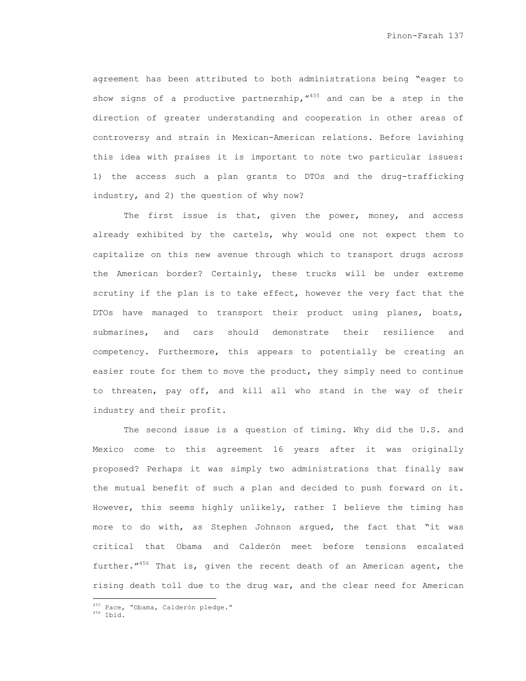agreement has been attributed to both administrations being "eager to show signs of a productive partnership,  $''^{455}$  and can be a step in the direction of greater understanding and cooperation in other areas of controversy and strain in Mexican-American relations. Before lavishing this idea with praises it is important to note two particular issues: 1) the access such a plan grants to DTOs and the drug-trafficking industry, and 2) the question of why now?

The first issue is that, given the power, money, and access already exhibited by the cartels, why would one not expect them to capitalize on this new avenue through which to transport drugs across the American border? Certainly, these trucks will be under extreme scrutiny if the plan is to take effect, however the very fact that the DTOs have managed to transport their product using planes, boats, submarines, and cars should demonstrate their resilience and competency. Furthermore, this appears to potentially be creating an easier route for them to move the product, they simply need to continue to threaten, pay off, and kill all who stand in the way of their industry and their profit.

The second issue is a question of timing. Why did the U.S. and Mexico come to this agreement 16 years after it was originally proposed? Perhaps it was simply two administrations that finally saw the mutual benefit of such a plan and decided to push forward on it. However, this seems highly unlikely, rather I believe the timing has more to do with, as Stephen Johnson argued, the fact that "it was critical that Obama and Calderón meet before tensions escalated further."<sup>456</sup> That is, given the recent death of an American agent, the rising death toll due to the drug war, and the clear need for American

 $456$  Ibid.

<sup>455</sup> Pace, "Obama, Calderón pledge."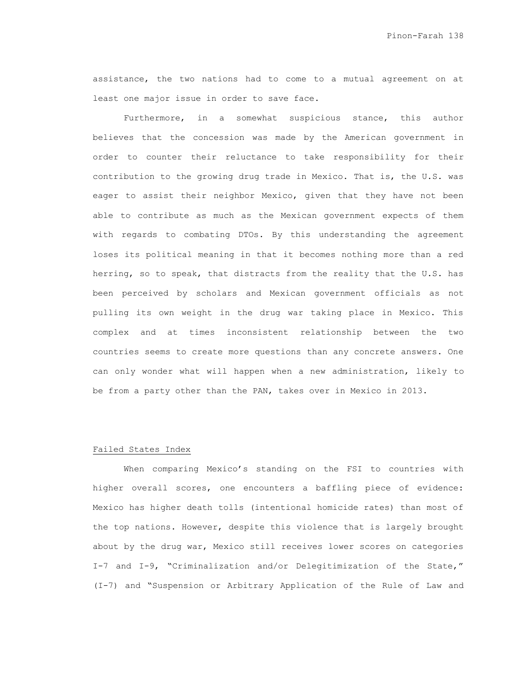Pinon-Farah 138

assistance, the two nations had to come to a mutual agreement on at least one major issue in order to save face.

Furthermore, in a somewhat suspicious stance, this author believes that the concession was made by the American government in order to counter their reluctance to take responsibility for their contribution to the growing drug trade in Mexico. That is, the U.S. was eager to assist their neighbor Mexico, given that they have not been able to contribute as much as the Mexican government expects of them with regards to combating DTOs. By this understanding the agreement loses its political meaning in that it becomes nothing more than a red herring, so to speak, that distracts from the reality that the U.S. has been perceived by scholars and Mexican government officials as not pulling its own weight in the drug war taking place in Mexico. This complex and at times inconsistent relationship between the two countries seems to create more questions than any concrete answers. One can only wonder what will happen when a new administration, likely to be from a party other than the PAN, takes over in Mexico in 2013.

## Failed States Index

When comparing Mexico"s standing on the FSI to countries with higher overall scores, one encounters a baffling piece of evidence: Mexico has higher death tolls (intentional homicide rates) than most of the top nations. However, despite this violence that is largely brought about by the drug war, Mexico still receives lower scores on categories I-7 and I-9, "Criminalization and/or Delegitimization of the State," (I-7) and "Suspension or Arbitrary Application of the Rule of Law and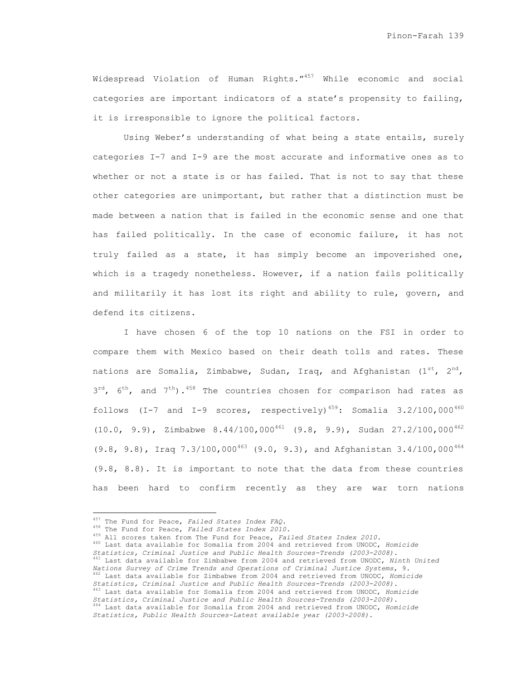Pinon-Farah 139

Widespread Violation of Human Rights." <sup>457</sup> While economic and social categories are important indicators of a state"s propensity to failing, it is irresponsible to ignore the political factors.

Using Weber"s understanding of what being a state entails, surely categories I-7 and I-9 are the most accurate and informative ones as to whether or not a state is or has failed. That is not to say that these other categories are unimportant, but rather that a distinction must be made between a nation that is failed in the economic sense and one that has failed politically. In the case of economic failure, it has not truly failed as a state, it has simply become an impoverished one, which is a tragedy nonetheless. However, if a nation fails politically and militarily it has lost its right and ability to rule, govern, and defend its citizens.

I have chosen 6 of the top 10 nations on the FSI in order to compare them with Mexico based on their death tolls and rates. These nations are Somalia, Zimbabwe, Sudan, Iraq, and Afghanistan  $(1^{st}, 2^{nd},$  $3^{rd}$ ,  $6^{th}$ , and  $7^{th}$ ).<sup>458</sup> The countries chosen for comparison had rates as follows (I-7 and I-9 scores, respectively)<sup>459</sup>: Somalia  $3.2/100,000^{460}$  $(10.0, 9.9)$ , Zimbabwe 8.44/100,000<sup>461</sup> (9.8, 9.9), Sudan 27.2/100,000<sup>462</sup>  $(9.8, 9.8)$ , Iraq  $7.3/100$ ,  $000^{463}$   $(9.0, 9.3)$ , and Afghanistan 3.4/100, 000<sup>464</sup> (9.8, 8.8). It is important to note that the data from these countries has been hard to confirm recently as they are war torn nations

 $\overline{a}$ 

*Statistics, Criminal Justice and Public Health Sources-Trends (2003-2008)*.

<sup>457</sup> The Fund for Peace, *Failed States Index FAQ*.

<sup>458</sup> The Fund for Peace, *Failed States Index 2010.*

<sup>459</sup> All scores taken from The Fund for Peace, *Failed States Index 2010.*

<sup>460</sup> Last data available for Somalia from 2004 and retrieved from UNODC, *Homicide* 

<sup>461</sup> Last data available for Zimbabwe from 2004 and retrieved from UNODC, *Ninth United Nations Survey of Crime Trends and Operations of Criminal Justice Systems*, 9. <sup>462</sup> Last data available for Zimbabwe from 2004 and retrieved from UNODC, *Homicide Statistics, Criminal Justice and Public Health Sources-Trends (2003-2008)*. <sup>463</sup> Last data available for Somalia from 2004 and retrieved from UNODC, *Homicide Statistics, Criminal Justice and Public Health Sources-Trends (2003-2008)*. <sup>464</sup> Last data available for Somalia from 2004 and retrieved from UNODC, *Homicide Statistics, Public Health Sources-Latest available year (2003-2008)*.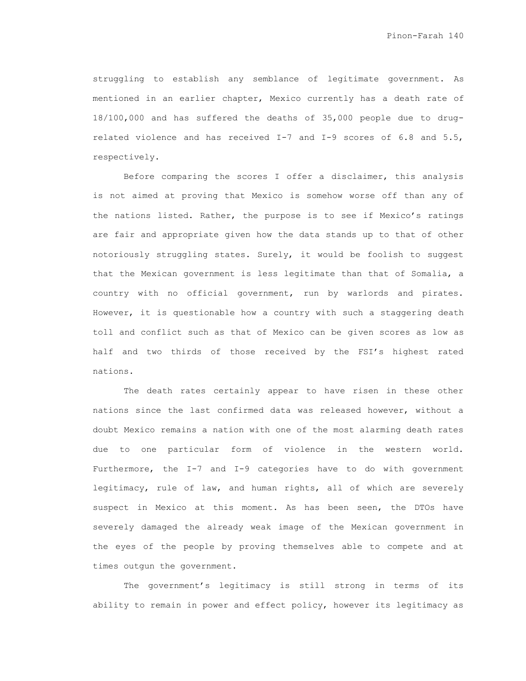struggling to establish any semblance of legitimate government. As mentioned in an earlier chapter, Mexico currently has a death rate of 18/100,000 and has suffered the deaths of 35,000 people due to drugrelated violence and has received I-7 and I-9 scores of 6.8 and 5.5, respectively.

Before comparing the scores I offer a disclaimer, this analysis is not aimed at proving that Mexico is somehow worse off than any of the nations listed. Rather, the purpose is to see if Mexico's ratings are fair and appropriate given how the data stands up to that of other notoriously struggling states. Surely, it would be foolish to suggest that the Mexican government is less legitimate than that of Somalia, a country with no official government, run by warlords and pirates. However, it is questionable how a country with such a staggering death toll and conflict such as that of Mexico can be given scores as low as half and two thirds of those received by the FSI's highest rated nations.

The death rates certainly appear to have risen in these other nations since the last confirmed data was released however, without a doubt Mexico remains a nation with one of the most alarming death rates due to one particular form of violence in the western world. Furthermore, the I-7 and I-9 categories have to do with government legitimacy, rule of law, and human rights, all of which are severely suspect in Mexico at this moment. As has been seen, the DTOs have severely damaged the already weak image of the Mexican government in the eyes of the people by proving themselves able to compete and at times outgun the government.

The government's legitimacy is still strong in terms of its ability to remain in power and effect policy, however its legitimacy as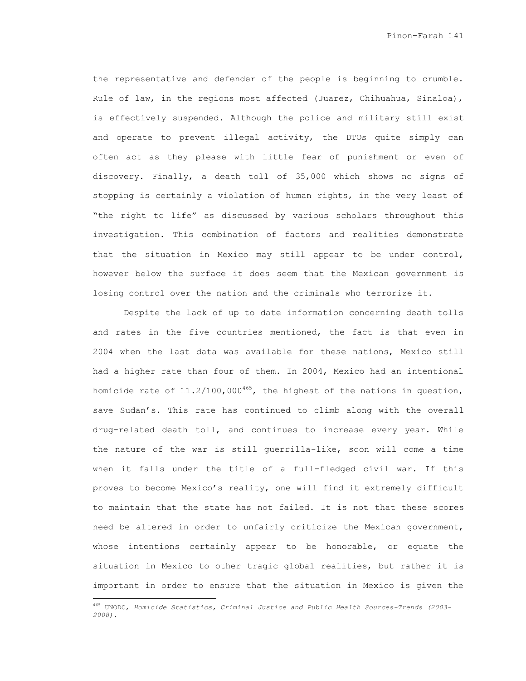Pinon-Farah 141

the representative and defender of the people is beginning to crumble. Rule of law, in the regions most affected (Juarez, Chihuahua, Sinaloa), is effectively suspended. Although the police and military still exist and operate to prevent illegal activity, the DTOs quite simply can often act as they please with little fear of punishment or even of discovery. Finally, a death toll of 35,000 which shows no signs of stopping is certainly a violation of human rights, in the very least of "the right to life" as discussed by various scholars throughout this investigation. This combination of factors and realities demonstrate that the situation in Mexico may still appear to be under control, however below the surface it does seem that the Mexican government is losing control over the nation and the criminals who terrorize it.

Despite the lack of up to date information concerning death tolls and rates in the five countries mentioned, the fact is that even in 2004 when the last data was available for these nations, Mexico still had a higher rate than four of them. In 2004, Mexico had an intentional homicide rate of  $11.2/100$ , 000<sup>465</sup>, the highest of the nations in question, save Sudan"s. This rate has continued to climb along with the overall drug-related death toll, and continues to increase every year. While the nature of the war is still guerrilla-like, soon will come a time when it falls under the title of a full-fledged civil war. If this proves to become Mexico"s reality, one will find it extremely difficult to maintain that the state has not failed. It is not that these scores need be altered in order to unfairly criticize the Mexican government, whose intentions certainly appear to be honorable, or equate the situation in Mexico to other tragic global realities, but rather it is important in order to ensure that the situation in Mexico is given the

<sup>465</sup> UNODC, *Homicide Statistics, Criminal Justice and Public Health Sources-Trends (2003- 2008)*.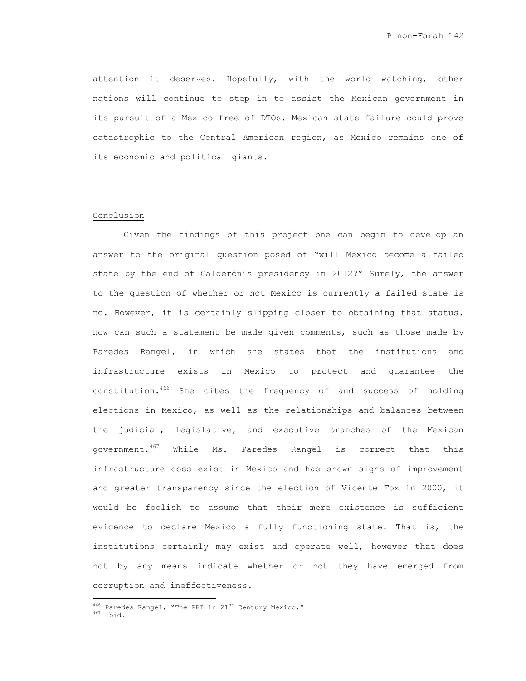attention it deserves. Hopefully, with the world watching, other nations will continue to step in to assist the Mexican government in its pursuit of a Mexico free of DTOs. Mexican state failure could prove catastrophic to the Central American region, as Mexico remains one of its economic and political giants.

#### Conclusion

Given the findings of this project one can begin to develop an answer to the original question posed of "will Mexico become a failed state by the end of Calderón"s presidency in 2012?" Surely, the answer to the question of whether or not Mexico is currently a failed state is no. However, it is certainly slipping closer to obtaining that status. How can such a statement be made given comments, such as those made by Paredes Rangel, in which she states that the institutions and infrastructure exists in Mexico to protect and guarantee the constitution.<sup>466</sup> She cites the frequency of and success of holding elections in Mexico, as well as the relationships and balances between the judicial, legislative, and executive branches of the Mexican government.<sup>467</sup> While Ms. Paredes Rangel is correct that this infrastructure does exist in Mexico and has shown signs of improvement and greater transparency since the election of Vicente Fox in 2000, it would be foolish to assume that their mere existence is sufficient evidence to declare Mexico a fully functioning state. That is, the institutions certainly may exist and operate well, however that does not by any means indicate whether or not they have emerged from corruption and ineffectiveness.

 $466$  Paredes Rangel, "The PRI in 21 $^{\text{st}}$  Century Mexico,"

 $467$  Thid.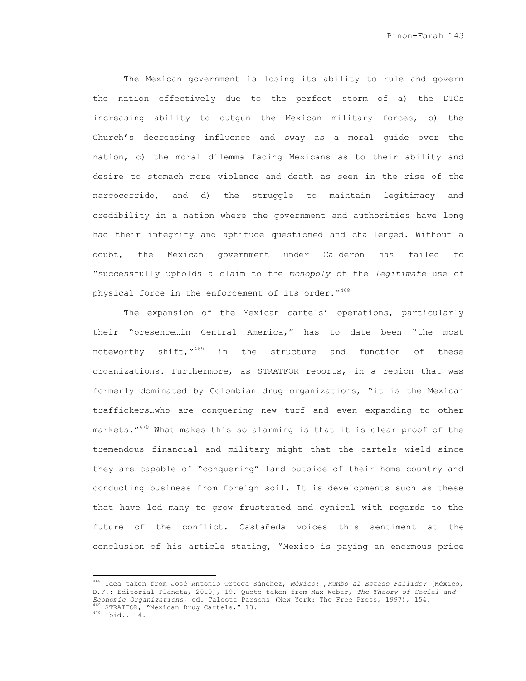The Mexican government is losing its ability to rule and govern the nation effectively due to the perfect storm of a) the DTOs increasing ability to outgun the Mexican military forces, b) the Church"s decreasing influence and sway as a moral guide over the nation, c) the moral dilemma facing Mexicans as to their ability and desire to stomach more violence and death as seen in the rise of the narcocorrido, and d) the struggle to maintain legitimacy and credibility in a nation where the government and authorities have long had their integrity and aptitude questioned and challenged. Without a doubt, the Mexican government under Calderón has failed to "successfully upholds a claim to the *monopoly* of the *legitimate* use of physical force in the enforcement of its order."<sup>468</sup>

The expansion of the Mexican cartels" operations, particularly their "presence…in Central America," has to date been "the most noteworthy shift,"<sup>469</sup> in the structure and function of these organizations. Furthermore, as STRATFOR reports, in a region that was formerly dominated by Colombian drug organizations, "it is the Mexican traffickers…who are conquering new turf and even expanding to other markets. $1470$  What makes this so alarming is that it is clear proof of the tremendous financial and military might that the cartels wield since they are capable of "conquering" land outside of their home country and conducting business from foreign soil. It is developments such as these that have led many to grow frustrated and cynical with regards to the future of the conflict. Castañeda voices this sentiment at the conclusion of his article stating, "Mexico is paying an enormous price

<sup>468</sup> Idea taken from José Antonio Ortega Sánchez, *México: ¿Rumbo al Estado Fallido?* (México, D.F.: Editorial Planeta, 2010), 19. Quote taken from Max Weber, *The Theory of Social and Economic Organizations*, ed. Talcott Parsons (New York: The Free Press, 1997), 154. STRATFOR, "Mexican Drug Cartels," 13.

<sup>470</sup> Ibid., 14.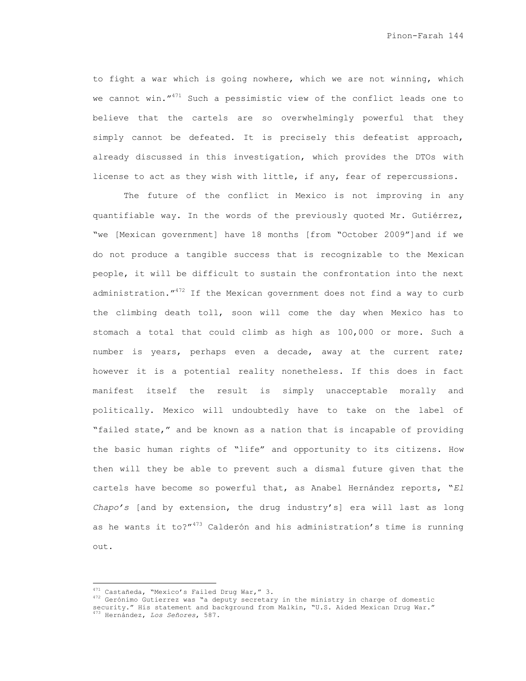to fight a war which is going nowhere, which we are not winning, which we cannot win."<sup>471</sup> Such a pessimistic view of the conflict leads one to believe that the cartels are so overwhelmingly powerful that they simply cannot be defeated. It is precisely this defeatist approach, already discussed in this investigation, which provides the DTOs with license to act as they wish with little, if any, fear of repercussions.

The future of the conflict in Mexico is not improving in any quantifiable way. In the words of the previously quoted Mr. Gutiérrez, "we [Mexican government] have 18 months [from "October 2009"]and if we do not produce a tangible success that is recognizable to the Mexican people, it will be difficult to sustain the confrontation into the next administration."<sup>472</sup> If the Mexican government does not find a way to curb the climbing death toll, soon will come the day when Mexico has to stomach a total that could climb as high as 100,000 or more. Such a number is years, perhaps even a decade, away at the current rate; however it is a potential reality nonetheless. If this does in fact manifest itself the result is simply unacceptable morally and politically. Mexico will undoubtedly have to take on the label of "failed state," and be known as a nation that is incapable of providing the basic human rights of "life" and opportunity to its citizens. How then will they be able to prevent such a dismal future given that the cartels have become so powerful that, as Anabel Hernández reports, "*El Chapo's* [and by extension, the drug industry"s] era will last as long as he wants it to?"<sup>473</sup> Calderón and his administration's time is running out.

<sup>&</sup>lt;sup>471</sup> Castañeda, "Mexico's Failed Drug War," 3.

<sup>472</sup> Gerónimo Gutierrez was "a deputy secretary in the ministry in charge of domestic security." His statement and background from Malkin, "U.S. Aided Mexican Drug War." <sup>473</sup> Hernández, *Los Señores*, 587.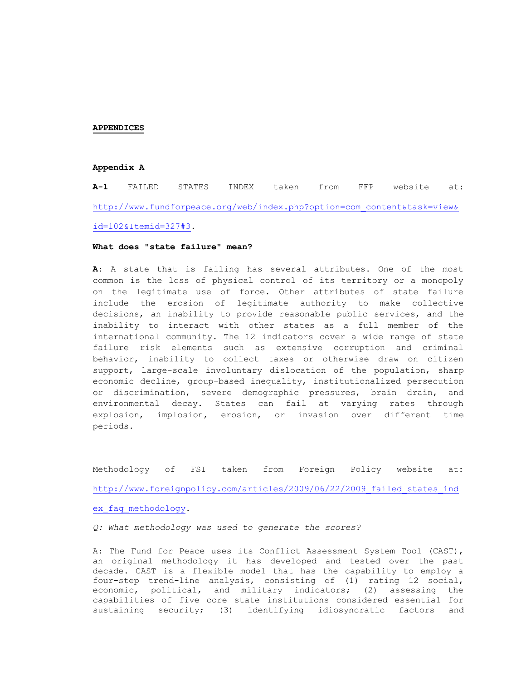#### **APPENDICES**

#### **Appendix A**

**A-1** FAILED STATES INDEX taken from FFP website at: [http://www.fundforpeace.org/web/index.php?option=com\\_content&task=view&](http://www.fundforpeace.org/web/index.php?option=com_content&task=view&id=102&Itemid=327#3) [id=102&Itemid=327#3.](http://www.fundforpeace.org/web/index.php?option=com_content&task=view&id=102&Itemid=327#3)

### **What does "state failure" mean?**

**A**: A state that is failing has several attributes. One of the most common is the loss of physical control of its territory or a monopoly on the legitimate use of force. Other attributes of state failure include the erosion of legitimate authority to make collective decisions, an inability to provide reasonable public services, and the inability to interact with other states as a full member of the international community. The 12 indicators cover a wide range of state failure risk elements such as extensive corruption and criminal behavior, inability to collect taxes or otherwise draw on citizen support, large-scale involuntary dislocation of the population, sharp economic decline, group-based inequality, institutionalized persecution or discrimination, severe demographic pressures, brain drain, and environmental decay. States can fail at varying rates through explosion, implosion, erosion, or invasion over different time periods.

Methodology of FSI taken from Foreign Policy website at: http://www.foreignpolicy.com/articles/2009/06/22/2009 failed states ind ex faq methodology.

*Q: What methodology was used to generate the scores?*

A: The Fund for Peace uses its Conflict Assessment System Tool (CAST), an original methodology it has developed and tested over the past decade. CAST is a flexible model that has the capability to employ a four-step trend-line analysis, consisting of (1) rating 12 social, economic, political, and military indicators; (2) assessing the capabilities of five core state institutions considered essential for sustaining security; (3) identifying idiosyncratic factors and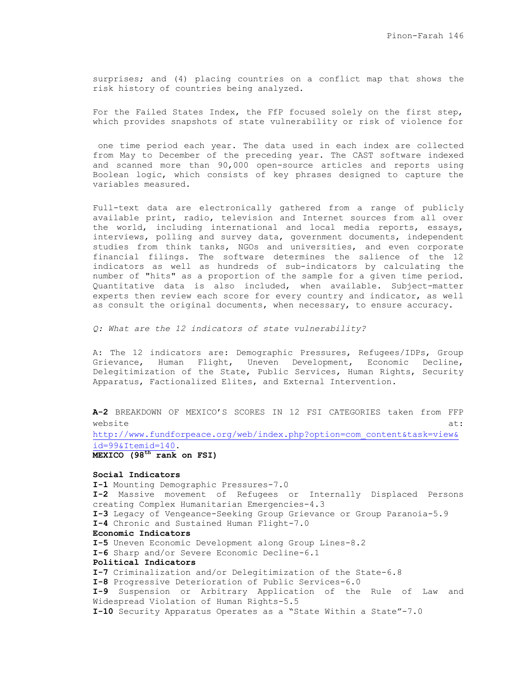surprises; and (4) placing countries on a conflict map that shows the risk history of countries being analyzed.

For the Failed States Index, the FfP focused solely on the first step, which provides snapshots of state vulnerability or risk of violence for

one time period each year. The data used in each index are collected from May to December of the preceding year. The CAST software indexed and scanned more than 90,000 open-source articles and reports using Boolean logic, which consists of key phrases designed to capture the variables measured.

Full-text data are electronically gathered from a range of publicly available print, radio, television and Internet sources from all over the world, including international and local media reports, essays, interviews, polling and survey data, government documents, independent studies from think tanks, NGOs and universities, and even corporate financial filings. The software determines the salience of the 12 indicators as well as hundreds of sub-indicators by calculating the number of "hits" as a proportion of the sample for a given time period. Quantitative data is also included, when available. Subject-matter experts then review each score for every country and indicator, as well as consult the original documents, when necessary, to ensure accuracy.

*Q: What are the 12 indicators of state vulnerability?*

A: The 12 indicators are: Demographic Pressures, Refugees/IDPs, Group Grievance, Human Flight, Uneven Development, Economic Decline, Delegitimization of the State, Public Services, Human Rights, Security Apparatus, Factionalized Elites, and External Intervention.

**A-2** BREAKDOWN OF MEXICO"S SCORES IN 12 FSI CATEGORIES taken from FFP website at: [http://www.fundforpeace.org/web/index.php?option=com\\_content&task=view&](http://www.fundforpeace.org/web/index.php?option=com_content&task=view&id=99&Itemid=140) [id=99&Itemid=140.](http://www.fundforpeace.org/web/index.php?option=com_content&task=view&id=99&Itemid=140) **MEXICO (98th rank on FSI)**

**Social Indicators I-1** Mounting Demographic Pressures-7.0 **I-2** Massive movement of Refugees or Internally Displaced Persons creating Complex Humanitarian Emergencies-4.3 **I-3** Legacy of Vengeance-Seeking Group Grievance or Group Paranoia-5.9 **I-4** Chronic and Sustained Human Flight-7.0 **Economic Indicators I-5** Uneven Economic Development along Group Lines-8.2 **I-6** Sharp and/or Severe Economic Decline-6.1 **Political Indicators I-7** Criminalization and/or Delegitimization of the State-6.8 **I-8** Progressive Deterioration of Public Services-6.0 **I-9** Suspension or Arbitrary Application of the Rule of Law and Widespread Violation of Human Rights-5.5 **I-10** Security Apparatus Operates as a "State Within a State"-7.0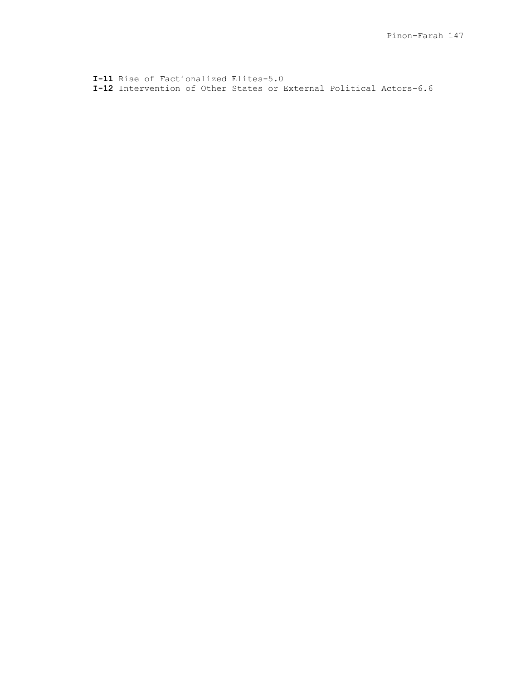**I-11** Rise of Factionalized Elites-5.0 **I-12** Intervention of Other States or External Political Actors-6.6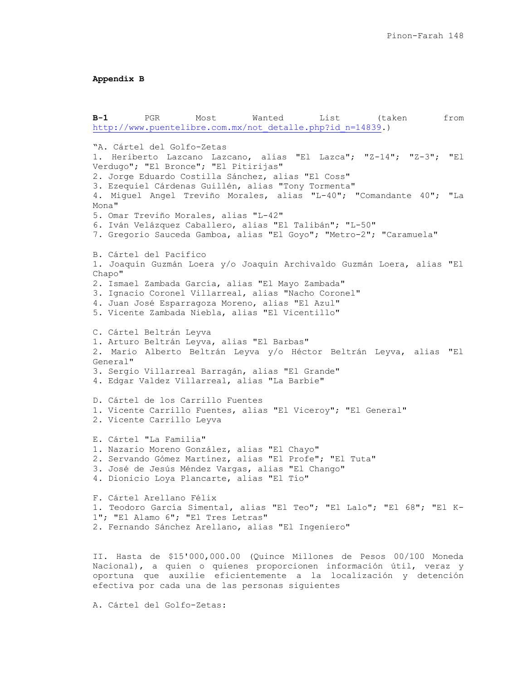#### **Appendix B**

**B-1** PGR Most Wanted List (taken from http://www.puentelibre.com.mx/not detalle.php?id n=14839.) "A. Cártel del Golfo-Zetas 1. Heriberto Lazcano Lazcano, alias "El Lazca"; "Z-14"; "Z-3"; "El Verdugo"; "El Bronce"; "El Pitirijas" 2. Jorge Eduardo Costilla Sánchez, alias "El Coss" 3. Ezequiel Cárdenas Guillén, alias "Tony Tormenta" 4. Miguel Angel Treviño Morales, alias "L-40"; "Comandante 40"; "La Mona" 5. Omar Treviño Morales, alias "L-42" 6. Iván Velázquez Caballero, alias "El Talibán"; "L-50" 7. Gregorio Sauceda Gamboa, alias "El Goyo"; "Metro-2"; "Caramuela" B. Cártel del Pacífico 1. Joaquín Guzmán Loera y/o Joaquín Archivaldo Guzmán Loera, alias "El Chapo" 2. Ismael Zambada García, alias "El Mayo Zambada" 3. Ignacio Coronel Villarreal, alias "Nacho Coronel" 4. Juan José Esparragoza Moreno, alias "El Azul" 5. Vicente Zambada Niebla, alias "El Vicentillo" C. Cártel Beltrán Leyva 1. Arturo Beltrán Leyva, alias "El Barbas" 2. Mario Alberto Beltrán Leyva y/o Héctor Beltrán Leyva, alias "El General" 3. Sergio Villarreal Barragán, alias "El Grande" 4. Edgar Valdez Villarreal, alias "La Barbie" D. Cártel de los Carrillo Fuentes 1. Vicente Carrillo Fuentes, alias "El Viceroy"; "El General" 2. Vicente Carrillo Leyva E. Cártel "La Familia" 1. Nazario Moreno González, alias "El Chayo" 2. Servando Gómez Martínez, alias "El Profe"; "El Tuta" 3. José de Jesús Méndez Vargas, alias "El Chango" 4. Dionicio Loya Plancarte, alias "El Tío" F. Cártel Arellano Félix 1. Teodoro García Simental, alias "El Teo"; "El Lalo"; "El 68"; "El K-1"; "El Alamo 6"; "El Tres Letras" 2. Fernando Sánchez Arellano, alias "El Ingeniero" II. Hasta de \$15'000,000.00 (Quince Millones de Pesos 00/100 Moneda Nacional), a quien o quienes proporcionen información útil, veraz y oportuna que auxilie eficientemente a la localización y detención

A. Cártel del Golfo-Zetas:

efectiva por cada una de las personas siguientes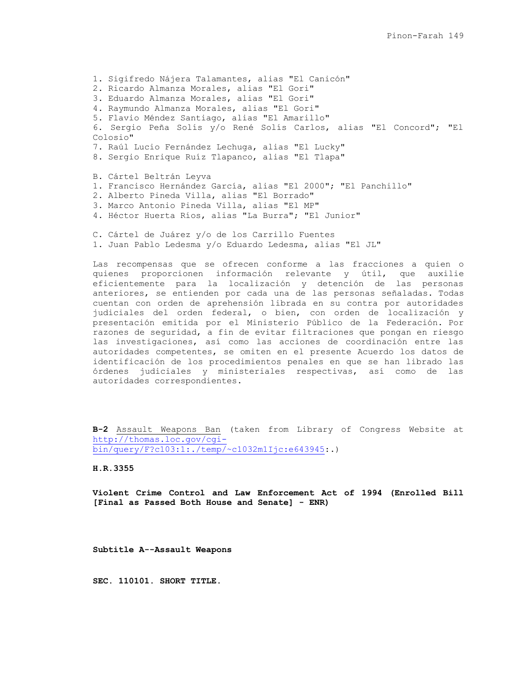1. Sigifredo Nájera Talamantes, alias "El Canicón" 2. Ricardo Almanza Morales, alias "El Gori" 3. Eduardo Almanza Morales, alias "El Gori" 4. Raymundo Almanza Morales, alias "El Gori" 5. Flavio Méndez Santiago, alias "El Amarillo" 6. Sergio Peña Solís y/o René Solís Carlos, alias "El Concord"; "El Colosio" 7. Raúl Lucio Fernández Lechuga, alias "El Lucky" 8. Sergio Enrique Ruíz Tlapanco, alias "El Tlapa" B. Cártel Beltrán Leyva 1. Francisco Hernández García, alias "El 2000"; "El Panchillo" 2. Alberto Pineda Villa, alias "El Borrado" 3. Marco Antonio Pineda Villa, alias "El MP" 4. Héctor Huerta Ríos, alias "La Burra"; "El Junior" C. Cártel de Juárez y/o de los Carrillo Fuentes

1. Juan Pablo Ledesma y/o Eduardo Ledesma, alias "El JL"

Las recompensas que se ofrecen conforme a las fracciones a quien o quienes proporcionen información relevante y útil, que auxilie eficientemente para la localización y detención de las personas anteriores, se entienden por cada una de las personas señaladas. Todas cuentan con orden de aprehensión librada en su contra por autoridades judiciales del orden federal, o bien, con orden de localización y presentación emitida por el Ministerio Público de la Federación. Por razones de seguridad, a fin de evitar filtraciones que pongan en riesgo las investigaciones, así como las acciones de coordinación entre las autoridades competentes, se omiten en el presente Acuerdo los datos de identificación de los procedimientos penales en que se han librado las órdenes judiciales y ministeriales respectivas, así como de las autoridades correspondientes.

**B-2** Assault Weapons Ban (taken from Library of Congress Website at [http://thomas.loc.gov/cgi](http://thomas.loc.gov/cgi-bin/query/F?c103:1:./temp/~c1032m1Ijc:e643945)[bin/query/F?c103:1:./temp/~c1032m1Ijc:e643945:](http://thomas.loc.gov/cgi-bin/query/F?c103:1:./temp/~c1032m1Ijc:e643945).)

#### **H.R.3355**

**Violent Crime Control and Law Enforcement Act of 1994 (Enrolled Bill [Final as Passed Both House and Senate] - ENR)**

**Subtitle A--Assault Weapons**

**SEC. 110101. SHORT TITLE.**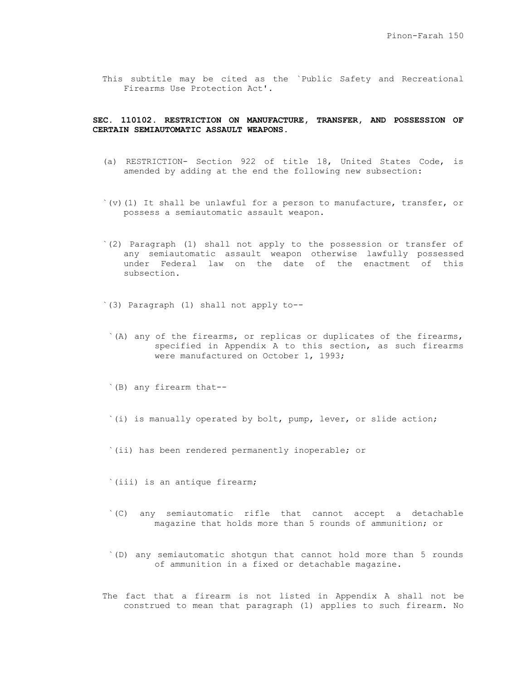This subtitle may be cited as the `Public Safety and Recreational Firearms Use Protection Act'.

## **SEC. 110102. RESTRICTION ON MANUFACTURE, TRANSFER, AND POSSESSION OF CERTAIN SEMIAUTOMATIC ASSAULT WEAPONS.**

- (a) RESTRICTION- Section 922 of title 18, United States Code, is amended by adding at the end the following new subsection:
- $\dot{\;}$  (v)(1) It shall be unlawful for a person to manufacture, transfer, or possess a semiautomatic assault weapon.
- `(2) Paragraph (1) shall not apply to the possession or transfer of any semiautomatic assault weapon otherwise lawfully possessed under Federal law on the date of the enactment of this subsection.
- `(3) Paragraph (1) shall not apply to--
	- `(A) any of the firearms, or replicas or duplicates of the firearms, specified in Appendix A to this section, as such firearms were manufactured on October 1, 1993;
	- `(B) any firearm that--
	- `(i) is manually operated by bolt, pump, lever, or slide action;
	- `(ii) has been rendered permanently inoperable; or
	- `(iii) is an antique firearm;
	- `(C) any semiautomatic rifle that cannot accept a detachable magazine that holds more than 5 rounds of ammunition; or
	- `(D) any semiautomatic shotgun that cannot hold more than 5 rounds of ammunition in a fixed or detachable magazine.
- The fact that a firearm is not listed in Appendix A shall not be construed to mean that paragraph (1) applies to such firearm. No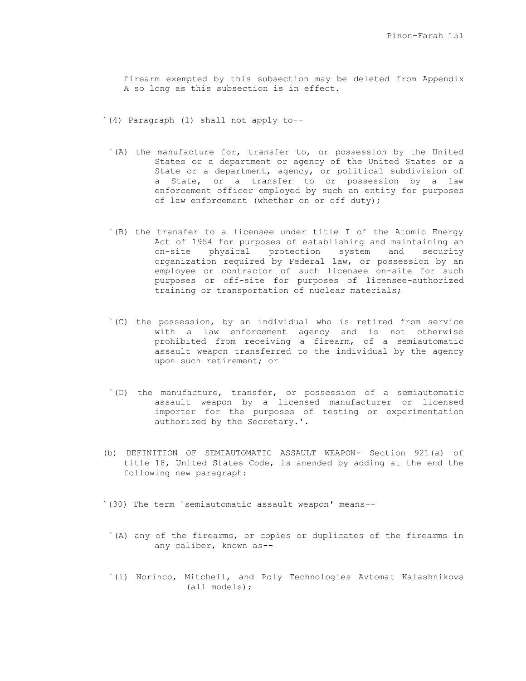firearm exempted by this subsection may be deleted from Appendix A so long as this subsection is in effect.

- `(4) Paragraph (1) shall not apply to--
- `(A) the manufacture for, transfer to, or possession by the United States or a department or agency of the United States or a State or a department, agency, or political subdivision of a State, or a transfer to or possession by a law enforcement officer employed by such an entity for purposes of law enforcement (whether on or off duty);
- `(B) the transfer to a licensee under title I of the Atomic Energy Act of 1954 for purposes of establishing and maintaining an on-site physical protection system and security organization required by Federal law, or possession by an employee or contractor of such licensee on-site for such purposes or off-site for purposes of licensee-authorized training or transportation of nuclear materials;
- `(C) the possession, by an individual who is retired from service with a law enforcement agency and is not otherwise prohibited from receiving a firearm, of a semiautomatic assault weapon transferred to the individual by the agency upon such retirement; or
- `(D) the manufacture, transfer, or possession of a semiautomatic assault weapon by a licensed manufacturer or licensed importer for the purposes of testing or experimentation authorized by the Secretary.'.
- (b) DEFINITION OF SEMIAUTOMATIC ASSAULT WEAPON- Section 921(a) of title 18, United States Code, is amended by adding at the end the following new paragraph:

`(30) The term `semiautomatic assault weapon' means--

- `(A) any of the firearms, or copies or duplicates of the firearms in any caliber, known as--
- `(i) Norinco, Mitchell, and Poly Technologies Avtomat Kalashnikovs (all models);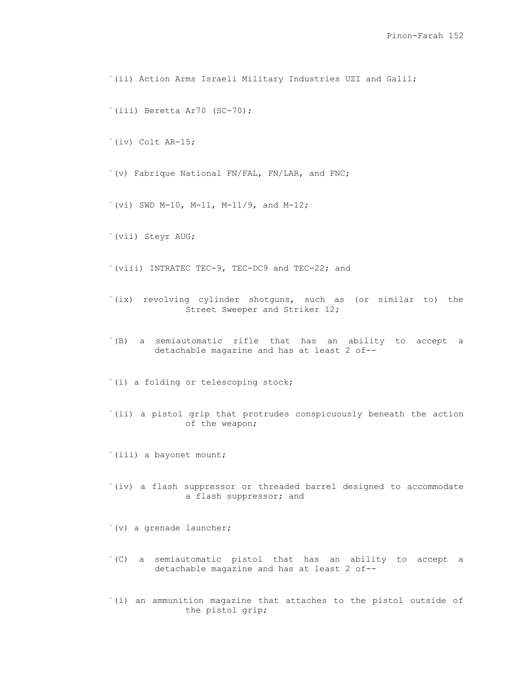`(ii) Action Arms Israeli Military Industries UZI and Galil;

`(iii) Beretta Ar70 (SC-70);

`(iv) Colt AR-15;

`(v) Fabrique National FN/FAL, FN/LAR, and FNC;

`(vi) SWD M-10, M-11, M-11/9, and M-12;

`(vii) Steyr AUG;

`(viii) INTRATEC TEC-9, TEC-DC9 and TEC-22; and

- `(ix) revolving cylinder shotguns, such as (or similar to) the Street Sweeper and Striker 12;
- `(B) a semiautomatic rifle that has an ability to accept a detachable magazine and has at least 2 of--
- `(i) a folding or telescoping stock;
- `(ii) a pistol grip that protrudes conspicuously beneath the action of the weapon;

`(iii) a bayonet mount;

- `(iv) a flash suppressor or threaded barrel designed to accommodate a flash suppressor; and
- `(v) a grenade launcher;
- `(C) a semiautomatic pistol that has an ability to accept a detachable magazine and has at least 2 of--
- `(i) an ammunition magazine that attaches to the pistol outside of the pistol grip;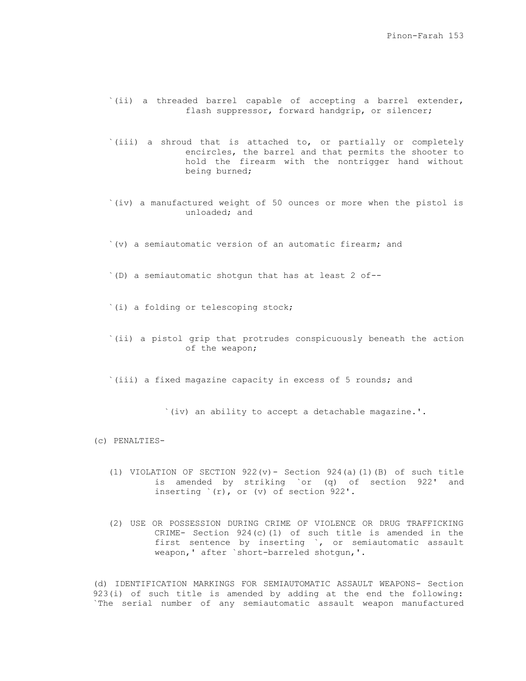- `(ii) a threaded barrel capable of accepting a barrel extender, flash suppressor, forward handgrip, or silencer;
- `(iii) a shroud that is attached to, or partially or completely encircles, the barrel and that permits the shooter to hold the firearm with the nontrigger hand without being burned;
- `(iv) a manufactured weight of 50 ounces or more when the pistol is unloaded; and
- `(v) a semiautomatic version of an automatic firearm; and
- `(D) a semiautomatic shotgun that has at least 2 of--
- `(i) a folding or telescoping stock;
- `(ii) a pistol grip that protrudes conspicuously beneath the action of the weapon;
- `(iii) a fixed magazine capacity in excess of 5 rounds; and
	- `(iv) an ability to accept a detachable magazine.'.
- (c) PENALTIES-
	- (1) VIOLATION OF SECTION  $922(v)$  Section  $924(a)(1)(B)$  of such title is amended by striking `or (q) of section 922' and inserting `(r), or (v) of section 922'.
	- (2) USE OR POSSESSION DURING CRIME OF VIOLENCE OR DRUG TRAFFICKING CRIME- Section 924(c)(1) of such title is amended in the first sentence by inserting `, or semiautomatic assault weapon,' after `short-barreled shotgun,'.

(d) IDENTIFICATION MARKINGS FOR SEMIAUTOMATIC ASSAULT WEAPONS- Section 923(i) of such title is amended by adding at the end the following: `The serial number of any semiautomatic assault weapon manufactured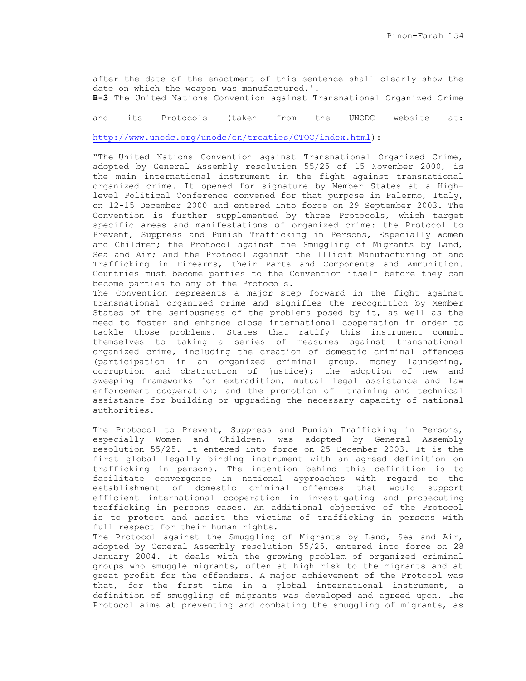after the date of the enactment of this sentence shall clearly show the date on which the weapon was manufactured.'. **B-3** The United Nations Convention against Transnational Organized Crime

and its Protocols (taken from the UNODC website at:

[http://www.unodc.org/unodc/en/treaties/CTOC/index.html\)](http://www.unodc.org/unodc/en/treaties/CTOC/index.html):

"The United Nations Convention against Transnational Organized Crime, adopted by General Assembly resolution 55/25 of 15 November 2000, is the main international instrument in the fight against transnational organized crime. It opened for signature by Member States at a Highlevel Political Conference convened for that purpose in Palermo, Italy, on 12-15 December 2000 and entered into force on 29 September 2003. The Convention is further supplemented by three Protocols, which target specific areas and manifestations of organized crime: the Protocol to Prevent, Suppress and Punish Trafficking in Persons, Especially Women and Children; the Protocol against the Smuggling of Migrants by Land, Sea and Air; and the Protocol against the Illicit Manufacturing of and Trafficking in Firearms, their Parts and Components and Ammunition. Countries must become parties to the Convention itself before they can become parties to any of the Protocols.

The Convention represents a major step forward in the fight against transnational organized crime and signifies the recognition by Member States of the seriousness of the problems posed by it, as well as the need to foster and enhance close international cooperation in order to tackle those problems. States that ratify this instrument commit themselves to taking a series of measures against transnational organized crime, including the creation of domestic criminal offences (participation in an organized criminal group, money laundering, corruption and obstruction of justice); the adoption of new and sweeping frameworks for extradition, mutual legal assistance and law enforcement cooperation; and the promotion of training and technical assistance for building or upgrading the necessary capacity of national authorities.

The Protocol to Prevent, Suppress and Punish Trafficking in Persons, especially Women and Children, was adopted by General Assembly resolution 55/25. It entered into force on 25 December 2003. It is the first global legally binding instrument with an agreed definition on trafficking in persons. The intention behind this definition is to facilitate convergence in national approaches with regard to the establishment of domestic criminal offences that would support efficient international cooperation in investigating and prosecuting trafficking in persons cases. An additional objective of the Protocol is to protect and assist the victims of trafficking in persons with full respect for their human rights.

The Protocol against the Smuggling of Migrants by Land, Sea and Air, adopted by General Assembly resolution 55/25, entered into force on 28 January 2004. It deals with the growing problem of organized criminal groups who smuggle migrants, often at high risk to the migrants and at great profit for the offenders. A major achievement of the Protocol was that, for the first time in a global international instrument, a definition of smuggling of migrants was developed and agreed upon. The Protocol aims at preventing and combating the smuggling of migrants, as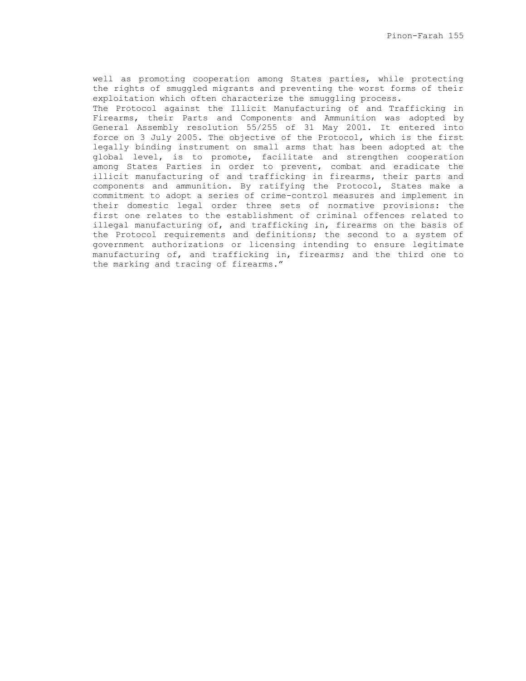well as promoting cooperation among States parties, while protecting the rights of smuggled migrants and preventing the worst forms of their exploitation which often characterize the smuggling process.

The Protocol against the Illicit Manufacturing of and Trafficking in Firearms, their Parts and Components and Ammunition was adopted by General Assembly resolution 55/255 of 31 May 2001. It entered into force on 3 July 2005. The objective of the Protocol, which is the first legally binding instrument on small arms that has been adopted at the global level, is to promote, facilitate and strengthen cooperation among States Parties in order to prevent, combat and eradicate the illicit manufacturing of and trafficking in firearms, their parts and components and ammunition. By ratifying the Protocol, States make a commitment to adopt a series of crime-control measures and implement in their domestic legal order three sets of normative provisions: the first one relates to the establishment of criminal offences related to illegal manufacturing of, and trafficking in, firearms on the basis of the Protocol requirements and definitions; the second to a system of government authorizations or licensing intending to ensure legitimate manufacturing of, and trafficking in, firearms; and the third one to the marking and tracing of firearms."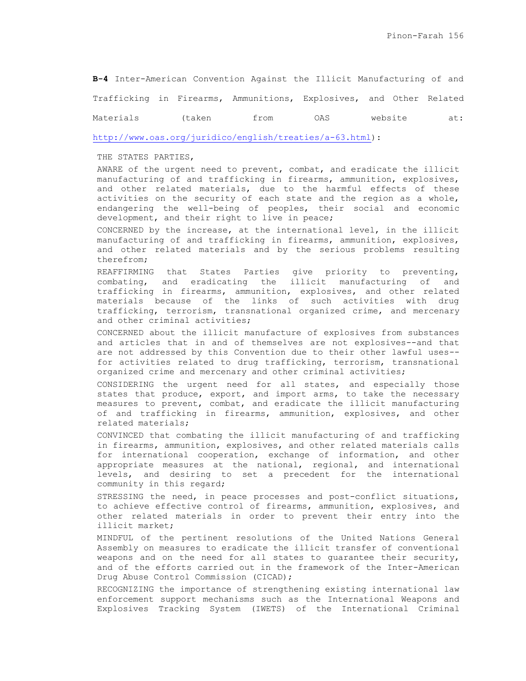**B-4** Inter-American Convention Against the Illicit Manufacturing of and Trafficking in Firearms, Ammunitions, Explosives, and Other Related Materials (taken from OAS website at:

[http://www.oas.org/juridico/english/treaties/a-63.html\)](http://www.oas.org/juridico/english/treaties/a-63.html):

### THE STATES PARTIES,

AWARE of the urgent need to prevent, combat, and eradicate the illicit manufacturing of and trafficking in firearms, ammunition, explosives, and other related materials, due to the harmful effects of these activities on the security of each state and the region as a whole, endangering the well-being of peoples, their social and economic development, and their right to live in peace;

CONCERNED by the increase, at the international level, in the illicit manufacturing of and trafficking in firearms, ammunition, explosives, and other related materials and by the serious problems resulting therefrom;

REAFFIRMING that States Parties give priority to preventing, combating, and eradicating the illicit manufacturing of and trafficking in firearms, ammunition, explosives, and other related materials because of the links of such activities with drug trafficking, terrorism, transnational organized crime, and mercenary and other criminal activities;

CONCERNED about the illicit manufacture of explosives from substances and articles that in and of themselves are not explosives--and that are not addressed by this Convention due to their other lawful uses- for activities related to drug trafficking, terrorism, transnational organized crime and mercenary and other criminal activities;

CONSIDERING the urgent need for all states, and especially those states that produce, export, and import arms, to take the necessary measures to prevent, combat, and eradicate the illicit manufacturing of and trafficking in firearms, ammunition, explosives, and other related materials;

CONVINCED that combating the illicit manufacturing of and trafficking in firearms, ammunition, explosives, and other related materials calls for international cooperation, exchange of information, and other appropriate measures at the national, regional, and international levels, and desiring to set a precedent for the international community in this regard;

STRESSING the need, in peace processes and post-conflict situations, to achieve effective control of firearms, ammunition, explosives, and other related materials in order to prevent their entry into the illicit market;

MINDFUL of the pertinent resolutions of the United Nations General Assembly on measures to eradicate the illicit transfer of conventional weapons and on the need for all states to guarantee their security, and of the efforts carried out in the framework of the Inter-American Drug Abuse Control Commission (CICAD);

RECOGNIZING the importance of strengthening existing international law enforcement support mechanisms such as the International Weapons and Explosives Tracking System (IWETS) of the International Criminal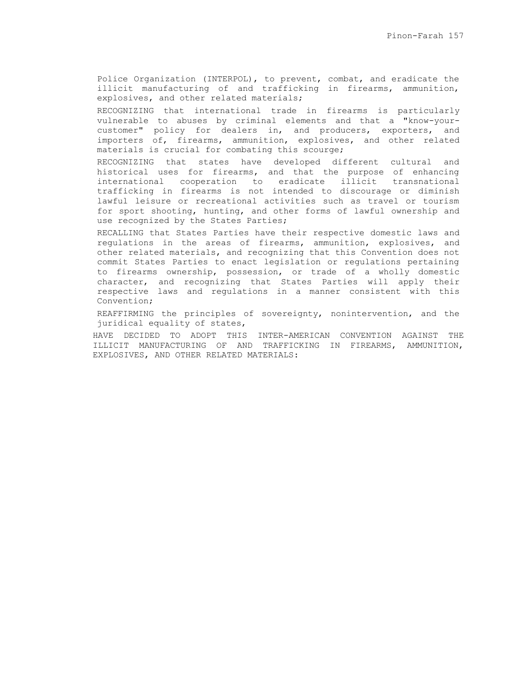Police Organization (INTERPOL), to prevent, combat, and eradicate the illicit manufacturing of and trafficking in firearms, ammunition, explosives, and other related materials;

RECOGNIZING that international trade in firearms is particularly vulnerable to abuses by criminal elements and that a "know-yourcustomer" policy for dealers in, and producers, exporters, and importers of, firearms, ammunition, explosives, and other related materials is crucial for combating this scourge;

RECOGNIZING that states have developed different cultural and historical uses for firearms, and that the purpose of enhancing international cooperation to eradicate illicit transnational trafficking in firearms is not intended to discourage or diminish lawful leisure or recreational activities such as travel or tourism for sport shooting, hunting, and other forms of lawful ownership and use recognized by the States Parties;

RECALLING that States Parties have their respective domestic laws and regulations in the areas of firearms, ammunition, explosives, and other related materials, and recognizing that this Convention does not commit States Parties to enact legislation or regulations pertaining to firearms ownership, possession, or trade of a wholly domestic character, and recognizing that States Parties will apply their respective laws and regulations in a manner consistent with this Convention;

REAFFIRMING the principles of sovereignty, nonintervention, and the juridical equality of states,

HAVE DECIDED TO ADOPT THIS INTER-AMERICAN CONVENTION AGAINST THE ILLICIT MANUFACTURING OF AND TRAFFICKING IN FIREARMS, AMMUNITION, EXPLOSIVES, AND OTHER RELATED MATERIALS: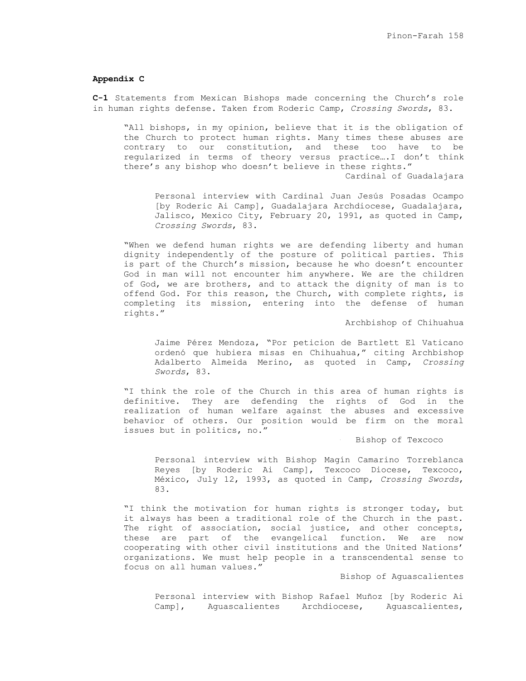#### **Appendix C**

**C-1** Statements from Mexican Bishops made concerning the Church"s role in human rights defense. Taken from Roderic Camp, *Crossing Swords*, 83.

"All bishops, in my opinion, believe that it is the obligation of the Church to protect human rights. Many times these abuses are contrary to our constitution, and these too have to be regularized in terms of theory versus practice….I don"t think there's any bishop who doesn't believe in these rights." Cardinal of Guadalajara

Personal interview with Cardinal Juan Jesús Posadas Ocampo [by Roderic Ai Camp], Guadalajara Archdiocese, Guadalajara, Jalisco, Mexico City, February 20, 1991, as quoted in Camp, *Crossing Swords*, 83.

"When we defend human rights we are defending liberty and human dignity independently of the posture of political parties. This is part of the Church's mission, because he who doesn't encounter God in man will not encounter him anywhere. We are the children of God, we are brothers, and to attack the dignity of man is to offend God. For this reason, the Church, with complete rights, is completing its mission, entering into the defense of human rights."

### Archbishop of Chihuahua

Jaime Pérez Mendoza, "Por peticíon de Bartlett El Vaticano ordenó que hubiera misas en Chihuahua," citing Archbishop Adalberto Almeida Merino, as quoted in Camp, *Crossing Swords*, 83.

"I think the role of the Church in this area of human rights is definitive. They are defending the rights of God in the realization of human welfare against the abuses and excessive behavior of others. Our position would be firm on the moral issues but in politics, no."

### - Bishop of Texcoco

Personal interview with Bishop Magín Camarino Torreblanca Reyes [by Roderic Ai Camp], Texcoco Diocese, Texcoco, México, July 12, 1993, as quoted in Camp, *Crossing Swords*, 83.

"I think the motivation for human rights is stronger today, but it always has been a traditional role of the Church in the past. The right of association, social justice, and other concepts, these are part of the evangelical function. We are now cooperating with other civil institutions and the United Nations" organizations. We must help people in a transcendental sense to focus on all human values."

### Bishop of Aguascalientes

Personal interview with Bishop Rafael Muñoz [by Roderic Ai Camp], Aguascalientes Archdiocese, Aguascalientes,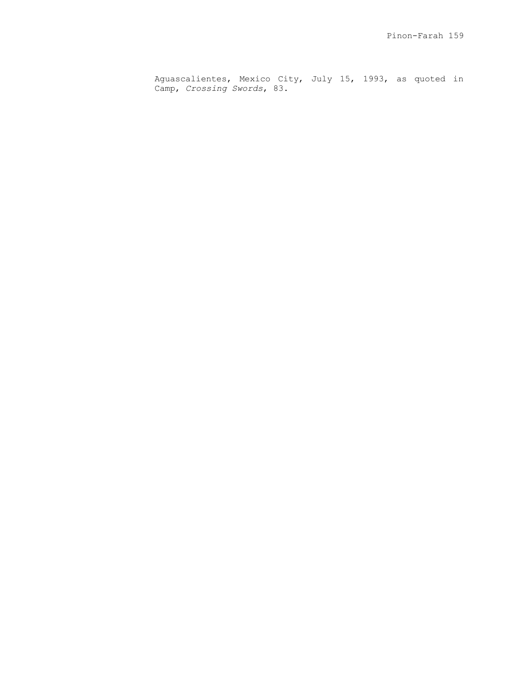Aguascalientes, Mexico City, July 15, 1993, as quoted in Camp, *Crossing Swords*, 83.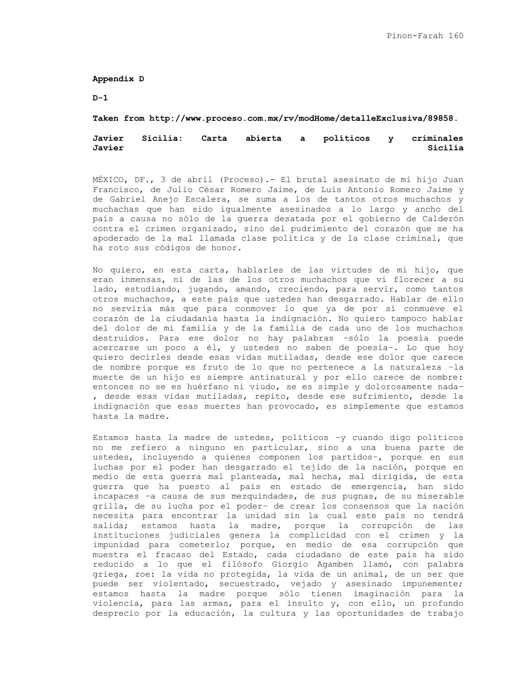**Appendix D**

**D-1**

**Taken from http://www.proceso.com.mx/rv/modHome/detalleExclusiva/89858.**

# **Javier Sicilia: Carta abierta a políticos y criminales Javier Sicilia**

MÉXICO, DF., 3 de abril (Proceso).- El brutal asesinato de mi hijo Juan Francisco, de Julio César Romero Jaime, de Luis Antonio Romero Jaime y de Gabriel Anejo Escalera, se suma a los de tantos otros muchachos y muchachas que han sido igualmente asesinados a lo largo y ancho del país a causa no sólo de la guerra desatada por el gobierno de Calderón contra el crimen organizado, sino del pudrimiento del corazón que se ha apoderado de la mal llamada clase política y de la clase criminal, que ha roto sus códigos de honor.

No quiero, en esta carta, hablarles de las virtudes de mi hijo, que eran inmensas, ni de las de los otros muchachos que vi florecer a su lado, estudiando, jugando, amando, creciendo, para servir, como tantos otros muchachos, a este país que ustedes han desgarrado. Hablar de ello no serviría más que para conmover lo que ya de por sí conmueve el corazón de la ciudadanía hasta la indignación. No quiero tampoco hablar del dolor de mi familia y de la familia de cada uno de los muchachos destruidos. Para ese dolor no hay palabras –sólo la poesía puede acercarse un poco a él, y ustedes no saben de poesía–. Lo que hoy quiero decirles desde esas vidas mutiladas, desde ese dolor que carece de nombre porque es fruto de lo que no pertenece a la naturaleza –la muerte de un hijo es siempre antinatural y por ello carece de nombre: entonces no se es huérfano ni viudo, se es simple y dolorosamente nada– , desde esas vidas mutiladas, repito, desde ese sufrimiento, desde la indignación que esas muertes han provocado, es simplemente que estamos hasta la madre.

Estamos hasta la madre de ustedes, políticos –y cuando digo políticos no me refiero a ninguno en particular, sino a una buena parte de ustedes, incluyendo a quienes componen los partidos–, porque en sus luchas por el poder han desgarrado el tejido de la nación, porque en medio de esta guerra mal planteada, mal hecha, mal dirigida, de esta guerra que ha puesto al país en estado de emergencia, han sido incapaces –a causa de sus mezquindades, de sus pugnas, de su miserable grilla, de su lucha por el poder– de crear los consensos que la nación necesita para encontrar la unidad sin la cual este país no tendrá salida; estamos hasta la madre, porque la corrupción de las instituciones judiciales genera la complicidad con el crimen y la impunidad para cometerlo; porque, en medio de esa corrupción que muestra el fracaso del Estado, cada ciudadano de este país ha sido reducido a lo que el filósofo Giorgio Agamben llamó, con palabra griega, zoe: la vida no protegida, la vida de un animal, de un ser que puede ser violentado, secuestrado, vejado y asesinado impunemente; estamos hasta la madre porque sólo tienen imaginación para la violencia, para las armas, para el insulto y, con ello, un profundo desprecio por la educación, la cultura y las oportunidades de trabajo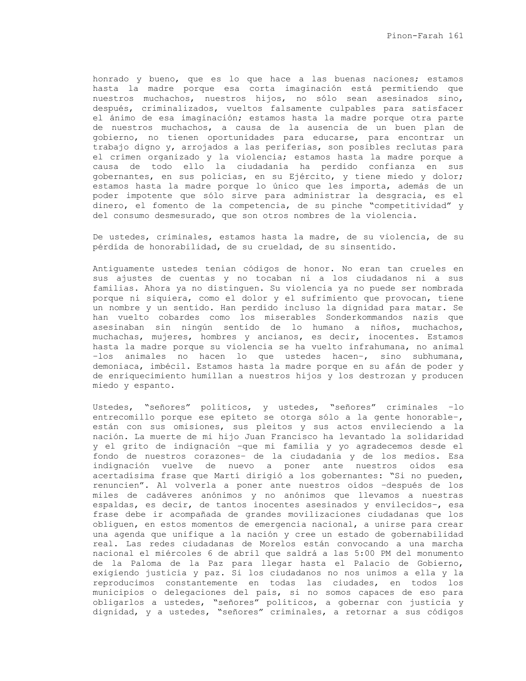honrado y bueno, que es lo que hace a las buenas naciones; estamos hasta la madre porque esa corta imaginación está permitiendo que nuestros muchachos, nuestros hijos, no sólo sean asesinados sino, después, criminalizados, vueltos falsamente culpables para satisfacer el ánimo de esa imaginación; estamos hasta la madre porque otra parte de nuestros muchachos, a causa de la ausencia de un buen plan de gobierno, no tienen oportunidades para educarse, para encontrar un trabajo digno y, arrojados a las periferias, son posibles reclutas para el crimen organizado y la violencia; estamos hasta la madre porque a causa de todo ello la ciudadanía ha perdido confianza en sus gobernantes, en sus policías, en su Ejército, y tiene miedo y dolor; estamos hasta la madre porque lo único que les importa, además de un poder impotente que sólo sirve para administrar la desgracia, es el dinero, el fomento de la competencia, de su pinche "competitividad" y del consumo desmesurado, que son otros nombres de la violencia.

De ustedes, criminales, estamos hasta la madre, de su violencia, de su pérdida de honorabilidad, de su crueldad, de su sinsentido.

Antiguamente ustedes tenían códigos de honor. No eran tan crueles en sus ajustes de cuentas y no tocaban ni a los ciudadanos ni a sus familias. Ahora ya no distinguen. Su violencia ya no puede ser nombrada porque ni siquiera, como el dolor y el sufrimiento que provocan, tiene un nombre y un sentido. Han perdido incluso la dignidad para matar. Se han vuelto cobardes como los miserables Sonderkommandos nazis que asesinaban sin ningún sentido de lo humano a niños, muchachos, muchachas, mujeres, hombres y ancianos, es decir, inocentes. Estamos hasta la madre porque su violencia se ha vuelto infrahumana, no animal –los animales no hacen lo que ustedes hacen–, sino subhumana, demoniaca, imbécil. Estamos hasta la madre porque en su afán de poder y de enriquecimiento humillan a nuestros hijos y los destrozan y producen miedo y espanto.

Ustedes, "señores" políticos, y ustedes, "señores" criminales –lo entrecomillo porque ese epíteto se otorga sólo a la gente honorable-, están con sus omisiones, sus pleitos y sus actos envileciendo a la nación. La muerte de mi hijo Juan Francisco ha levantado la solidaridad y el grito de indignación –que mi familia y yo agradecemos desde el fondo de nuestros corazones– de la ciudadanía y de los medios. Esa indignación vuelve de nuevo a poner ante nuestros oídos esa acertadísima frase que Martí dirigió a los gobernantes: "Si no pueden, renuncien". Al volverla a poner ante nuestros oídos –después de los miles de cadáveres anónimos y no anónimos que llevamos a nuestras espaldas, es decir, de tantos inocentes asesinados y envilecidos–, esa frase debe ir acompañada de grandes movilizaciones ciudadanas que los obliguen, en estos momentos de emergencia nacional, a unirse para crear una agenda que unifique a la nación y cree un estado de gobernabilidad real. Las redes ciudadanas de Morelos están convocando a una marcha nacional el miércoles 6 de abril que saldrá a las 5:00 PM del monumento de la Paloma de la Paz para llegar hasta el Palacio de Gobierno, exigiendo justicia y paz. Si los ciudadanos no nos unimos a ella y la reproducimos constantemente en todas las ciudades, en todos los municipios o delegaciones del país, si no somos capaces de eso para obligarlos a ustedes, "señores" políticos, a gobernar con justicia y dignidad, y a ustedes, "señores" criminales, a retornar a sus códigos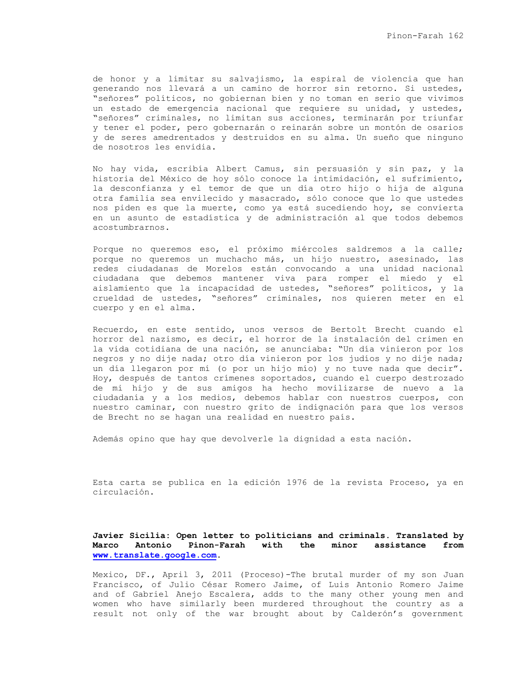de honor y a limitar su salvajismo, la espiral de violencia que han generando nos llevará a un camino de horror sin retorno. Si ustedes, "señores" políticos, no gobiernan bien y no toman en serio que vivimos un estado de emergencia nacional que requiere su unidad, y ustedes, "señores" criminales, no limitan sus acciones, terminarán por triunfar y tener el poder, pero gobernarán o reinarán sobre un montón de osarios y de seres amedrentados y destruidos en su alma. Un sueño que ninguno de nosotros les envidia.

No hay vida, escribía Albert Camus, sin persuasión y sin paz, y la historia del México de hoy sólo conoce la intimidación, el sufrimiento, la desconfianza y el temor de que un día otro hijo o hija de alguna otra familia sea envilecido y masacrado, sólo conoce que lo que ustedes nos piden es que la muerte, como ya está sucediendo hoy, se convierta en un asunto de estadística y de administración al que todos debemos acostumbrarnos.

Porque no queremos eso, el próximo miércoles saldremos a la calle; porque no queremos un muchacho más, un hijo nuestro, asesinado, las redes ciudadanas de Morelos están convocando a una unidad nacional ciudadana que debemos mantener viva para romper el miedo y el aislamiento que la incapacidad de ustedes, "señores" políticos, y la crueldad de ustedes, "señores" criminales, nos quieren meter en el cuerpo y en el alma.

Recuerdo, en este sentido, unos versos de Bertolt Brecht cuando el horror del nazismo, es decir, el horror de la instalación del crimen en la vida cotidiana de una nación, se anunciaba: "Un día vinieron por los negros y no dije nada; otro día vinieron por los judíos y no dije nada; un día llegaron por mí (o por un hijo mío) y no tuve nada que decir". Hoy, después de tantos crímenes soportados, cuando el cuerpo destrozado de mi hijo y de sus amigos ha hecho movilizarse de nuevo a la ciudadanía y a los medios, debemos hablar con nuestros cuerpos, con nuestro caminar, con nuestro grito de indignación para que los versos de Brecht no se hagan una realidad en nuestro país.

Además opino que hay que devolverle la dignidad a esta nación.

Esta carta se publica en la edición 1976 de la revista Proceso, ya en circulación.

# **Javier Sicilia: Open letter to politicians and criminals. Translated by Marco Antonio Pinon-Farah with the minor assistance from [www.translate.google.com.](http://www.translate.google.com/)**

Mexico, DF., April 3, 2011 (Proceso)-The brutal murder of my son Juan Francisco, of Julio César Romero Jaime, of Luis Antonio Romero Jaime and of Gabriel Anejo Escalera, adds to the many other young men and women who have similarly been murdered throughout the country as a result not only of the war brought about by Calderón"s government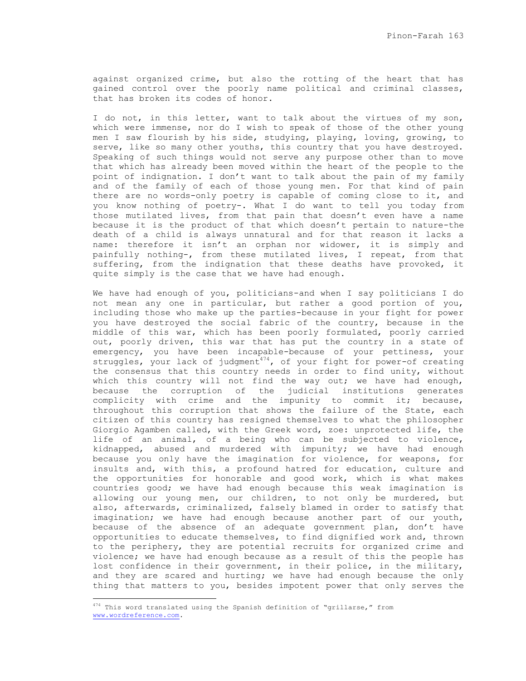against organized crime, but also the rotting of the heart that has gained control over the poorly name political and criminal classes, that has broken its codes of honor.

I do not, in this letter, want to talk about the virtues of my son, which were immense, nor do I wish to speak of those of the other young men I saw flourish by his side, studying, playing, loving, growing, to serve, like so many other youths, this country that you have destroyed. Speaking of such things would not serve any purpose other than to move that which has already been moved within the heart of the people to the point of indignation. I don"t want to talk about the pain of my family and of the family of each of those young men. For that kind of pain there are no words-only poetry is capable of coming close to it, and you know nothing of poetry-. What I do want to tell you today from those mutilated lives, from that pain that doesn"t even have a name because it is the product of that which doesn"t pertain to nature-the death of a child is always unnatural and for that reason it lacks a name: therefore it isn't an orphan nor widower, it is simply and painfully nothing-, from these mutilated lives, I repeat, from that suffering, from the indignation that these deaths have provoked, it quite simply is the case that we have had enough.

We have had enough of you, politicians-and when I say politicians I do not mean any one in particular, but rather a good portion of you, including those who make up the parties-because in your fight for power you have destroyed the social fabric of the country, because in the middle of this war, which has been poorly formulated, poorly carried out, poorly driven, this war that has put the country in a state of emergency, you have been incapable-because of your pettiness, your struggles, your lack of judgment<sup>474</sup>, of your fight for power-of creating the consensus that this country needs in order to find unity, without which this country will not find the way out; we have had enough, because the corruption of the judicial institutions generates complicity with crime and the impunity to commit it; because, throughout this corruption that shows the failure of the State, each citizen of this country has resigned themselves to what the philosopher Giorgio Agamben called, with the Greek word, zoe: unprotected life, the life of an animal, of a being who can be subjected to violence, kidnapped, abused and murdered with impunity**;** we have had enough because you only have the imagination for violence, for weapons, for insults and, with this, a profound hatred for education, culture and the opportunities for honorable and good work, which is what makes countries good; we have had enough because this weak imagination is allowing our young men, our children, to not only be murdered, but also, afterwards, criminalized, falsely blamed in order to satisfy that imagination; we have had enough because another part of our youth, because of the absence of an adequate government plan, don't have opportunities to educate themselves, to find dignified work and, thrown to the periphery, they are potential recruits for organized crime and violence; we have had enough because as a result of this the people has lost confidence in their government, in their police, in the military, and they are scared and hurting; we have had enough because the only thing that matters to you, besides impotent power that only serves the

 $4^{74}$  This word translated using the Spanish definition of "grillarse," from [www.wordreference.com.](http://www.wordreference.com/)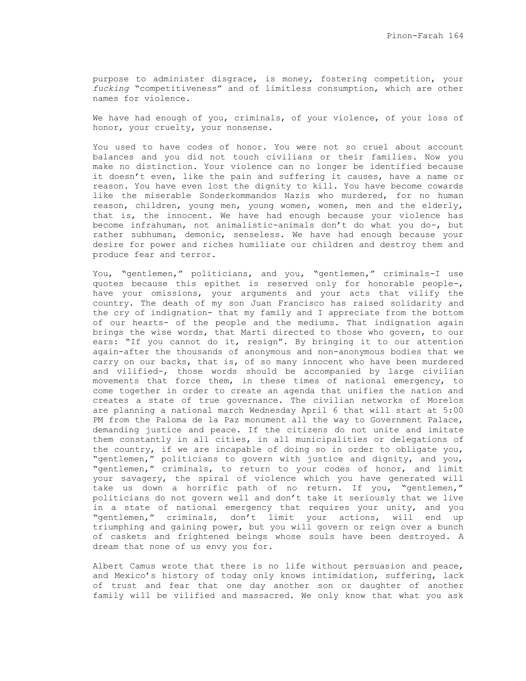purpose to administer disgrace, is money, fostering competition, your *fucking* "competitiveness" and of limitless consumption, which are other names for violence.

We have had enough of you, criminals, of your violence, of your loss of honor, your cruelty, your nonsense.

You used to have codes of honor. You were not so cruel about account balances and you did not touch civilians or their families. Now you make no distinction. Your violence can no longer be identified because it doesn't even, like the pain and suffering it causes, have a name or reason. You have even lost the dignity to kill. You have become cowards like the miserable Sonderkommandos Nazis who murdered, for no human reason, children, young men, young women, women, men and the elderly, that is, the innocent. We have had enough because your violence has become infrahuman, not animalistic-animals don"t do what you do-, but rather subhuman, demonic, senseless. We have had enough because your desire for power and riches humiliate our children and destroy them and produce fear and terror.

You, "gentlemen," politicians, and you, "gentlemen," criminals-I use quotes because this epithet is reserved only for honorable people-, have your omissions, your arguments and your acts that vilify the country. The death of my son Juan Francisco has raised solidarity and the cry of indignation- that my family and I appreciate from the bottom of our hearts- of the people and the mediums. That indignation again brings the wise words, that Martí directed to those who govern, to our ears: "If you cannot do it, resign". By bringing it to our attention again-after the thousands of anonymous and non-anonymous bodies that we carry on our backs, that is, of so many innocent who have been murdered and vilified-, those words should be accompanied by large civilian movements that force them, in these times of national emergency, to come together in order to create an agenda that unifies the nation and creates a state of true governance. The civilian networks of Morelos are planning a national march Wednesday April 6 that will start at 5:00 PM from the Paloma de la Paz monument all the way to Government Palace, demanding justice and peace. If the citizens do not unite and imitate them constantly in all cities, in all municipalities or delegations of the country, if we are incapable of doing so in order to obligate you, "gentlemen," politicians to govern with justice and dignity, and you, "gentlemen," criminals, to return to your codes of honor, and limit your savagery, the spiral of violence which you have generated will take us down a horrific path of no return. If you, "gentlemen," politicians do not govern well and don"t take it seriously that we live in a state of national emergency that requires your unity, and you "gentlemen," criminals, don"t limit your actions, will end up triumphing and gaining power, but you will govern or reign over a bunch of caskets and frightened beings whose souls have been destroyed**.** A dream that none of us envy you for.

Albert Camus wrote that there is no life without persuasion and peace, and Mexico's history of today only knows intimidation, suffering, lack of trust and fear that one day another son or daughter of another family will be vilified and massacred. We only know that what you ask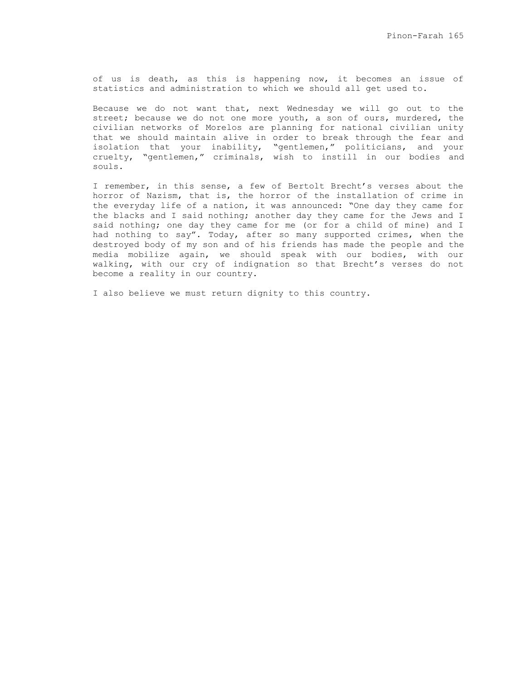of us is death, as this is happening now, it becomes an issue of statistics and administration to which we should all get used to.

Because we do not want that, next Wednesday we will go out to the street; because we do not one more youth, a son of ours, murdered, the civilian networks of Morelos are planning for national civilian unity that we should maintain alive in order to break through the fear and isolation that your inability, "gentlemen," politicians, and your cruelty, "gentlemen," criminals, wish to instill in our bodies and souls.

I remember, in this sense, a few of Bertolt Brecht"s verses about the horror of Nazism, that is, the horror of the installation of crime in the everyday life of a nation, it was announced: "One day they came for the blacks and I said nothing; another day they came for the Jews and I said nothing; one day they came for me (or for a child of mine) and I had nothing to say". Today, after so many supported crimes, when the destroyed body of my son and of his friends has made the people and the media mobilize again, we should speak with our bodies, with our walking, with our cry of indignation so that Brecht"s verses do not become a reality in our country.

I also believe we must return dignity to this country.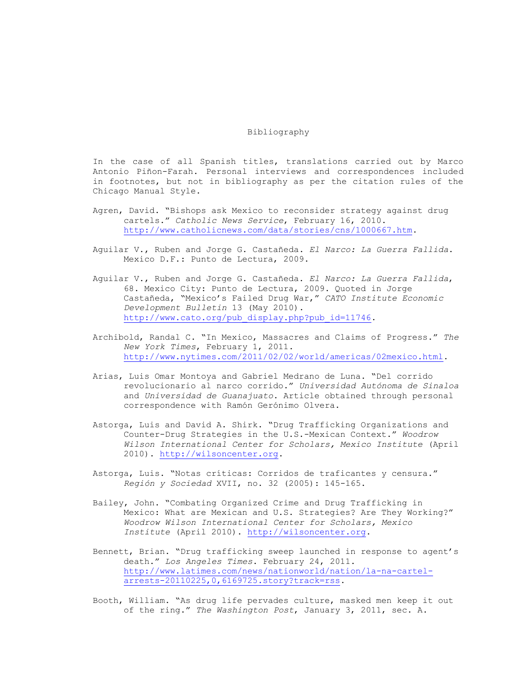## Bibliography

In the case of all Spanish titles, translations carried out by Marco Antonio Piñon-Farah. Personal interviews and correspondences included in footnotes, but not in bibliography as per the citation rules of the Chicago Manual Style.

- Agren, David. "Bishops ask Mexico to reconsider strategy against drug cartels." *Catholic News Service*, February 16, 2010. [http://www.catholicnews.com/data/stories/cns/1000667.htm.](http://www.catholicnews.com/data/stories/cns/1000667.htm)
- Aguilar V., Ruben and Jorge G. Castañeda. *El Narco: La Guerra Fallida*. Mexico D.F.: Punto de Lectura, 2009.
- Aguilar V., Ruben and Jorge G. Castañeda. *El Narco: La Guerra Fallida*, 68. Mexico City: Punto de Lectura, 2009. Quoted in Jorge Castañeda, "Mexico"s Failed Drug War," *CATO Institute Economic Development Bulletin* 13 (May 2010). http://www.cato.org/pub display.php?pub id=11746.
- Archibold, Randal C. "In Mexico, Massacres and Claims of Progress." *The New York Times*, February 1, 2011. [http://www.nytimes.com/2011/02/02/world/americas/02mexico.html.](http://www.nytimes.com/2011/02/02/world/americas/02mexico.html)
- Arias, Luis Omar Montoya and Gabriel Medrano de Luna. "Del corrido revolucionario al narco corrido." *Universidad Autónoma de Sinaloa* and *Universidad de Guanajuato*. Article obtained through personal correspondence with Ramón Gerónimo Olvera.
- Astorga, Luis and David A. Shirk. "Drug Trafficking Organizations and Counter-Drug Strategies in the U.S.-Mexican Context." *Woodrow Wilson International Center for Scholars, Mexico Institute* (April 2010). [http://wilsoncenter.org.](http://wilsoncenter.org/)
- Astorga, Luis. "Notas críticas: Corridos de traficantes y censura." *Región y Sociedad* XVII, no. 32 (2005): 145-165.
- Bailey, John. "Combating Organized Crime and Drug Trafficking in Mexico: What are Mexican and U.S. Strategies? Are They Working?" *Woodrow Wilson International Center for Scholars, Mexico Institute* (April 2010). [http://wilsoncenter.org.](http://wilsoncenter.org/)
- Bennett, Brian. "Drug trafficking sweep launched in response to agent"s death." *Los Angeles Times*. February 24, 2011. [http://www.latimes.com/news/nationworld/nation/la-na-cartel](http://www.latimes.com/news/nationworld/nation/la-na-cartel-arrests-20110225,0,6169725.story?track=rss)[arrests-20110225,0,6169725.story?track=rss.](http://www.latimes.com/news/nationworld/nation/la-na-cartel-arrests-20110225,0,6169725.story?track=rss)
- Booth, William. "As drug life pervades culture, masked men keep it out of the ring." *The Washington Post*, January 3, 2011, sec. A.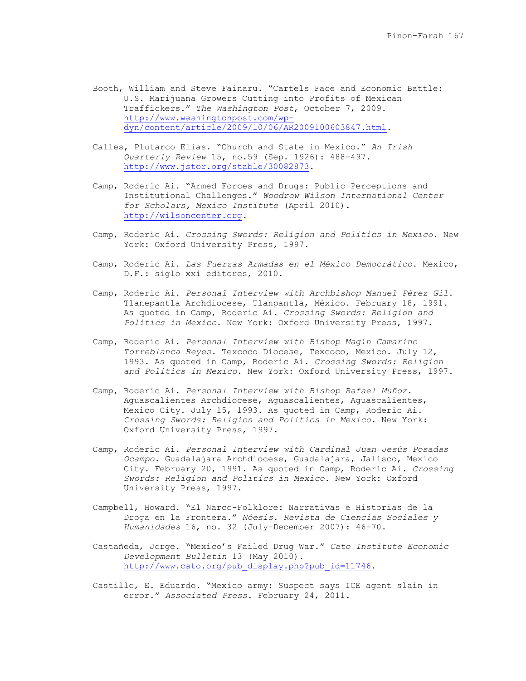- Booth, William and Steve Fainaru. "Cartels Face and Economic Battle: U.S. Marijuana Growers Cutting into Profits of Mexican Traffickers." *The Washington Post*, October 7, 2009. [http://www.washingtonpost.com/wp](http://www.washingtonpost.com/wp-dyn/content/article/2009/10/06/AR2009100603847.html)[dyn/content/article/2009/10/06/AR2009100603847.html.](http://www.washingtonpost.com/wp-dyn/content/article/2009/10/06/AR2009100603847.html)
- Calles, Plutarco Elias. "Church and State in Mexico." *An Irish Quarterly Review* 15, no.59 (Sep. 1926): 488-497. [http://www.jstor.org/stable/30082873.](http://www.jstor.org/stable/30082873)
- Camp, Roderic Ai. "Armed Forces and Drugs: Public Perceptions and Institutional Challenges." *Woodrow Wilson International Center for Scholars, Mexico Institute* (April 2010). [http://wilsoncenter.org.](http://wilsoncenter.org/)
- Camp, Roderic Ai. *Crossing Swords: Religion and Politics in Mexico*. New York: Oxford University Press, 1997.
- Camp, Roderic Ai. *Las Fuerzas Armadas en el México Democrático*. Mexico, D.F.: siglo xxi editores, 2010.
- Camp, Roderic Ai. *Personal Interview with Archbishop Manuel Pérez Gil*. Tlanepantla Archdiocese, Tlanpantla, México. February 18, 1991. As quoted in Camp, Roderic Ai. *Crossing Swords: Religion and Politics in Mexico*. New York: Oxford University Press, 1997.
- Camp, Roderic Ai. *Personal Interview with Bishop Magín Camarino Torreblanca Reyes*. Texcoco Diocese, Texcoco, Mexico. July 12, 1993. As quoted in Camp, Roderic Ai. *Crossing Swords: Religion and Politics in Mexico*. New York: Oxford University Press, 1997.
- Camp, Roderic Ai. *Personal Interview with Bishop Rafael Muñoz*. Aguascalientes Archdiocese, Aguascalientes, Aguascalientes, Mexico City. July 15, 1993. As quoted in Camp, Roderic Ai. *Crossing Swords: Religion and Politics in Mexico*. New York: Oxford University Press, 1997.
- Camp, Roderic Ai. *Personal Interview with Cardinal Juan Jesús Posadas Ocampo*. Guadalajara Archdiocese, Guadalajara, Jalisco, Mexico City. February 20, 1991. As quoted in Camp, Roderic Ai. *Crossing Swords: Religion and Politics in Mexico*. New York: Oxford University Press, 1997.
- Campbell, Howard. "El Narco-Folklore: Narrativas e Historias de la Droga en la Frontera." *Nóesis. Revista de Ciencias Sociales y Humanidades* 16, no. 32 (July-December 2007): 46-70.
- Castañeda, Jorge. "Mexico"s Failed Drug War." *Cato Institute Economic Development Bulletin* 13 (May 2010). [http://www.cato.org/pub\\_display.php?pub\\_id=11746.](http://www.cato.org/pub_display.php?pub_id=11746)
- Castillo, E. Eduardo. "Mexico army: Suspect says ICE agent slain in error." *Associated Press*. February 24, 2011.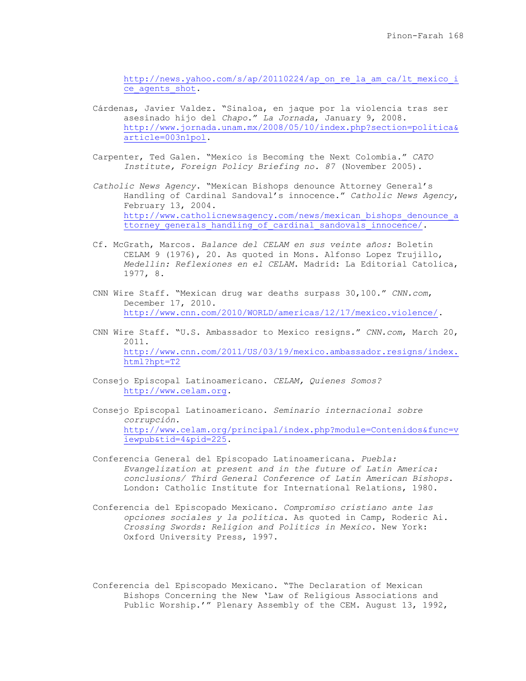[http://news.yahoo.com/s/ap/20110224/ap\\_on\\_re\\_la\\_am\\_ca/lt\\_mexico\\_i](http://news.yahoo.com/s/ap/20110224/ap_on_re_la_am_ca/lt_mexico_ice_agents_shot) ce agents shot.

- Cárdenas, Javier Valdez. "Sinaloa, en jaque por la violencia tras ser asesinado hijo del *Chapo*." *La Jornada*, January 9, 2008. [http://www.jornada.unam.mx/2008/05/10/index.php?section=politica&](http://www.jornada.unam.mx/2008/05/10/index.php?section=politica&article=003n1pol) [article=003n1pol.](http://www.jornada.unam.mx/2008/05/10/index.php?section=politica&article=003n1pol)
- Carpenter, Ted Galen. "Mexico is Becoming the Next Colombia." *CATO Institute, Foreign Policy Briefing no. 87* (November 2005).
- *Catholic News Agency*. "Mexican Bishops denounce Attorney General"s Handling of Cardinal Sandoval"s innocence." *Catholic News Agency*, February 13, 2004. [http://www.catholicnewsagency.com/news/mexican\\_bishops\\_denounce\\_a](http://www.catholicnewsagency.com/news/mexican_bishops_denounce_attorney_generals_handling_of_cardinal_sandovals_innocence/) ttorney generals handling of cardinal sandovals innocence/.
- Cf. McGrath, Marcos. *Balance del CELAM en sus veinte años:* Boletín CELAM 9 (1976), 20. As quoted in Mons. Alfonso Lopez Trujillo, *Medellin: Reflexiones en el CELAM*. Madrid: La Editorial Catolica, 1977, 8.
- CNN Wire Staff. "Mexican drug war deaths surpass 30,100." *CNN.com*, December 17, 2010. [http://www.cnn.com/2010/WORLD/americas/12/17/mexico.violence/.](http://www.cnn.com/2010/WORLD/americas/12/17/mexico.violence/)
- CNN Wire Staff. "U.S. Ambassador to Mexico resigns." *CNN.com*, March 20, 2011. [http://www.cnn.com/2011/US/03/19/mexico.ambassador.resigns/index.](http://www.cnn.com/2011/US/03/19/mexico.ambassador.resigns/index.html?hpt=T2) [html?hpt=T2](http://www.cnn.com/2011/US/03/19/mexico.ambassador.resigns/index.html?hpt=T2)
- Consejo Episcopal Latinoamericano. *CELAM, Quienes Somos?* [http://www.celam.org.](http://www.celam.org/)
- Consejo Episcopal Latinoamericano. *Seminario internacional sobre corrupción*. [http://www.celam.org/principal/index.php?module=Contenidos&func=v](http://www.celam.org/principal/index.php?module=Contenidos&func=viewpub&tid=4&pid=225) [iewpub&tid=4&pid=225.](http://www.celam.org/principal/index.php?module=Contenidos&func=viewpub&tid=4&pid=225)
- Conferencia General del Episcopado Latinoamericana. *Puebla: Evangelization at present and in the future of Latin America: conclusions/ Third General Conference of Latin American Bishops*. London: Catholic Institute for International Relations, 1980.
- Conferencia del Episcopado Mexicano. *Compromiso cristiano ante las opciones sociales y la política*. As quoted in Camp, Roderic Ai. *Crossing Swords: Religion and Politics in Mexico*. New York: Oxford University Press, 1997.

Conferencia del Episcopado Mexicano. "The Declaration of Mexican Bishops Concerning the New "Law of Religious Associations and Public Worship."" Plenary Assembly of the CEM. August 13, 1992,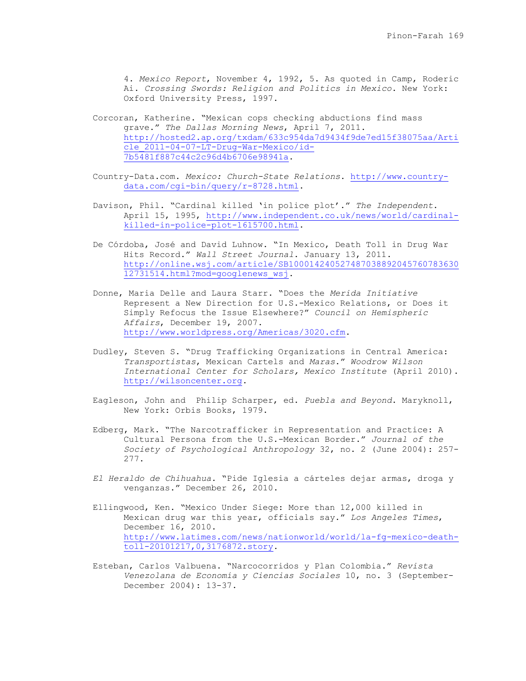4. *Mexico Report*, November 4, 1992, 5. As quoted in Camp, Roderic Ai. *Crossing Swords: Religion and Politics in Mexico*. New York: Oxford University Press, 1997.

- Corcoran, Katherine. "Mexican cops checking abductions find mass grave." *The Dallas Morning News*, April 7, 2011. [http://hosted2.ap.org/txdam/633c954da7d9434f9de7ed15f38075aa/Arti](http://hosted2.ap.org/txdam/633c954da7d9434f9de7ed15f38075aa/Article_2011-04-07-LT-Drug-War-Mexico/id-7b5481f887c44c2c96d4b6706e98941a) [cle\\_2011-04-07-LT-Drug-War-Mexico/id-](http://hosted2.ap.org/txdam/633c954da7d9434f9de7ed15f38075aa/Article_2011-04-07-LT-Drug-War-Mexico/id-7b5481f887c44c2c96d4b6706e98941a)[7b5481f887c44c2c96d4b6706e98941a.](http://hosted2.ap.org/txdam/633c954da7d9434f9de7ed15f38075aa/Article_2011-04-07-LT-Drug-War-Mexico/id-7b5481f887c44c2c96d4b6706e98941a)
- Country-Data.com. *Mexico: Church-State Relations*. [http://www.country](http://www.country-data.com/cgi-bin/query/r-8728.html)[data.com/cgi-bin/query/r-8728.html.](http://www.country-data.com/cgi-bin/query/r-8728.html)
- Davison, Phil. "Cardinal killed "in police plot"." *The Independent*. April 15, 1995, [http://www.independent.co.uk/news/world/cardinal](http://www.independent.co.uk/news/world/cardinal-killed-in-police-plot-1615700.html)[killed-in-police-plot-1615700.html.](http://www.independent.co.uk/news/world/cardinal-killed-in-police-plot-1615700.html)
- De Córdoba, José and David Luhnow. "In Mexico, Death Toll in Drug War Hits Record." *Wall Street Journal*. January 13, 2011. [http://online.wsj.com/article/SB100014240527487038892045760783630](http://online.wsj.com/article/SB10001424052748703889204576078363012731514.html?mod=googlenews_wsj) [12731514.html?mod=googlenews\\_wsj.](http://online.wsj.com/article/SB10001424052748703889204576078363012731514.html?mod=googlenews_wsj)
- Donne, Maria Delle and Laura Starr. "Does the *Merida Initiative*  Represent a New Direction for U.S.-Mexico Relations, or Does it Simply Refocus the Issue Elsewhere?" *Council on Hemispheric Affairs*, December 19, 2007. [http://www.worldpress.org/Americas/3020.cfm.](http://www.worldpress.org/Americas/3020.cfm)
- Dudley, Steven S. "Drug Trafficking Organizations in Central America: *Transportistas*, Mexican Cartels and *Maras*." *Woodrow Wilson International Center for Scholars, Mexico Institute* (April 2010). [http://wilsoncenter.org.](http://wilsoncenter.org/)
- Eagleson, John and Philip Scharper, ed. *Puebla and Beyond*. Maryknoll, New York: Orbis Books, 1979.
- Edberg, Mark. "The Narcotrafficker in Representation and Practice: A Cultural Persona from the U.S.-Mexican Border." *Journal of the Society of Psychological Anthropology* 32, no. 2 (June 2004): 257- 277.
- *El Heraldo de Chihuahua*. "Pide Iglesia a cárteles dejar armas, droga y venganzas." December 26, 2010.
- Ellingwood, Ken. "Mexico Under Siege: More than 12,000 killed in Mexican drug war this year, officials say." *Los Angeles Times*, December 16, 2010. [http://www.latimes.com/news/nationworld/world/la-fg-mexico-death](http://www.latimes.com/news/nationworld/world/la-fg-mexico-death-toll-20101217,0,3176872.story)[toll-20101217,0,3176872.story.](http://www.latimes.com/news/nationworld/world/la-fg-mexico-death-toll-20101217,0,3176872.story)
- Esteban, Carlos Valbuena. "Narcocorridos y Plan Colombia." *Revista Venezolana de Economía y Ciencias Sociales* 10, no. 3 (September-December 2004): 13-37.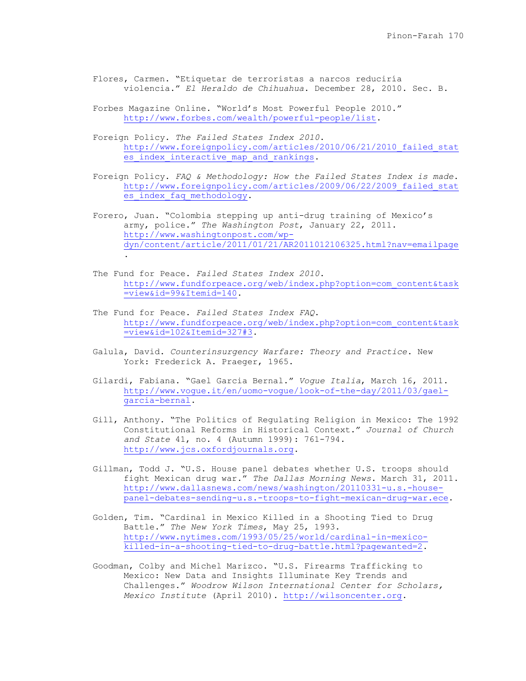- Flores, Carmen. "Etiquetar de terroristas a narcos reduciría violencia." *El Heraldo de Chihuahua*. December 28, 2010. Sec. B.
- Forbes Magazine Online. "World"s Most Powerful People 2010." [http://www.forbes.com/wealth/powerful-people/list.](http://www.forbes.com/wealth/powerful-people/list)
- Foreign Policy. *The Failed States Index 2010*. [http://www.foreignpolicy.com/articles/2010/06/21/2010\\_failed\\_stat](http://www.foreignpolicy.com/articles/2010/06/21/2010_failed_states_index_interactive_map_and_rankings) es index interactive map and rankings.
- Foreign Policy. *FAQ & Methodology: How the Failed States Index is made*. [http://www.foreignpolicy.com/articles/2009/06/22/2009\\_failed\\_stat](http://www.foreignpolicy.com/articles/2009/06/22/2009_failed_states_index_faq_methodology) es index faq methodology.
- Forero, Juan. "Colombia stepping up anti-drug training of Mexico"s army, police." *The Washington Post*, January 22, 2011. [http://www.washingtonpost.com/wp](http://www.washingtonpost.com/wp-dyn/content/article/2011/01/21/AR2011012106325.html?nav=emailpage)[dyn/content/article/2011/01/21/AR2011012106325.html?nav=emailpage](http://www.washingtonpost.com/wp-dyn/content/article/2011/01/21/AR2011012106325.html?nav=emailpage) .
- The Fund for Peace. *Failed States Index 2010*. [http://www.fundforpeace.org/web/index.php?option=com\\_content&task](http://www.fundforpeace.org/web/index.php?option=com_content&task=view&id=99&Itemid=140) [=view&id=99&Itemid=140.](http://www.fundforpeace.org/web/index.php?option=com_content&task=view&id=99&Itemid=140)
- The Fund for Peace. *Failed States Index FAQ*. [http://www.fundforpeace.org/web/index.php?option=com\\_content&task](http://www.fundforpeace.org/web/index.php?option=com_content&task=view&id=102&Itemid=327#3) [=view&id=102&Itemid=327#3.](http://www.fundforpeace.org/web/index.php?option=com_content&task=view&id=102&Itemid=327#3)
- Galula, David. *Counterinsurgency Warfare: Theory and Practice*. New York: Frederick A. Praeger, 1965.
- Gilardi, Fabiana. "Gael Garcia Bernal." *Vogue Italia*, March 16, 2011. [http://www.vogue.it/en/uomo-vogue/look-of-the-day/2011/03/gael](http://www.vogue.it/en/uomo-vogue/look-of-the-day/2011/03/gael-garcia-bernal)[garcia-bernal.](http://www.vogue.it/en/uomo-vogue/look-of-the-day/2011/03/gael-garcia-bernal)
- Gill, Anthony. "The Politics of Regulating Religion in Mexico: The 1992 Constitutional Reforms in Historical Context." *Journal of Church and State* 41, no. 4 (Autumn 1999): 761-794. [http://www.jcs.oxfordjournals.org.](http://www.jcs.oxfordjournals.org/)
- Gillman, Todd J. "U.S. House panel debates whether U.S. troops should fight Mexican drug war." *The Dallas Morning News*. March 31, 2011. [http://www.dallasnews.com/news/washington/20110331-u.s.-house](http://www.dallasnews.com/news/washington/20110331-u.s.-house-panel-debates-sending-u.s.-troops-to-fight-mexican-drug-war.ece)[panel-debates-sending-u.s.-troops-to-fight-mexican-drug-war.ece.](http://www.dallasnews.com/news/washington/20110331-u.s.-house-panel-debates-sending-u.s.-troops-to-fight-mexican-drug-war.ece)
- Golden, Tim. "Cardinal in Mexico Killed in a Shooting Tied to Drug Battle." *The New York Times*, May 25, 1993. [http://www.nytimes.com/1993/05/25/world/cardinal-in-mexico](http://www.nytimes.com/1993/05/25/world/cardinal-in-mexico-killed-in-a-shooting-tied-to-drug-battle.html?pagewanted=2)[killed-in-a-shooting-tied-to-drug-battle.html?pagewanted=2.](http://www.nytimes.com/1993/05/25/world/cardinal-in-mexico-killed-in-a-shooting-tied-to-drug-battle.html?pagewanted=2)
- Goodman, Colby and Michel Marizco. "U.S. Firearms Trafficking to Mexico: New Data and Insights Illuminate Key Trends and Challenges." *Woodrow Wilson International Center for Scholars, Mexico Institute* (April 2010). [http://wilsoncenter.org.](http://wilsoncenter.org/)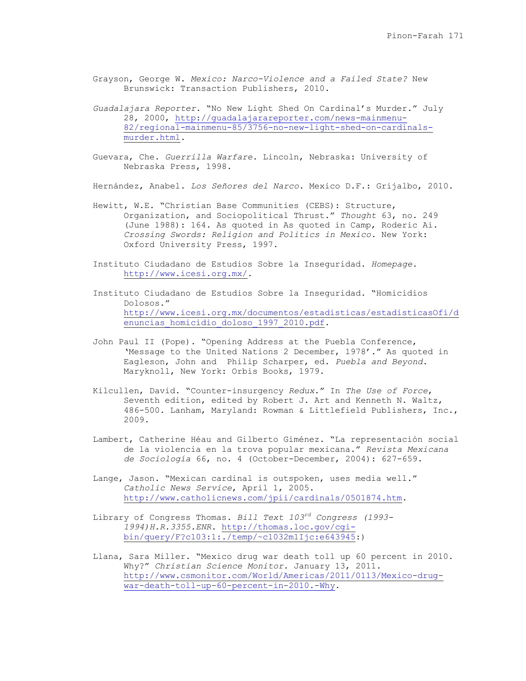- Grayson, George W. *Mexico: Narco-Violence and a Failed State?* New Brunswick: Transaction Publishers, 2010.
- *Guadalajara Reporter*. "No New Light Shed On Cardinal"s Murder." July 28, 2000, [http://guadalajarareporter.com/news-mainmenu-](http://guadalajarareporter.com/news-mainmenu-82/regional-mainmenu-85/3756-no-new-light-shed-on-cardinals-murder.html)[82/regional-mainmenu-85/3756-no-new-light-shed-on-cardinals](http://guadalajarareporter.com/news-mainmenu-82/regional-mainmenu-85/3756-no-new-light-shed-on-cardinals-murder.html)[murder.html.](http://guadalajarareporter.com/news-mainmenu-82/regional-mainmenu-85/3756-no-new-light-shed-on-cardinals-murder.html)
- Guevara, Che. *Guerrilla Warfare*. Lincoln, Nebraska: University of Nebraska Press, 1998.

Hernández, Anabel. *Los Señores del Narco*. Mexico D.F.: Grijalbo, 2010.

- Hewitt, W.E. "Christian Base Communities (CEBS): Structure, Organization, and Sociopolitical Thrust." *Thought* 63, no. 249 (June 1988): 164. As quoted in As quoted in Camp, Roderic Ai. *Crossing Swords: Religion and Politics in Mexico*. New York: Oxford University Press, 1997.
- Instituto Ciudadano de Estudios Sobre la Inseguridad. *Homepage*. [http://www.icesi.org.mx/.](http://www.icesi.org.mx/)
- Instituto Ciudadano de Estudios Sobre la Inseguridad. "Homicidios Dolosos." [http://www.icesi.org.mx/documentos/estadisticas/estadisticasOfi/d](http://www.icesi.org.mx/documentos/estadisticas/estadisticasOfi/denuncias_homicidio_doloso_1997_2010.pdf) enuncias homicidio doloso 1997 2010.pdf.
- John Paul II (Pope). "Opening Address at the Puebla Conference, 'Message to the United Nations 2 December, 1978'." As quoted in Eagleson, John and Philip Scharper, ed. *Puebla and Beyond*. Maryknoll, New York: Orbis Books, 1979.
- Kilcullen, David. "Counter-insurgency *Redux*." In *The Use of Force*, Seventh edition, edited by Robert J. Art and Kenneth N. Waltz, 486-500. Lanham, Maryland: Rowman & Littlefield Publishers, Inc., 2009.
- Lambert, Catherine Héau and Gilberto Giménez. "La representación social de la violencia en la trova popular mexicana." *Revista Mexicana de Sociología* 66, no. 4 (October-December, 2004): 627-659.
- Lange, Jason. "Mexican cardinal is outspoken, uses media well." *Catholic News Service*, April 1, 2005. [http://www.catholicnews.com/jpii/cardinals/0501874.htm.](http://www.catholicnews.com/jpii/cardinals/0501874.htm)
- Library of Congress Thomas. *Bill Text 103rd Congress (1993- 1994)H.R.3355.ENR*. [http://thomas.loc.gov/cgi](http://thomas.loc.gov/cgi-bin/query/F?c103:1:./temp/~c1032m1Ijc:e643945)[bin/query/F?c103:1:./temp/~c1032m1Ijc:e643945:](http://thomas.loc.gov/cgi-bin/query/F?c103:1:./temp/~c1032m1Ijc:e643945))
- Llana, Sara Miller. "Mexico drug war death toll up 60 percent in 2010. Why?" *Christian Science Monitor*. January 13, 2011. [http://www.csmonitor.com/World/Americas/2011/0113/Mexico-drug](http://www.csmonitor.com/World/Americas/2011/0113/Mexico-drug-war-death-toll-up-60-percent-in-2010.-Why)[war-death-toll-up-60-percent-in-2010.-Why.](http://www.csmonitor.com/World/Americas/2011/0113/Mexico-drug-war-death-toll-up-60-percent-in-2010.-Why)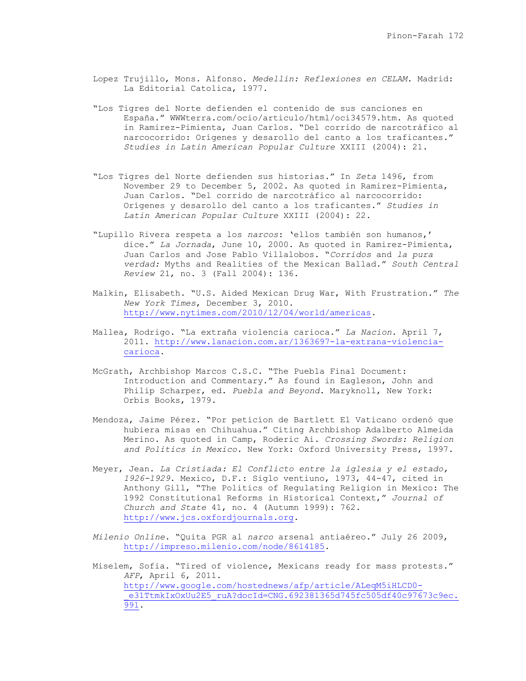- Lopez Trujillo, Mons. Alfonso. *Medellin: Reflexiones en CELAM*. Madrid: La Editorial Catolica, 1977.
- "Los Tigres del Norte defienden el contenido de sus canciones en España." WWWterra.com/ocio/articulo/html/oci34579.htm. As quoted in Ramirez-Pimienta, Juan Carlos. "Del corrido de narcotráfico al narcocorrido: Orígenes y desarollo del canto a los traficantes." *Studies in Latin American Popular Culture* XXIII (2004): 21.
- "Los Tigres del Norte defienden sus historias." In *Zeta* 1496, from November 29 to December 5, 2002. As quoted in Ramirez-Pimienta, Juan Carlos. "Del corrido de narcotráfico al narcocorrido: Orígenes y desarollo del canto a los traficantes." *Studies in Latin American Popular Culture* XXIII (2004): 22.
- "Lupillo Rivera respeta a los *narcos*: "ellos también son humanos," dice." *La Jornada*, June 10, 2000. As quoted in Ramirez-Pimienta, Juan Carlos and Jose Pablo Villalobos. "*Corridos* and *la pura verdad:* Myths and Realities of the Mexican Ballad." *South Central Review* 21, no. 3 (Fall 2004): 136.
- Malkin, Elisabeth. "U.S. Aided Mexican Drug War, With Frustration." *The New York Times*, December 3, 2010. [http://www.nytimes.com/2010/12/04/world/americas.](http://www.nytimes.com/2010/12/04/world/americas)
- Mallea, Rodrigo. "La extraña violencia carioca." *La Nacion*. April 7, 2011. [http://www.lanacion.com.ar/1363697-la-extrana-violencia](http://www.lanacion.com.ar/1363697-la-extrana-violencia-carioca)[carioca.](http://www.lanacion.com.ar/1363697-la-extrana-violencia-carioca)
- McGrath, Archbishop Marcos C.S.C. "The Puebla Final Document: Introduction and Commentary." As found in Eagleson, John and Philip Scharper, ed. *Puebla and Beyond*. Maryknoll, New York: Orbis Books, 1979.
- Mendoza, Jaime Pérez. "Por peticíon de Bartlett El Vaticano ordenó que hubiera misas en Chihuahua." Citing Archbishop Adalberto Almeida Merino. As quoted in Camp, Roderic Ai. *Crossing Swords: Religion and Politics in Mexico*. New York: Oxford University Press, 1997.
- Meyer, Jean. *La Cristiada: El Conflicto entre la iglesia y el estado, 1926-1929*. Mexico, D.F.: Siglo ventiuno, 1973, 44-47, cited in Anthony Gill, "The Politics of Regulating Religion in Mexico: The 1992 Constitutional Reforms in Historical Context," *Journal of Church and State* 41, no. 4 (Autumn 1999): 762. [http://www.jcs.oxfordjournals.org.](http://www.jcs.oxfordjournals.org/)
- *Milenio Online*. "Quita PGR al *narco* arsenal antiaéreo." July 26 2009, [http://impreso.milenio.com/node/8614185.](http://impreso.milenio.com/node/8614185)
- Miselem, Sofia. "Tired of violence, Mexicans ready for mass protests." *AFP*, April 6, 2011. [http://www.google.com/hostednews/afp/article/ALeqM5iHLCD0-](http://www.google.com/hostednews/afp/article/ALeqM5iHLCD0-_e31TtmkIxOxUu2E5_ruA?docId=CNG.692381365d745fc505df40c97673c9ec.991) [\\_e31TtmkIxOxUu2E5\\_ruA?docId=CNG.692381365d745fc505df40c97673c9ec.](http://www.google.com/hostednews/afp/article/ALeqM5iHLCD0-_e31TtmkIxOxUu2E5_ruA?docId=CNG.692381365d745fc505df40c97673c9ec.991) [991.](http://www.google.com/hostednews/afp/article/ALeqM5iHLCD0-_e31TtmkIxOxUu2E5_ruA?docId=CNG.692381365d745fc505df40c97673c9ec.991)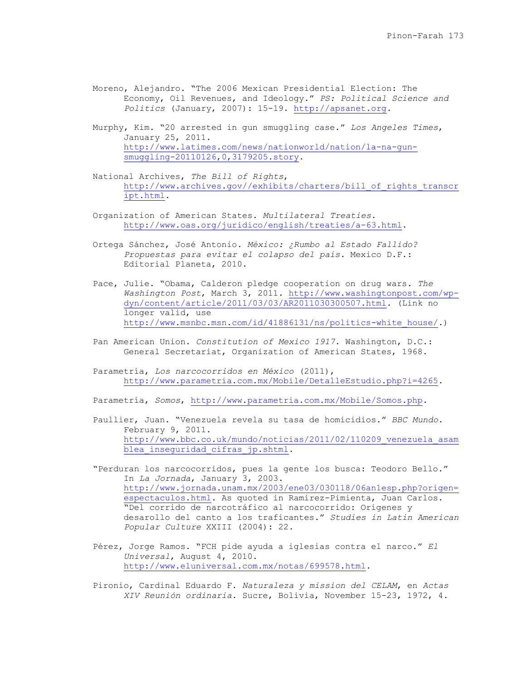- Moreno, Alejandro. "The 2006 Mexican Presidential Election: The Economy, Oil Revenues, and Ideology." *PS: Political Science and Politics* (January, 2007): 15-19. [http://apsanet.org.](http://apsanet.org/)
- Murphy, Kim. "20 arrested in gun smuggling case." *Los Angeles Times*, January 25, 2011. [http://www.latimes.com/news/nationworld/nation/la-na-gun](http://www.latimes.com/news/nationworld/nation/la-na-gun-smuggling-20110126,0,3179205.story)[smuggling-20110126,0,3179205.story.](http://www.latimes.com/news/nationworld/nation/la-na-gun-smuggling-20110126,0,3179205.story)
- National Archives, *The Bill of Rights*, [http://www.archives.gov//exhibits/charters/bill\\_of\\_rights\\_transcr](http://www.archives.gov/exhibits/charters/bill_of_rights_transcript.html) [ipt.html.](http://www.archives.gov/exhibits/charters/bill_of_rights_transcript.html)
- Organization of American States. *Multilateral Treaties*. [http://www.oas.org/juridico/english/treaties/a-63.html.](http://www.oas.org/juridico/english/treaties/a-63.html)
- Ortega Sánchez, José Antonio. *México: ¿Rumbo al Estado Fallido? Propuestas para evitar el colapso del país*. Mexico D.F.: Editorial Planeta, 2010.
- Pace, Julie. "Obama, Calderon pledge cooperation on drug wars. *The Washington Post*, March 3, 2011. [http://www.washingtonpost.com/wp](http://www.washingtonpost.com/wp-dyn/content/article/2011/03/03/AR2011030300507.html)[dyn/content/article/2011/03/03/AR2011030300507.html.](http://www.washingtonpost.com/wp-dyn/content/article/2011/03/03/AR2011030300507.html) (Link no longer valid, use [http://www.msnbc.msn.com/id/41886131/ns/politics-white\\_house/.](http://www.msnbc.msn.com/id/41886131/ns/politics-white_house/))
- Pan American Union. *Constitution of Mexico 1917*. Washington, D.C.: General Secretariat, Organization of American States, 1968.
- Parametría, *Los narcocorridos en México* (2011), [http://www.parametria.com.mx/Mobile/DetalleEstudio.php?i=4265.](http://www.parametria.com.mx/Mobile/DetalleEstudio.php?i=4265)
- Parametría, *Somos*, [http://www.parametria.com.mx/Mobile/Somos.php.](http://www.parametria.com.mx/Mobile/Somos.php)
- Paullier, Juan. "Venezuela revela su tasa de homicidios." *BBC Mundo*. February 9, 2011. [http://www.bbc.co.uk/mundo/noticias/2011/02/110209\\_venezuela\\_asam](http://www.bbc.co.uk/mundo/noticias/2011/02/110209_venezuela_asamblea_inseguridad_cifras_jp.shtml) blea inseguridad cifras jp.shtml.
- "Perduran los narcocorridos, pues la gente los busca: Teodoro Bello." In *La Jornada*, January 3, 2003. [http://www.jornada.unam.mx/2003/ene03/030118/06an1esp.php?origen=](http://www.jornada.unam.mx/2003/ene03/030118/06an1esp.php?origen=espectaculos.html) [espectaculos.html.](http://www.jornada.unam.mx/2003/ene03/030118/06an1esp.php?origen=espectaculos.html) As quoted in Ramirez-Pimienta, Juan Carlos. "Del corrido de narcotráfico al narcocorrido: Orígenes y desarollo del canto a los traficantes." *Studies in Latin American Popular Culture* XXIII (2004): 22.
- Pérez, Jorge Ramos. "FCH pide ayuda a iglesias contra el narco." *El Universal*, August 4, 2010. [http://www.eluniversal.com.mx/notas/699578.html.](http://www.eluniversal.com.mx/notas/699578.html)
- Pironio, Cardinal Eduardo F. *Naturaleza y mission del CELAM*, en *Actas XIV Reunión ordinaria*. Sucre, Bolivia, November 15-23, 1972, 4.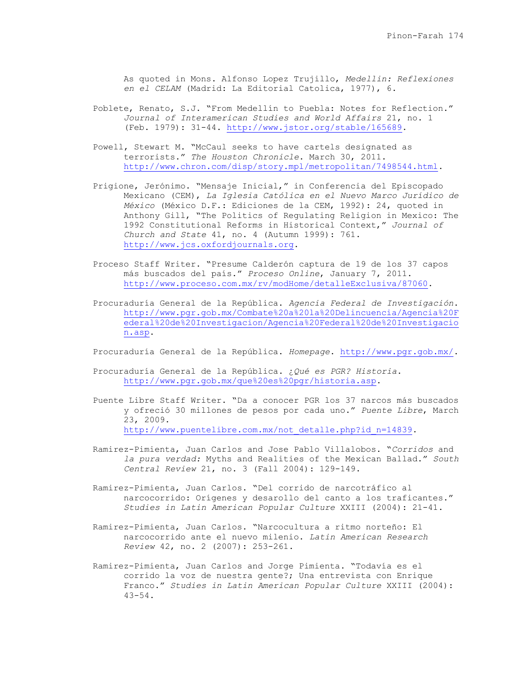As quoted in Mons. Alfonso Lopez Trujillo, *Medellin: Reflexiones en el CELAM* (Madrid: La Editorial Catolica, 1977), 6.

- Poblete, Renato, S.J. "From Medellín to Puebla: Notes for Reflection." *Journal of Interamerican Studies and World Affairs* 21, no. 1 (Feb. 1979): 31-44. [http://www.jstor.org/stable/165689.](http://www.jstor.org/stable/165689)
- Powell, Stewart M. "McCaul seeks to have cartels designated as terrorists." *The Houston Chronicle*. March 30, 2011. [http://www.chron.com/disp/story.mpl/metropolitan/7498544.html.](http://www.chron.com/disp/story.mpl/metropolitan/7498544.html)
- Prigione, Jerónimo. "Mensaje Inicial," in Conferencia del Episcopado Mexicano (CEM), *La Iglesia Católica en el Nuevo Marco Jurídico de México* (México D.F.: Ediciones de la CEM, 1992): 24, quoted in Anthony Gill, "The Politics of Regulating Religion in Mexico: The 1992 Constitutional Reforms in Historical Context," *Journal of Church and State* 41, no. 4 (Autumn 1999): 761. [http://www.jcs.oxfordjournals.org.](http://www.jcs.oxfordjournals.org/)
- Proceso Staff Writer. "Presume Calderón captura de 19 de los 37 capos más buscados del país." *Proceso Online*, January 7, 2011. [http://www.proceso.com.mx/rv/modHome/detalleExclusiva/87060.](http://www.proceso.com.mx/rv/modHome/detalleExclusiva/87060)
- Procuraduría General de la República. *Agencia Federal de Investigación*. [http://www.pgr.gob.mx/Combate%20a%20la%20Delincuencia/Agencia%20F](http://www.pgr.gob.mx/Combate%20a%20la%20Delincuencia/Agencia%20Federal%20de%20Investigacion/Agencia%20Federal%20de%20Investigacion.asp) [ederal%20de%20Investigacion/Agencia%20Federal%20de%20Investigacio](http://www.pgr.gob.mx/Combate%20a%20la%20Delincuencia/Agencia%20Federal%20de%20Investigacion/Agencia%20Federal%20de%20Investigacion.asp) [n.asp.](http://www.pgr.gob.mx/Combate%20a%20la%20Delincuencia/Agencia%20Federal%20de%20Investigacion/Agencia%20Federal%20de%20Investigacion.asp)
- Procuraduría General de la República. *Homepage*. [http://www.pgr.gob.mx/.](http://www.pgr.gob.mx/)
- Procuraduría General de la República. ¿*Qué es PGR? Historia*. [http://www.pgr.gob.mx/que%20es%20pgr/historia.asp.](http://www.pgr.gob.mx/que%20es%20pgr/historia.asp)
- Puente Libre Staff Writer. "Da a conocer PGR los 37 narcos más buscados y ofreció 30 millones de pesos por cada uno." *Puente Libre*, March 23, 2009. [http://www.puentelibre.com.mx/not\\_detalle.php?id\\_n=14839.](http://www.puentelibre.com.mx/not_detalle.php?id_n=14839)
- Ramirez-Pimienta, Juan Carlos and Jose Pablo Villalobos. "*Corridos* and *la pura verdad:* Myths and Realities of the Mexican Ballad." *South Central Review* 21, no. 3 (Fall 2004): 129-149.
- Ramirez-Pimienta, Juan Carlos. "Del corrido de narcotráfico al narcocorrido: Orígenes y desarollo del canto a los traficantes." *Studies in Latin American Popular Culture* XXIII (2004): 21-41.
- Ramirez-Pimienta, Juan Carlos. "Narcocultura a ritmo norteño: El narcocorrido ante el nuevo milenio. *Latin American Research Review* 42, no. 2 (2007): 253-261.
- Ramirez-Pimienta, Juan Carlos and Jorge Pimienta. "Todavía es el corrido la voz de nuestra gente?; Una entrevista con Enrique Franco." *Studies in Latin American Popular Culture* XXIII (2004):  $43 - 54$ .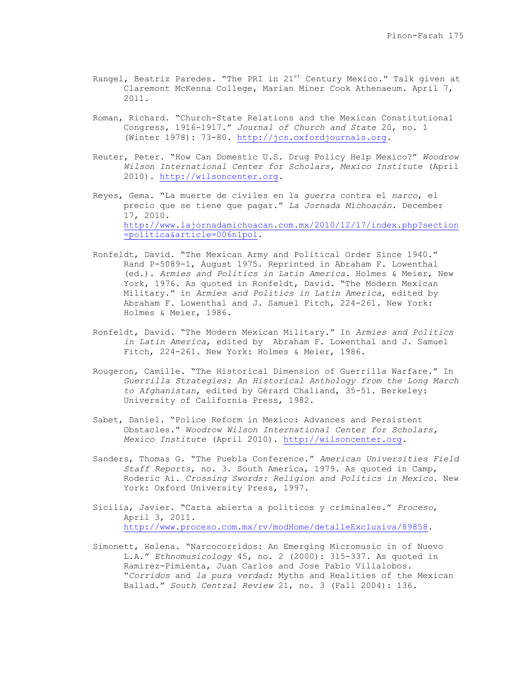- Rangel, Beatriz Paredes. "The PRI in 21<sup>st</sup> Century Mexico." Talk given at Claremont McKenna College, Marian Miner Cook Athenaeum. April 7, 2011.
- Roman, Richard. "Church-State Relations and the Mexican Constitutional Congress, 1916-1917." *Journal of Church and State* 20, no. 1 (Winter 1978): 73-80. [http://jcs.oxfordjournals.org.](http://jcs.oxfordjournals.org/)
- Reuter, Peter. "How Can Domestic U.S. Drug Policy Help Mexico?" *Woodrow Wilson International Center for Scholars, Mexico Institute* (April 2010). [http://wilsoncenter.org.](http://wilsoncenter.org/)
- Reyes, Gema. "La muerte de civiles en la *guerra* contra el *narco*, el precio que se tiene que pagar." *La Jornada Michoacán*. December 17, 2010. [http://www.lajornadamichoacan.com.mx/2010/12/17/index.php?section](http://www.lajornadamichoacan.com.mx/2010/12/17/index.php?section=politica&article=006n1pol) [=politica&article=006n1pol.](http://www.lajornadamichoacan.com.mx/2010/12/17/index.php?section=politica&article=006n1pol)
- Ronfeldt, David. "The Mexican Army and Political Order Since 1940." Rand P-5089-1, August 1975. Reprinted in Abraham F. Lowenthal (ed.). *Armies and Politics in Latin America*. Holmes & Meier, New York, 1976. As quoted in Ronfeldt, David. "The Modern Mexican Military." in *Armies and Politics in Latin America*, edited by Abraham F. Lowenthal and J. Samuel Fitch, 224-261. New York: Holmes & Meier, 1986.
- Ronfeldt, David. "The Modern Mexican Military." In *Armies and Politics in Latin America*, edited by Abraham F. Lowenthal and J. Samuel Fitch, 224-261. New York: Holmes & Meier, 1986.
- Rougeron, Camille. "The Historical Dimension of Guerrilla Warfare." In *Guerrilla Strategies: An Historical Anthology from the Long March to Afghanistan*, edited by Gérard Chaliand, 35-51. Berkeley: University of California Press, 1982.
- Sabet, Daniel. "Police Reform in Mexico: Advances and Persistent Obstacles." *Woodrow Wilson International Center for Scholars, Mexico Institute* (April 2010). [http://wilsoncenter.org.](http://wilsoncenter.org/)
- Sanders, Thomas G. "The Puebla Conference." *American Universities Field Staff Reports*, no. 3. South America, 1979. As quoted in Camp, Roderic Ai. *Crossing Swords: Religion and Politics in Mexico*. New York: Oxford University Press, 1997.
- Sicilia, Javier. "Carta abierta a políticos y criminales." *Proceso*, April 3, 2011. [http://www.proceso.com.mx/rv/modHome/detalleExclusiva/89858.](http://www.proceso.com.mx/rv/modHome/detalleExclusiva/89858)
- Simonett, Helena. "Narcocorridos: An Emerging Micromusic in of Nuevo L.A." *Ethnomusicology* 45, no. 2 (2000): 315-337. As quoted in Ramirez-Pimienta, Juan Carlos and Jose Pablo Villalobos. "*Corridos* and *la pura verdad:* Myths and Realities of the Mexican Ballad." *South Central Review* 21, no. 3 (Fall 2004): 136.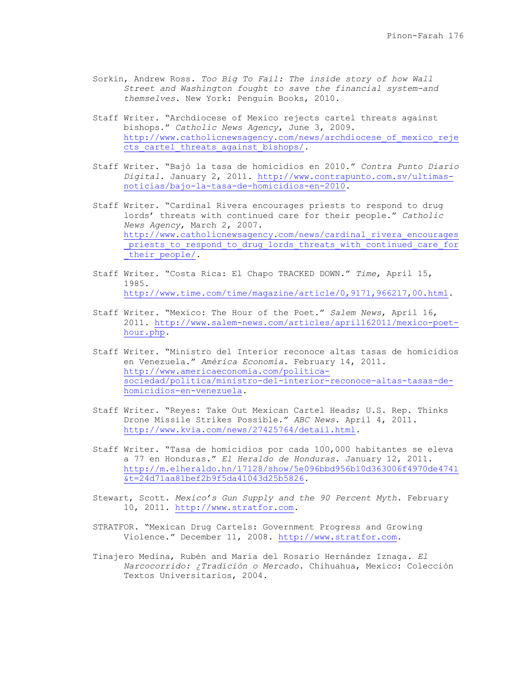- Sorkin, Andrew Ross. *Too Big To Fail: The inside story of how Wall Street and Washington fought to save the financial system-and themselves*. New York: Penguin Books, 2010.
- Staff Writer. "Archdiocese of Mexico rejects cartel threats against bishops." *Catholic News Agency*, June 3, 2009. [http://www.catholicnewsagency.com/news/archdiocese\\_of\\_mexico\\_reje](http://www.catholicnewsagency.com/news/archdiocese_of_mexico_rejects_cartel_threats_against_bishops/) cts cartel threats against bishops/.
- Staff Writer. "Bajó la tasa de homicidios en 2010." *Contra Punto Diario Digital*. January 2, 2011. [http://www.contrapunto.com.sv/ultimas](http://www.contrapunto.com.sv/ultimas-noticias/bajo-la-tasa-de-homicidios-en-2010)[noticias/bajo-la-tasa-de-homicidios-en-2010.](http://www.contrapunto.com.sv/ultimas-noticias/bajo-la-tasa-de-homicidios-en-2010)
- Staff Writer. "Cardinal Rivera encourages priests to respond to drug lords" threats with continued care for their people." *Catholic News Agency*, March 2, 2007. [http://www.catholicnewsagency.com/news/cardinal\\_rivera\\_encourages](http://www.catholicnewsagency.com/news/cardinal_rivera_encourages_priests_to_respond_to_drug_lords_threats_with_continued_care_for_their_people/) priests to respond to drug lords threats with continued care for their people/.
- Staff Writer. "Costa Rica: El Chapo TRACKED DOWN." *Time*, April 15, 1985. [http://www.time.com/time/magazine/article/0,9171,966217,00.html.](http://www.time.com/time/magazine/article/0,9171,966217,00.html)
- Staff Writer. "Mexico: The Hour of the Poet." *Salem News*, April 16, 2011. [http://www.salem-news.com/articles/april162011/mexico-poet](http://www.salem-news.com/articles/april162011/mexico-poet-hour.php)[hour.php.](http://www.salem-news.com/articles/april162011/mexico-poet-hour.php)
- Staff Writer. "Ministro del Interior reconoce altas tasas de homicidios en Venezuela." *América Economía*. February 14, 2011. [http://www.americaeconomia.com/politica](http://www.americaeconomia.com/politica-sociedad/politica/ministro-del-interior-reconoce-altas-tasas-de-homicidios-en-venezuela)[sociedad/politica/ministro-del-interior-reconoce-altas-tasas-de](http://www.americaeconomia.com/politica-sociedad/politica/ministro-del-interior-reconoce-altas-tasas-de-homicidios-en-venezuela)[homicidios-en-venezuela.](http://www.americaeconomia.com/politica-sociedad/politica/ministro-del-interior-reconoce-altas-tasas-de-homicidios-en-venezuela)
- Staff Writer. "Reyes: Take Out Mexican Cartel Heads; U.S. Rep. Thinks Drone Missile Strikes Possible." *ABC News*. April 4, 2011. [http://www.kvia.com/news/27425764/detail.html.](http://www.kvia.com/news/27425764/detail.html)
- Staff Writer. "Tasa de homicidios por cada 100,000 habitantes se eleva a 77 en Honduras." *El Heraldo de Honduras*. January 12, 2011. [http://m.elheraldo.hn/17128/show/5e096bbd956b10d363006f4970de4741](http://m.elheraldo.hn/17128/show/5e096bbd956b10d363006f4970de4741&t=24d71aa81bef2b9f5da41043d25b5826) [&t=24d71aa81bef2b9f5da41043d25b5826.](http://m.elheraldo.hn/17128/show/5e096bbd956b10d363006f4970de4741&t=24d71aa81bef2b9f5da41043d25b5826)
- Stewart, Scott. *Mexico's Gun Supply and the 90 Percent Myth*. February 10, 2011. [http://www.stratfor.com.](http://www.stratfor.com/)
- STRATFOR. "Mexican Drug Cartels: Government Progress and Growing Violence." December 11, 2008. [http://www.stratfor.com.](http://www.stratfor.com/)
- Tinajero Medina, Rubén and María del Rosario Hernández Iznaga. *El Narcocorrido: ¿Tradición o Mercado*. Chihuahua, Mexico: Colección Textos Universitarios, 2004.